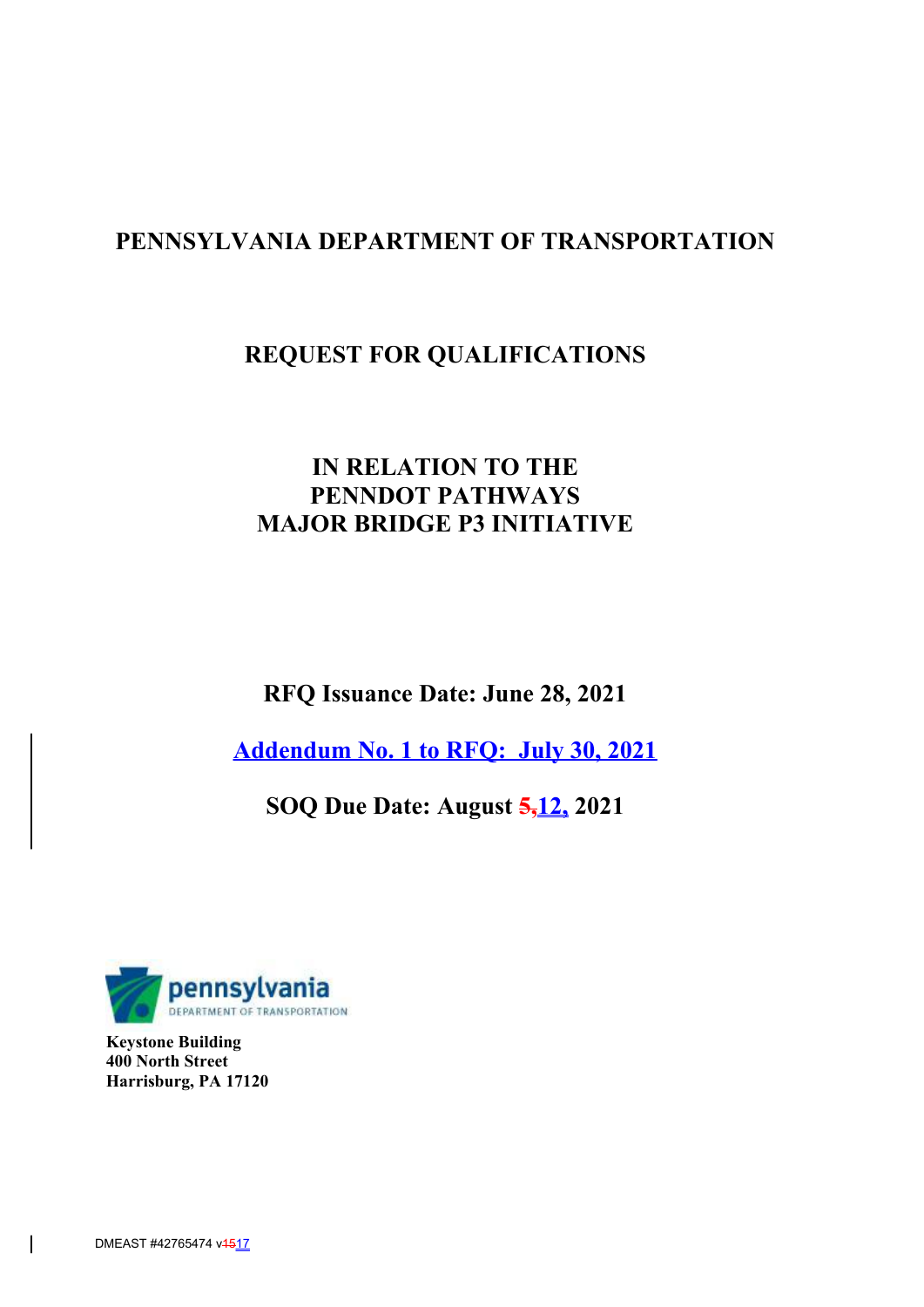# **PENNSYLVANIA DEPARTMENT OF TRANSPORTATION**

# **REQUEST FOR QUALIFICATIONS**

# **IN RELATION TO THE PENNDOT PATHWAYS MAJOR BRIDGE P3 INITIATIVE**

**RFQ Issuance Date: June 28, 2021**

**Addendum No. 1 to RFQ: July 30, 2021**

**SOQ Due Date: August 5,12, 2021**



**Keystone Building 400 North Street Harrisburg, PA 17120**

 $\overline{\phantom{a}}$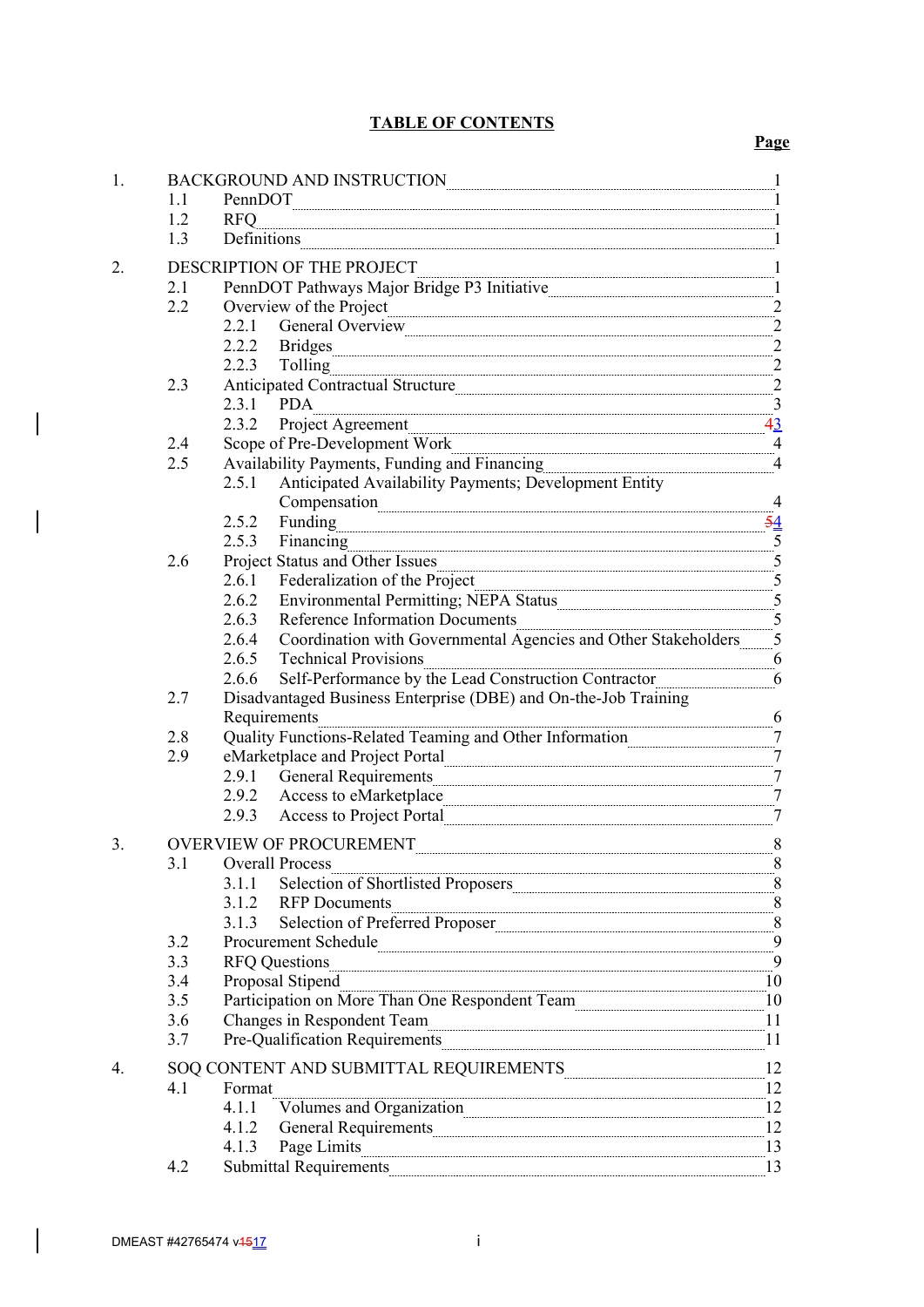# **TABLE OF CONTENTS**

# **Page**

| 1. | BACKGROUND AND INSTRUCTION<br>$\mathbf{1}$                                                                       |                                                                                                                                                                                                                                                                                       |                            |  |  |
|----|------------------------------------------------------------------------------------------------------------------|---------------------------------------------------------------------------------------------------------------------------------------------------------------------------------------------------------------------------------------------------------------------------------------|----------------------------|--|--|
|    | 1.1                                                                                                              | PennDOT                                                                                                                                                                                                                                                                               |                            |  |  |
|    | 1.2                                                                                                              | <b>RFO</b>                                                                                                                                                                                                                                                                            | 1                          |  |  |
|    | 1.3                                                                                                              | Definitions                                                                                                                                                                                                                                                                           | 1                          |  |  |
|    |                                                                                                                  |                                                                                                                                                                                                                                                                                       |                            |  |  |
| 2. | DESCRIPTION OF THE PROJECT<br>$\mathbf{r}$<br>PennDOT Pathways Major Bridge P3 Initiative<br>$\mathbf{1}$<br>2.1 |                                                                                                                                                                                                                                                                                       |                            |  |  |
|    | $2.2^{\circ}$                                                                                                    |                                                                                                                                                                                                                                                                                       |                            |  |  |
|    |                                                                                                                  |                                                                                                                                                                                                                                                                                       |                            |  |  |
|    |                                                                                                                  |                                                                                                                                                                                                                                                                                       |                            |  |  |
|    |                                                                                                                  | Overview of the Project<br>2.2.1 General Overview 2<br>2.2.2 Bridges<br>2.2.2 Bridges<br>2.2.3 Tolling 2<br>4 Article of Catherinal Structure                                                                                                                                         |                            |  |  |
|    | 2.3                                                                                                              | 2.2.3 Tolling<br>Anticipated Contractual Structure                                                                                                                                                                                                                                    | $^{2}$                     |  |  |
|    |                                                                                                                  | 2.3.1 PDA                                                                                                                                                                                                                                                                             | $\frac{3}{4}$              |  |  |
|    |                                                                                                                  | <u>43 amin'ny solatan'i Eugene ao amin'ny faritr'i Nor</u><br>2.3.2<br>Project Agreement                                                                                                                                                                                              |                            |  |  |
|    | 2.4                                                                                                              | Scope of Pre-Development Work                                                                                                                                                                                                                                                         |                            |  |  |
|    | 2.5                                                                                                              | $\frac{4 \text{ Fincons}}{4 \text{ Fincons}}$<br>Availability Payments, Funding and Financing [11] Availability Payments, Funding and Financing                                                                                                                                       | $\overline{4}$             |  |  |
|    |                                                                                                                  | Anticipated Availability Payments; Development Entity<br>2.5.1                                                                                                                                                                                                                        |                            |  |  |
|    |                                                                                                                  |                                                                                                                                                                                                                                                                                       | $\frac{4}{2}$              |  |  |
|    |                                                                                                                  | 2.5.2<br>Funding                                                                                                                                                                                                                                                                      | $\frac{54}{1}$             |  |  |
|    |                                                                                                                  | 2.5.3 Financing                                                                                                                                                                                                                                                                       | $\overline{\phantom{0}}^5$ |  |  |
|    | 2.6                                                                                                              | Project Status and Other Issues                                                                                                                                                                                                                                                       | $\overline{\phantom{0}}^5$ |  |  |
|    |                                                                                                                  | 2.6.1 Federalization of the Project                                                                                                                                                                                                                                                   | $-5$                       |  |  |
|    |                                                                                                                  | 2.6.2 Environmental Permitting; NEPA Status                                                                                                                                                                                                                                           |                            |  |  |
|    |                                                                                                                  | $\frac{5}{100}$<br>2.6.3 Reference Information Documents                                                                                                                                                                                                                              |                            |  |  |
|    |                                                                                                                  | 2.6.4 Coordination with Governmental Agencies and Other Stakeholders 5                                                                                                                                                                                                                |                            |  |  |
|    |                                                                                                                  | 2.6.5 Technical Provisions                                                                                                                                                                                                                                                            | $-6$                       |  |  |
|    |                                                                                                                  | Self-Performance by the Lead Construction Contractor<br>2.6.6                                                                                                                                                                                                                         | 6                          |  |  |
|    | 2.7                                                                                                              | Disadvantaged Business Enterprise (DBE) and On-the-Job Training                                                                                                                                                                                                                       |                            |  |  |
|    |                                                                                                                  | Requirements                                                                                                                                                                                                                                                                          |                            |  |  |
|    | 2.8                                                                                                              | Quality Functions-Related Teaming and Other Information                                                                                                                                                                                                                               | $\overline{7}$             |  |  |
|    | 2.9                                                                                                              |                                                                                                                                                                                                                                                                                       | $\overline{7}$             |  |  |
|    |                                                                                                                  | 2.9.1 General Requirements                                                                                                                                                                                                                                                            | $\mathcal{Z}$              |  |  |
|    |                                                                                                                  | 2.9.2 Access to eMarketplace Communication and the Access of Architecture Communication and Access to eMarketplace                                                                                                                                                                    | $\tau$                     |  |  |
|    |                                                                                                                  | 2.9.3 Access to Project Portal                                                                                                                                                                                                                                                        | $\overline{a}$             |  |  |
| 3. | $\mathbf{8}$<br><b>OVERVIEW OF PROCUREMENT</b>                                                                   |                                                                                                                                                                                                                                                                                       |                            |  |  |
|    | 3.1                                                                                                              | <b>Overall Process</b>                                                                                                                                                                                                                                                                | $\frac{8}{2}$              |  |  |
|    |                                                                                                                  | Selection of Shortlisted Proposers 8<br>3.1.1                                                                                                                                                                                                                                         |                            |  |  |
|    |                                                                                                                  | <b>RFP</b> Documents<br>3.1.2                                                                                                                                                                                                                                                         | $8\,$                      |  |  |
|    |                                                                                                                  | Selection of Preferred Proposer 8<br>3.1.3                                                                                                                                                                                                                                            |                            |  |  |
|    | 3.2                                                                                                              | Procurement Schedule Contained by Dente and Schedule Dente and Schedule Dente and Schedule Dente and Schedule                                                                                                                                                                         |                            |  |  |
|    | 3.3                                                                                                              | <b>RFQ Questions</b>                                                                                                                                                                                                                                                                  | $-9$                       |  |  |
|    | 3.4                                                                                                              | Proposal Stipend                                                                                                                                                                                                                                                                      | 10                         |  |  |
|    | 3.5                                                                                                              | Participation on More Than One Respondent Team<br>$\overline{a}$ . The continuum continuum continuum continuum continuum continuum continuum continuum continuum continuum continuum continuum continuum continuum continuum continuum continuum continuum continuum continuum contin | 10                         |  |  |
|    | 3.6                                                                                                              | Changes in Respondent Team                                                                                                                                                                                                                                                            | 11                         |  |  |
|    | 3.7                                                                                                              | Pre-Qualification Requirements 11                                                                                                                                                                                                                                                     |                            |  |  |
|    |                                                                                                                  | SOQ CONTENT AND SUBMITTAL REQUIREMENTS                                                                                                                                                                                                                                                | 12                         |  |  |
| 4. | 4.1                                                                                                              | Format                                                                                                                                                                                                                                                                                | 12                         |  |  |
|    |                                                                                                                  | 4.1.1<br>Volumes and Organization                                                                                                                                                                                                                                                     | 12                         |  |  |
|    |                                                                                                                  | General Requirements<br>4.1.2                                                                                                                                                                                                                                                         | 12                         |  |  |
|    |                                                                                                                  | Page Limits<br>4.1.3                                                                                                                                                                                                                                                                  | 13                         |  |  |
|    | 4.2                                                                                                              | <b>Submittal Requirements</b>                                                                                                                                                                                                                                                         | 13                         |  |  |
|    |                                                                                                                  |                                                                                                                                                                                                                                                                                       |                            |  |  |

 $\overline{\phantom{a}}$ 

 $\overline{\phantom{a}}$ 

 $\overline{\phantom{a}}$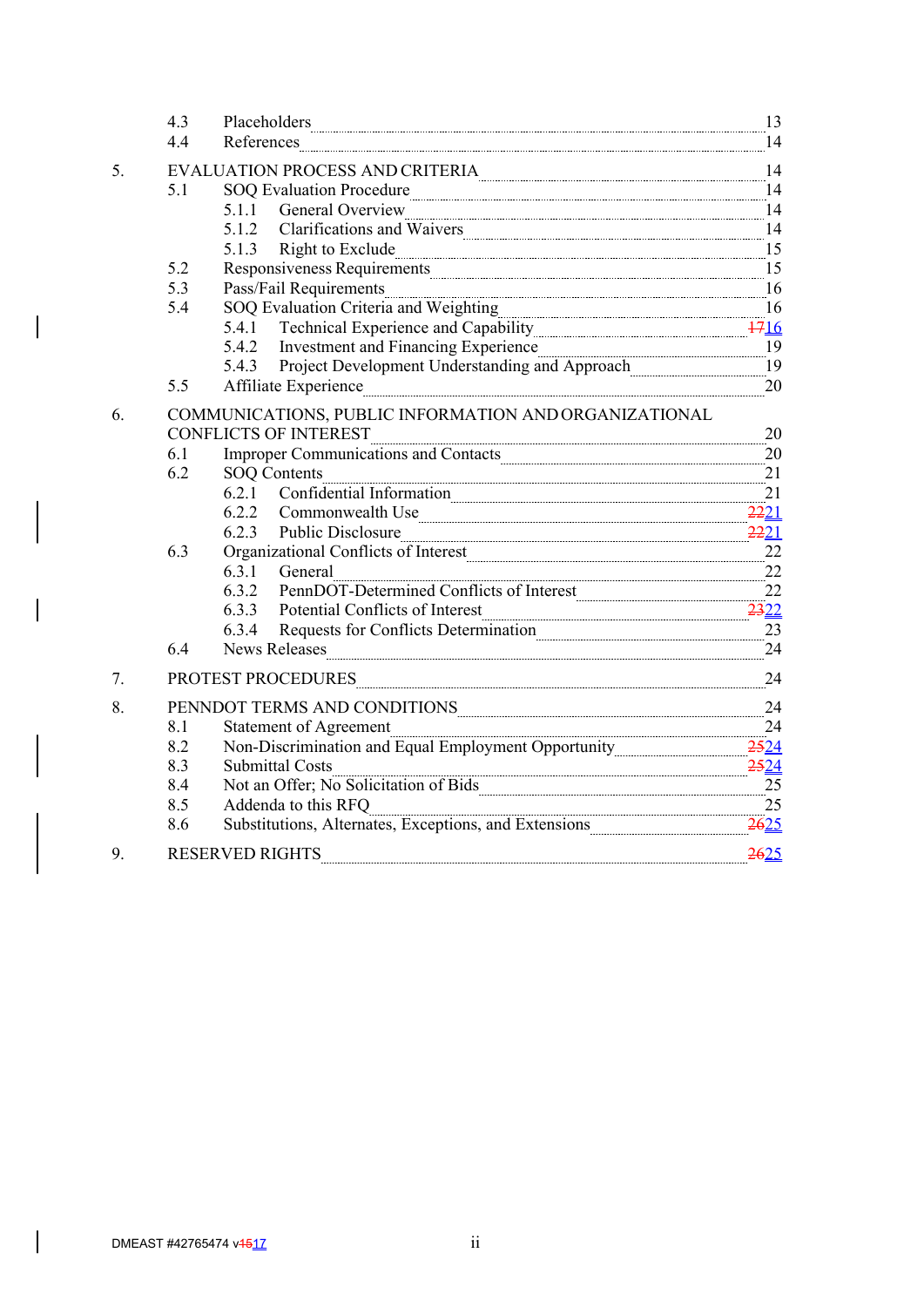|    | 4.3 | Placeholders experience and the contract of the contract of the contract of the contract of the contract of the contract of the contract of the contract of the contract of the contract of the contract of the contract of th     | 13          |  |  |  |
|----|-----|------------------------------------------------------------------------------------------------------------------------------------------------------------------------------------------------------------------------------------|-------------|--|--|--|
|    | 4.4 | References                                                                                                                                                                                                                         | 14          |  |  |  |
| 5. |     | ${\bf FVALUATION\, PROCESS\, AND\, CRITERIA} \label{eq:14} \centering 14$                                                                                                                                                          |             |  |  |  |
|    | 5.1 | SOQ Evaluation Procedure                                                                                                                                                                                                           |             |  |  |  |
|    |     | 5.1.1 General Overview                                                                                                                                                                                                             |             |  |  |  |
|    |     | 5.1.2<br>Clarifications and Waivers 14                                                                                                                                                                                             |             |  |  |  |
|    |     | 5.1.3 Right to Exclude <u>Communications</u> and the contract of the set of the set of the set of the set of the set of the set of the set of the set of the set of the set of the set of the set of the set of the set of the set |             |  |  |  |
|    | 5.2 | Responsiveness Requirements 15                                                                                                                                                                                                     |             |  |  |  |
|    | 5.3 | Pass/Fail Requirements 16                                                                                                                                                                                                          |             |  |  |  |
|    | 5.4 | SOQ Evaluation Criteria and Weighting 16                                                                                                                                                                                           |             |  |  |  |
|    |     | Technical Experience and Capability 1716<br>5.4.1                                                                                                                                                                                  |             |  |  |  |
|    |     | 5.4.2<br>Investment and Financing Experience 19                                                                                                                                                                                    |             |  |  |  |
|    |     | Project Development Understanding and Approach<br>5.4.3                                                                                                                                                                            | 19          |  |  |  |
|    | 5.5 | Affiliate Experience                                                                                                                                                                                                               | 20          |  |  |  |
| 6. |     | COMMUNICATIONS, PUBLIC INFORMATION AND ORGANIZATIONAL                                                                                                                                                                              |             |  |  |  |
|    |     | <b>CONFLICTS OF INTEREST</b>                                                                                                                                                                                                       | 20          |  |  |  |
|    | 6.1 | Improper Communications and Contacts 20                                                                                                                                                                                            |             |  |  |  |
|    | 6.2 | $\frac{1}{1}$ Information $\frac{21}{1}$<br><b>SOQ Contents</b>                                                                                                                                                                    |             |  |  |  |
|    |     | 6.2.1 Confidential Information                                                                                                                                                                                                     | $\sqrt{21}$ |  |  |  |
|    |     | 6.2.2 Commonwealth Use                                                                                                                                                                                                             | 2221        |  |  |  |
|    |     | 6.2.3 Public Disclosure 2221                                                                                                                                                                                                       |             |  |  |  |
|    | 6.3 | Organizational Conflicts of Interest [[11] All and Talent and Talent and Talent and Talent and Talent and Talent and Talent and Talent and Talent and Talent and Talent and Talent and Talent and Talent and Talent and Talent     | $22\,$      |  |  |  |
|    |     | 6.3.1 General                                                                                                                                                                                                                      | 22          |  |  |  |
|    |     | PennDOT-Determined Conflicts of Interest 22<br>6.3.2                                                                                                                                                                               |             |  |  |  |
|    |     | 6.3.3 Potential Conflicts of Interest                                                                                                                                                                                              |             |  |  |  |
|    |     | Requests for Conflicts Determination 23<br>6.3.4                                                                                                                                                                                   |             |  |  |  |
|    | 6.4 | News Releases 24                                                                                                                                                                                                                   |             |  |  |  |
| 7. |     | 24<br>PROTEST PROCEDURES                                                                                                                                                                                                           |             |  |  |  |
| 8. |     | PENNDOT TERMS AND CONDITIONS 24                                                                                                                                                                                                    |             |  |  |  |
|    | 8.1 | <b>Statement of Agreement</b>                                                                                                                                                                                                      | 24          |  |  |  |
|    | 8.2 | Non-Discrimination and Equal Employment Opportunity 2524                                                                                                                                                                           |             |  |  |  |
|    | 8.3 | 2524<br><b>Submittal Costs</b>                                                                                                                                                                                                     |             |  |  |  |
|    | 8.4 | Not an Offer; No Solicitation of Bids 25                                                                                                                                                                                           |             |  |  |  |
|    | 8.5 | Addenda to this RFQ                                                                                                                                                                                                                | 25          |  |  |  |
|    | 8.6 | Substitutions, Alternates, Exceptions, and Extensions 2625                                                                                                                                                                         |             |  |  |  |
| 9. |     | <b>RESERVED RIGHTS</b>                                                                                                                                                                                                             | 2625        |  |  |  |

 $\overline{\phantom{a}}$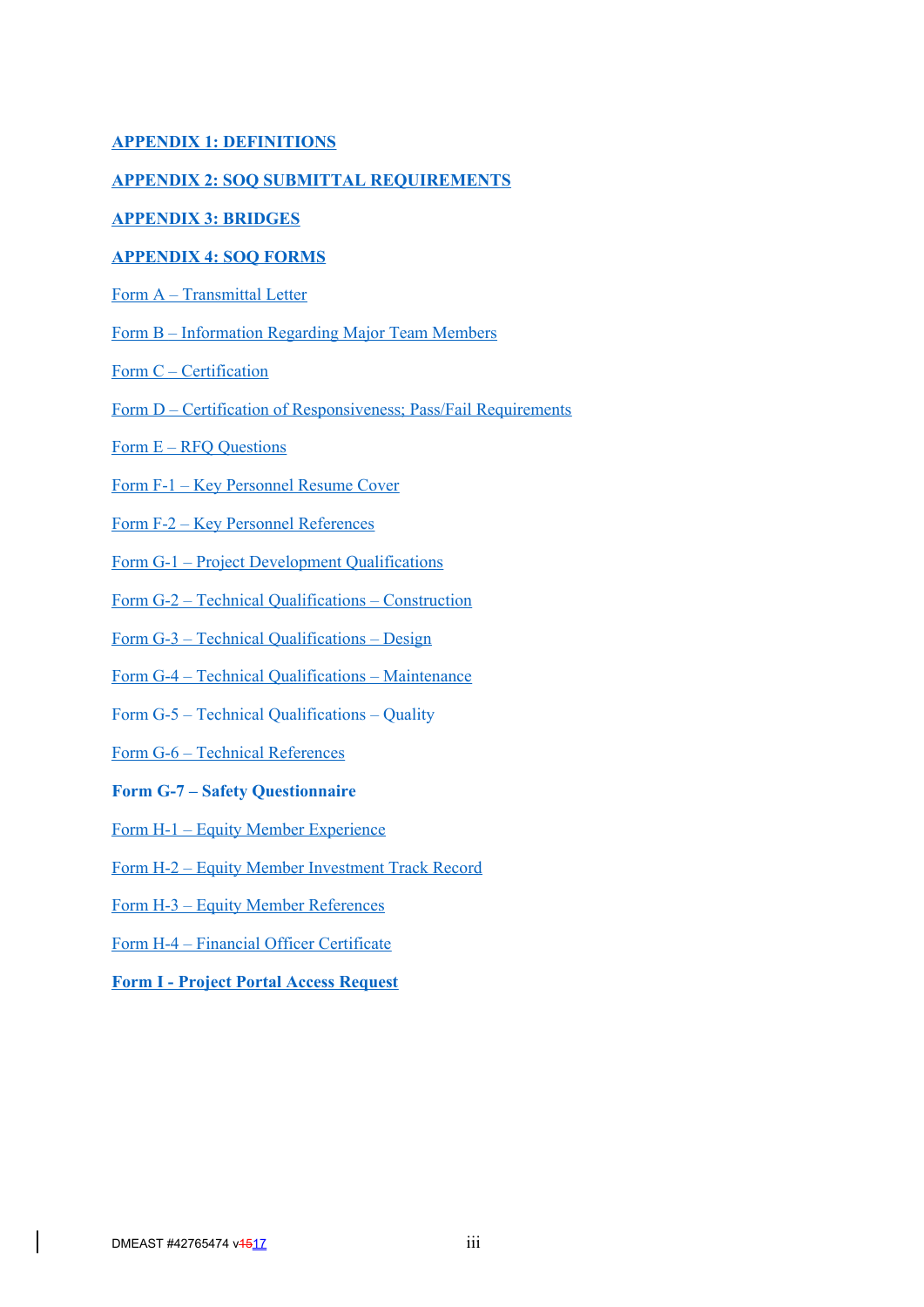## **APPENDIX 1: DEFINITIONS**

#### **APPENDIX 2: SOQ SUBMITTAL REQUIREMENTS**

## **APPENDIX 3: BRIDGES**

#### **APPENDIX 4: SOQ FORMS**

- Form A Transmittal Letter
- Form B Information Regarding Major Team Members
- Form C Certification
- Form D Certification of Responsiveness; Pass/Fail Requirements
- Form E RFQ Questions
- Form F-1 Key Personnel Resume Cover
- Form F-2 Key Personnel References
- Form G-1 Project Development Qualifications
- Form G-2 Technical Qualifications Construction
- Form G-3 Technical Qualifications Design
- Form G-4 Technical Qualifications Maintenance
- Form G-5 Technical Qualifications Quality
- Form G-6 Technical References

#### **Form G-7 – Safety Questionnaire**

- Form H-1 Equity Member Experience
- Form H-2 Equity Member Investment Track Record
- Form H-3 Equity Member References
- Form H-4 Financial Officer Certificate
- **Form I Project Portal Access Request**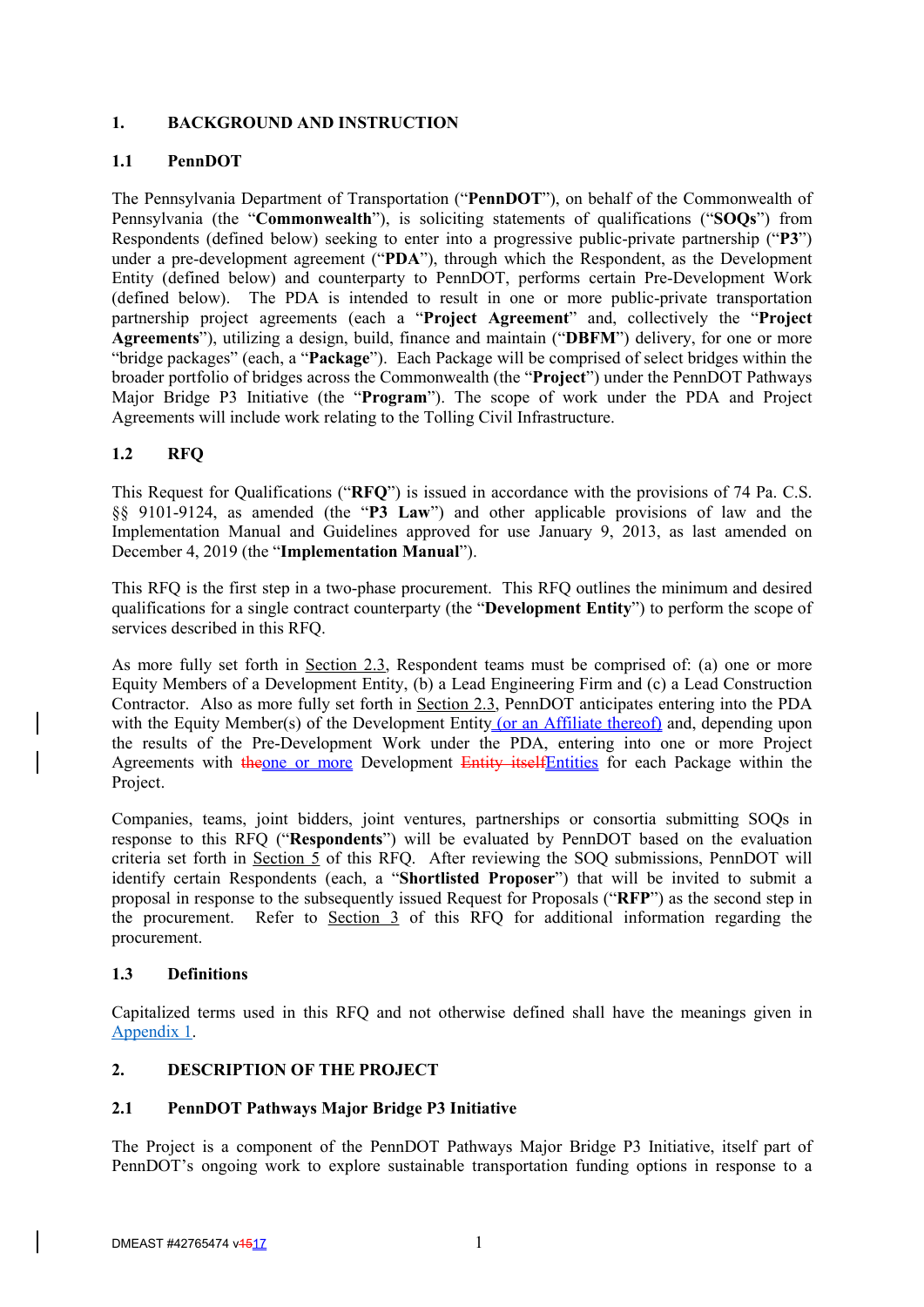## **1. BACKGROUND AND INSTRUCTION**

## **1.1 PennDOT**

The Pennsylvania Department of Transportation ("**PennDOT**"), on behalf of the Commonwealth of Pennsylvania (the "**Commonwealth**"), is soliciting statements of qualifications ("**SOQs**") from Respondents (defined below) seeking to enter into a progressive public-private partnership ("**P3**") under a pre-development agreement ("**PDA**"), through which the Respondent, as the Development Entity (defined below) and counterparty to PennDOT, performs certain Pre-Development Work (defined below). The PDA is intended to result in one or more public-private transportation partnership project agreements (each a "**Project Agreement**" and, collectively the "**Project Agreements**"), utilizing a design, build, finance and maintain ("**DBFM**") delivery, for one or more "bridge packages" (each, a "**Package**"). Each Package will be comprised of select bridges within the broader portfolio of bridges across the Commonwealth (the "**Project**") under the PennDOT Pathways Major Bridge P3 Initiative (the "**Program**"). The scope of work under the PDA and Project Agreements will include work relating to the Tolling Civil Infrastructure.

## **1.2 RFQ**

This Request for Qualifications ("**RFQ**") is issued in accordance with the provisions of 74 Pa. C.S. §§ 9101-9124, as amended (the "**P3 Law**") and other applicable provisions of law and the Implementation Manual and Guidelines approved for use January 9, 2013, as last amended on December 4, 2019 (the "**Implementation Manual**").

This RFQ is the first step in a two-phase procurement. This RFQ outlines the minimum and desired qualifications for a single contract counterparty (the "**Development Entity**") to perform the scope of services described in this RFQ.

As more fully set forth in Section 2.3, Respondent teams must be comprised of: (a) one or more Equity Members of a Development Entity, (b) a Lead Engineering Firm and (c) a Lead Construction Contractor. Also as more fully set forth in Section 2.3, PennDOT anticipates entering into the PDA with the Equity Member(s) of the Development Entity (or an Affiliate thereof) and, depending upon the results of the Pre-Development Work under the PDA, entering into one or more Project Agreements with theone or more Development Entity itselfEntities for each Package within the Project.

Companies, teams, joint bidders, joint ventures, partnerships or consortia submitting SOQs in response to this RFQ ("**Respondents**") will be evaluated by PennDOT based on the evaluation criteria set forth in Section  $\overline{5}$  of this RFO. After reviewing the SOO submissions, PennDOT will identify certain Respondents (each, a "**Shortlisted Proposer**") that will be invited to submit a proposal in response to the subsequently issued Request for Proposals ("**RFP**") as the second step in the procurement. Refer to Section 3 of this RFQ for additional information regarding the procurement.

#### **1.3 Definitions**

Capitalized terms used in this RFQ and not otherwise defined shall have the meanings given in Appendix 1.

## **2. DESCRIPTION OF THE PROJECT**

#### **2.1 PennDOT Pathways Major Bridge P3 Initiative**

The Project is a component of the PennDOT Pathways Major Bridge P3 Initiative, itself part of PennDOT's ongoing work to explore sustainable transportation funding options in response to a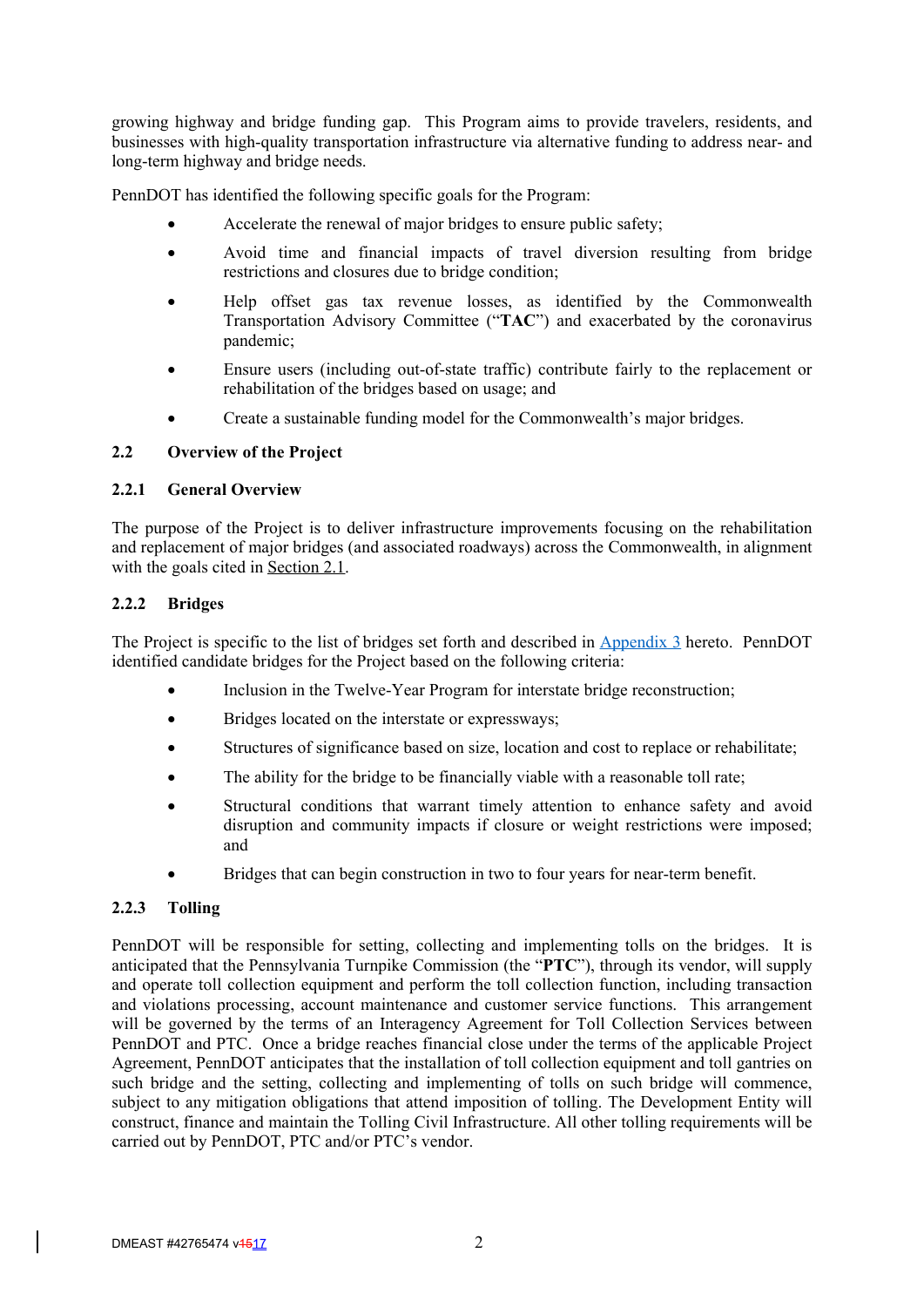growing highway and bridge funding gap. This Program aims to provide travelers, residents, and businesses with high-quality transportation infrastructure via alternative funding to address near- and long-term highway and bridge needs.

PennDOT has identified the following specific goals for the Program:

- Accelerate the renewal of major bridges to ensure public safety;
- Avoid time and financial impacts of travel diversion resulting from bridge restrictions and closures due to bridge condition;
- Help offset gas tax revenue losses, as identified by the Commonwealth Transportation Advisory Committee ("**TAC**") and exacerbated by the coronavirus pandemic;
- Ensure users (including out-of-state traffic) contribute fairly to the replacement or rehabilitation of the bridges based on usage; and
- Create a sustainable funding model for the Commonwealth's major bridges.

## **2.2 Overview of the Project**

#### **2.2.1 General Overview**

The purpose of the Project is to deliver infrastructure improvements focusing on the rehabilitation and replacement of major bridges (and associated roadways) across the Commonwealth, in alignment with the goals cited in Section 2.1.

#### **2.2.2 Bridges**

The Project is specific to the list of bridges set forth and described in Appendix 3 hereto. PennDOT identified candidate bridges for the Project based on the following criteria:

- Inclusion in the Twelve-Year Program for interstate bridge reconstruction;
- Bridges located on the interstate or expressways;
- Structures of significance based on size, location and cost to replace or rehabilitate;
- The ability for the bridge to be financially viable with a reasonable toll rate;
- Structural conditions that warrant timely attention to enhance safety and avoid disruption and community impacts if closure or weight restrictions were imposed; and
- Bridges that can begin construction in two to four years for near-term benefit.

#### **2.2.3 Tolling**

PennDOT will be responsible for setting, collecting and implementing tolls on the bridges. It is anticipated that the Pennsylvania Turnpike Commission (the "**PTC**"), through its vendor, will supply and operate toll collection equipment and perform the toll collection function, including transaction and violations processing, account maintenance and customer service functions. This arrangement will be governed by the terms of an Interagency Agreement for Toll Collection Services between PennDOT and PTC. Once a bridge reaches financial close under the terms of the applicable Project Agreement, PennDOT anticipates that the installation of toll collection equipment and toll gantries on such bridge and the setting, collecting and implementing of tolls on such bridge will commence, subject to any mitigation obligations that attend imposition of tolling. The Development Entity will construct, finance and maintain the Tolling Civil Infrastructure. All other tolling requirements will be carried out by PennDOT, PTC and/or PTC's vendor.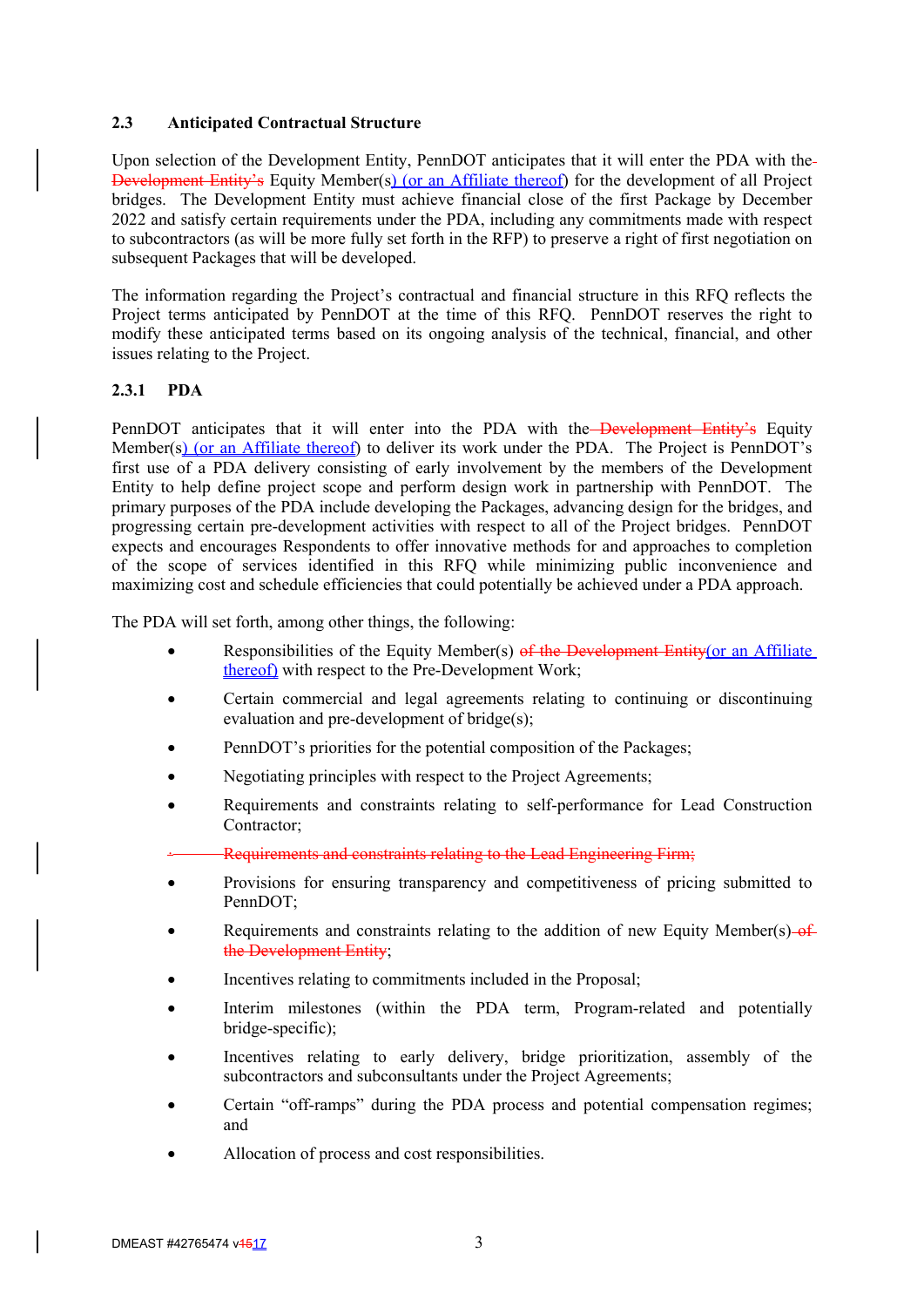#### **2.3 Anticipated Contractual Structure**

Upon selection of the Development Entity, PennDOT anticipates that it will enter the PDA with the Development Entity's Equity Member(s) (or an Affiliate thereof) for the development of all Project bridges. The Development Entity must achieve financial close of the first Package by December 2022 and satisfy certain requirements under the PDA, including any commitments made with respect to subcontractors (as will be more fully set forth in the RFP) to preserve a right of first negotiation on subsequent Packages that will be developed.

The information regarding the Project's contractual and financial structure in this RFQ reflects the Project terms anticipated by PennDOT at the time of this RFQ. PennDOT reserves the right to modify these anticipated terms based on its ongoing analysis of the technical, financial, and other issues relating to the Project.

## **2.3.1 PDA**

PennDOT anticipates that it will enter into the PDA with the Development Entity's Equity Member(s) (or an Affiliate thereof) to deliver its work under the PDA. The Project is PennDOT's first use of a PDA delivery consisting of early involvement by the members of the Development Entity to help define project scope and perform design work in partnership with PennDOT. The primary purposes of the PDA include developing the Packages, advancing design for the bridges, and progressing certain pre-development activities with respect to all of the Project bridges. PennDOT expects and encourages Respondents to offer innovative methods for and approaches to completion of the scope of services identified in this RFQ while minimizing public inconvenience and maximizing cost and schedule efficiencies that could potentially be achieved under a PDA approach.

The PDA will set forth, among other things, the following:

- Responsibilities of the Equity Member(s) of the Development Entity(or an Affiliate thereof) with respect to the Pre-Development Work;
- Certain commercial and legal agreements relating to continuing or discontinuing evaluation and pre-development of bridge(s);
- PennDOT's priorities for the potential composition of the Packages;
- Negotiating principles with respect to the Project Agreements;
- Requirements and constraints relating to self-performance for Lead Construction Contractor;
- · Requirements and constraints relating to the Lead Engineering Firm;
- Provisions for ensuring transparency and competitiveness of pricing submitted to PennDOT;
- Requirements and constraints relating to the addition of new Equity Member(s)  $-$ of the Development Entity;
- Incentives relating to commitments included in the Proposal;
- Interim milestones (within the PDA term, Program-related and potentially bridge-specific);
- Incentives relating to early delivery, bridge prioritization, assembly of the subcontractors and subconsultants under the Project Agreements;
- Certain "off-ramps" during the PDA process and potential compensation regimes; and
- Allocation of process and cost responsibilities.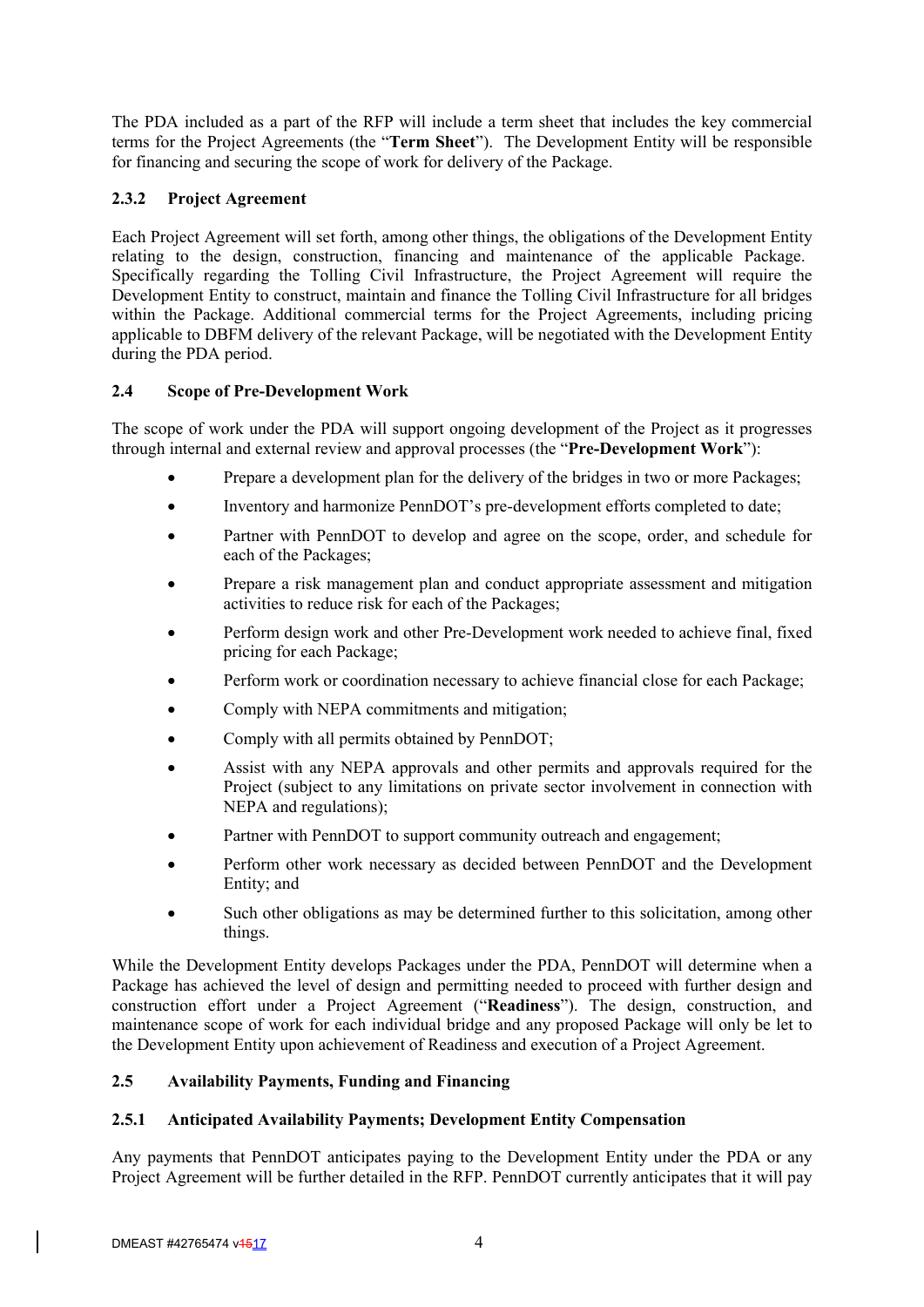The PDA included as a part of the RFP will include a term sheet that includes the key commercial terms for the Project Agreements (the "**Term Sheet**"). The Development Entity will be responsible for financing and securing the scope of work for delivery of the Package.

# **2.3.2 Project Agreement**

Each Project Agreement will set forth, among other things, the obligations of the Development Entity relating to the design, construction, financing and maintenance of the applicable Package. Specifically regarding the Tolling Civil Infrastructure, the Project Agreement will require the Development Entity to construct, maintain and finance the Tolling Civil Infrastructure for all bridges within the Package. Additional commercial terms for the Project Agreements, including pricing applicable to DBFM delivery of the relevant Package, will be negotiated with the Development Entity during the PDA period.

## **2.4 Scope of Pre-Development Work**

The scope of work under the PDA will support ongoing development of the Project as it progresses through internal and external review and approval processes (the "**Pre-Development Work**"):

- Prepare a development plan for the delivery of the bridges in two or more Packages;
- Inventory and harmonize PennDOT's pre-development efforts completed to date;
- Partner with PennDOT to develop and agree on the scope, order, and schedule for each of the Packages;
- Prepare a risk management plan and conduct appropriate assessment and mitigation activities to reduce risk for each of the Packages;
- Perform design work and other Pre-Development work needed to achieve final, fixed pricing for each Package;
- Perform work or coordination necessary to achieve financial close for each Package;
- Comply with NEPA commitments and mitigation;
- Comply with all permits obtained by PennDOT;
- Assist with any NEPA approvals and other permits and approvals required for the Project (subject to any limitations on private sector involvement in connection with NEPA and regulations);
- Partner with PennDOT to support community outreach and engagement;
- Perform other work necessary as decided between PennDOT and the Development Entity; and
- Such other obligations as may be determined further to this solicitation, among other things.

While the Development Entity develops Packages under the PDA, PennDOT will determine when a Package has achieved the level of design and permitting needed to proceed with further design and construction effort under a Project Agreement ("**Readiness**"). The design, construction, and maintenance scope of work for each individual bridge and any proposed Package will only be let to the Development Entity upon achievement of Readiness and execution of a Project Agreement.

## **2.5 Availability Payments, Funding and Financing**

## **2.5.1 Anticipated Availability Payments; Development Entity Compensation**

Any payments that PennDOT anticipates paying to the Development Entity under the PDA or any Project Agreement will be further detailed in the RFP. PennDOT currently anticipates that it will pay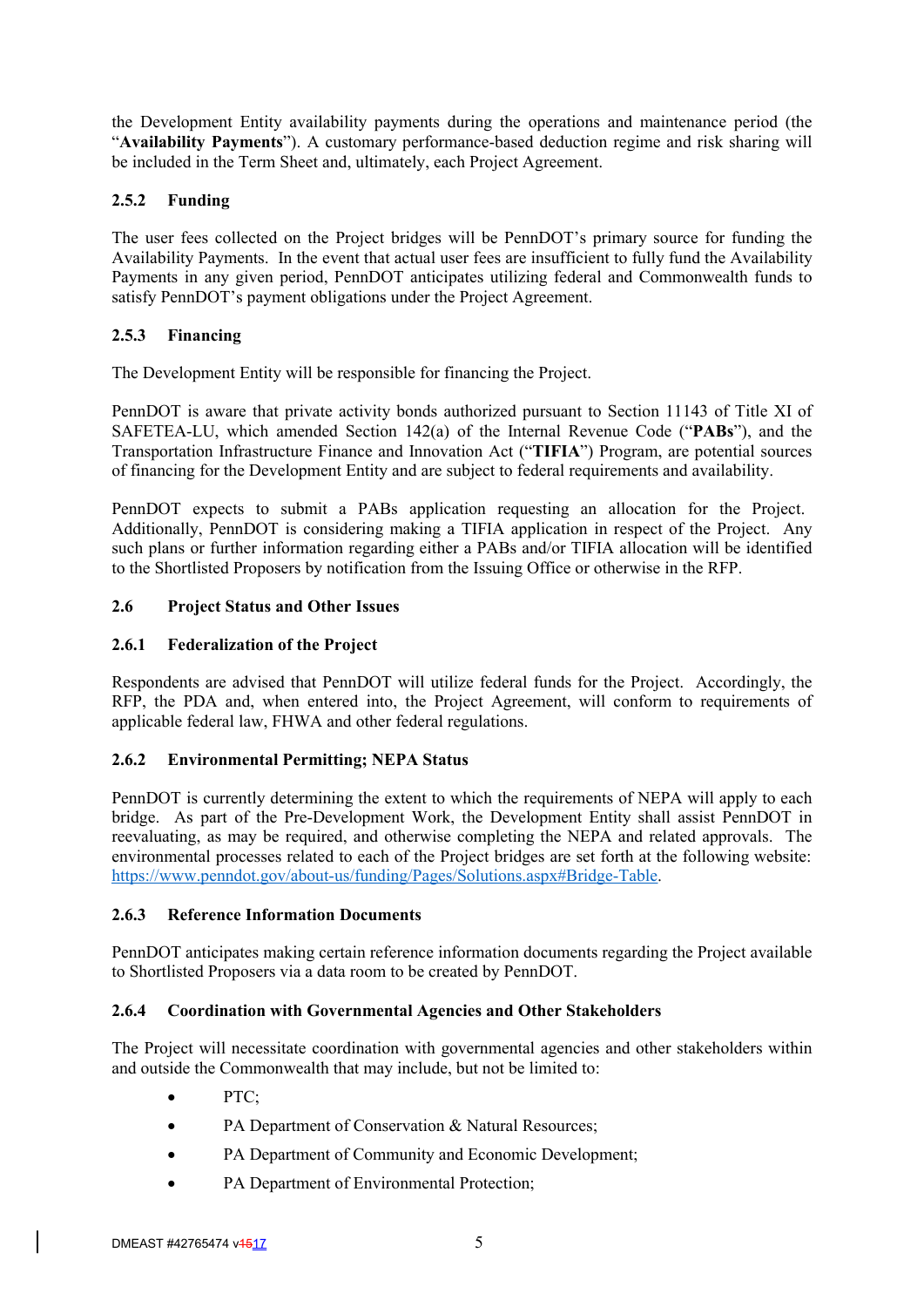the Development Entity availability payments during the operations and maintenance period (the "**Availability Payments**"). A customary performance-based deduction regime and risk sharing will be included in the Term Sheet and, ultimately, each Project Agreement.

# **2.5.2 Funding**

The user fees collected on the Project bridges will be PennDOT's primary source for funding the Availability Payments. In the event that actual user fees are insufficient to fully fund the Availability Payments in any given period, PennDOT anticipates utilizing federal and Commonwealth funds to satisfy PennDOT's payment obligations under the Project Agreement.

# **2.5.3 Financing**

The Development Entity will be responsible for financing the Project.

PennDOT is aware that private activity bonds authorized pursuant to Section 11143 of Title XI of SAFETEA-LU, which amended Section 142(a) of the Internal Revenue Code ("**PABs**"), and the Transportation Infrastructure Finance and Innovation Act ("**TIFIA**") Program, are potential sources of financing for the Development Entity and are subject to federal requirements and availability.

PennDOT expects to submit a PABs application requesting an allocation for the Project. Additionally, PennDOT is considering making a TIFIA application in respect of the Project. Any such plans or further information regarding either a PABs and/or TIFIA allocation will be identified to the Shortlisted Proposers by notification from the Issuing Office or otherwise in the RFP.

## **2.6 Project Status and Other Issues**

## **2.6.1 Federalization of the Project**

Respondents are advised that PennDOT will utilize federal funds for the Project. Accordingly, the RFP, the PDA and, when entered into, the Project Agreement, will conform to requirements of applicable federal law, FHWA and other federal regulations.

# **2.6.2 Environmental Permitting; NEPA Status**

PennDOT is currently determining the extent to which the requirements of NEPA will apply to each bridge. As part of the Pre-Development Work, the Development Entity shall assist PennDOT in reevaluating, as may be required, and otherwise completing the NEPA and related approvals. The environmental processes related to each of the Project bridges are set forth at the following website: https://www.penndot.gov/about-us/funding/Pages/Solutions.aspx#Bridge-Table.

## **2.6.3 Reference Information Documents**

PennDOT anticipates making certain reference information documents regarding the Project available to Shortlisted Proposers via a data room to be created by PennDOT.

## **2.6.4 Coordination with Governmental Agencies and Other Stakeholders**

The Project will necessitate coordination with governmental agencies and other stakeholders within and outside the Commonwealth that may include, but not be limited to:

- PTC;
- PA Department of Conservation & Natural Resources;
- PA Department of Community and Economic Development;
- PA Department of Environmental Protection;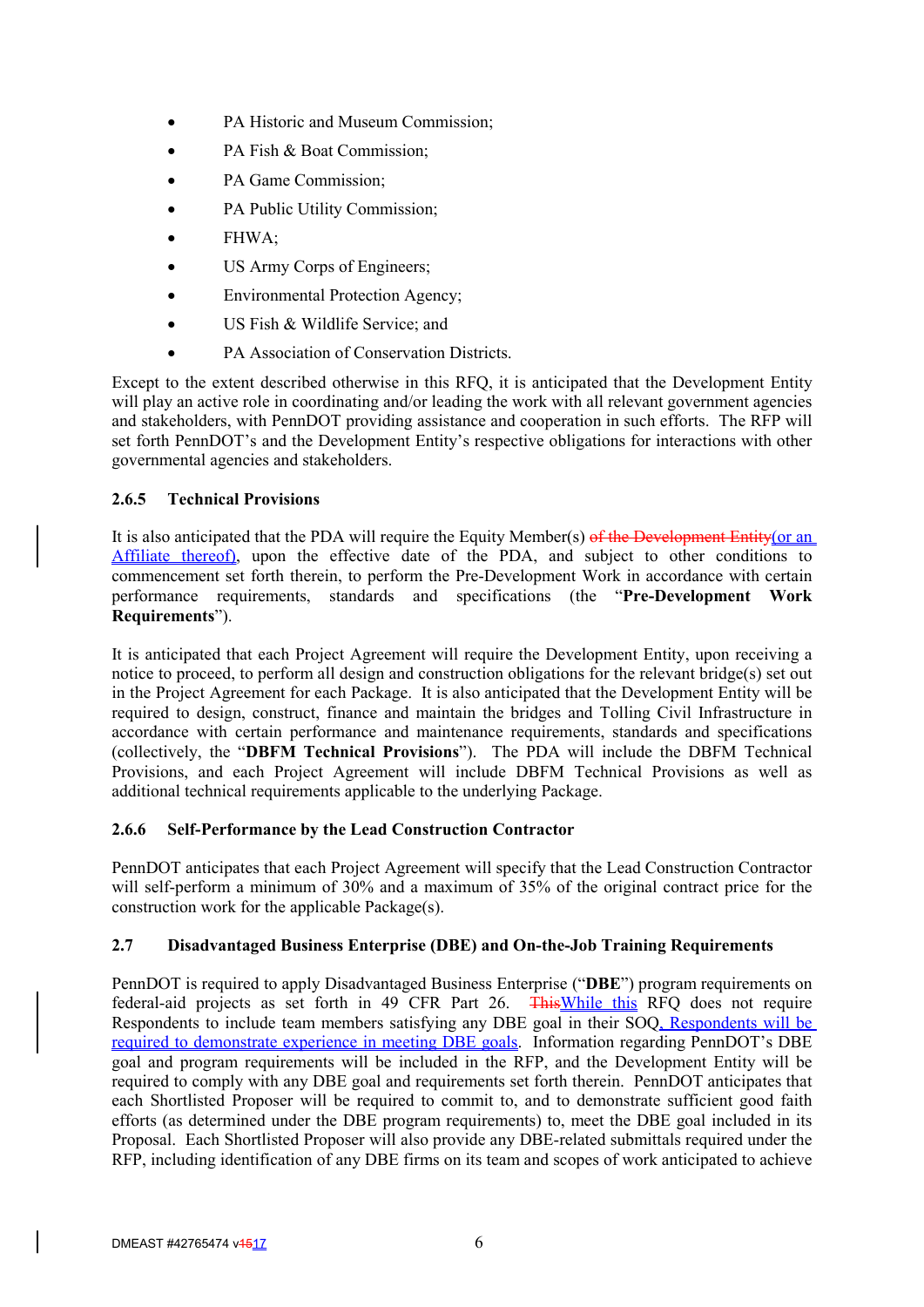- PA Historic and Museum Commission;
- PA Fish & Boat Commission;
- PA Game Commission;
- PA Public Utility Commission;
- FHWA;
- US Army Corps of Engineers;
- Environmental Protection Agency;
- US Fish & Wildlife Service; and
- PA Association of Conservation Districts.

Except to the extent described otherwise in this RFQ, it is anticipated that the Development Entity will play an active role in coordinating and/or leading the work with all relevant government agencies and stakeholders, with PennDOT providing assistance and cooperation in such efforts. The RFP will set forth PennDOT's and the Development Entity's respective obligations for interactions with other governmental agencies and stakeholders.

## **2.6.5 Technical Provisions**

It is also anticipated that the PDA will require the Equity Member(s) of the Development Entity(or an Affiliate thereof), upon the effective date of the PDA, and subject to other conditions to commencement set forth therein, to perform the Pre-Development Work in accordance with certain performance requirements, standards and specifications (the "**Pre-Development Work Requirements**").

It is anticipated that each Project Agreement will require the Development Entity, upon receiving a notice to proceed, to perform all design and construction obligations for the relevant bridge(s) set out in the Project Agreement for each Package. It is also anticipated that the Development Entity will be required to design, construct, finance and maintain the bridges and Tolling Civil Infrastructure in accordance with certain performance and maintenance requirements, standards and specifications (collectively, the "**DBFM Technical Provisions**"). The PDA will include the DBFM Technical Provisions, and each Project Agreement will include DBFM Technical Provisions as well as additional technical requirements applicable to the underlying Package.

## **2.6.6 Self-Performance by the Lead Construction Contractor**

PennDOT anticipates that each Project Agreement will specify that the Lead Construction Contractor will self-perform a minimum of 30% and a maximum of 35% of the original contract price for the construction work for the applicable Package(s).

## **2.7 Disadvantaged Business Enterprise (DBE) and On-the-Job Training Requirements**

PennDOT is required to apply Disadvantaged Business Enterprise ("**DBE**") program requirements on federal-aid projects as set forth in 49 CFR Part 26. ThisWhile this RFQ does not require Respondents to include team members satisfying any DBE goal in their SOQ, Respondents will be required to demonstrate experience in meeting DBE goals. Information regarding PennDOT's DBE goal and program requirements will be included in the RFP, and the Development Entity will be required to comply with any DBE goal and requirements set forth therein. PennDOT anticipates that each Shortlisted Proposer will be required to commit to, and to demonstrate sufficient good faith efforts (as determined under the DBE program requirements) to, meet the DBE goal included in its Proposal. Each Shortlisted Proposer will also provide any DBE-related submittals required under the RFP, including identification of any DBE firms on its team and scopes of work anticipated to achieve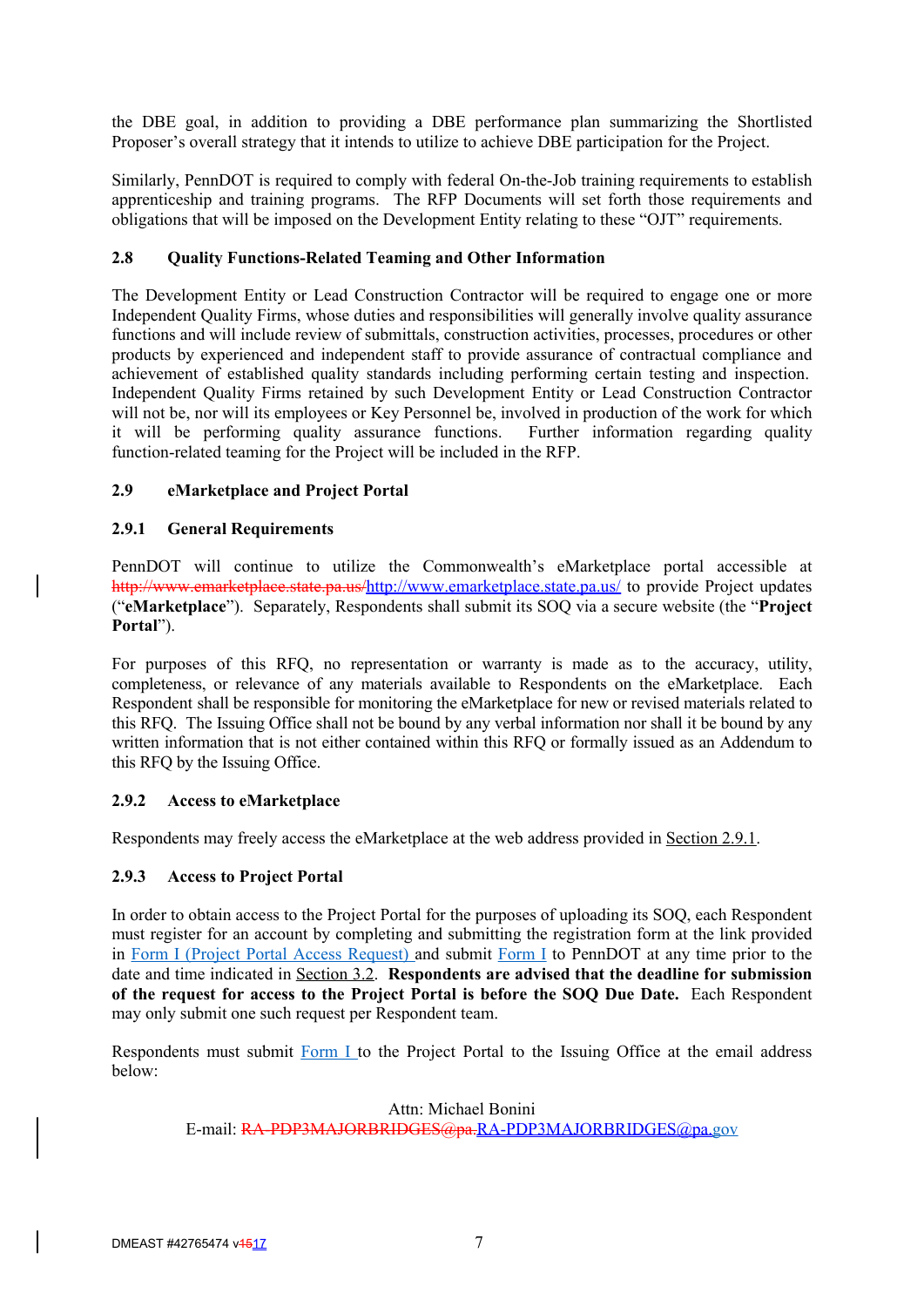the DBE goal, in addition to providing a DBE performance plan summarizing the Shortlisted Proposer's overall strategy that it intends to utilize to achieve DBE participation for the Project.

Similarly, PennDOT is required to comply with federal On-the-Job training requirements to establish apprenticeship and training programs. The RFP Documents will set forth those requirements and obligations that will be imposed on the Development Entity relating to these "OJT" requirements.

## **2.8 Quality Functions-Related Teaming and Other Information**

The Development Entity or Lead Construction Contractor will be required to engage one or more Independent Quality Firms, whose duties and responsibilities will generally involve quality assurance functions and will include review of submittals, construction activities, processes, procedures or other products by experienced and independent staff to provide assurance of contractual compliance and achievement of established quality standards including performing certain testing and inspection. Independent Quality Firms retained by such Development Entity or Lead Construction Contractor will not be, nor will its employees or Key Personnel be, involved in production of the work for which it will be performing quality assurance functions. Further information regarding quality function-related teaming for the Project will be included in the RFP.

## **2.9 eMarketplace and Project Portal**

## **2.9.1 General Requirements**

PennDOT will continue to utilize the Commonwealth's eMarketplace portal accessible at http://www.emarketplace.state.pa.us/http://www.emarketplace.state.pa.us/ to provide Project updates ("**eMarketplace**"). Separately, Respondents shall submit its SOQ via a secure website (the "**Project Portal**").

For purposes of this RFQ, no representation or warranty is made as to the accuracy, utility, completeness, or relevance of any materials available to Respondents on the eMarketplace. Each Respondent shall be responsible for monitoring the eMarketplace for new or revised materials related to this RFQ. The Issuing Office shall not be bound by any verbal information nor shall it be bound by any written information that is not either contained within this RFQ or formally issued as an Addendum to this RFQ by the Issuing Office.

## **2.9.2 Access to eMarketplace**

Respondents may freely access the eMarketplace at the web address provided in Section 2.9.1.

#### **2.9.3 Access to Project Portal**

In order to obtain access to the Project Portal for the purposes of uploading its SOQ, each Respondent must register for an account by completing and submitting the registration form at the link provided in Form I (Project Portal Access Request) and submit Form I to PennDOT at any time prior to the date and time indicated in Section 3.2. **Respondents are advised that the deadline for submission of the request for access to the Project Portal is before the SOQ Due Date.** Each Respondent may only submit one such request per Respondent team.

Respondents must submit Form I to the Project Portal to the Issuing Office at the email address below:

#### Attn: Michael Bonini

E-mail: RA-PDP3MAJORBRIDGES@pa.RA-PDP3MAJORBRIDGES@pa.gov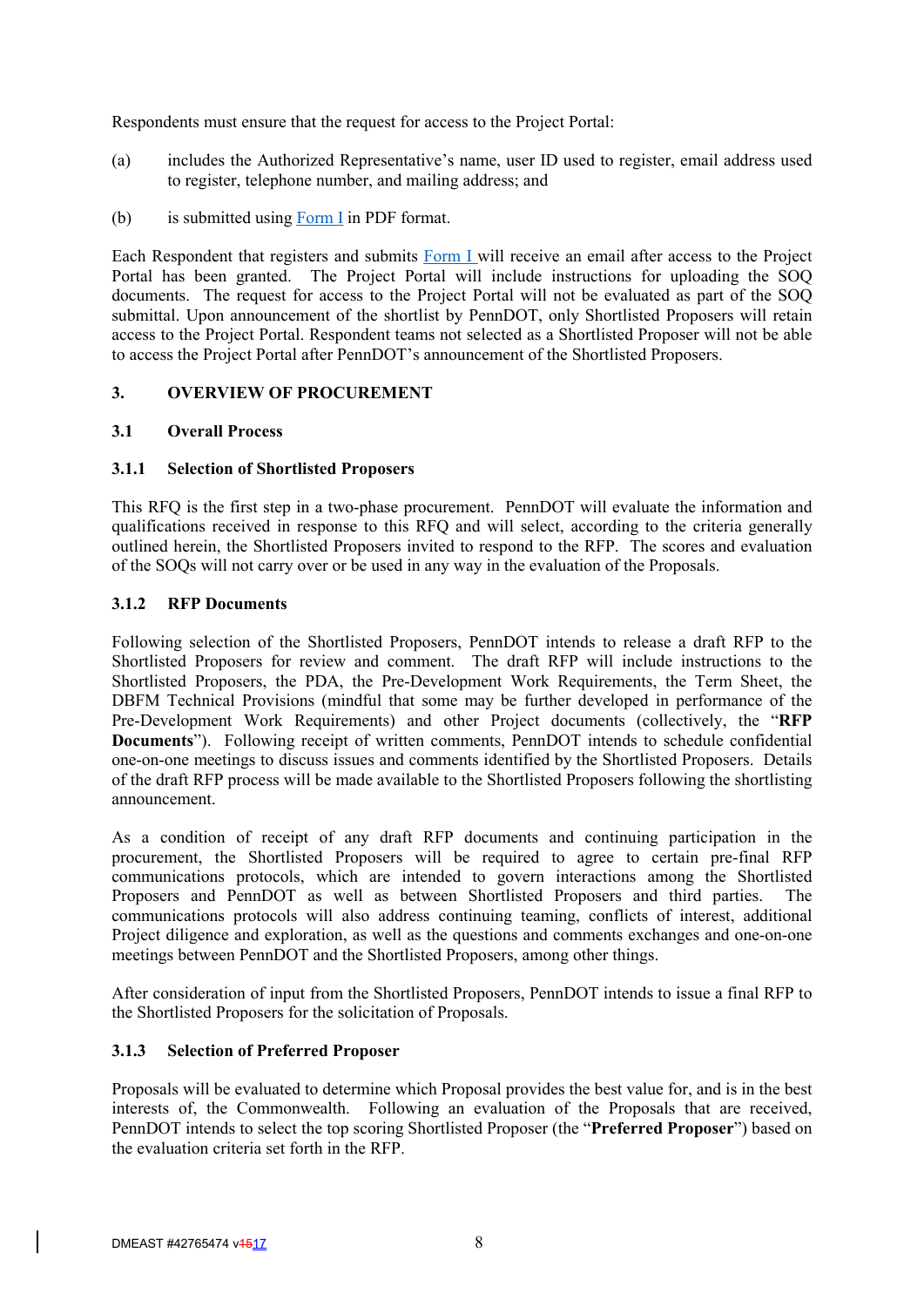Respondents must ensure that the request for access to the Project Portal:

- (a) includes the Authorized Representative's name, user ID used to register, email address used to register, telephone number, and mailing address; and
- (b) is submitted using Form I in PDF format.

Each Respondent that registers and submits Form I will receive an email after access to the Project Portal has been granted. The Project Portal will include instructions for uploading the SOQ documents. The request for access to the Project Portal will not be evaluated as part of the SOQ submittal. Upon announcement of the shortlist by PennDOT, only Shortlisted Proposers will retain access to the Project Portal. Respondent teams not selected as a Shortlisted Proposer will not be able to access the Project Portal after PennDOT's announcement of the Shortlisted Proposers.

## **3. OVERVIEW OF PROCUREMENT**

## **3.1 Overall Process**

## **3.1.1 Selection of Shortlisted Proposers**

This RFQ is the first step in a two-phase procurement. PennDOT will evaluate the information and qualifications received in response to this RFQ and will select, according to the criteria generally outlined herein, the Shortlisted Proposers invited to respond to the RFP. The scores and evaluation of the SOQs will not carry over or be used in any way in the evaluation of the Proposals.

## **3.1.2 RFP Documents**

Following selection of the Shortlisted Proposers, PennDOT intends to release a draft RFP to the Shortlisted Proposers for review and comment. The draft RFP will include instructions to the Shortlisted Proposers, the PDA, the Pre-Development Work Requirements, the Term Sheet, the DBFM Technical Provisions (mindful that some may be further developed in performance of the Pre-Development Work Requirements) and other Project documents (collectively, the "**RFP Documents**"). Following receipt of written comments, PennDOT intends to schedule confidential one-on-one meetings to discuss issues and comments identified by the Shortlisted Proposers. Details of the draft RFP process will be made available to the Shortlisted Proposers following the shortlisting announcement.

As a condition of receipt of any draft RFP documents and continuing participation in the procurement, the Shortlisted Proposers will be required to agree to certain pre-final RFP communications protocols, which are intended to govern interactions among the Shortlisted Proposers and PennDOT as well as between Shortlisted Proposers and third parties. The communications protocols will also address continuing teaming, conflicts of interest, additional Project diligence and exploration, as well as the questions and comments exchanges and one-on-one meetings between PennDOT and the Shortlisted Proposers, among other things.

After consideration of input from the Shortlisted Proposers, PennDOT intends to issue a final RFP to the Shortlisted Proposers for the solicitation of Proposals.

## **3.1.3 Selection of Preferred Proposer**

Proposals will be evaluated to determine which Proposal provides the best value for, and is in the best interests of, the Commonwealth. Following an evaluation of the Proposals that are received, PennDOT intends to select the top scoring Shortlisted Proposer (the "**Preferred Proposer**") based on the evaluation criteria set forth in the RFP.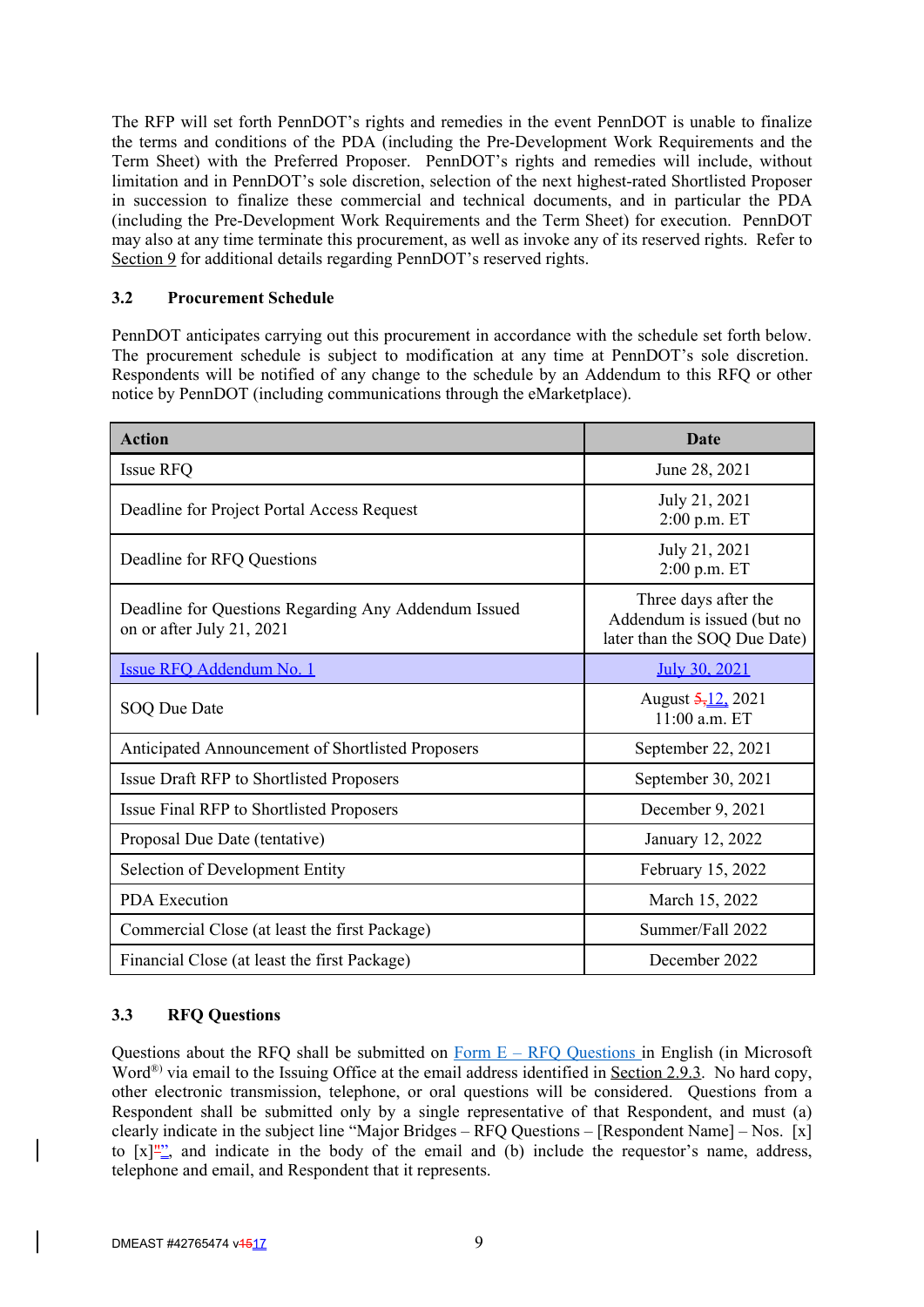The RFP will set forth PennDOT's rights and remedies in the event PennDOT is unable to finalize the terms and conditions of the PDA (including the Pre-Development Work Requirements and the Term Sheet) with the Preferred Proposer. PennDOT's rights and remedies will include, without limitation and in PennDOT's sole discretion, selection of the next highest-rated Shortlisted Proposer in succession to finalize these commercial and technical documents, and in particular the PDA (including the Pre-Development Work Requirements and the Term Sheet) for execution. PennDOT may also at any time terminate this procurement, as well as invoke any of its reserved rights. Refer to Section 9 for additional details regarding PennDOT's reserved rights.

## **3.2 Procurement Schedule**

PennDOT anticipates carrying out this procurement in accordance with the schedule set forth below. The procurement schedule is subject to modification at any time at PennDOT's sole discretion. Respondents will be notified of any change to the schedule by an Addendum to this RFQ or other notice by PennDOT (including communications through the eMarketplace).

| <b>Action</b>                                                                     | Date                                                                               |
|-----------------------------------------------------------------------------------|------------------------------------------------------------------------------------|
| Issue RFQ                                                                         | June 28, 2021                                                                      |
| Deadline for Project Portal Access Request                                        | July 21, 2021<br>2:00 p.m. ET                                                      |
| Deadline for RFQ Questions                                                        | July 21, 2021<br>2:00 p.m. ET                                                      |
| Deadline for Questions Regarding Any Addendum Issued<br>on or after July 21, 2021 | Three days after the<br>Addendum is issued (but no<br>later than the SOQ Due Date) |
| Issue RFQ Addendum No. 1                                                          | July 30, 2021                                                                      |
| SOQ Due Date                                                                      | August 5, 12, 2021<br>11:00 a.m. ET                                                |
| Anticipated Announcement of Shortlisted Proposers                                 | September 22, 2021                                                                 |
| Issue Draft RFP to Shortlisted Proposers                                          | September 30, 2021                                                                 |
| Issue Final RFP to Shortlisted Proposers                                          | December 9, 2021                                                                   |
| Proposal Due Date (tentative)                                                     | January 12, 2022                                                                   |
| Selection of Development Entity                                                   | February 15, 2022                                                                  |
| <b>PDA</b> Execution                                                              | March 15, 2022                                                                     |
| Commercial Close (at least the first Package)                                     | Summer/Fall 2022                                                                   |
| Financial Close (at least the first Package)                                      | December 2022                                                                      |

## **3.3 RFQ Questions**

Questions about the RFQ shall be submitted on  $\underline{Form E - RFO Questions}$  in English (in Microsoft Word<sup>®)</sup> via email to the Issuing Office at the email address identified in Section 2.9.3. No hard copy, other electronic transmission, telephone, or oral questions will be considered. Questions from a Respondent shall be submitted only by a single representative of that Respondent, and must (a) clearly indicate in the subject line "Major Bridges – RFQ Questions – [Respondent Name] – Nos. [x] to  $[x]_{-}^{\prime\prime\prime}$  and indicate in the body of the email and (b) include the requestor's name, address, telephone and email, and Respondent that it represents.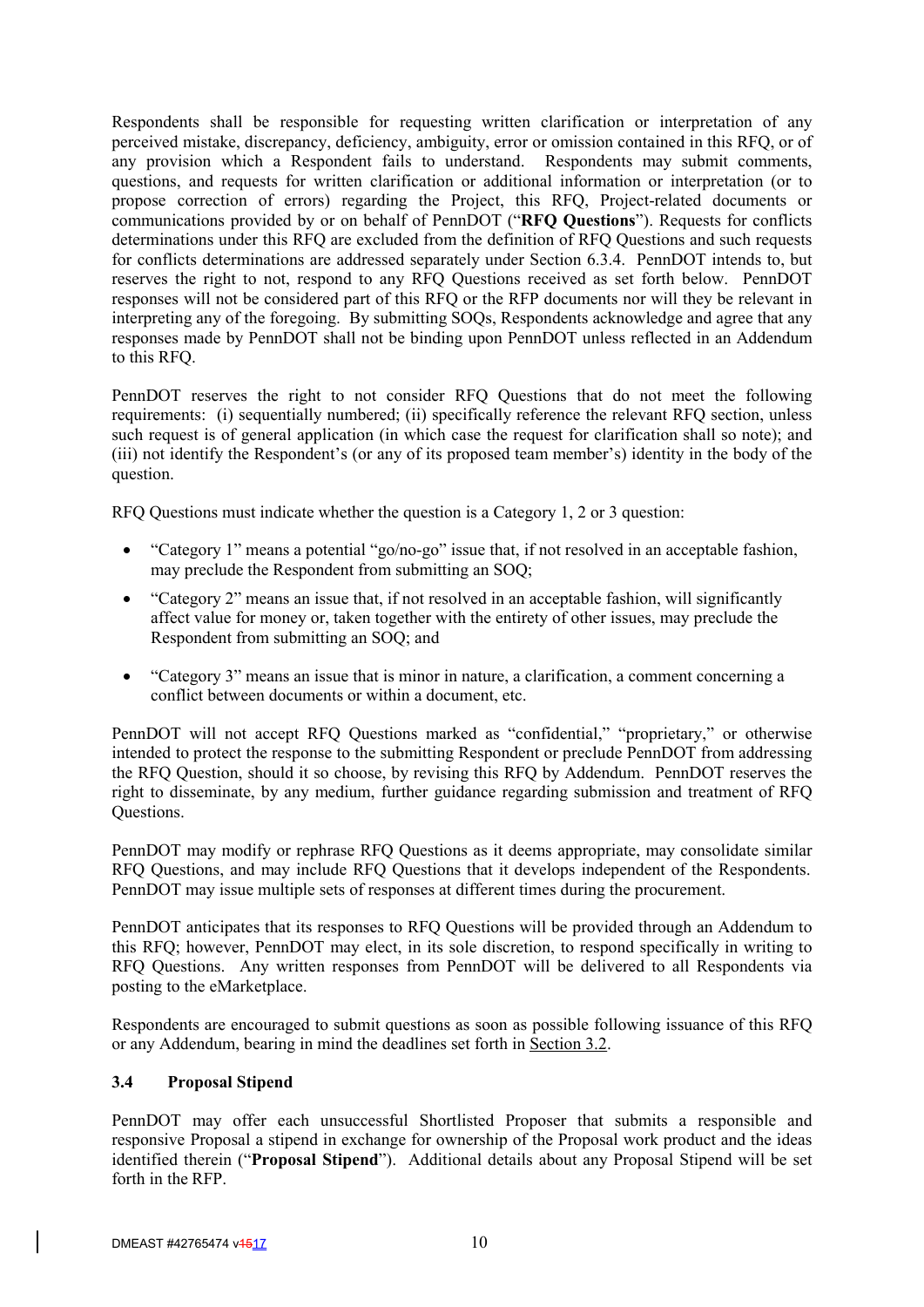Respondents shall be responsible for requesting written clarification or interpretation of any perceived mistake, discrepancy, deficiency, ambiguity, error or omission contained in this RFQ, or of any provision which a Respondent fails to understand. Respondents may submit comments, questions, and requests for written clarification or additional information or interpretation (or to propose correction of errors) regarding the Project, this RFQ, Project-related documents or communications provided by or on behalf of PennDOT ("**RFQ Questions**"). Requests for conflicts determinations under this RFQ are excluded from the definition of RFQ Questions and such requests for conflicts determinations are addressed separately under Section 6.3.4. PennDOT intends to, but reserves the right to not, respond to any RFQ Questions received as set forth below. PennDOT responses will not be considered part of this RFQ or the RFP documents nor will they be relevant in interpreting any of the foregoing. By submitting SOQs, Respondents acknowledge and agree that any responses made by PennDOT shall not be binding upon PennDOT unless reflected in an Addendum to this RFQ.

PennDOT reserves the right to not consider RFQ Questions that do not meet the following requirements: (i) sequentially numbered; (ii) specifically reference the relevant RFQ section, unless such request is of general application (in which case the request for clarification shall so note); and (iii) not identify the Respondent's (or any of its proposed team member's) identity in the body of the question.

RFQ Questions must indicate whether the question is a Category 1, 2 or 3 question:

- "Category 1" means a potential "go/no-go" issue that, if not resolved in an acceptable fashion, may preclude the Respondent from submitting an SOQ;
- "Category 2" means an issue that, if not resolved in an acceptable fashion, will significantly affect value for money or, taken together with the entirety of other issues, may preclude the Respondent from submitting an SOQ; and
- "Category 3" means an issue that is minor in nature, a clarification, a comment concerning a conflict between documents or within a document, etc.

PennDOT will not accept RFQ Questions marked as "confidential," "proprietary," or otherwise intended to protect the response to the submitting Respondent or preclude PennDOT from addressing the RFQ Question, should it so choose, by revising this RFQ by Addendum. PennDOT reserves the right to disseminate, by any medium, further guidance regarding submission and treatment of RFQ Questions.

PennDOT may modify or rephrase RFQ Questions as it deems appropriate, may consolidate similar RFQ Questions, and may include RFQ Questions that it develops independent of the Respondents. PennDOT may issue multiple sets of responses at different times during the procurement.

PennDOT anticipates that its responses to RFQ Questions will be provided through an Addendum to this RFQ; however, PennDOT may elect, in its sole discretion, to respond specifically in writing to RFQ Questions. Any written responses from PennDOT will be delivered to all Respondents via posting to the eMarketplace.

Respondents are encouraged to submit questions as soon as possible following issuance of this RFQ or any Addendum, bearing in mind the deadlines set forth in Section 3.2.

#### **3.4 Proposal Stipend**

PennDOT may offer each unsuccessful Shortlisted Proposer that submits a responsible and responsive Proposal a stipend in exchange for ownership of the Proposal work product and the ideas identified therein ("**Proposal Stipend**"). Additional details about any Proposal Stipend will be set forth in the RFP.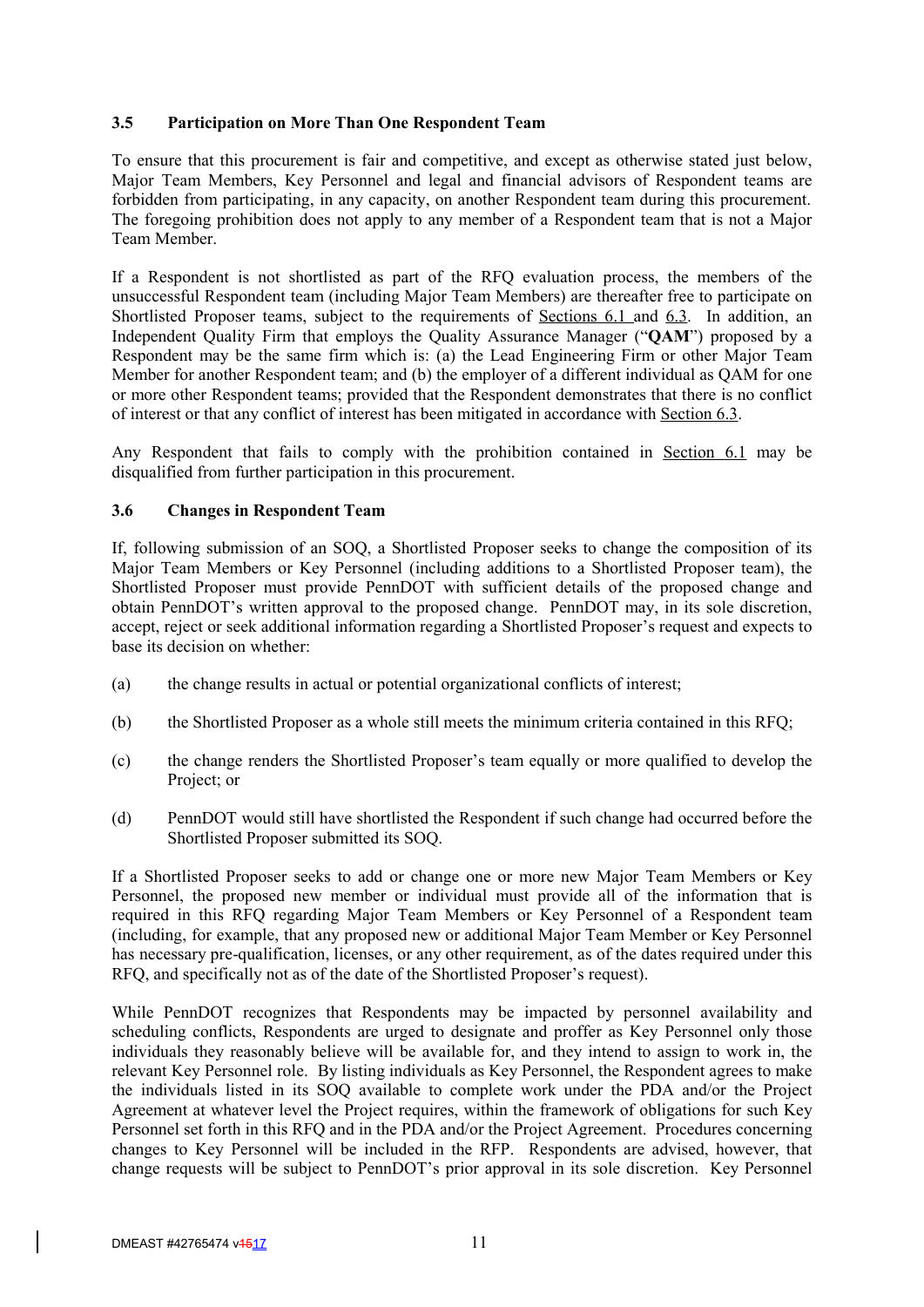## **3.5 Participation on More Than One Respondent Team**

To ensure that this procurement is fair and competitive, and except as otherwise stated just below, Major Team Members, Key Personnel and legal and financial advisors of Respondent teams are forbidden from participating, in any capacity, on another Respondent team during this procurement. The foregoing prohibition does not apply to any member of a Respondent team that is not a Major Team Member.

If a Respondent is not shortlisted as part of the RFQ evaluation process, the members of the unsuccessful Respondent team (including Major Team Members) are thereafter free to participate on Shortlisted Proposer teams, subject to the requirements of Sections 6.1 and 6.3. In addition, an Independent Quality Firm that employs the Quality Assurance Manager ("**QAM**") proposed by a Respondent may be the same firm which is: (a) the Lead Engineering Firm or other Major Team Member for another Respondent team; and (b) the employer of a different individual as QAM for one or more other Respondent teams; provided that the Respondent demonstrates that there is no conflict of interest or that any conflict of interest has been mitigated in accordance with Section 6.3.

Any Respondent that fails to comply with the prohibition contained in Section 6.1 may be disqualified from further participation in this procurement.

## **3.6 Changes in Respondent Team**

If, following submission of an SOQ, a Shortlisted Proposer seeks to change the composition of its Major Team Members or Key Personnel (including additions to a Shortlisted Proposer team), the Shortlisted Proposer must provide PennDOT with sufficient details of the proposed change and obtain PennDOT's written approval to the proposed change. PennDOT may, in its sole discretion, accept, reject or seek additional information regarding a Shortlisted Proposer's request and expects to base its decision on whether:

- (a) the change results in actual or potential organizational conflicts of interest;
- (b) the Shortlisted Proposer as a whole still meets the minimum criteria contained in this RFQ;
- (c) the change renders the Shortlisted Proposer's team equally or more qualified to develop the Project: or
- (d) PennDOT would still have shortlisted the Respondent if such change had occurred before the Shortlisted Proposer submitted its SOQ.

If a Shortlisted Proposer seeks to add or change one or more new Major Team Members or Key Personnel, the proposed new member or individual must provide all of the information that is required in this RFQ regarding Major Team Members or Key Personnel of a Respondent team (including, for example, that any proposed new or additional Major Team Member or Key Personnel has necessary pre-qualification, licenses, or any other requirement, as of the dates required under this RFQ, and specifically not as of the date of the Shortlisted Proposer's request).

While PennDOT recognizes that Respondents may be impacted by personnel availability and scheduling conflicts, Respondents are urged to designate and proffer as Key Personnel only those individuals they reasonably believe will be available for, and they intend to assign to work in, the relevant Key Personnel role. By listing individuals as Key Personnel, the Respondent agrees to make the individuals listed in its SOQ available to complete work under the PDA and/or the Project Agreement at whatever level the Project requires, within the framework of obligations for such Key Personnel set forth in this RFQ and in the PDA and/or the Project Agreement. Procedures concerning changes to Key Personnel will be included in the RFP. Respondents are advised, however, that change requests will be subject to PennDOT's prior approval in its sole discretion. Key Personnel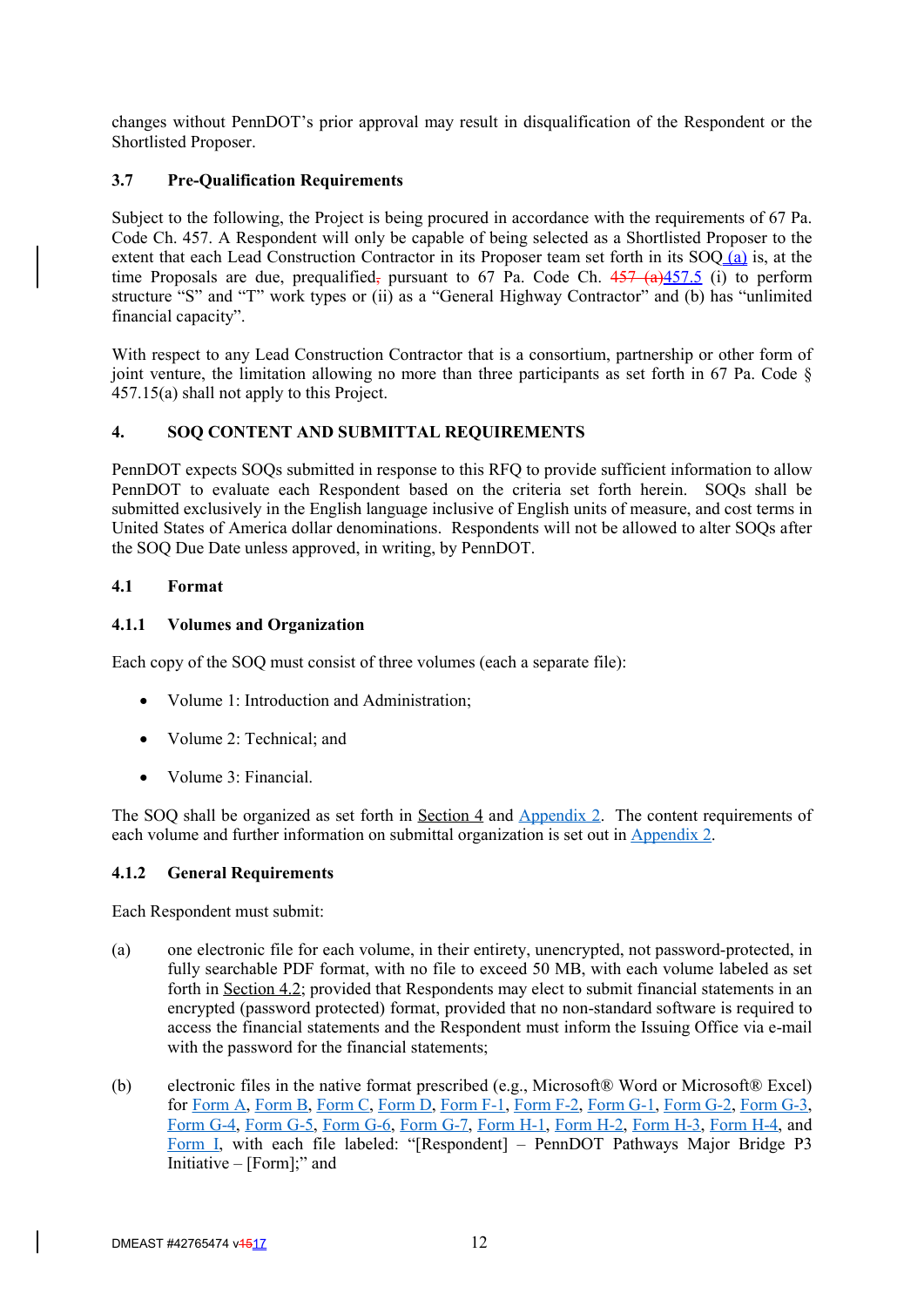changes without PennDOT's prior approval may result in disqualification of the Respondent or the Shortlisted Proposer.

## **3.7 Pre-Qualification Requirements**

Subject to the following, the Project is being procured in accordance with the requirements of 67 Pa. Code Ch. 457. A Respondent will only be capable of being selected as a Shortlisted Proposer to the extent that each Lead Construction Contractor in its Proposer team set forth in its SOQ (a) is, at the time Proposals are due, prequalified, pursuant to 67 Pa. Code Ch.  $457 \times (a)457.5$  (i) to perform structure "S" and "T" work types or (ii) as a "General Highway Contractor" and (b) has "unlimited financial capacity".

With respect to any Lead Construction Contractor that is a consortium, partnership or other form of joint venture, the limitation allowing no more than three participants as set forth in 67 Pa. Code  $\S$ 457.15(a) shall not apply to this Project.

## **4. SOQ CONTENT AND SUBMITTAL REQUIREMENTS**

PennDOT expects SOQs submitted in response to this RFQ to provide sufficient information to allow PennDOT to evaluate each Respondent based on the criteria set forth herein. SOQs shall be submitted exclusively in the English language inclusive of English units of measure, and cost terms in United States of America dollar denominations. Respondents will not be allowed to alter SOQs after the SOQ Due Date unless approved, in writing, by PennDOT.

## **4.1 Format**

## **4.1.1 Volumes and Organization**

Each copy of the SOQ must consist of three volumes (each a separate file):

- Volume 1: Introduction and Administration;
- Volume 2: Technical; and
- Volume 3: Financial.

The SOQ shall be organized as set forth in Section 4 and Appendix 2. The content requirements of each volume and further information on submittal organization is set out in Appendix 2.

#### **4.1.2 General Requirements**

Each Respondent must submit:

- (a) one electronic file for each volume, in their entirety, unencrypted, not password-protected, in fully searchable PDF format, with no file to exceed 50 MB, with each volume labeled as set forth in Section 4.2; provided that Respondents may elect to submit financial statements in an encrypted (password protected) format, provided that no non-standard software is required to access the financial statements and the Respondent must inform the Issuing Office via e-mail with the password for the financial statements;
- (b) electronic files in the native format prescribed (e.g., Microsoft® Word or Microsoft® Excel) for Form A, Form B, Form C, Form D, Form F-1, Form F-2, Form G-1, Form G-2, Form G-3, Form G-4, Form G-5, Form G-6, Form G-7, Form H-1, Form H-2, Form H-3, Form H-4, and Form I, with each file labeled: "[Respondent] – PennDOT Pathways Major Bridge P3 Initiative – [Form];" and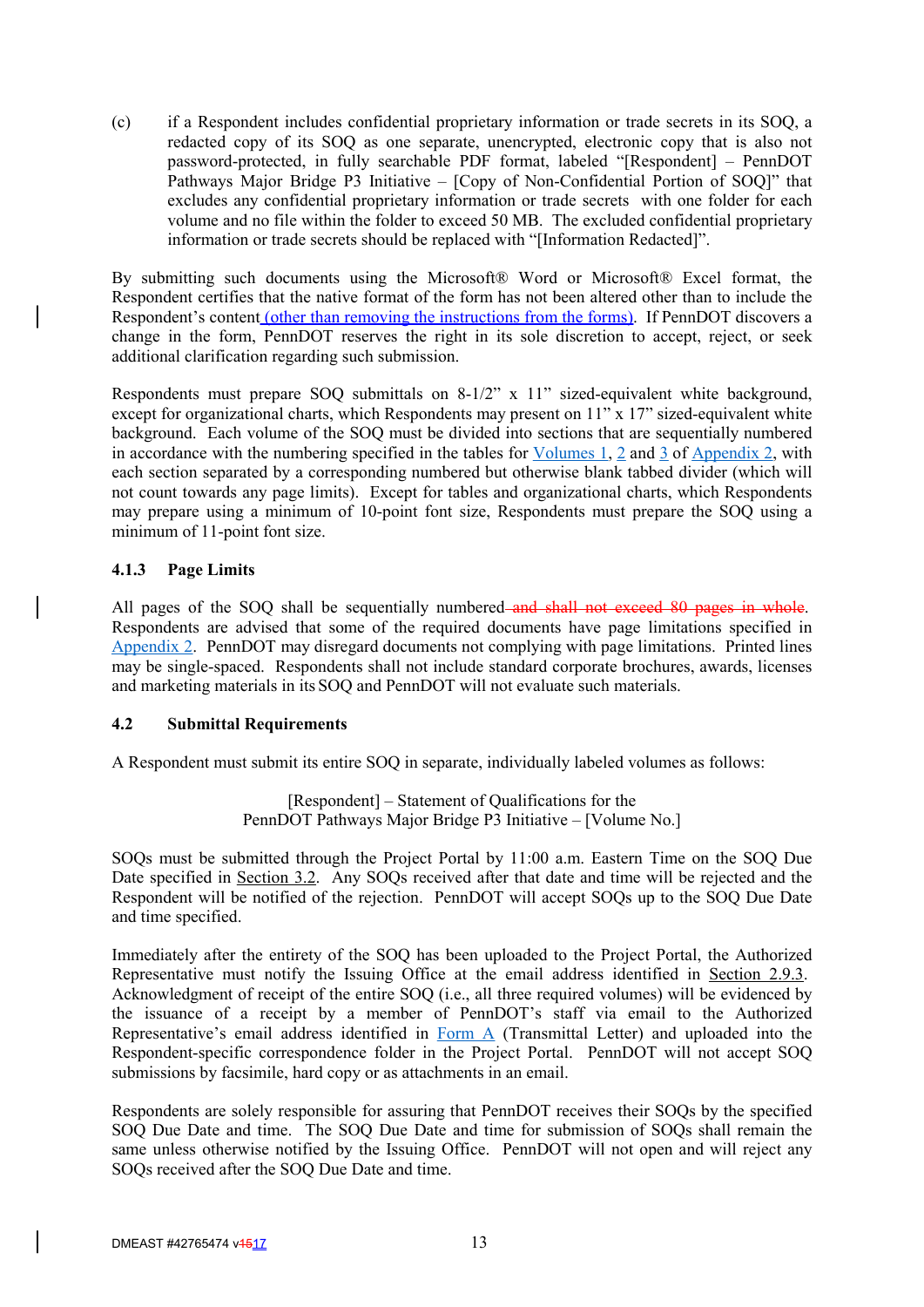(c) if a Respondent includes confidential proprietary information or trade secrets in its SOQ, a redacted copy of its SOQ as one separate, unencrypted, electronic copy that is also not password-protected, in fully searchable PDF format, labeled "[Respondent] – PennDOT Pathways Major Bridge P3 Initiative – [Copy of Non-Confidential Portion of SOQ]" that excludes any confidential proprietary information or trade secrets with one folder for each volume and no file within the folder to exceed 50 MB. The excluded confidential proprietary information or trade secrets should be replaced with "[Information Redacted]".

By submitting such documents using the Microsoft® Word or Microsoft® Excel format, the Respondent certifies that the native format of the form has not been altered other than to include the Respondent's content (other than removing the instructions from the forms). If PennDOT discovers a change in the form, PennDOT reserves the right in its sole discretion to accept, reject, or seek additional clarification regarding such submission.

Respondents must prepare SOQ submittals on 8-1/2" x 11" sized-equivalent white background, except for organizational charts, which Respondents may present on 11" x 17" sized-equivalent white background. Each volume of the SOQ must be divided into sections that are sequentially numbered in accordance with the numbering specified in the tables for Volumes 1, 2 and 3 of Appendix 2, with each section separated by a corresponding numbered but otherwise blank tabbed divider (which will not count towards any page limits). Except for tables and organizational charts, which Respondents may prepare using a minimum of 10-point font size, Respondents must prepare the SOQ using a minimum of 11-point font size.

## **4.1.3 Page Limits**

All pages of the SOQ shall be sequentially numbered and shall not exceed 80 pages in whole. Respondents are advised that some of the required documents have page limitations specified in Appendix 2. PennDOT may disregard documents not complying with page limitations. Printed lines may be single-spaced. Respondents shall not include standard corporate brochures, awards, licenses and marketing materials in its SOQ and PennDOT will not evaluate such materials.

#### **4.2 Submittal Requirements**

A Respondent must submit its entire SOQ in separate, individually labeled volumes as follows:

[Respondent] – Statement of Qualifications for the PennDOT Pathways Major Bridge P3 Initiative – [Volume No.]

SOQs must be submitted through the Project Portal by 11:00 a.m. Eastern Time on the SOQ Due Date specified in Section 3.2. Any SOQs received after that date and time will be rejected and the Respondent will be notified of the rejection. PennDOT will accept SOQs up to the SOQ Due Date and time specified.

Immediately after the entirety of the SOQ has been uploaded to the Project Portal, the Authorized Representative must notify the Issuing Office at the email address identified in Section 2.9.3. Acknowledgment of receipt of the entire SOQ (i.e., all three required volumes) will be evidenced by the issuance of a receipt by a member of PennDOT's staff via email to the Authorized Representative's email address identified in Form A (Transmittal Letter) and uploaded into the Respondent-specific correspondence folder in the Project Portal. PennDOT will not accept SOQ submissions by facsimile, hard copy or as attachments in an email.

Respondents are solely responsible for assuring that PennDOT receives their SOQs by the specified SOQ Due Date and time. The SOQ Due Date and time for submission of SOQs shall remain the same unless otherwise notified by the Issuing Office. PennDOT will not open and will reject any SOQs received after the SOQ Due Date and time.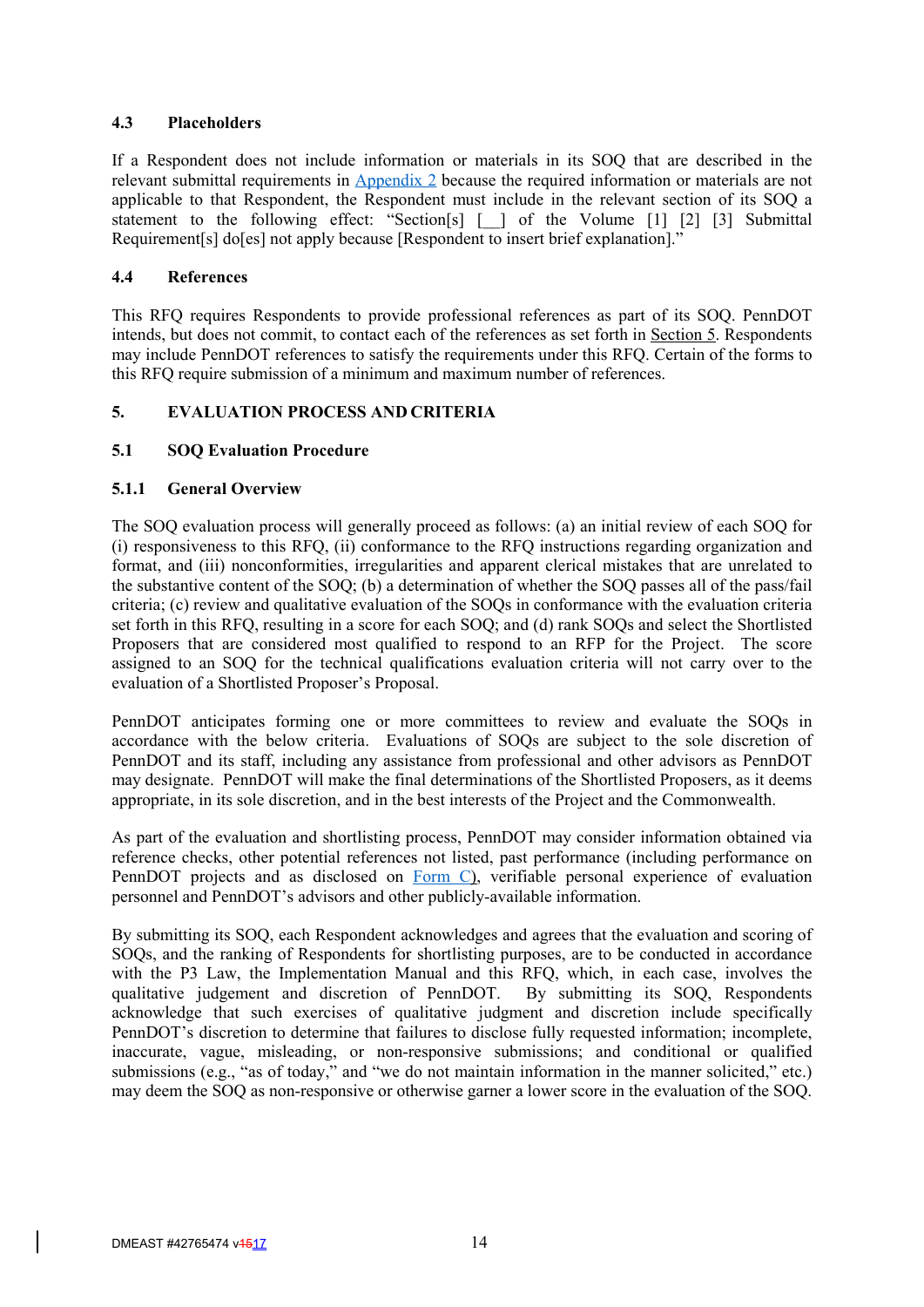## **4.3 Placeholders**

If a Respondent does not include information or materials in its SOQ that are described in the relevant submittal requirements in Appendix 2 because the required information or materials are not applicable to that Respondent, the Respondent must include in the relevant section of its SOQ a statement to the following effect: "Section[s] [ ] of the Volume [1] [2] [3] Submittal Requirement[s] do[es] not apply because [Respondent to insert brief explanation]."

#### **4.4 References**

This RFQ requires Respondents to provide professional references as part of its SOQ. PennDOT intends, but does not commit, to contact each of the references as set forth in Section 5. Respondents may include PennDOT references to satisfy the requirements under this RFQ. Certain of the forms to this RFQ require submission of a minimum and maximum number of references.

## **5. EVALUATION PROCESS AND CRITERIA**

## **5.1 SOQ Evaluation Procedure**

#### **5.1.1 General Overview**

The SOQ evaluation process will generally proceed as follows: (a) an initial review of each SOQ for (i) responsiveness to this RFQ, (ii) conformance to the RFQ instructions regarding organization and format, and (iii) nonconformities, irregularities and apparent clerical mistakes that are unrelated to the substantive content of the SOQ; (b) a determination of whether the SOQ passes all of the pass/fail criteria; (c) review and qualitative evaluation of the SOQs in conformance with the evaluation criteria set forth in this RFQ, resulting in a score for each SOQ; and (d) rank SOQs and select the Shortlisted Proposers that are considered most qualified to respond to an RFP for the Project. The score assigned to an SOQ for the technical qualifications evaluation criteria will not carry over to the evaluation of a Shortlisted Proposer's Proposal.

PennDOT anticipates forming one or more committees to review and evaluate the SOQs in accordance with the below criteria. Evaluations of SOQs are subject to the sole discretion of PennDOT and its staff, including any assistance from professional and other advisors as PennDOT may designate. PennDOT will make the final determinations of the Shortlisted Proposers, as it deems appropriate, in its sole discretion, and in the best interests of the Project and the Commonwealth.

As part of the evaluation and shortlisting process, PennDOT may consider information obtained via reference checks, other potential references not listed, past performance (including performance on PennDOT projects and as disclosed on Form C), verifiable personal experience of evaluation personnel and PennDOT's advisors and other publicly-available information.

By submitting its SOQ, each Respondent acknowledges and agrees that the evaluation and scoring of SOQs, and the ranking of Respondents for shortlisting purposes, are to be conducted in accordance with the P3 Law, the Implementation Manual and this RFQ, which, in each case, involves the qualitative judgement and discretion of PennDOT. By submitting its SOQ, Respondents acknowledge that such exercises of qualitative judgment and discretion include specifically PennDOT's discretion to determine that failures to disclose fully requested information; incomplete, inaccurate, vague, misleading, or non-responsive submissions; and conditional or qualified submissions (e.g., "as of today," and "we do not maintain information in the manner solicited," etc.) may deem the SOQ as non-responsive or otherwise garner a lower score in the evaluation of the SOQ.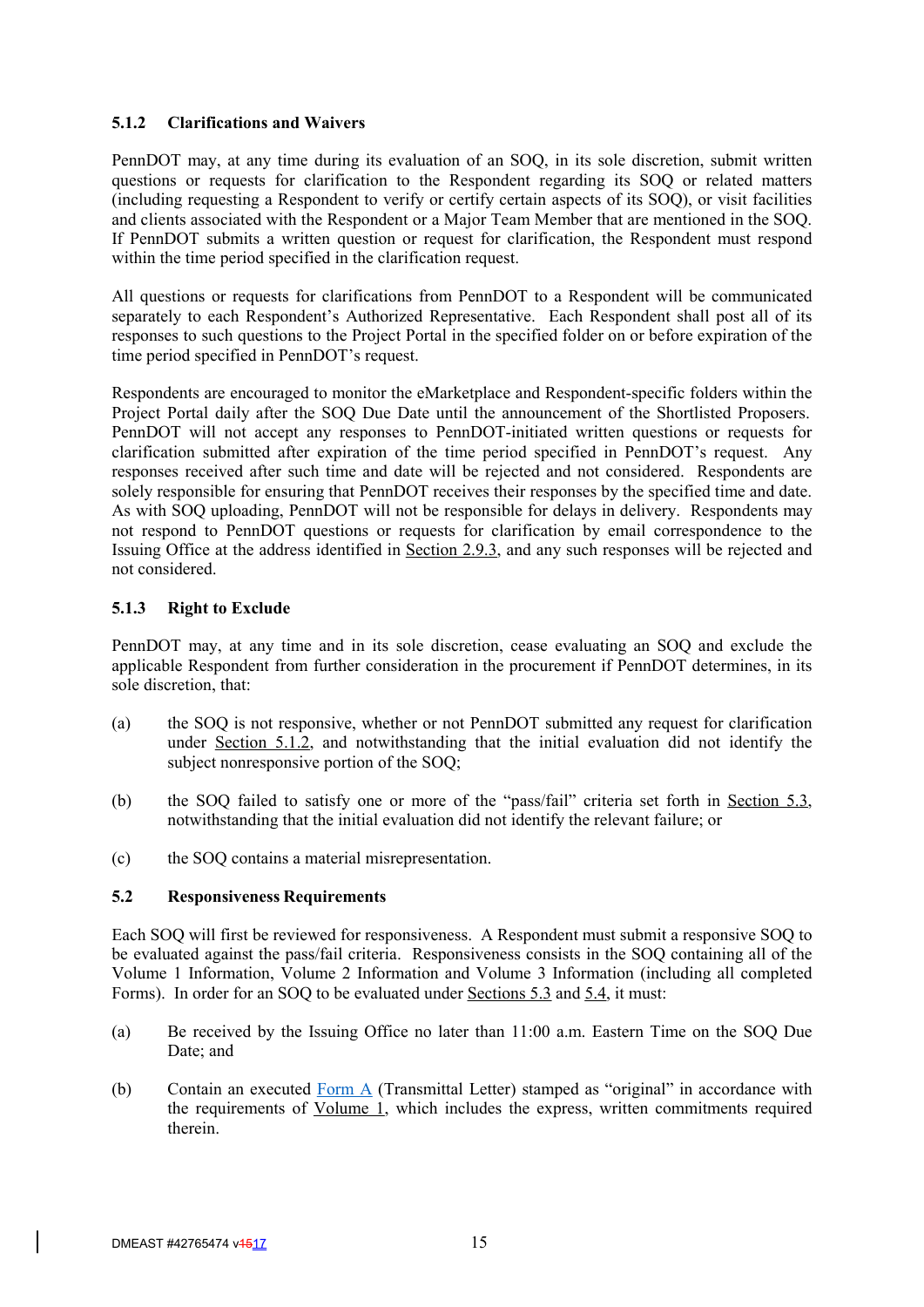#### **5.1.2 Clarifications and Waivers**

PennDOT may, at any time during its evaluation of an SOQ, in its sole discretion, submit written questions or requests for clarification to the Respondent regarding its SOQ or related matters (including requesting a Respondent to verify or certify certain aspects of its SOQ), or visit facilities and clients associated with the Respondent or a Major Team Member that are mentioned in the SOQ. If PennDOT submits a written question or request for clarification, the Respondent must respond within the time period specified in the clarification request.

All questions or requests for clarifications from PennDOT to a Respondent will be communicated separately to each Respondent's Authorized Representative. Each Respondent shall post all of its responses to such questions to the Project Portal in the specified folder on or before expiration of the time period specified in PennDOT's request.

Respondents are encouraged to monitor the eMarketplace and Respondent-specific folders within the Project Portal daily after the SOQ Due Date until the announcement of the Shortlisted Proposers. PennDOT will not accept any responses to PennDOT-initiated written questions or requests for clarification submitted after expiration of the time period specified in PennDOT's request. Any responses received after such time and date will be rejected and not considered. Respondents are solely responsible for ensuring that PennDOT receives their responses by the specified time and date. As with SOQ uploading, PennDOT will not be responsible for delays in delivery. Respondents may not respond to PennDOT questions or requests for clarification by email correspondence to the Issuing Office at the address identified in Section 2.9.3, and any such responses will be rejected and not considered.

## **5.1.3 Right to Exclude**

PennDOT may, at any time and in its sole discretion, cease evaluating an SOQ and exclude the applicable Respondent from further consideration in the procurement if PennDOT determines, in its sole discretion, that:

- (a) the SOQ is not responsive, whether or not PennDOT submitted any request for clarification under Section 5.1.2, and notwithstanding that the initial evaluation did not identify the subject nonresponsive portion of the SOQ;
- (b) the SOQ failed to satisfy one or more of the "pass/fail" criteria set forth in Section 5.3, notwithstanding that the initial evaluation did not identify the relevant failure; or
- (c) the SOQ contains a material misrepresentation.

#### **5.2 Responsiveness Requirements**

Each SOQ will first be reviewed for responsiveness. A Respondent must submit a responsive SOQ to be evaluated against the pass/fail criteria. Responsiveness consists in the SOQ containing all of the Volume 1 Information, Volume 2 Information and Volume 3 Information (including all completed Forms). In order for an SOQ to be evaluated under Sections 5.3 and 5.4, it must:

- (a) Be received by the Issuing Office no later than 11:00 a.m. Eastern Time on the SOQ Due Date; and
- (b) Contain an executed Form  $\triangle$  (Transmittal Letter) stamped as "original" in accordance with the requirements of Volume 1, which includes the express, written commitments required therein.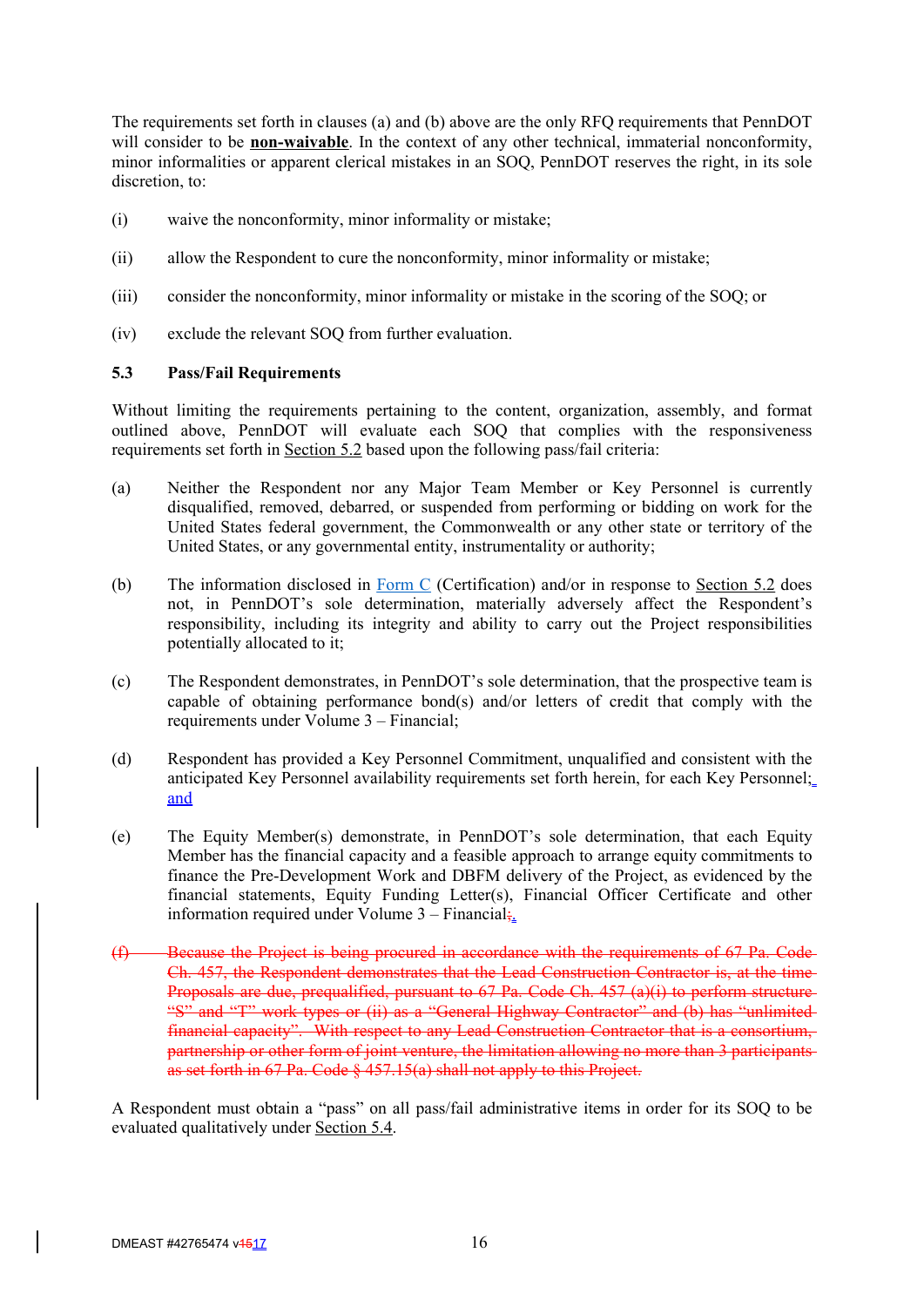The requirements set forth in clauses (a) and (b) above are the only RFQ requirements that PennDOT will consider to be **non-waivable**. In the context of any other technical, immaterial nonconformity, minor informalities or apparent clerical mistakes in an SOQ, PennDOT reserves the right, in its sole discretion, to:

- (i) waive the nonconformity, minor informality or mistake;
- (ii) allow the Respondent to cure the nonconformity, minor informality or mistake;
- (iii) consider the nonconformity, minor informality or mistake in the scoring of the SOQ; or
- (iv) exclude the relevant SOQ from further evaluation.

## **5.3 Pass/Fail Requirements**

Without limiting the requirements pertaining to the content, organization, assembly, and format outlined above, PennDOT will evaluate each SOQ that complies with the responsiveness requirements set forth in Section 5.2 based upon the following pass/fail criteria:

- (a) Neither the Respondent nor any Major Team Member or Key Personnel is currently disqualified, removed, debarred, or suspended from performing or bidding on work for the United States federal government, the Commonwealth or any other state or territory of the United States, or any governmental entity, instrumentality or authority;
- (b) The information disclosed in Form C (Certification) and/or in response to Section  $5.2$  does not, in PennDOT's sole determination, materially adversely affect the Respondent's responsibility, including its integrity and ability to carry out the Project responsibilities potentially allocated to it;
- (c) The Respondent demonstrates, in PennDOT's sole determination, that the prospective team is capable of obtaining performance bond(s) and/or letters of credit that comply with the requirements under Volume 3 – Financial;
- (d) Respondent has provided a Key Personnel Commitment, unqualified and consistent with the anticipated Key Personnel availability requirements set forth herein, for each Key Personnel; and
- (e) The Equity Member(s) demonstrate, in PennDOT's sole determination, that each Equity Member has the financial capacity and a feasible approach to arrange equity commitments to finance the Pre-Development Work and DBFM delivery of the Project, as evidenced by the financial statements, Equity Funding Letter(s), Financial Officer Certificate and other information required under Volume  $3 -$  Financial;
- Because the Project is being procured in accordance with the requirements of 67 Pa. Code-Ch. 457, the Respondent demonstrates that the Lead Construction Contractor is, at the time Proposals are due, prequalified, pursuant to 67 Pa. Code Ch. 457 (a)(i) to perform structure "S" and "T" work types or (ii) as a "General Highway Contractor" and (b) has "unlimitedfinancial capacity". With respect to any Lead Construction Contractor that is a consortium, partnership or other form of joint venture, the limitation allowing no more than 3 participants as set forth in 67 Pa. Code § 457.15(a) shall not apply to this Project.

A Respondent must obtain a "pass" on all pass/fail administrative items in order for its SOQ to be evaluated qualitatively under Section 5.4.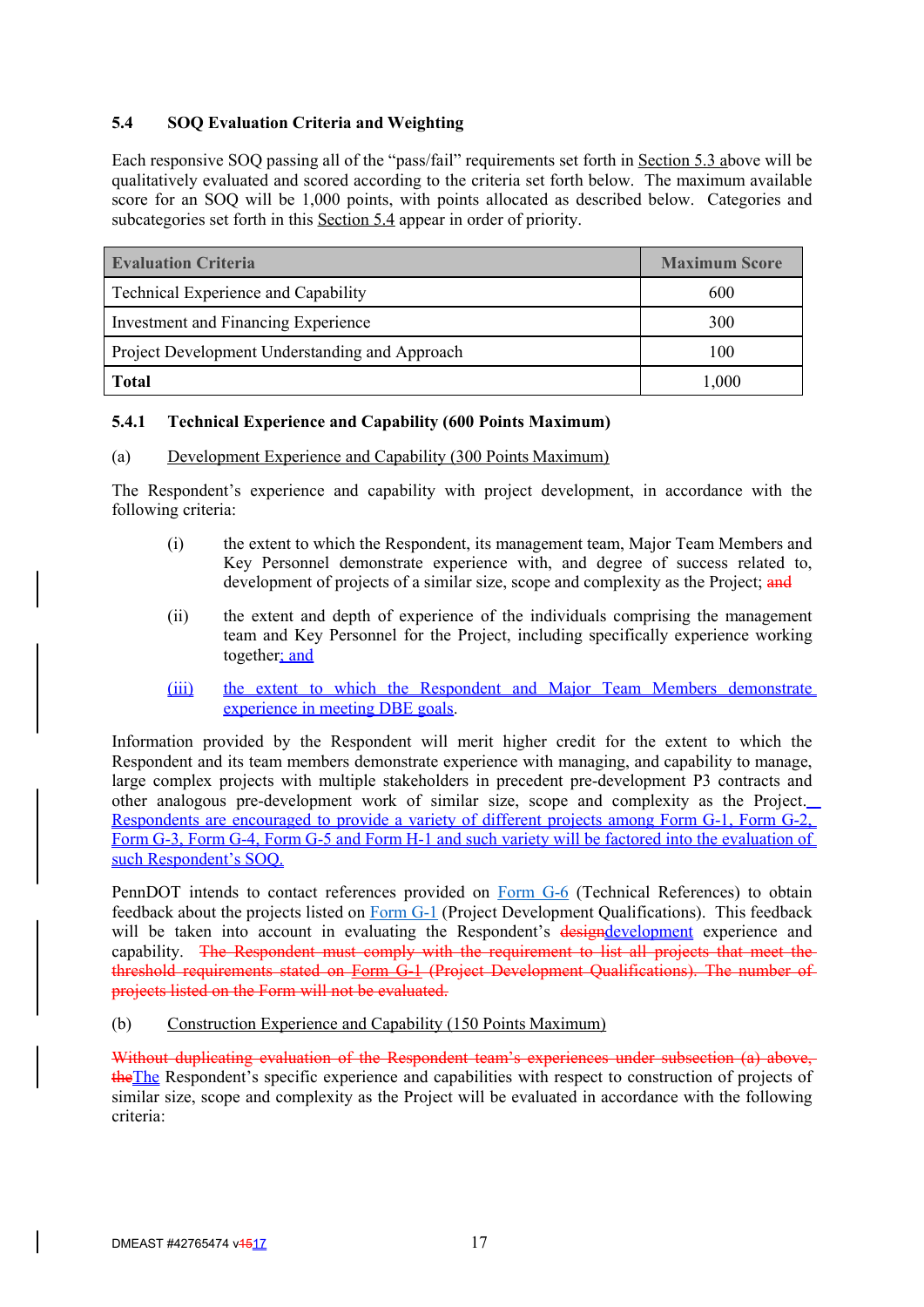# **5.4 SOQ Evaluation Criteria and Weighting**

Each responsive SOQ passing all of the "pass/fail" requirements set forth in Section 5.3 above will be qualitatively evaluated and scored according to the criteria set forth below. The maximum available score for an SOQ will be 1,000 points, with points allocated as described below. Categories and subcategories set forth in this Section 5.4 appear in order of priority.

| <b>Evaluation Criteria</b>                     | <b>Maximum Score</b> |
|------------------------------------------------|----------------------|
| Technical Experience and Capability            | 600                  |
| <b>Investment and Financing Experience</b>     | 300                  |
| Project Development Understanding and Approach | 100                  |
| <b>Total</b>                                   | 1,000                |

## **5.4.1 Technical Experience and Capability (600 Points Maximum)**

#### (a) Development Experience and Capability (300 Points Maximum)

The Respondent's experience and capability with project development, in accordance with the following criteria:

- (i) the extent to which the Respondent, its management team, Major Team Members and Key Personnel demonstrate experience with, and degree of success related to, development of projects of a similar size, scope and complexity as the Project; and
- (ii) the extent and depth of experience of the individuals comprising the management team and Key Personnel for the Project, including specifically experience working together; and
- (iii) the extent to which the Respondent and Major Team Members demonstrate experience in meeting DBE goals.

Information provided by the Respondent will merit higher credit for the extent to which the Respondent and its team members demonstrate experience with managing, and capability to manage, large complex projects with multiple stakeholders in precedent pre-development P3 contracts and other analogous pre-development work of similar size, scope and complexity as the Project. Respondents are encouraged to provide a variety of different projects among Form G-1, Form G-2, Form G-3, Form G-4, Form G-5 and Form H-1 and such variety will be factored into the evaluation of such Respondent's SOQ.

PennDOT intends to contact references provided on Form G-6 (Technical References) to obtain feedback about the projects listed on Form G-1 (Project Development Qualifications). This feedback will be taken into account in evaluating the Respondent's designdevelopment experience and capability. The Respondent must comply with the requirement to list all projects that meet the threshold requirements stated on Form G-1 (Project Development Qualifications). The number of projects listed on the Form will not be evaluated.

(b) Construction Experience and Capability (150 Points Maximum)

Without duplicating evaluation of the Respondent team's experiences under subsection (a) above, theThe Respondent's specific experience and capabilities with respect to construction of projects of similar size, scope and complexity as the Project will be evaluated in accordance with the following criteria: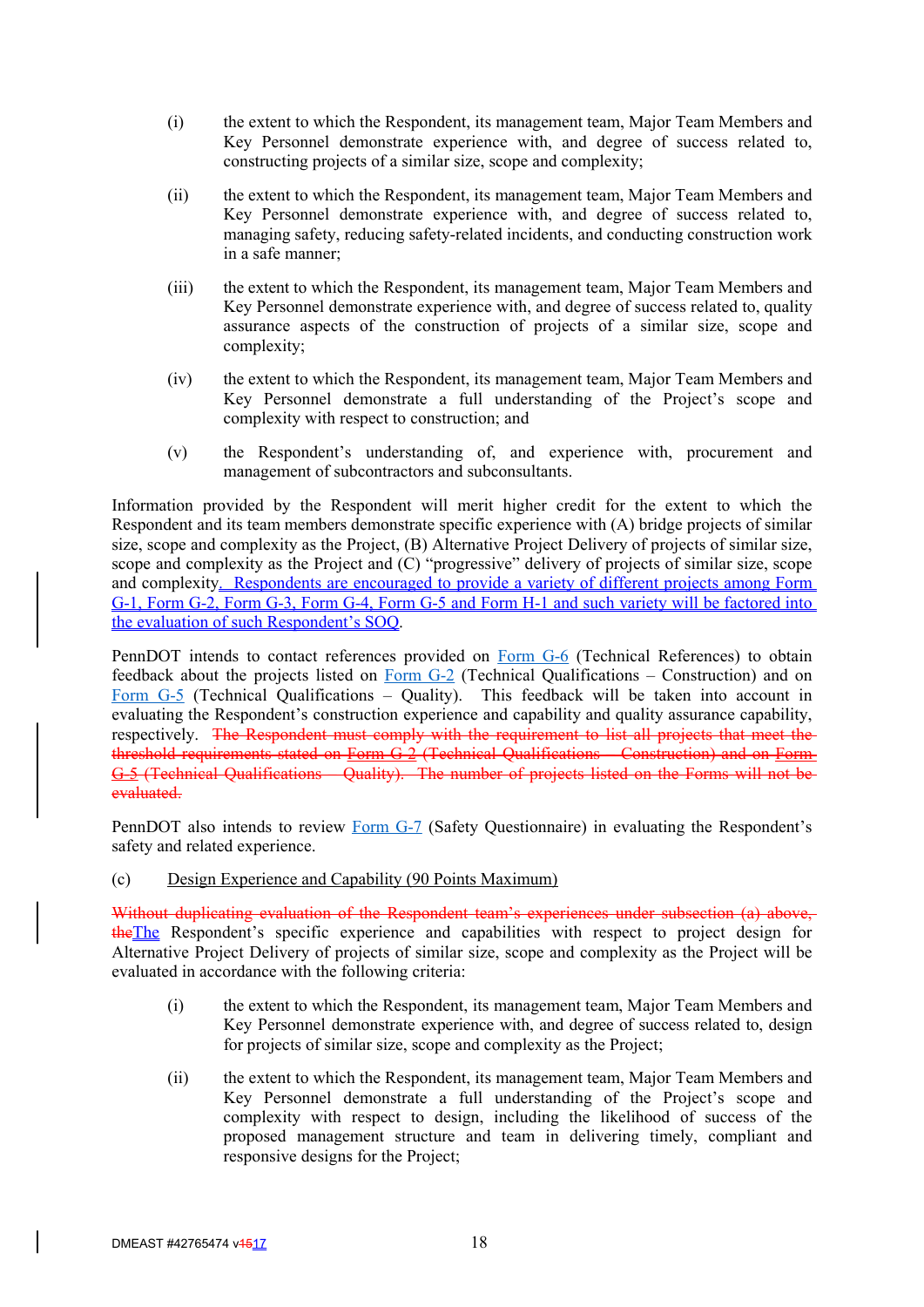- (i) the extent to which the Respondent, its management team, Major Team Members and Key Personnel demonstrate experience with, and degree of success related to, constructing projects of a similar size, scope and complexity;
- (ii) the extent to which the Respondent, its management team, Major Team Members and Key Personnel demonstrate experience with, and degree of success related to, managing safety, reducing safety-related incidents, and conducting construction work in a safe manner;
- (iii) the extent to which the Respondent, its management team, Major Team Members and Key Personnel demonstrate experience with, and degree of success related to, quality assurance aspects of the construction of projects of a similar size, scope and complexity;
- (iv) the extent to which the Respondent, its management team, Major Team Members and Key Personnel demonstrate a full understanding of the Project's scope and complexity with respect to construction; and
- (v) the Respondent's understanding of, and experience with, procurement and management of subcontractors and subconsultants.

Information provided by the Respondent will merit higher credit for the extent to which the Respondent and its team members demonstrate specific experience with (A) bridge projects of similar size, scope and complexity as the Project, (B) Alternative Project Delivery of projects of similar size, scope and complexity as the Project and (C) "progressive" delivery of projects of similar size, scope and complexity. Respondents are encouraged to provide a variety of different projects among Form G-1, Form G-2, Form G-3, Form G-4, Form G-5 and Form H-1 and such variety will be factored into the evaluation of such Respondent's SOQ.

PennDOT intends to contact references provided on Form G-6 (Technical References) to obtain feedback about the projects listed on Form  $G-2$  (Technical Qualifications – Construction) and on Form G-5 (Technical Qualifications – Quality). This feedback will be taken into account in evaluating the Respondent's construction experience and capability and quality assurance capability, respectively. The Respondent must comply with the requirement to list all projects that meet the threshold requirements stated on Form G-2 (Technical Qualifications – Construction) and on Form G-5 (Technical Qualifications – Quality). The number of projects listed on the Forms will not be evaluated.

PennDOT also intends to review Form G-7 (Safety Questionnaire) in evaluating the Respondent's safety and related experience.

#### (c) Design Experience and Capability (90 Points Maximum)

Without duplicating evaluation of the Respondent team's experiences under subsection (a) above, theThe Respondent's specific experience and capabilities with respect to project design for Alternative Project Delivery of projects of similar size, scope and complexity as the Project will be evaluated in accordance with the following criteria:

- (i) the extent to which the Respondent, its management team, Major Team Members and Key Personnel demonstrate experience with, and degree of success related to, design for projects of similar size, scope and complexity as the Project;
- (ii) the extent to which the Respondent, its management team, Major Team Members and Key Personnel demonstrate a full understanding of the Project's scope and complexity with respect to design, including the likelihood of success of the proposed management structure and team in delivering timely, compliant and responsive designs for the Project;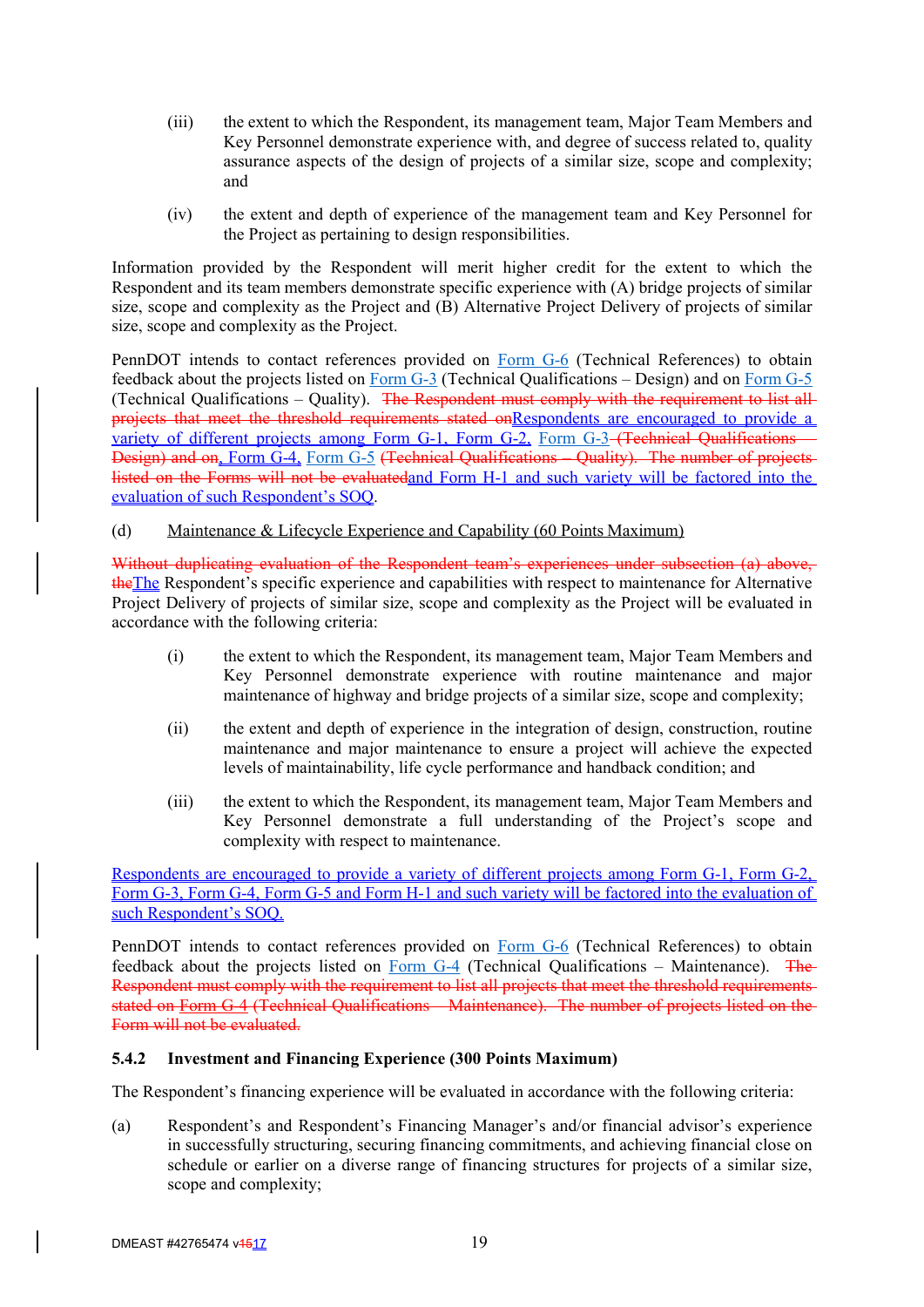- (iii) the extent to which the Respondent, its management team, Major Team Members and Key Personnel demonstrate experience with, and degree of success related to, quality assurance aspects of the design of projects of a similar size, scope and complexity; and
- (iv) the extent and depth of experience of the management team and Key Personnel for the Project as pertaining to design responsibilities.

Information provided by the Respondent will merit higher credit for the extent to which the Respondent and its team members demonstrate specific experience with (A) bridge projects of similar size, scope and complexity as the Project and (B) Alternative Project Delivery of projects of similar size, scope and complexity as the Project.

PennDOT intends to contact references provided on Form G-6 (Technical References) to obtain feedback about the projects listed on Form G-3 (Technical Qualifications – Design) and on Form G-5 (Technical Qualifications – Quality). The Respondent must comply with the requirement to list all projects that meet the threshold requirements stated onRespondents are encouraged to provide a variety of different projects among Form G-1, Form G-2, Form G-3-(Technical Qualifications Design) and on, Form G-4, Form G-5 (Technical Qualifications – Quality). The number of projects listed on the Forms will not be evaluatedand Form H-1 and such variety will be factored into the evaluation of such Respondent's SOQ.

(d) Maintenance & Lifecycle Experience and Capability (60 Points Maximum)

Without duplicating evaluation of the Respondent team's experiences under subsection (a) above, the The Respondent's specific experience and capabilities with respect to maintenance for Alternative Project Delivery of projects of similar size, scope and complexity as the Project will be evaluated in accordance with the following criteria:

- (i) the extent to which the Respondent, its management team, Major Team Members and Key Personnel demonstrate experience with routine maintenance and major maintenance of highway and bridge projects of a similar size, scope and complexity;
- (ii) the extent and depth of experience in the integration of design, construction, routine maintenance and major maintenance to ensure a project will achieve the expected levels of maintainability, life cycle performance and handback condition; and
- (iii) the extent to which the Respondent, its management team, Major Team Members and Key Personnel demonstrate a full understanding of the Project's scope and complexity with respect to maintenance.

Respondents are encouraged to provide a variety of different projects among Form G-1, Form G-2, Form G-3, Form G-4, Form G-5 and Form H-1 and such variety will be factored into the evaluation of such Respondent's SOQ.

PennDOT intends to contact references provided on Form G-6 (Technical References) to obtain feedback about the projects listed on Form G-4 (Technical Qualifications – Maintenance). The Respondent must comply with the requirement to list all projects that meet the threshold requirements stated on Form G-4 (Technical Qualifications – Maintenance). The number of projects listed on the Form will not be evaluated.

## **5.4.2 Investment and Financing Experience (300 Points Maximum)**

The Respondent's financing experience will be evaluated in accordance with the following criteria:

(a) Respondent's and Respondent's Financing Manager's and/or financial advisor's experience in successfully structuring, securing financing commitments, and achieving financial close on schedule or earlier on a diverse range of financing structures for projects of a similar size, scope and complexity;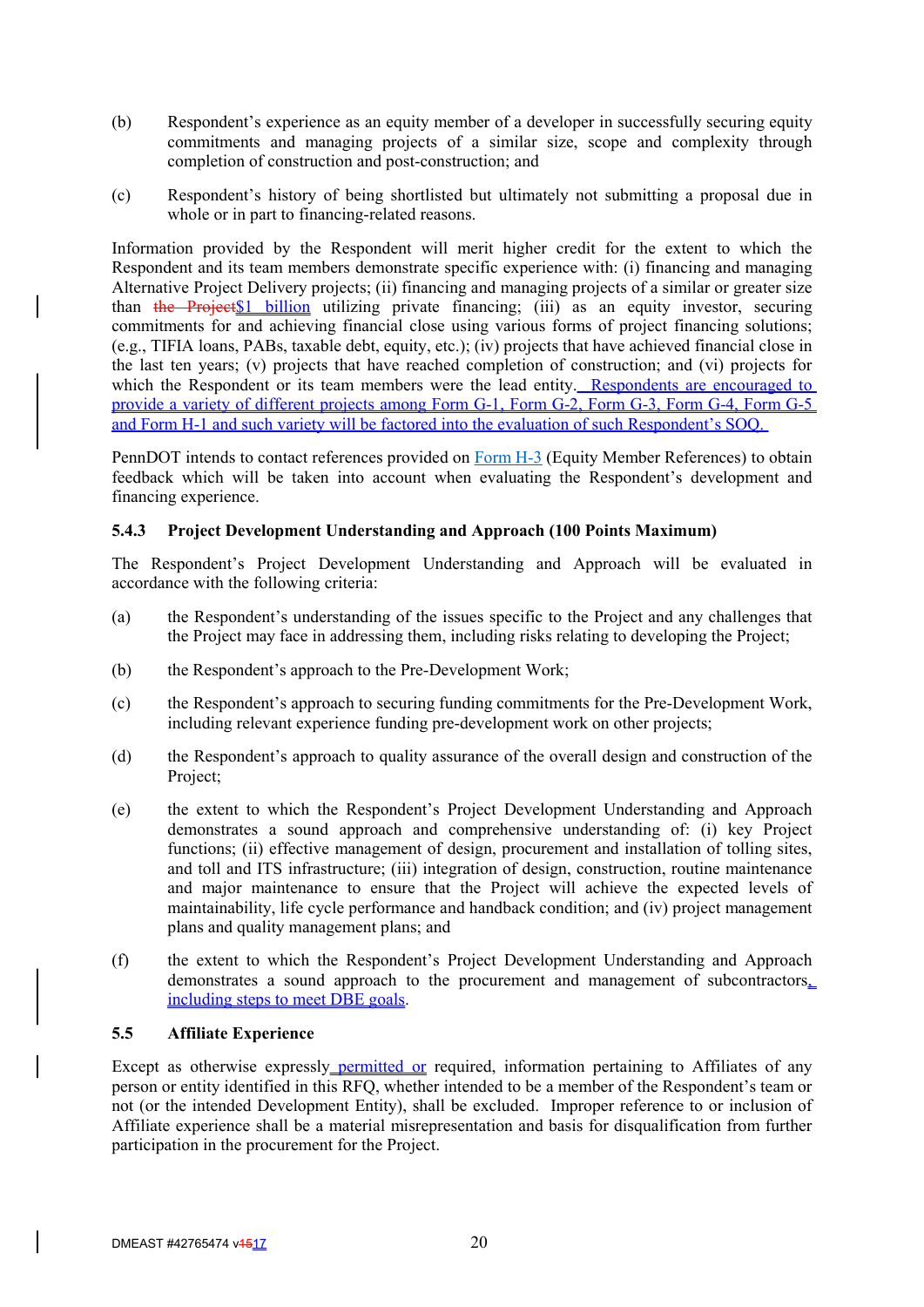- (b) Respondent's experience as an equity member of a developer in successfully securing equity commitments and managing projects of a similar size, scope and complexity through completion of construction and post-construction; and
- (c) Respondent's history of being shortlisted but ultimately not submitting a proposal due in whole or in part to financing-related reasons.

Information provided by the Respondent will merit higher credit for the extent to which the Respondent and its team members demonstrate specific experience with: (i) financing and managing Alternative Project Delivery projects; (ii) financing and managing projects of a similar or greater size than the Project\$1 billion utilizing private financing; (iii) as an equity investor, securing commitments for and achieving financial close using various forms of project financing solutions; (e.g., TIFIA loans, PABs, taxable debt, equity, etc.); (iv) projects that have achieved financial close in the last ten years; (v) projects that have reached completion of construction; and (vi) projects for which the Respondent or its team members were the lead entity. Respondents are encouraged to provide a variety of different projects among Form G-1, Form G-2, Form G-3, Form G-4, Form G-5 and Form H-1 and such variety will be factored into the evaluation of such Respondent's SOQ.

PennDOT intends to contact references provided on Form H-3 (Equity Member References) to obtain feedback which will be taken into account when evaluating the Respondent's development and financing experience.

## **5.4.3 Project Development Understanding and Approach (100 Points Maximum)**

The Respondent's Project Development Understanding and Approach will be evaluated in accordance with the following criteria:

- (a) the Respondent's understanding of the issues specific to the Project and any challenges that the Project may face in addressing them, including risks relating to developing the Project;
- (b) the Respondent's approach to the Pre-Development Work;
- (c) the Respondent's approach to securing funding commitments for the Pre-Development Work, including relevant experience funding pre-development work on other projects;
- (d) the Respondent's approach to quality assurance of the overall design and construction of the Project;
- (e) the extent to which the Respondent's Project Development Understanding and Approach demonstrates a sound approach and comprehensive understanding of: (i) key Project functions; (ii) effective management of design, procurement and installation of tolling sites, and toll and ITS infrastructure; (iii) integration of design, construction, routine maintenance and major maintenance to ensure that the Project will achieve the expected levels of maintainability, life cycle performance and handback condition; and (iv) project management plans and quality management plans; and
- (f) the extent to which the Respondent's Project Development Understanding and Approach demonstrates a sound approach to the procurement and management of subcontractors, including steps to meet DBE goals.

#### **5.5 Affiliate Experience**

Except as otherwise expressly permitted or required, information pertaining to Affiliates of any person or entity identified in this RFQ, whether intended to be a member of the Respondent's team or not (or the intended Development Entity), shall be excluded. Improper reference to or inclusion of Affiliate experience shall be a material misrepresentation and basis for disqualification from further participation in the procurement for the Project.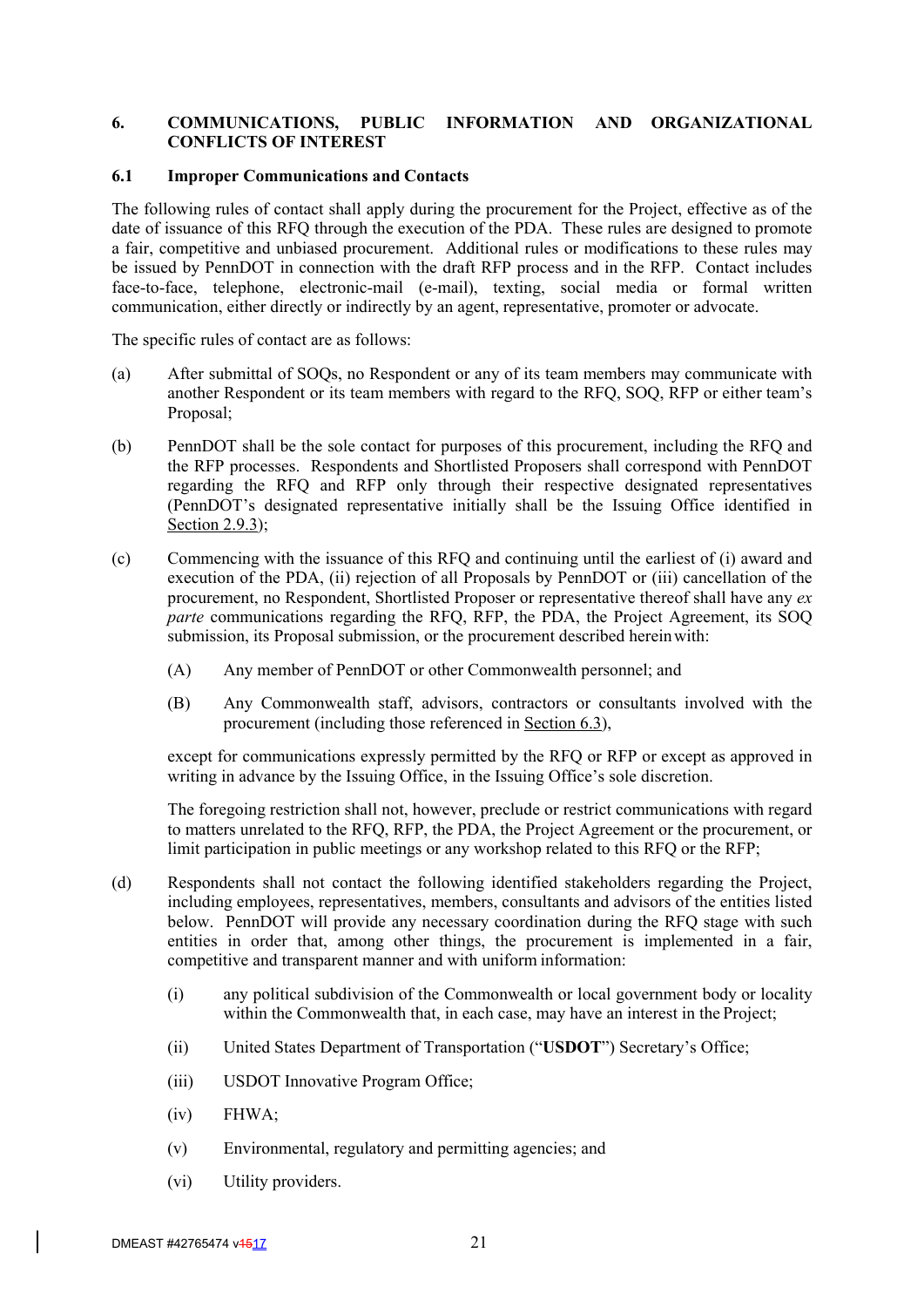## **6. COMMUNICATIONS, PUBLIC INFORMATION AND ORGANIZATIONAL CONFLICTS OF INTEREST**

#### **6.1 Improper Communications and Contacts**

The following rules of contact shall apply during the procurement for the Project, effective as of the date of issuance of this RFQ through the execution of the PDA. These rules are designed to promote a fair, competitive and unbiased procurement. Additional rules or modifications to these rules may be issued by PennDOT in connection with the draft RFP process and in the RFP. Contact includes face-to-face, telephone, electronic-mail (e-mail), texting, social media or formal written communication, either directly or indirectly by an agent, representative, promoter or advocate.

The specific rules of contact are as follows:

- (a) After submittal of SOQs, no Respondent or any of its team members may communicate with another Respondent or its team members with regard to the RFQ, SOQ, RFP or either team's Proposal;
- (b) PennDOT shall be the sole contact for purposes of this procurement, including the RFQ and the RFP processes. Respondents and Shortlisted Proposers shall correspond with PennDOT regarding the RFQ and RFP only through their respective designated representatives (PennDOT's designated representative initially shall be the Issuing Office identified in Section 2.9.3);
- (c) Commencing with the issuance of this RFQ and continuing until the earliest of (i) award and execution of the PDA, (ii) rejection of all Proposals by PennDOT or (iii) cancellation of the procurement, no Respondent, Shortlisted Proposer or representative thereof shall have any *ex parte* communications regarding the RFQ, RFP, the PDA, the Project Agreement, its SOQ submission, its Proposal submission, or the procurement described herein with:
	- (A) Any member of PennDOT or other Commonwealth personnel; and
	- (B) Any Commonwealth staff, advisors, contractors or consultants involved with the procurement (including those referenced in Section 6.3),

except for communications expressly permitted by the RFQ or RFP or except as approved in writing in advance by the Issuing Office, in the Issuing Office's sole discretion.

The foregoing restriction shall not, however, preclude or restrict communications with regard to matters unrelated to the RFQ, RFP, the PDA, the Project Agreement or the procurement, or limit participation in public meetings or any workshop related to this RFQ or the RFP;

- (d) Respondents shall not contact the following identified stakeholders regarding the Project, including employees, representatives, members, consultants and advisors of the entities listed below. PennDOT will provide any necessary coordination during the RFQ stage with such entities in order that, among other things, the procurement is implemented in a fair, competitive and transparent manner and with uniform information:
	- (i) any political subdivision of the Commonwealth or local government body or locality within the Commonwealth that, in each case, may have an interest in the Project;
	- (ii) United States Department of Transportation ("**USDOT**") Secretary's Office;
	- (iii) USDOT Innovative Program Office;
	- (iv) FHWA;
	- (v) Environmental, regulatory and permitting agencies; and
	- (vi) Utility providers.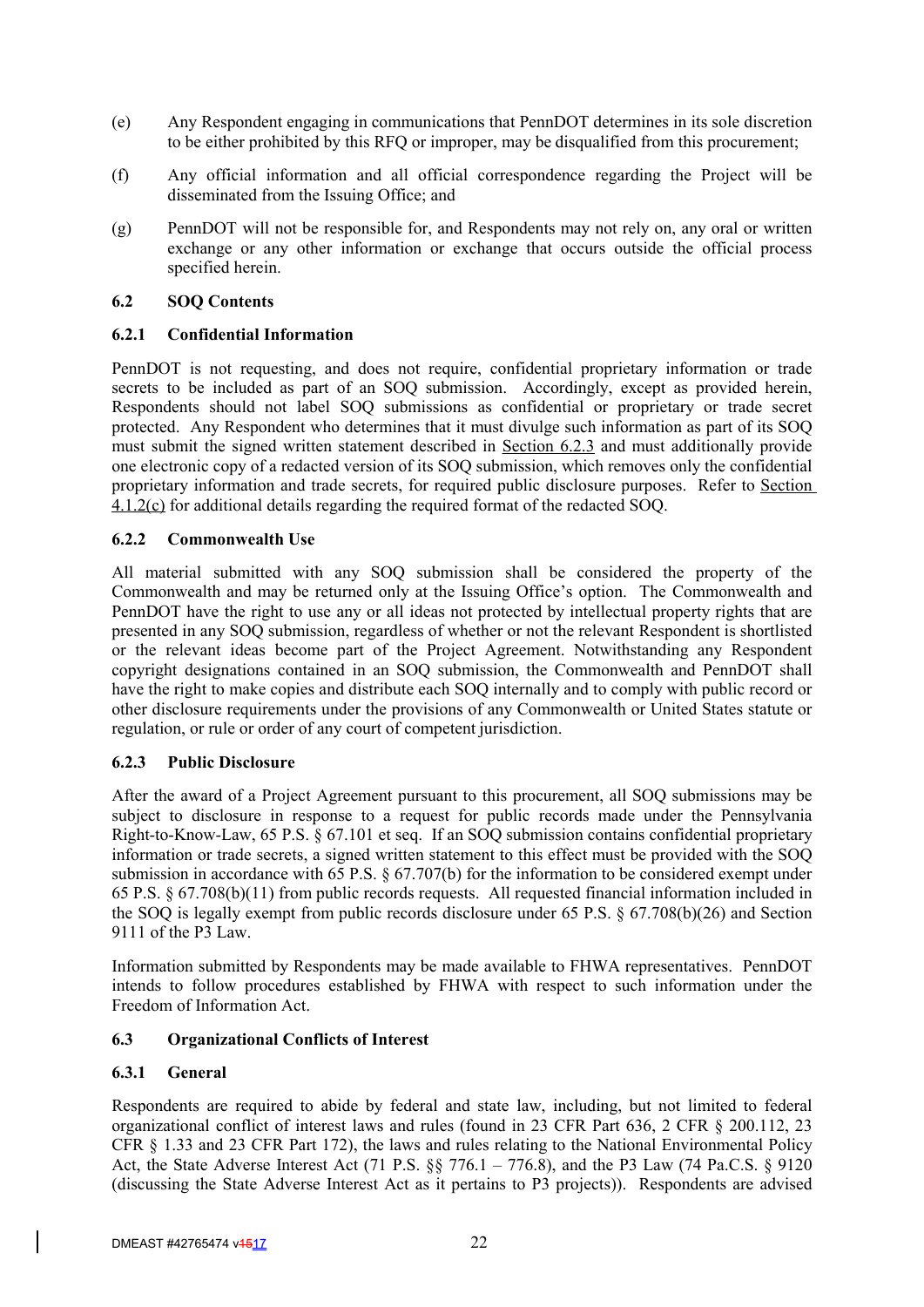- (e) Any Respondent engaging in communications that PennDOT determines in its sole discretion to be either prohibited by this RFQ or improper, may be disqualified from this procurement;
- (f) Any official information and all official correspondence regarding the Project will be disseminated from the Issuing Office; and
- (g) PennDOT will not be responsible for, and Respondents may not rely on, any oral or written exchange or any other information or exchange that occurs outside the official process specified herein.

#### **6.2 SOQ Contents**

## **6.2.1 Confidential Information**

PennDOT is not requesting, and does not require, confidential proprietary information or trade secrets to be included as part of an SOQ submission. Accordingly, except as provided herein, Respondents should not label SOQ submissions as confidential or proprietary or trade secret protected. Any Respondent who determines that it must divulge such information as part of its SOQ must submit the signed written statement described in Section 6.2.3 and must additionally provide one electronic copy of a redacted version of its SOQ submission, which removes only the confidential proprietary information and trade secrets, for required public disclosure purposes. Refer to Section  $4.1.2(c)$  for additional details regarding the required format of the redacted SOQ.

## **6.2.2 Commonwealth Use**

All material submitted with any SOQ submission shall be considered the property of the Commonwealth and may be returned only at the Issuing Office's option. The Commonwealth and PennDOT have the right to use any or all ideas not protected by intellectual property rights that are presented in any SOQ submission, regardless of whether or not the relevant Respondent is shortlisted or the relevant ideas become part of the Project Agreement. Notwithstanding any Respondent copyright designations contained in an SOQ submission, the Commonwealth and PennDOT shall have the right to make copies and distribute each SOQ internally and to comply with public record or other disclosure requirements under the provisions of any Commonwealth or United States statute or regulation, or rule or order of any court of competent jurisdiction.

#### **6.2.3 Public Disclosure**

After the award of a Project Agreement pursuant to this procurement, all SOQ submissions may be subject to disclosure in response to a request for public records made under the Pennsylvania Right-to-Know-Law, 65 P.S. § 67.101 et seq. If an SOQ submission contains confidential proprietary information or trade secrets, a signed written statement to this effect must be provided with the SOQ submission in accordance with 65 P.S. § 67.707(b) for the information to be considered exempt under 65 P.S. § 67.708(b)(11) from public records requests. All requested financial information included in the SOQ is legally exempt from public records disclosure under 65 P.S. § 67.708(b)(26) and Section 9111 of the P3 Law.

Information submitted by Respondents may be made available to FHWA representatives. PennDOT intends to follow procedures established by FHWA with respect to such information under the Freedom of Information Act.

#### **6.3 Organizational Conflicts of Interest**

## **6.3.1 General**

Respondents are required to abide by federal and state law, including, but not limited to federal organizational conflict of interest laws and rules (found in 23 CFR Part 636, 2 CFR § 200.112, 23 CFR § 1.33 and 23 CFR Part 172), the laws and rules relating to the National Environmental Policy Act, the State Adverse Interest Act (71 P.S. §§ 776.1 – 776.8), and the P3 Law (74 Pa.C.S. § 9120 (discussing the State Adverse Interest Act as it pertains to P3 projects)). Respondents are advised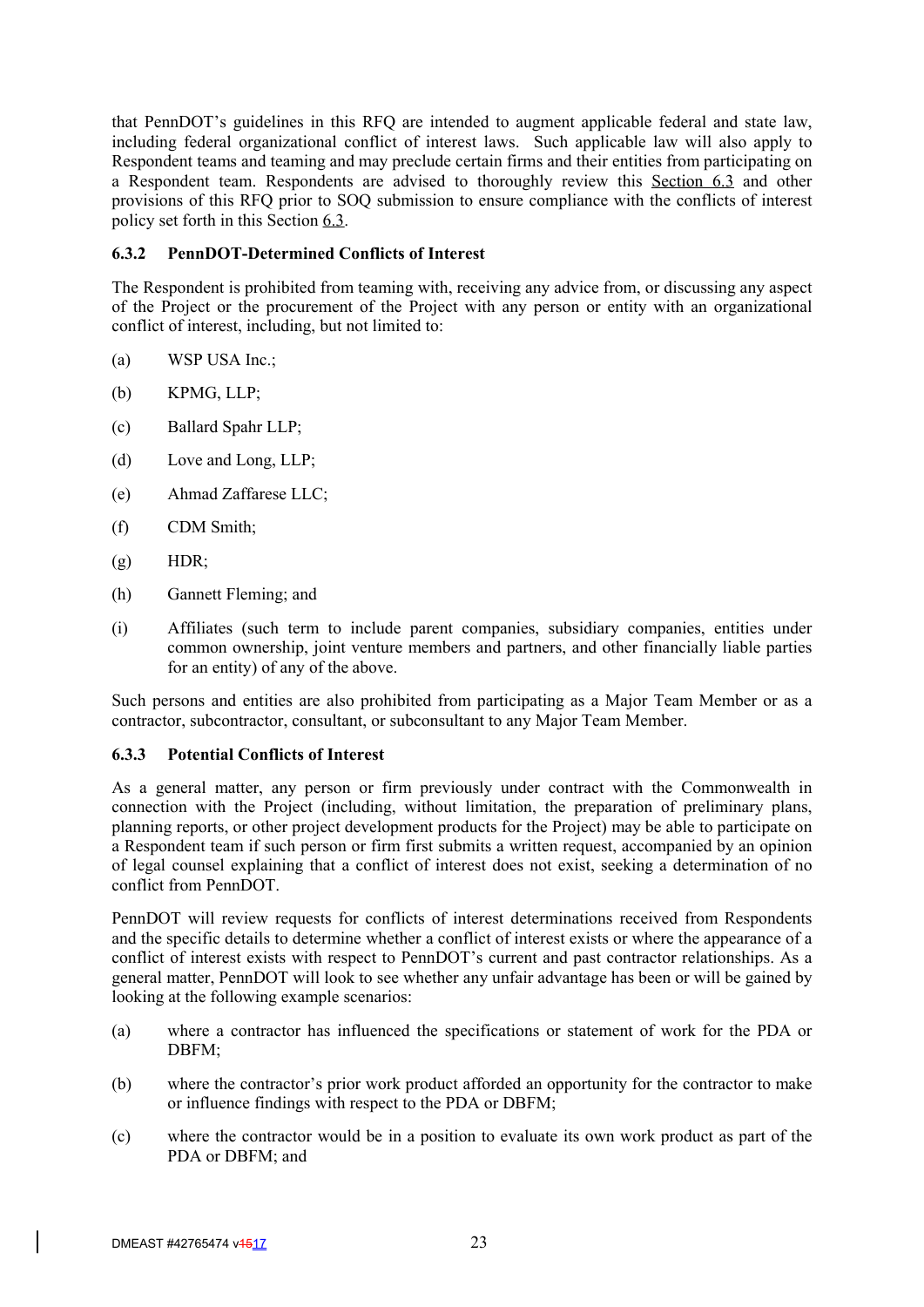that PennDOT's guidelines in this RFQ are intended to augment applicable federal and state law, including federal organizational conflict of interest laws. Such applicable law will also apply to Respondent teams and teaming and may preclude certain firms and their entities from participating on a Respondent team. Respondents are advised to thoroughly review this Section 6.3 and other provisions of this RFQ prior to SOQ submission to ensure compliance with the conflicts of interest policy set forth in this Section 6.3.

## **6.3.2 PennDOT-Determined Conflicts of Interest**

The Respondent is prohibited from teaming with, receiving any advice from, or discussing any aspect of the Project or the procurement of the Project with any person or entity with an organizational conflict of interest, including, but not limited to:

- (a) WSP USA Inc.;
- (b) KPMG, LLP;
- (c) Ballard Spahr LLP;
- (d) Love and Long, LLP;
- (e) Ahmad Zaffarese LLC;
- (f) CDM Smith;
- $(g)$  HDR;
- (h) Gannett Fleming; and
- (i) Affiliates (such term to include parent companies, subsidiary companies, entities under common ownership, joint venture members and partners, and other financially liable parties for an entity) of any of the above.

Such persons and entities are also prohibited from participating as a Major Team Member or as a contractor, subcontractor, consultant, or subconsultant to any Major Team Member.

#### **6.3.3 Potential Conflicts of Interest**

As a general matter, any person or firm previously under contract with the Commonwealth in connection with the Project (including, without limitation, the preparation of preliminary plans, planning reports, or other project development products for the Project) may be able to participate on a Respondent team if such person or firm first submits a written request, accompanied by an opinion of legal counsel explaining that a conflict of interest does not exist, seeking a determination of no conflict from PennDOT.

PennDOT will review requests for conflicts of interest determinations received from Respondents and the specific details to determine whether a conflict of interest exists or where the appearance of a conflict of interest exists with respect to PennDOT's current and past contractor relationships. As a general matter, PennDOT will look to see whether any unfair advantage has been or will be gained by looking at the following example scenarios:

- (a) where a contractor has influenced the specifications or statement of work for the PDA or DBFM;
- (b) where the contractor's prior work product afforded an opportunity for the contractor to make or influence findings with respect to the PDA or DBFM;
- (c) where the contractor would be in a position to evaluate its own work product as part of the PDA or DBFM; and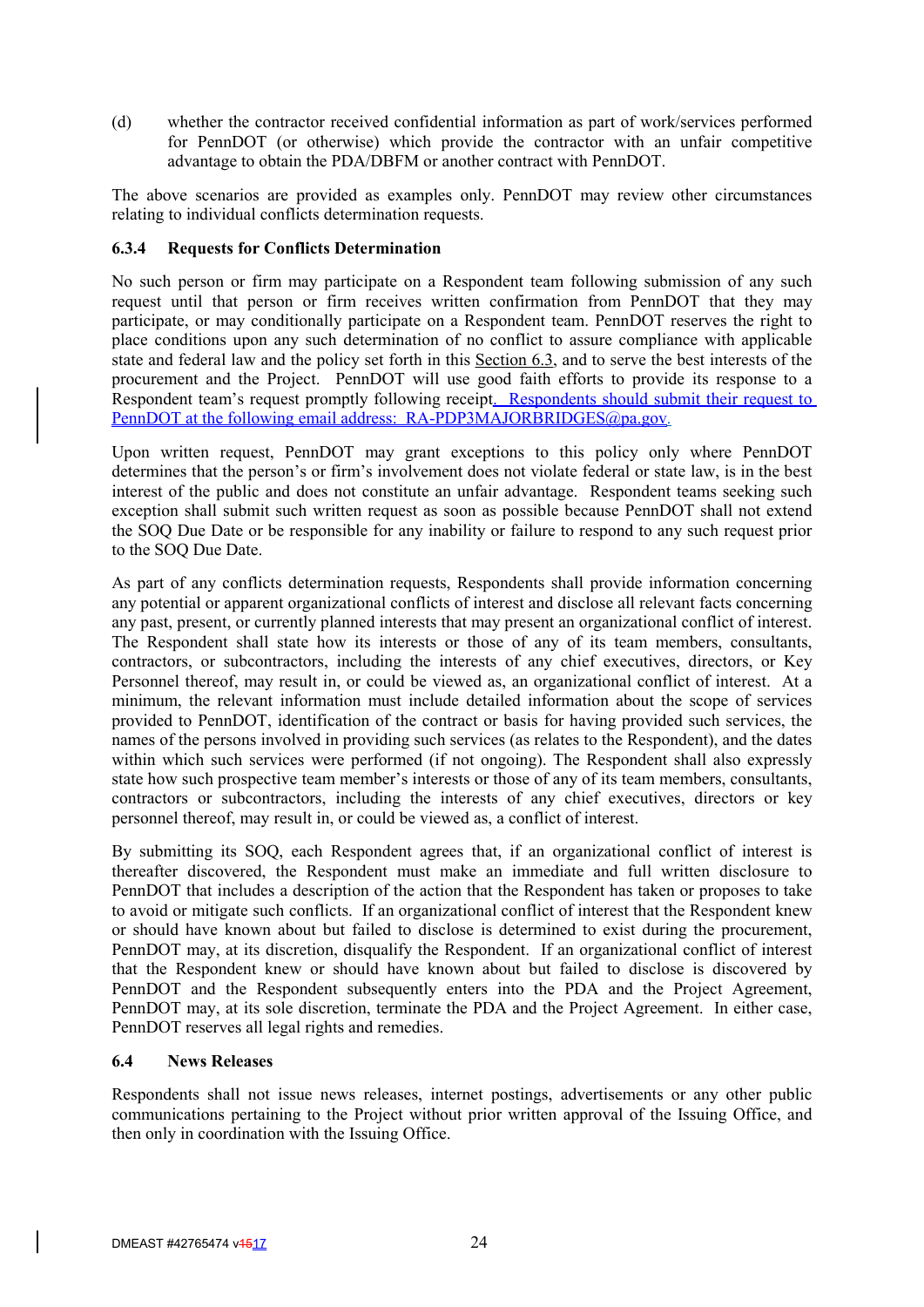(d) whether the contractor received confidential information as part of work/services performed for PennDOT (or otherwise) which provide the contractor with an unfair competitive advantage to obtain the PDA/DBFM or another contract with PennDOT.

The above scenarios are provided as examples only. PennDOT may review other circumstances relating to individual conflicts determination requests.

## **6.3.4 Requests for Conflicts Determination**

No such person or firm may participate on a Respondent team following submission of any such request until that person or firm receives written confirmation from PennDOT that they may participate, or may conditionally participate on a Respondent team. PennDOT reserves the right to place conditions upon any such determination of no conflict to assure compliance with applicable state and federal law and the policy set forth in this Section 6.3, and to serve the best interests of the procurement and the Project. PennDOT will use good faith efforts to provide its response to a Respondent team's request promptly following receipt. Respondents should submit their request to PennDOT at the following email address: RA-PDP3MAJORBRIDGES@pa.gov.

Upon written request, PennDOT may grant exceptions to this policy only where PennDOT determines that the person's or firm's involvement does not violate federal or state law, is in the best interest of the public and does not constitute an unfair advantage. Respondent teams seeking such exception shall submit such written request as soon as possible because PennDOT shall not extend the SOQ Due Date or be responsible for any inability or failure to respond to any such request prior to the SOQ Due Date.

As part of any conflicts determination requests, Respondents shall provide information concerning any potential or apparent organizational conflicts of interest and disclose all relevant facts concerning any past, present, or currently planned interests that may present an organizational conflict of interest. The Respondent shall state how its interests or those of any of its team members, consultants, contractors, or subcontractors, including the interests of any chief executives, directors, or Key Personnel thereof, may result in, or could be viewed as, an organizational conflict of interest. At a minimum, the relevant information must include detailed information about the scope of services provided to PennDOT, identification of the contract or basis for having provided such services, the names of the persons involved in providing such services (as relates to the Respondent), and the dates within which such services were performed (if not ongoing). The Respondent shall also expressly state how such prospective team member's interests or those of any of its team members, consultants, contractors or subcontractors, including the interests of any chief executives, directors or key personnel thereof, may result in, or could be viewed as, a conflict of interest.

By submitting its SOQ, each Respondent agrees that, if an organizational conflict of interest is thereafter discovered, the Respondent must make an immediate and full written disclosure to PennDOT that includes a description of the action that the Respondent has taken or proposes to take to avoid or mitigate such conflicts. If an organizational conflict of interest that the Respondent knew or should have known about but failed to disclose is determined to exist during the procurement, PennDOT may, at its discretion, disqualify the Respondent. If an organizational conflict of interest that the Respondent knew or should have known about but failed to disclose is discovered by PennDOT and the Respondent subsequently enters into the PDA and the Project Agreement, PennDOT may, at its sole discretion, terminate the PDA and the Project Agreement. In either case, PennDOT reserves all legal rights and remedies.

#### **6.4 News Releases**

Respondents shall not issue news releases, internet postings, advertisements or any other public communications pertaining to the Project without prior written approval of the Issuing Office, and then only in coordination with the Issuing Office.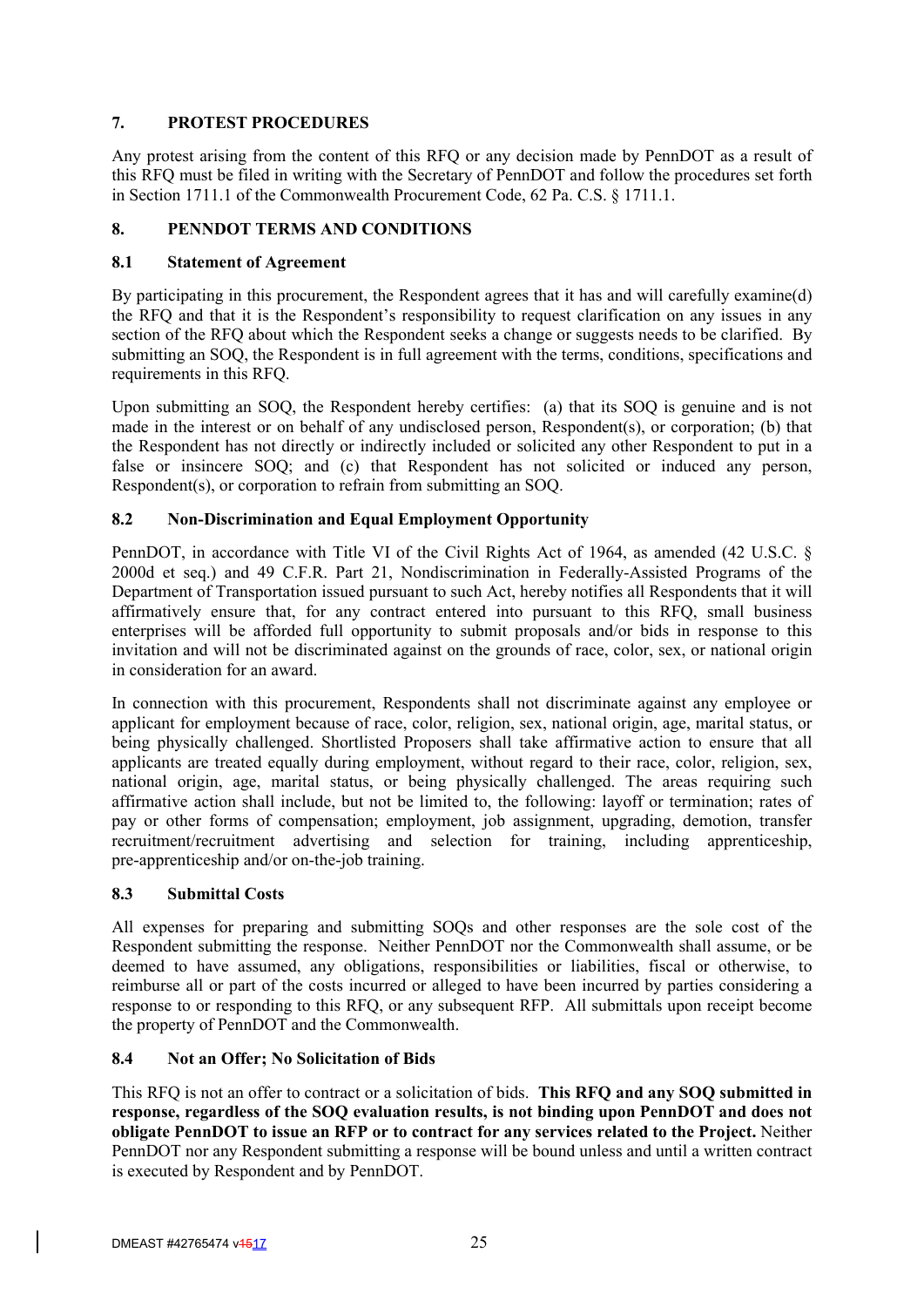# **7. PROTEST PROCEDURES**

Any protest arising from the content of this RFQ or any decision made by PennDOT as a result of this RFQ must be filed in writing with the Secretary of PennDOT and follow the procedures set forth in Section 1711.1 of the Commonwealth Procurement Code, 62 Pa. C.S. § 1711.1.

# **8. PENNDOT TERMS AND CONDITIONS**

## **8.1 Statement of Agreement**

By participating in this procurement, the Respondent agrees that it has and will carefully examine(d) the RFQ and that it is the Respondent's responsibility to request clarification on any issues in any section of the RFO about which the Respondent seeks a change or suggests needs to be clarified. By submitting an SOQ, the Respondent is in full agreement with the terms, conditions, specifications and requirements in this RFQ.

Upon submitting an SOQ, the Respondent hereby certifies: (a) that its SOQ is genuine and is not made in the interest or on behalf of any undisclosed person, Respondent(s), or corporation; (b) that the Respondent has not directly or indirectly included or solicited any other Respondent to put in a false or insincere SOQ; and (c) that Respondent has not solicited or induced any person, Respondent(s), or corporation to refrain from submitting an SOQ.

## **8.2 Non-Discrimination and Equal Employment Opportunity**

PennDOT, in accordance with Title VI of the Civil Rights Act of 1964, as amended (42 U.S.C. § 2000d et seq.) and 49 C.F.R. Part 21, Nondiscrimination in Federally-Assisted Programs of the Department of Transportation issued pursuant to such Act, hereby notifies all Respondents that it will affirmatively ensure that, for any contract entered into pursuant to this RFQ, small business enterprises will be afforded full opportunity to submit proposals and/or bids in response to this invitation and will not be discriminated against on the grounds of race, color, sex, or national origin in consideration for an award.

In connection with this procurement, Respondents shall not discriminate against any employee or applicant for employment because of race, color, religion, sex, national origin, age, marital status, or being physically challenged. Shortlisted Proposers shall take affirmative action to ensure that all applicants are treated equally during employment, without regard to their race, color, religion, sex, national origin, age, marital status, or being physically challenged. The areas requiring such affirmative action shall include, but not be limited to, the following: layoff or termination; rates of pay or other forms of compensation; employment, job assignment, upgrading, demotion, transfer recruitment/recruitment advertising and selection for training, including apprenticeship, pre-apprenticeship and/or on-the-job training.

## **8.3 Submittal Costs**

All expenses for preparing and submitting SOQs and other responses are the sole cost of the Respondent submitting the response. Neither PennDOT nor the Commonwealth shall assume, or be deemed to have assumed, any obligations, responsibilities or liabilities, fiscal or otherwise, to reimburse all or part of the costs incurred or alleged to have been incurred by parties considering a response to or responding to this RFQ, or any subsequent RFP. All submittals upon receipt become the property of PennDOT and the Commonwealth.

## **8.4 Not an Offer; No Solicitation of Bids**

This RFQ is not an offer to contract or a solicitation of bids. **This RFQ and any SOQ submitted in response, regardless of the SOQ evaluation results, is not binding upon PennDOT and does not obligate PennDOT to issue an RFP or to contract for any services related to the Project.** Neither PennDOT nor any Respondent submitting a response will be bound unless and until a written contract is executed by Respondent and by PennDOT.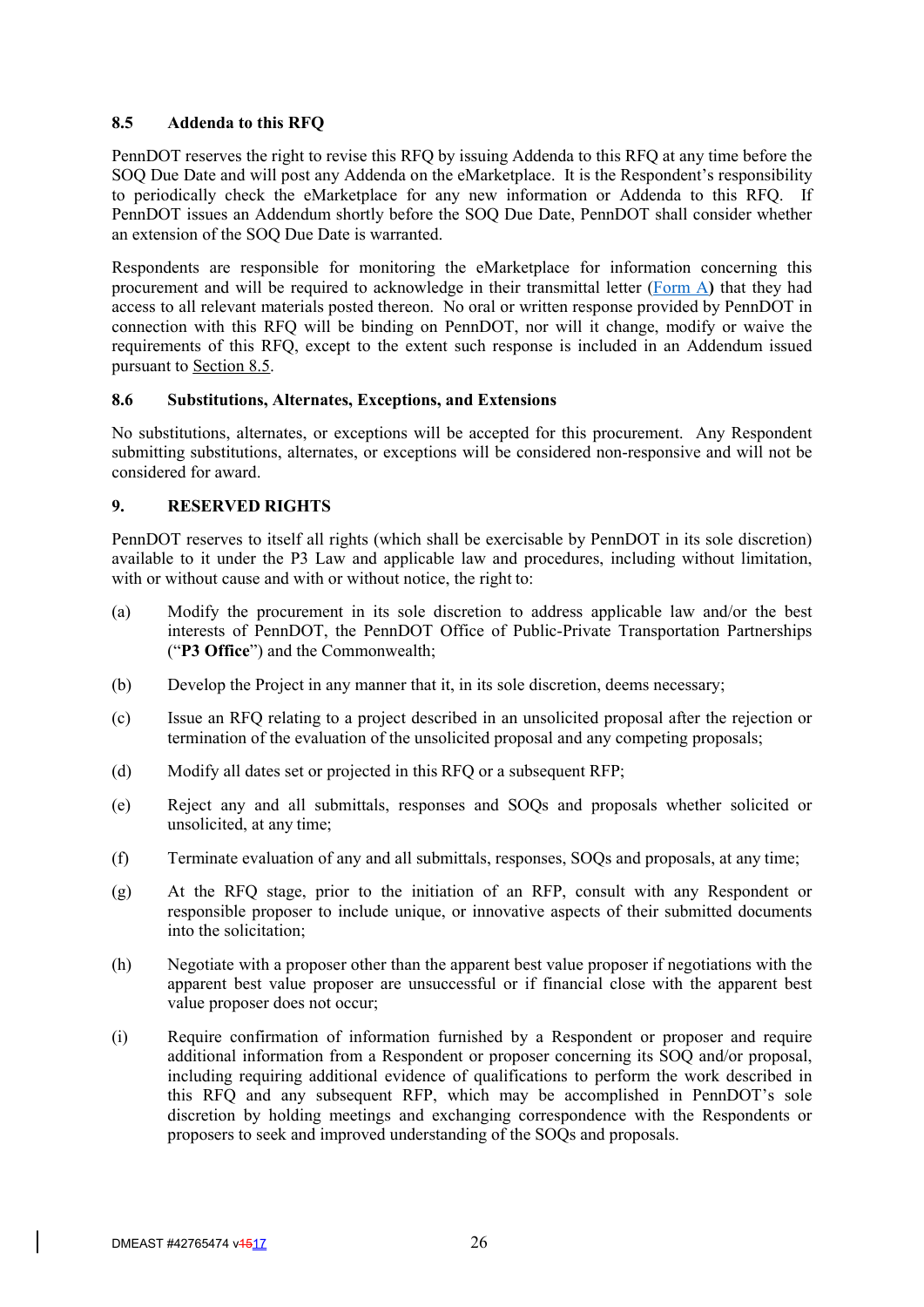## **8.5 Addenda to this RFQ**

PennDOT reserves the right to revise this RFQ by issuing Addenda to this RFQ at any time before the SOQ Due Date and will post any Addenda on the eMarketplace. It is the Respondent's responsibility to periodically check the eMarketplace for any new information or Addenda to this RFQ. If PennDOT issues an Addendum shortly before the SOQ Due Date, PennDOT shall consider whether an extension of the SOQ Due Date is warranted.

Respondents are responsible for monitoring the eMarketplace for information concerning this procurement and will be required to acknowledge in their transmittal letter (Form A**)** that they had access to all relevant materials posted thereon. No oral or written response provided by PennDOT in connection with this RFQ will be binding on PennDOT, nor will it change, modify or waive the requirements of this RFQ, except to the extent such response is included in an Addendum issued pursuant to Section 8.5.

#### **8.6 Substitutions, Alternates, Exceptions, and Extensions**

No substitutions, alternates, or exceptions will be accepted for this procurement. Any Respondent submitting substitutions, alternates, or exceptions will be considered non-responsive and will not be considered for award.

## **9. RESERVED RIGHTS**

PennDOT reserves to itself all rights (which shall be exercisable by PennDOT in its sole discretion) available to it under the P3 Law and applicable law and procedures, including without limitation, with or without cause and with or without notice, the right to:

- (a) Modify the procurement in its sole discretion to address applicable law and/or the best interests of PennDOT, the PennDOT Office of Public-Private Transportation Partnerships ("**P3 Office**") and the Commonwealth;
- (b) Develop the Project in any manner that it, in its sole discretion, deems necessary;
- (c) Issue an RFQ relating to a project described in an unsolicited proposal after the rejection or termination of the evaluation of the unsolicited proposal and any competing proposals;
- (d) Modify all dates set or projected in this RFQ or a subsequent RFP;
- (e) Reject any and all submittals, responses and SOQs and proposals whether solicited or unsolicited, at any time;
- (f) Terminate evaluation of any and all submittals, responses, SOQs and proposals, at any time;
- (g) At the RFQ stage, prior to the initiation of an RFP, consult with any Respondent or responsible proposer to include unique, or innovative aspects of their submitted documents into the solicitation;
- (h) Negotiate with a proposer other than the apparent best value proposer if negotiations with the apparent best value proposer are unsuccessful or if financial close with the apparent best value proposer does not occur;
- (i) Require confirmation of information furnished by a Respondent or proposer and require additional information from a Respondent or proposer concerning its SOQ and/or proposal, including requiring additional evidence of qualifications to perform the work described in this RFQ and any subsequent RFP, which may be accomplished in PennDOT's sole discretion by holding meetings and exchanging correspondence with the Respondents or proposers to seek and improved understanding of the SOQs and proposals.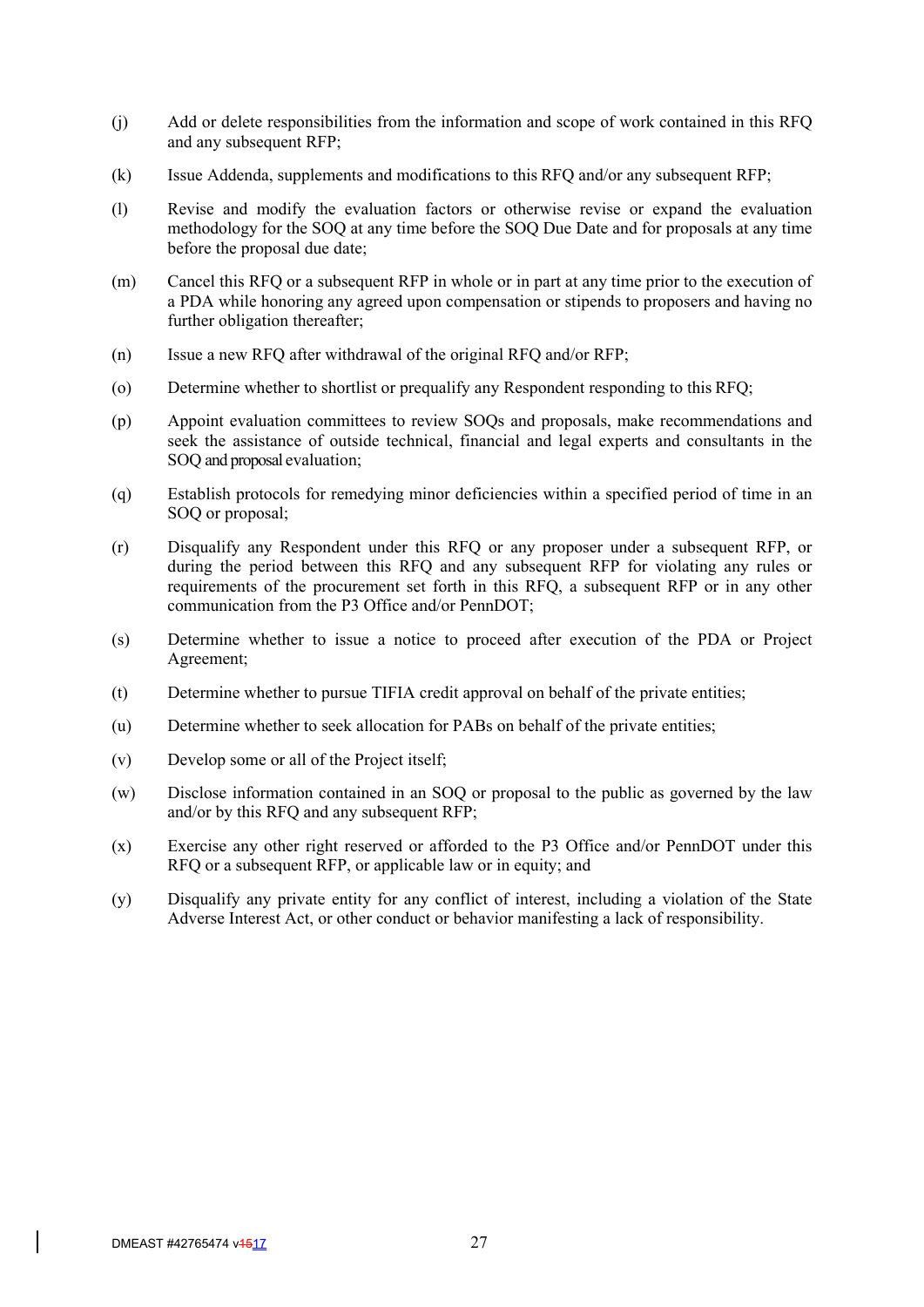- (j) Add or delete responsibilities from the information and scope of work contained in this RFQ and any subsequent RFP;
- (k) Issue Addenda, supplements and modifications to this RFQ and/or any subsequent RFP;
- (l) Revise and modify the evaluation factors or otherwise revise or expand the evaluation methodology for the SOQ at any time before the SOQ Due Date and for proposals at any time before the proposal due date;
- (m) Cancel this RFQ or a subsequent RFP in whole or in part at any time prior to the execution of a PDA while honoring any agreed upon compensation or stipends to proposers and having no further obligation thereafter;
- (n) Issue a new RFQ after withdrawal of the original RFQ and/or RFP;
- (o) Determine whether to shortlist or prequalify any Respondent responding to this RFQ;
- (p) Appoint evaluation committees to review SOQs and proposals, make recommendations and seek the assistance of outside technical, financial and legal experts and consultants in the SOQ and proposal evaluation;
- (q) Establish protocols for remedying minor deficiencies within a specified period of time in an SOQ or proposal;
- (r) Disqualify any Respondent under this RFQ or any proposer under a subsequent RFP, or during the period between this RFQ and any subsequent RFP for violating any rules or requirements of the procurement set forth in this RFQ, a subsequent RFP or in any other communication from the P3 Office and/or PennDOT;
- (s) Determine whether to issue a notice to proceed after execution of the PDA or Project Agreement;
- (t) Determine whether to pursue TIFIA credit approval on behalf of the private entities;
- (u) Determine whether to seek allocation for PABs on behalf of the private entities;
- (v) Develop some or all of the Project itself;
- (w) Disclose information contained in an SOQ or proposal to the public as governed by the law and/or by this RFQ and any subsequent RFP;
- (x) Exercise any other right reserved or afforded to the P3 Office and/or PennDOT under this RFQ or a subsequent RFP, or applicable law or in equity; and
- (y) Disqualify any private entity for any conflict of interest, including a violation of the State Adverse Interest Act, or other conduct or behavior manifesting a lack of responsibility.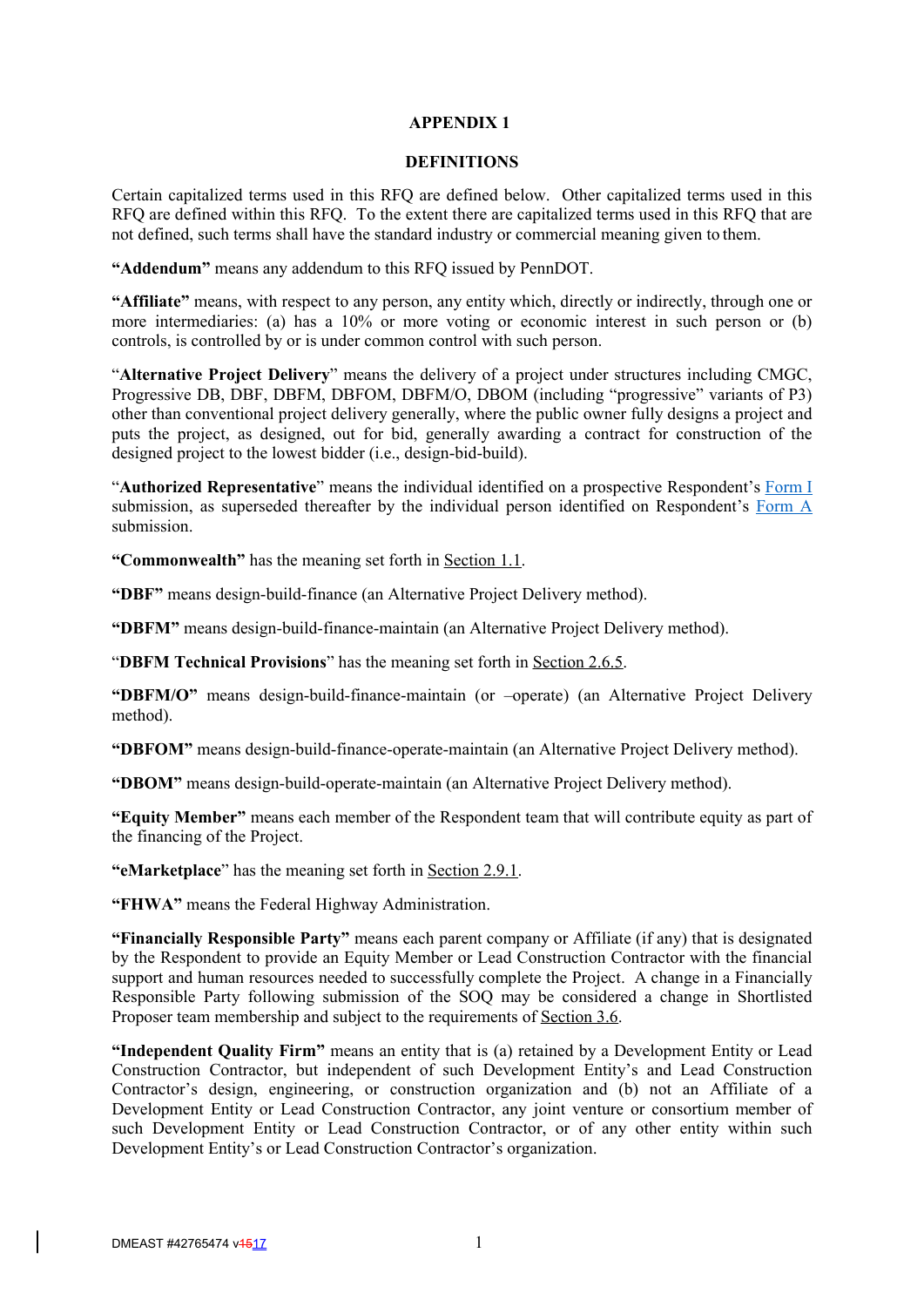#### **APPENDIX 1**

#### **DEFINITIONS**

Certain capitalized terms used in this RFQ are defined below. Other capitalized terms used in this RFQ are defined within this RFQ. To the extent there are capitalized terms used in this RFQ that are not defined, such terms shall have the standard industry or commercial meaning given to them.

**"Addendum"** means any addendum to this RFQ issued by PennDOT.

**"Affiliate"** means, with respect to any person, any entity which, directly or indirectly, through one or more intermediaries: (a) has a 10% or more voting or economic interest in such person or (b) controls, is controlled by or is under common control with such person.

"**Alternative Project Delivery**" means the delivery of a project under structures including CMGC, Progressive DB, DBF, DBFM, DBFOM, DBFM/O, DBOM (including "progressive" variants of P3) other than conventional project delivery generally, where the public owner fully designs a project and puts the project, as designed, out for bid, generally awarding a contract for construction of the designed project to the lowest bidder (i.e., design-bid-build).

"**Authorized Representative**" means the individual identified on a prospective Respondent's Form I submission, as superseded thereafter by the individual person identified on Respondent's Form A submission.

**"Commonwealth"** has the meaning set forth in Section 1.1.

**"DBF"** means design-build-finance (an Alternative Project Delivery method).

**"DBFM"** means design-build-finance-maintain (an Alternative Project Delivery method).

"**DBFM Technical Provisions**" has the meaning set forth in Section 2.6.5.

**"DBFM/O"** means design-build-finance-maintain (or –operate) (an Alternative Project Delivery method).

**"DBFOM"** means design-build-finance-operate-maintain (an Alternative Project Delivery method).

**"DBOM"** means design-build-operate-maintain (an Alternative Project Delivery method).

**"Equity Member"** means each member of the Respondent team that will contribute equity as part of the financing of the Project.

**"eMarketplace**" has the meaning set forth in Section 2.9.1.

**"FHWA"** means the Federal Highway Administration.

**"Financially Responsible Party"** means each parent company or Affiliate (if any) that is designated by the Respondent to provide an Equity Member or Lead Construction Contractor with the financial support and human resources needed to successfully complete the Project. A change in a Financially Responsible Party following submission of the SOQ may be considered a change in Shortlisted Proposer team membership and subject to the requirements of Section 3.6.

**"Independent Quality Firm"** means an entity that is (a) retained by a Development Entity or Lead Construction Contractor, but independent of such Development Entity's and Lead Construction Contractor's design, engineering, or construction organization and (b) not an Affiliate of a Development Entity or Lead Construction Contractor, any joint venture or consortium member of such Development Entity or Lead Construction Contractor, or of any other entity within such Development Entity's or Lead Construction Contractor's organization.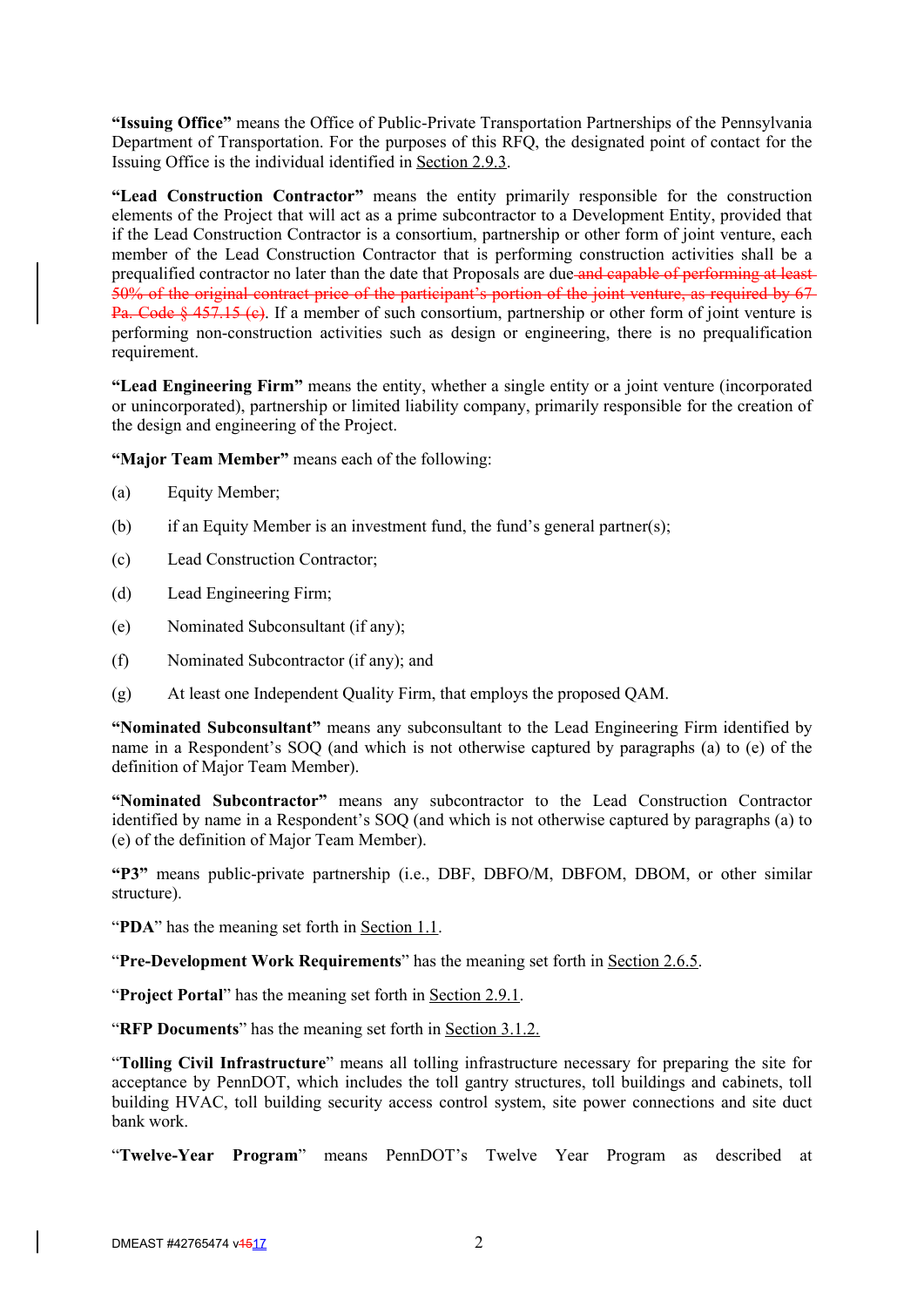**"Issuing Office"** means the Office of Public-Private Transportation Partnerships of the Pennsylvania Department of Transportation. For the purposes of this RFQ, the designated point of contact for the Issuing Office is the individual identified in Section 2.9.3.

**"Lead Construction Contractor"** means the entity primarily responsible for the construction elements of the Project that will act as a prime subcontractor to a Development Entity, provided that if the Lead Construction Contractor is a consortium, partnership or other form of joint venture, each member of the Lead Construction Contractor that is performing construction activities shall be a prequalified contractor no later than the date that Proposals are due and capable of performing at least 50% of the original contract price of the participant's portion of the joint venture, as required by 67 Pa. Code § 457.15 (c). If a member of such consortium, partnership or other form of joint venture is performing non-construction activities such as design or engineering, there is no prequalification requirement.

**"Lead Engineering Firm"** means the entity, whether a single entity or a joint venture (incorporated or unincorporated), partnership or limited liability company, primarily responsible for the creation of the design and engineering of the Project.

**"Major Team Member"** means each of the following:

- (a) Equity Member;
- (b) if an Equity Member is an investment fund, the fund's general partner(s);
- (c) Lead Construction Contractor;
- (d) Lead Engineering Firm;
- (e) Nominated Subconsultant (if any);
- (f) Nominated Subcontractor (if any); and
- (g) At least one Independent Quality Firm, that employs the proposed QAM.

**"Nominated Subconsultant"** means any subconsultant to the Lead Engineering Firm identified by name in a Respondent's SOQ (and which is not otherwise captured by paragraphs (a) to (e) of the definition of Major Team Member).

**"Nominated Subcontractor"** means any subcontractor to the Lead Construction Contractor identified by name in a Respondent's SOQ (and which is not otherwise captured by paragraphs (a) to (e) of the definition of Major Team Member).

**"P3"** means public-private partnership (i.e., DBF, DBFO/M, DBFOM, DBOM, or other similar structure).

"**PDA**" has the meaning set forth in Section 1.1.

"**Pre-Development Work Requirements**" has the meaning set forth in Section 2.6.5.

"**Project Portal**" has the meaning set forth in <u>Section 2.9.1</u>.

"**RFP Documents**" has the meaning set forth in Section 3.1.2.

"**Tolling Civil Infrastructure**" means all tolling infrastructure necessary for preparing the site for acceptance by PennDOT, which includes the toll gantry structures, toll buildings and cabinets, toll building HVAC, toll building security access control system, site power connections and site duct bank work.

"**Twelve-Year Program**" means PennDOT's Twelve Year Program as described at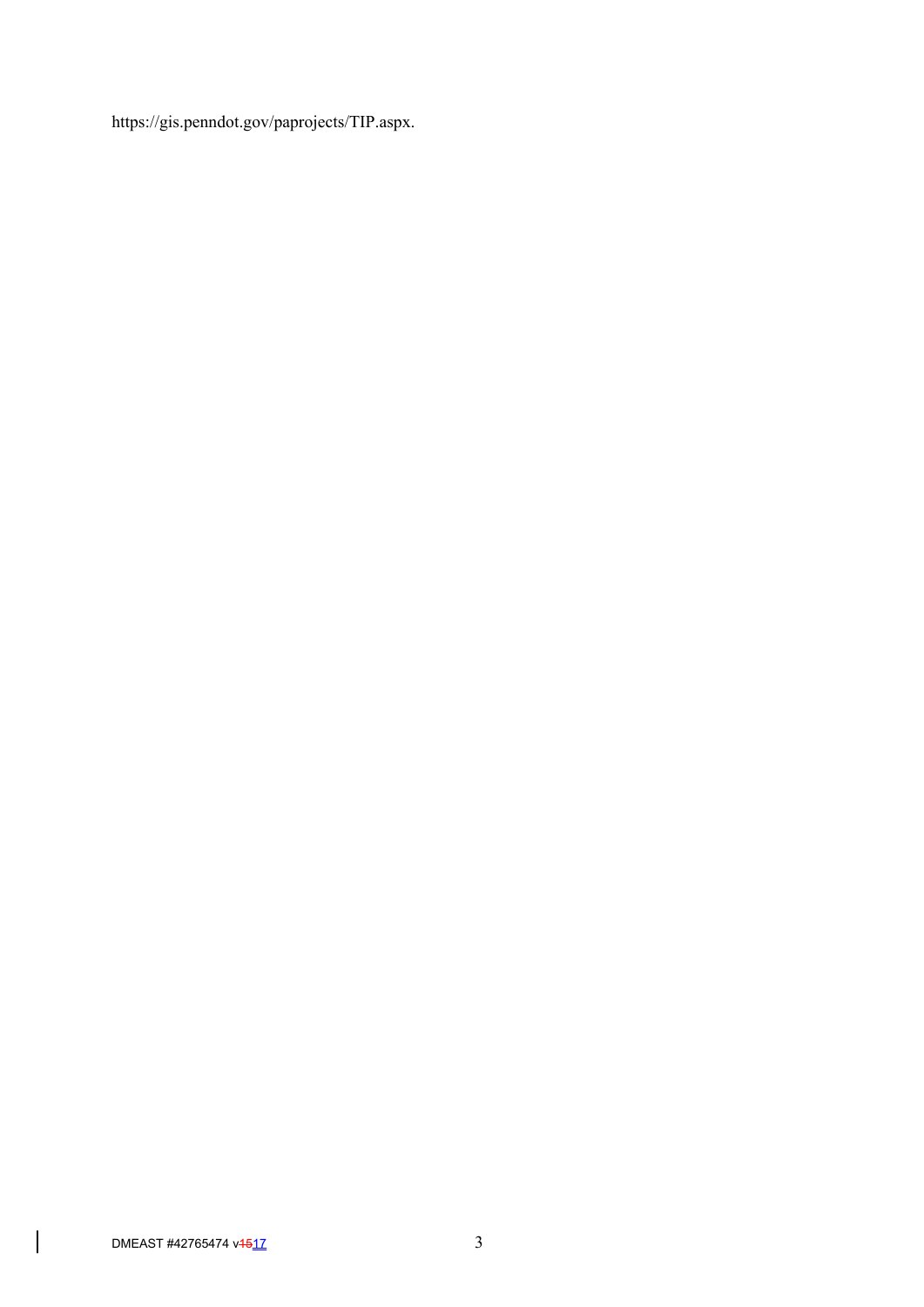https://gis.penndot.gov/paprojects/TIP.aspx.

 $\vert$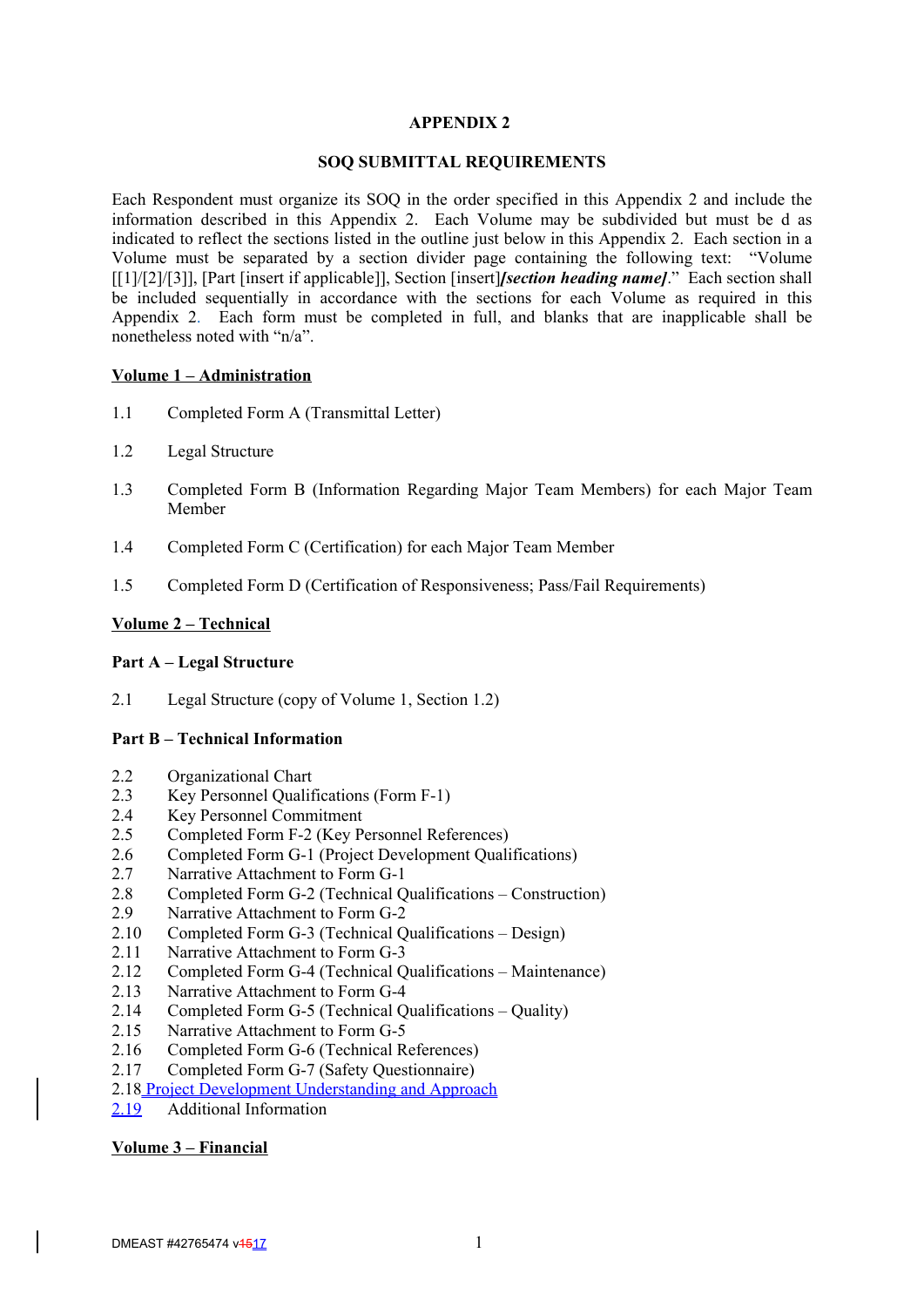#### **APPENDIX 2**

#### **SOQ SUBMITTAL REQUIREMENTS**

Each Respondent must organize its SOQ in the order specified in this Appendix 2 and include the information described in this Appendix 2. Each Volume may be subdivided but must be d as indicated to reflect the sections listed in the outline just below in this Appendix 2. Each section in a Volume must be separated by a section divider page containing the following text: "Volume [[1]/[2]/[3]], [Part [insert if applicable]], Section [insert]*[section heading name]*." Each section shall be included sequentially in accordance with the sections for each Volume as required in this Appendix 2. Each form must be completed in full, and blanks that are inapplicable shall be nonetheless noted with "n/a".

#### **Volume 1 – Administration**

- 1.1 Completed Form A (Transmittal Letter)
- 1.2 Legal Structure
- 1.3 Completed Form B (Information Regarding Major Team Members) for each Major Team Member
- 1.4 Completed Form C (Certification) for each Major Team Member
- 1.5 Completed Form D (Certification of Responsiveness; Pass/Fail Requirements)

#### **Volume 2 – Technical**

#### **Part A – Legal Structure**

2.1 Legal Structure (copy of Volume 1, Section 1.2)

#### **Part B – Technical Information**

- 2.2 Organizational Chart
- 2.3 Key Personnel Qualifications (Form F-1)
- 2.4 Key Personnel Commitment
- 2.5 Completed Form F-2 (Key Personnel References)
- 2.6 Completed Form G-1 (Project Development Qualifications)
- 2.7 Narrative Attachment to Form G-1
- 2.8 Completed Form G-2 (Technical Qualifications Construction)
- 2.9 Narrative Attachment to Form G-2
- 2.10 Completed Form G-3 (Technical Qualifications Design)
- 2.11 Narrative Attachment to Form G-3
- 2.12 Completed Form G-4 (Technical Qualifications Maintenance)
- 2.13 Narrative Attachment to Form G-4
- 2.14 Completed Form G-5 (Technical Qualifications Quality)
- 2.15 Narrative Attachment to Form G-5
- 2.16 Completed Form G-6 (Technical References)
- 2.17 Completed Form G-7 (Safety Questionnaire)
- 2.18 Project Development Understanding and Approach
- 2.19 Additional Information

#### **Volume 3 – Financial**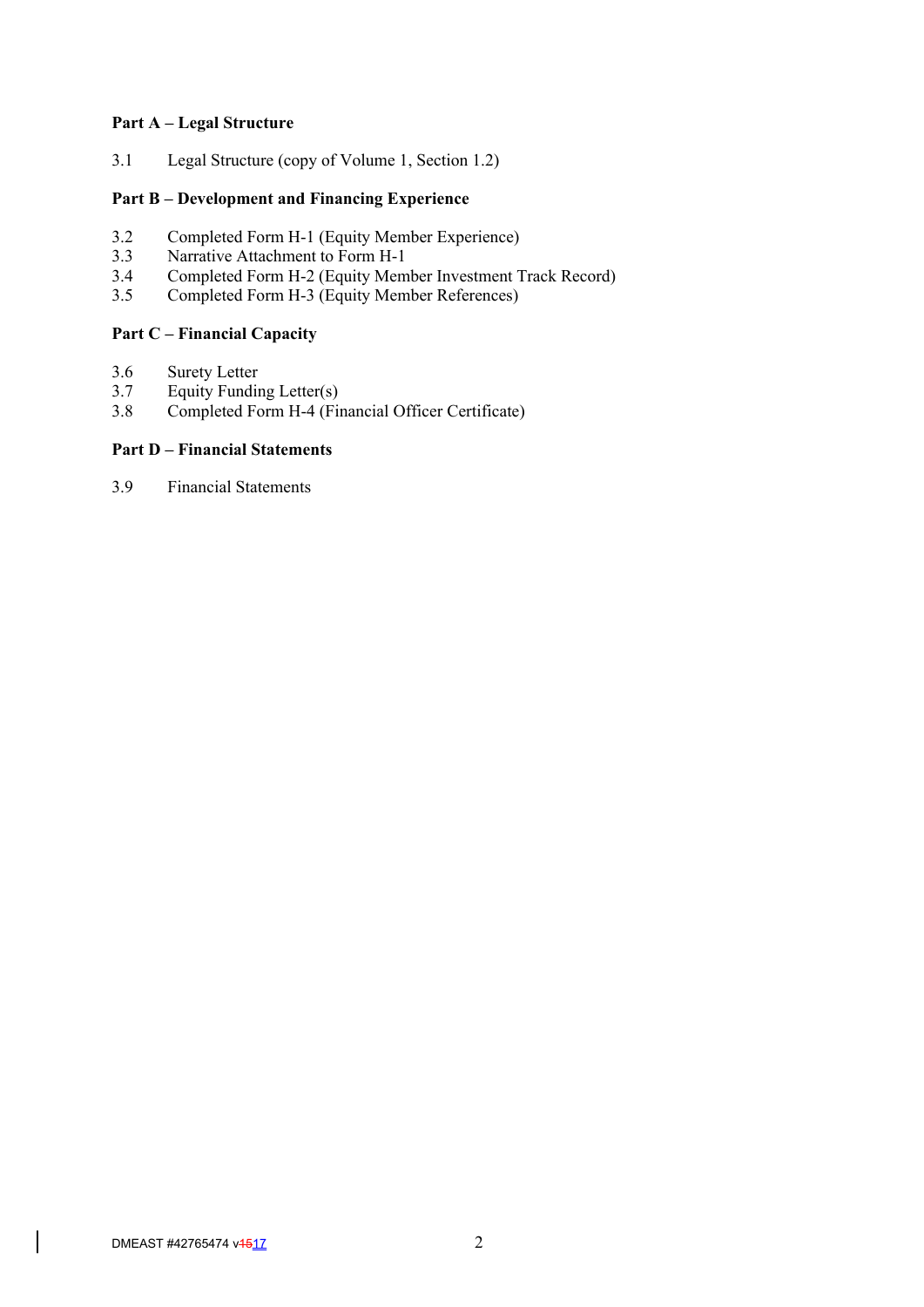#### **Part A – Legal Structure**

3.1 Legal Structure (copy of Volume 1, Section 1.2)

## **Part B – Development and Financing Experience**

- 3.2 Completed Form H-1 (Equity Member Experience)<br>3.3 Narrative Attachment to Form H-1
- Narrative Attachment to Form H-1
- 3.4 Completed Form H-2 (Equity Member Investment Track Record)
- 3.5 Completed Form H-3 (Equity Member References)

# **Part C – Financial Capacity**

- 3.6 Surety Letter<br>3.7 Equity Fundin
- Equity Funding Letter(s)
- 3.8 Completed Form H-4 (Financial Officer Certificate)

## **Part D – Financial Statements**

3.9 Financial Statements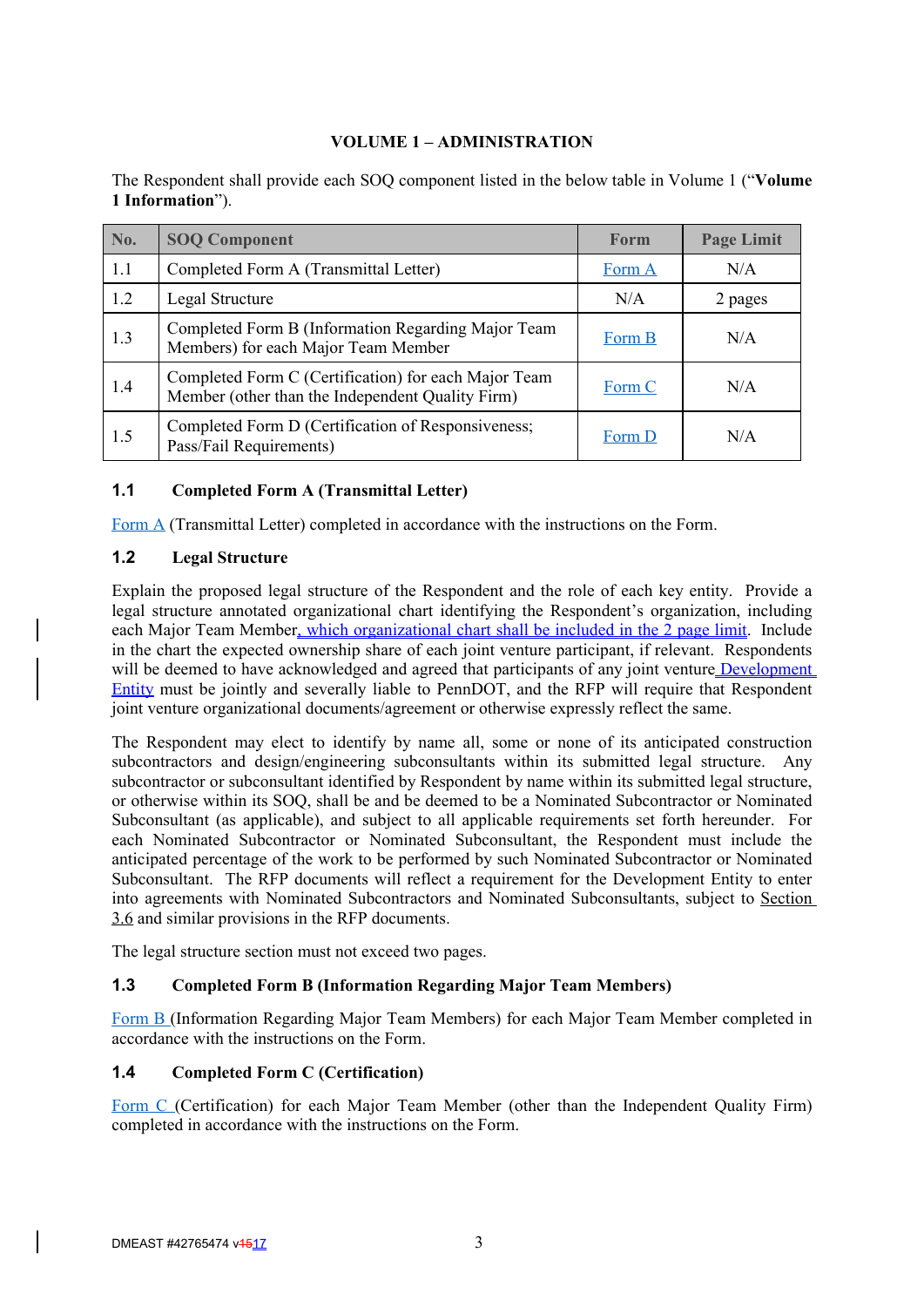# **VOLUME 1 – ADMINISTRATION**

The Respondent shall provide each SOQ component listed in the below table in Volume 1 ("**Volume 1 Information**").

| No.                           | <b>SOQ Component</b>                                                                                     | <b>Form</b> | <b>Page Limit</b> |
|-------------------------------|----------------------------------------------------------------------------------------------------------|-------------|-------------------|
| 1.1                           | Completed Form A (Transmittal Letter)                                                                    | Form A      | N/A               |
| 1.2<br>Legal Structure<br>N/A |                                                                                                          |             | 2 pages           |
| 1.3                           | Completed Form B (Information Regarding Major Team<br>Members) for each Major Team Member                | Form B      | N/A               |
| 1.4                           | Completed Form C (Certification) for each Major Team<br>Member (other than the Independent Quality Firm) |             | N/A               |
| 1.5                           | Completed Form D (Certification of Responsiveness;<br>Pass/Fail Requirements)                            | Form D      | N/A               |

# **1.1 Completed Form A (Transmittal Letter)**

Form A (Transmittal Letter) completed in accordance with the instructions on the Form.

# **1.2 Legal Structure**

Explain the proposed legal structure of the Respondent and the role of each key entity. Provide a legal structure annotated organizational chart identifying the Respondent's organization, including each Major Team Member, which organizational chart shall be included in the 2 page limit. Include in the chart the expected ownership share of each joint venture participant, if relevant. Respondents will be deemed to have acknowledged and agreed that participants of any joint venture Development Entity must be jointly and severally liable to PennDOT, and the RFP will require that Respondent joint venture organizational documents/agreement or otherwise expressly reflect the same.

The Respondent may elect to identify by name all, some or none of its anticipated construction subcontractors and design/engineering subconsultants within its submitted legal structure. Any subcontractor or subconsultant identified by Respondent by name within its submitted legal structure, or otherwise within its SOQ, shall be and be deemed to be a Nominated Subcontractor or Nominated Subconsultant (as applicable), and subject to all applicable requirements set forth hereunder. For each Nominated Subcontractor or Nominated Subconsultant, the Respondent must include the anticipated percentage of the work to be performed by such Nominated Subcontractor or Nominated Subconsultant. The RFP documents will reflect a requirement for the Development Entity to enter into agreements with Nominated Subcontractors and Nominated Subconsultants, subject to Section 3.6 and similar provisions in the RFP documents.

The legal structure section must not exceed two pages.

### **1.3 Completed Form B (Information Regarding Major Team Members)**

Form B (Information Regarding Major Team Members) for each Major Team Member completed in accordance with the instructions on the Form.

### **1.4 Completed Form C (Certification)**

Form C (Certification) for each Major Team Member (other than the Independent Quality Firm) completed in accordance with the instructions on the Form.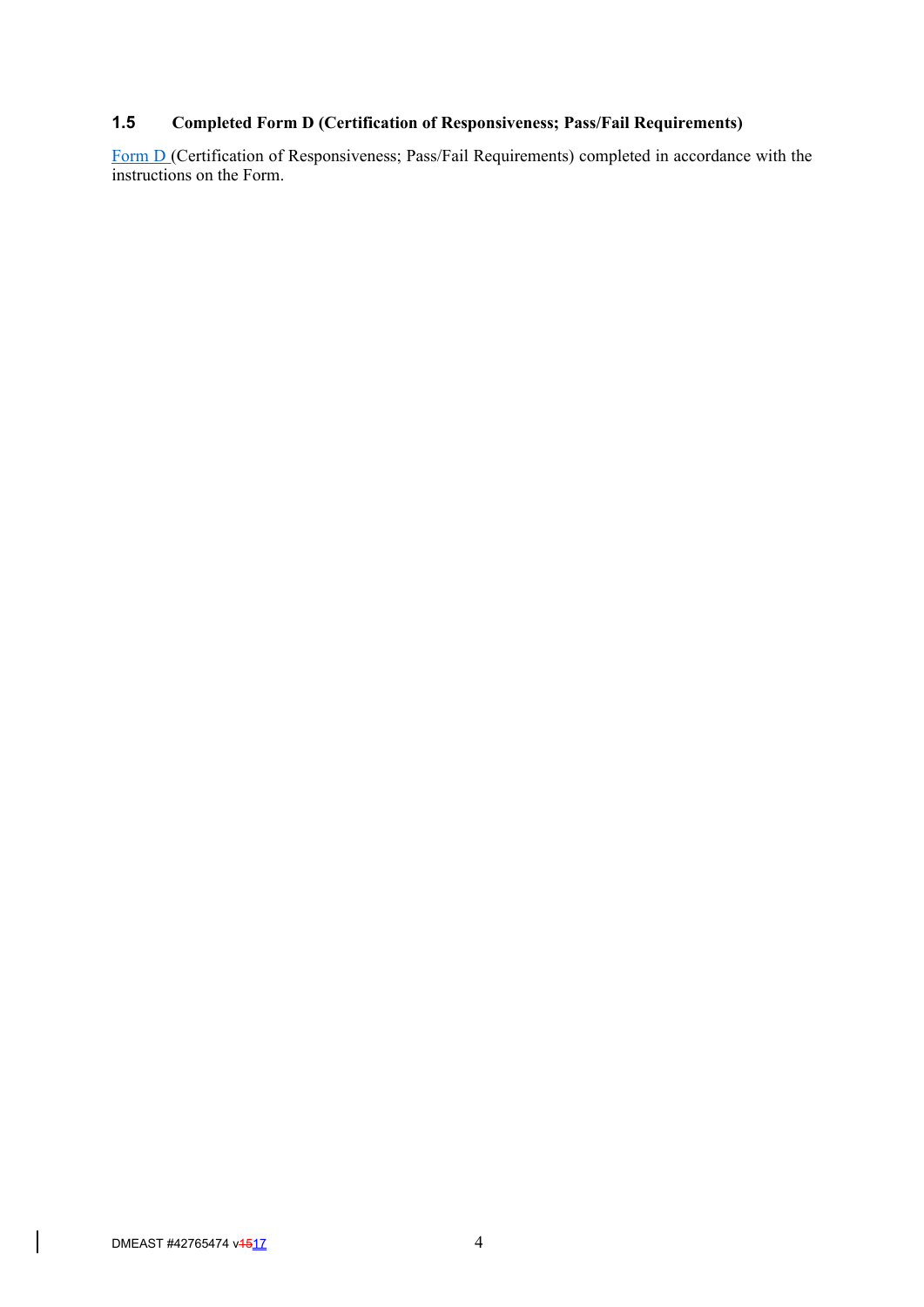# **1.5 Completed Form D (Certification of Responsiveness; Pass/Fail Requirements)**

Form D (Certification of Responsiveness; Pass/Fail Requirements) completed in accordance with the instructions on the Form.

 $\vert$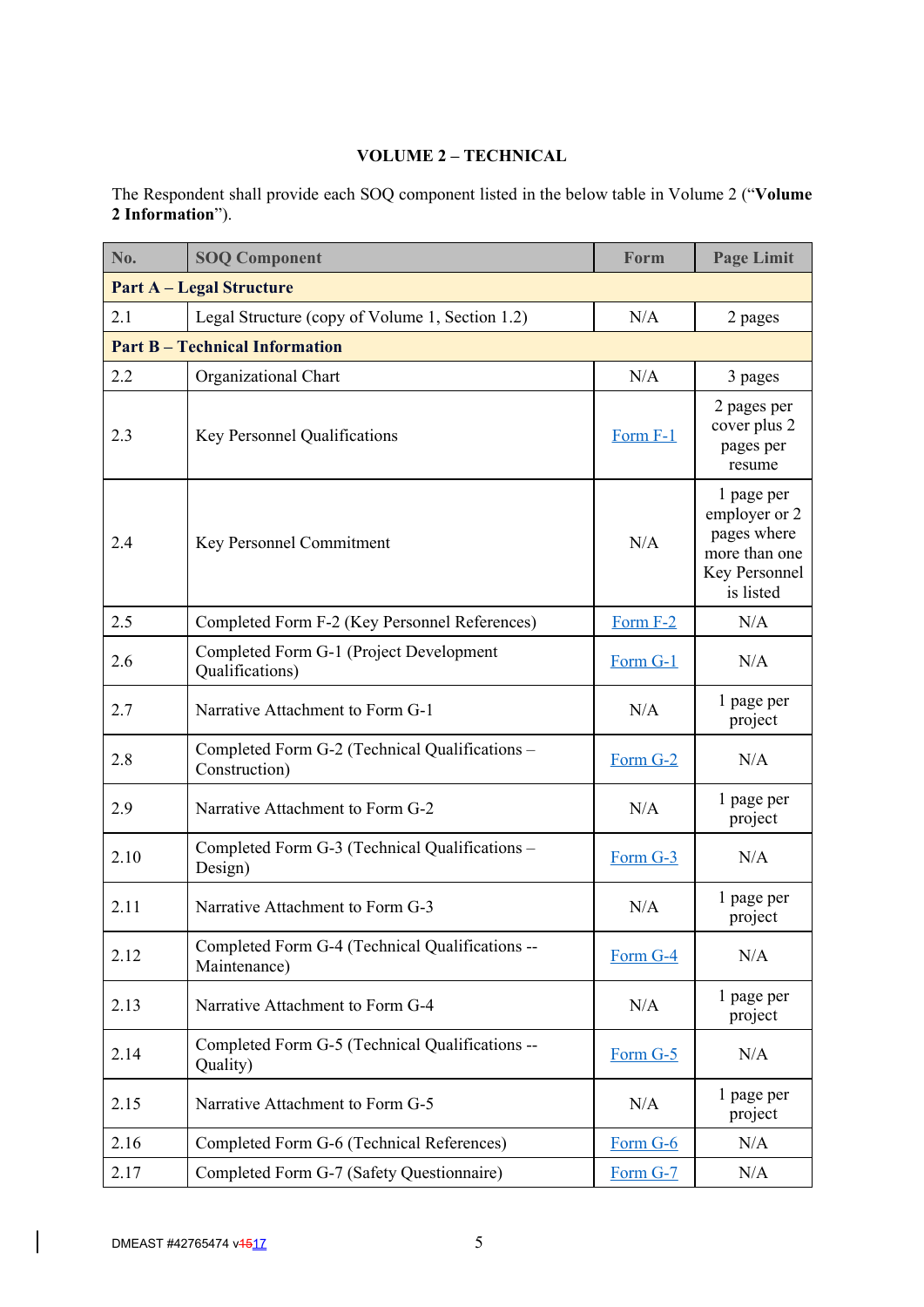# **VOLUME 2 – TECHNICAL**

The Respondent shall provide each SOQ component listed in the below table in Volume 2 ("**Volume 2 Information**").

| No.                                                                      | <b>SOQ Component</b>                                                        | Form     | <b>Page Limit</b>                                                                         |  |  |  |
|--------------------------------------------------------------------------|-----------------------------------------------------------------------------|----------|-------------------------------------------------------------------------------------------|--|--|--|
|                                                                          | <b>Part A – Legal Structure</b>                                             |          |                                                                                           |  |  |  |
| N/A<br>2.1<br>Legal Structure (copy of Volume 1, Section 1.2)<br>2 pages |                                                                             |          |                                                                                           |  |  |  |
|                                                                          | <b>Part B - Technical Information</b>                                       |          |                                                                                           |  |  |  |
| 2.2                                                                      | Organizational Chart                                                        | N/A      | 3 pages                                                                                   |  |  |  |
| 2.3                                                                      | Key Personnel Qualifications                                                |          | 2 pages per<br>cover plus 2<br>pages per<br>resume                                        |  |  |  |
| 2.4                                                                      | Key Personnel Commitment                                                    |          | 1 page per<br>employer or 2<br>pages where<br>more than one<br>Key Personnel<br>is listed |  |  |  |
| 2.5                                                                      | Completed Form F-2 (Key Personnel References)                               | Form F-2 | N/A                                                                                       |  |  |  |
| 2.6                                                                      | Completed Form G-1 (Project Development<br>Form G-1<br>Qualifications)      |          | N/A                                                                                       |  |  |  |
| 2.7                                                                      | Narrative Attachment to Form G-1<br>N/A                                     |          | 1 page per<br>project                                                                     |  |  |  |
| 2.8                                                                      | Completed Form G-2 (Technical Qualifications –<br>Form G-2<br>Construction) |          | N/A                                                                                       |  |  |  |
| 2.9                                                                      | N/A<br>Narrative Attachment to Form G-2                                     |          | 1 page per<br>project                                                                     |  |  |  |
| 2.10                                                                     | Completed Form G-3 (Technical Qualifications -<br>Design)                   |          | N/A                                                                                       |  |  |  |
| 2.11                                                                     | Narrative Attachment to Form G-3                                            | N/A      | 1 page per<br>project                                                                     |  |  |  |
| 2.12                                                                     | Completed Form G-4 (Technical Qualifications --<br>Maintenance)             | Form G-4 | N/A                                                                                       |  |  |  |
| 2.13                                                                     | Narrative Attachment to Form G-4                                            |          | 1 page per<br>project                                                                     |  |  |  |
| 2.14                                                                     | Completed Form G-5 (Technical Qualifications --<br>Form G-5<br>Quality)     |          | N/A                                                                                       |  |  |  |
| 2.15                                                                     | Narrative Attachment to Form G-5                                            |          | 1 page per<br>project                                                                     |  |  |  |
| 2.16                                                                     | Completed Form G-6 (Technical References)                                   | Form G-6 | N/A                                                                                       |  |  |  |
| 2.17                                                                     | Completed Form G-7 (Safety Questionnaire)                                   | Form G-7 | N/A                                                                                       |  |  |  |

 $\overline{\phantom{a}}$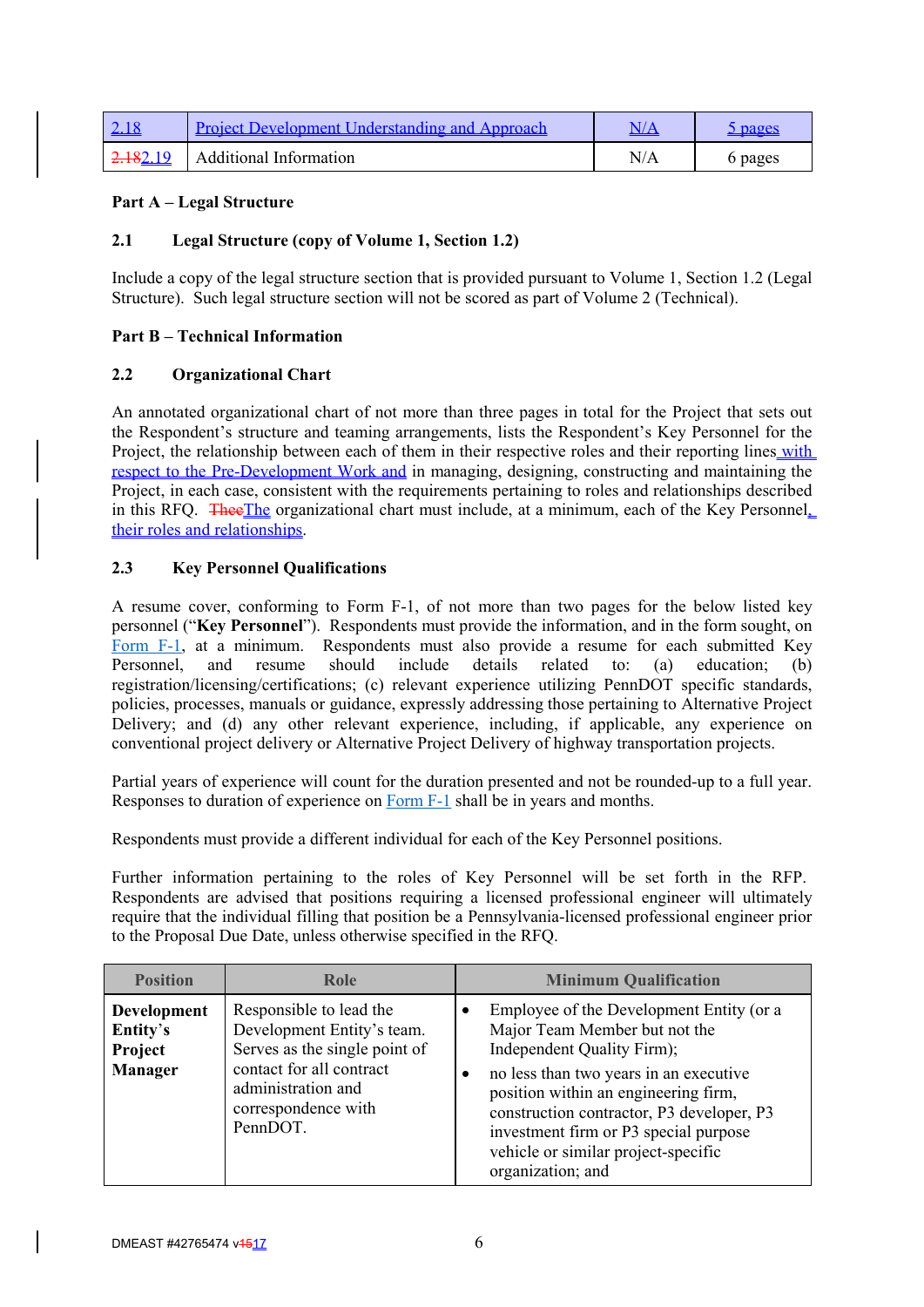| <u>2.18</u> | <b>Project Development Understanding and Approach</b> |     | <u> bages</u> |
|-------------|-------------------------------------------------------|-----|---------------|
| 2.182.19    | Additional Information                                | N/A | 6 pages       |

# **Part A – Legal Structure**

# **2.1 Legal Structure (copy of Volume 1, Section 1.2)**

Include a copy of the legal structure section that is provided pursuant to Volume 1, Section 1.2 (Legal Structure). Such legal structure section will not be scored as part of Volume 2 (Technical).

# **Part B – Technical Information**

# **2.2 Organizational Chart**

An annotated organizational chart of not more than three pages in total for the Project that sets out the Respondent's structure and teaming arrangements, lists the Respondent's Key Personnel for the Project, the relationship between each of them in their respective roles and their reporting lines with respect to the Pre-Development Work and in managing, designing, constructing and maintaining the Project, in each case, consistent with the requirements pertaining to roles and relationships described in this RFQ. TheeThe organizational chart must include, at a minimum, each of the Key Personnel, their roles and relationships.

# **2.3 Key Personnel Qualifications**

A resume cover, conforming to Form F-1, of not more than two pages for the below listed key personnel ("**Key Personnel**"). Respondents must provide the information, and in the form sought, on Form F-1, at a minimum. Respondents must also provide a resume for each submitted Key Personnel, and resume should include details related to: (a) education; (b) registration/licensing/certifications; (c) relevant experience utilizing PennDOT specific standards, policies, processes, manuals or guidance, expressly addressing those pertaining to Alternative Project Delivery; and (d) any other relevant experience, including, if applicable, any experience on conventional project delivery or Alternative Project Delivery of highway transportation projects.

Partial years of experience will count for the duration presented and not be rounded-up to a full year. Responses to duration of experience on Form F-1 shall be in years and months.

Respondents must provide a different individual for each of the Key Personnel positions.

Further information pertaining to the roles of Key Personnel will be set forth in the RFP. Respondents are advised that positions requiring a licensed professional engineer will ultimately require that the individual filling that position be a Pennsylvania-licensed professional engineer prior to the Proposal Due Date, unless otherwise specified in the RFQ.

| <b>Position</b>                                             | <b>Role</b>                                                                                                                                                                 | <b>Minimum Qualification</b>                                                                                                                                                                                                                                                                                                                             |
|-------------------------------------------------------------|-----------------------------------------------------------------------------------------------------------------------------------------------------------------------------|----------------------------------------------------------------------------------------------------------------------------------------------------------------------------------------------------------------------------------------------------------------------------------------------------------------------------------------------------------|
| <b>Development</b><br>Entity's<br>Project<br><b>Manager</b> | Responsible to lead the<br>Development Entity's team.<br>Serves as the single point of<br>contact for all contract<br>administration and<br>correspondence with<br>PennDOT. | Employee of the Development Entity (or a<br>$\bullet$<br>Major Team Member but not the<br>Independent Quality Firm);<br>no less than two years in an executive<br>position within an engineering firm,<br>construction contractor, P3 developer, P3<br>investment firm or P3 special purpose<br>vehicle or similar project-specific<br>organization; and |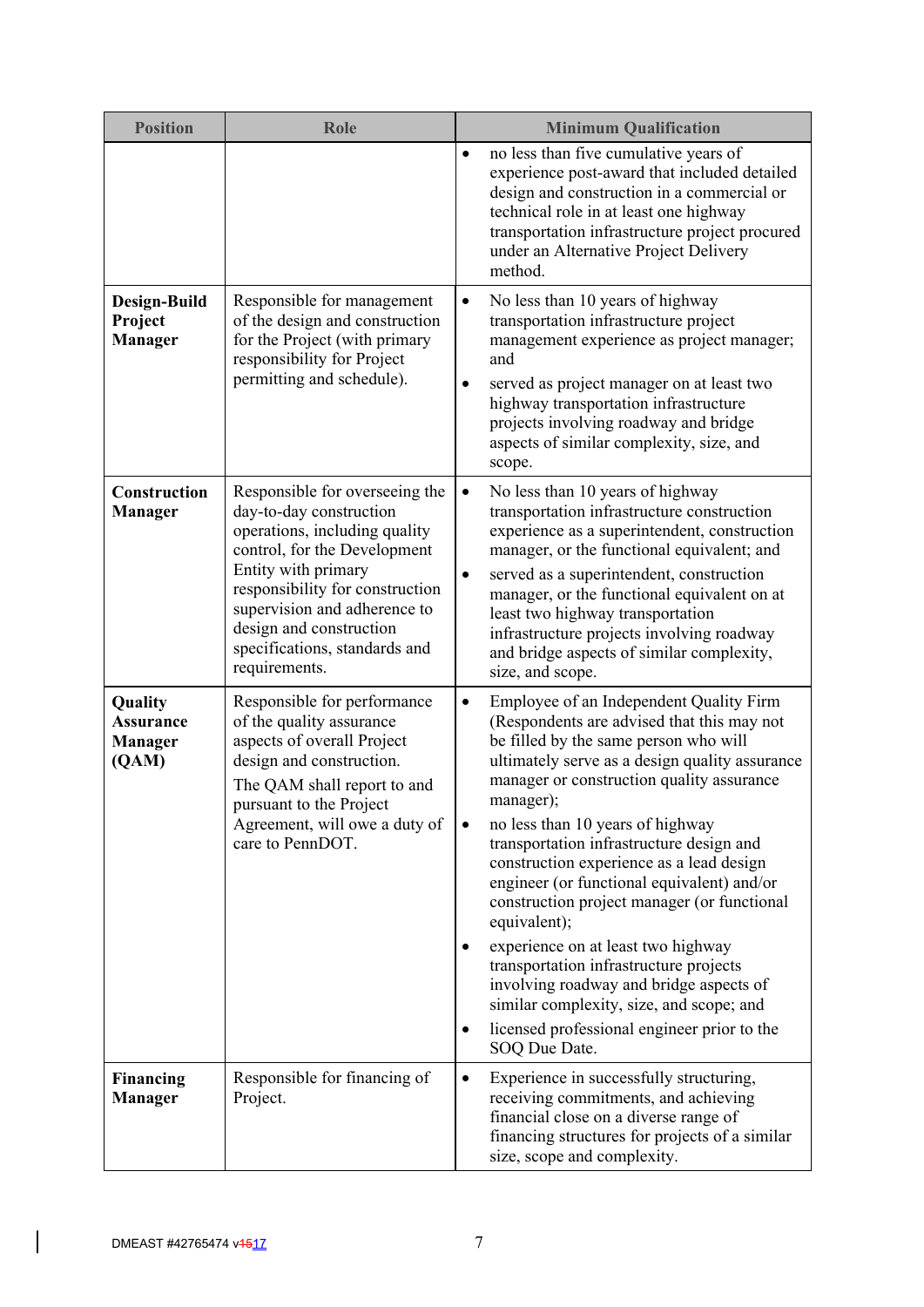| <b>Position</b>                                        | <b>Role</b>                                                                                                                                                                                                                                                                                       | <b>Minimum Qualification</b>                                                                                                                                                                                                                                                                                                                                                                                                                                                                                                                                                                                                                                                                                                                 |
|--------------------------------------------------------|---------------------------------------------------------------------------------------------------------------------------------------------------------------------------------------------------------------------------------------------------------------------------------------------------|----------------------------------------------------------------------------------------------------------------------------------------------------------------------------------------------------------------------------------------------------------------------------------------------------------------------------------------------------------------------------------------------------------------------------------------------------------------------------------------------------------------------------------------------------------------------------------------------------------------------------------------------------------------------------------------------------------------------------------------------|
|                                                        |                                                                                                                                                                                                                                                                                                   | no less than five cumulative years of<br>$\bullet$<br>experience post-award that included detailed<br>design and construction in a commercial or<br>technical role in at least one highway<br>transportation infrastructure project procured<br>under an Alternative Project Delivery<br>method.                                                                                                                                                                                                                                                                                                                                                                                                                                             |
| Design-Build<br>Project<br><b>Manager</b>              | Responsible for management<br>of the design and construction<br>for the Project (with primary<br>responsibility for Project<br>permitting and schedule).                                                                                                                                          | No less than 10 years of highway<br>٠<br>transportation infrastructure project<br>management experience as project manager;<br>and<br>served as project manager on at least two<br>٠<br>highway transportation infrastructure<br>projects involving roadway and bridge<br>aspects of similar complexity, size, and<br>scope.                                                                                                                                                                                                                                                                                                                                                                                                                 |
| Construction<br><b>Manager</b>                         | Responsible for overseeing the<br>day-to-day construction<br>operations, including quality<br>control, for the Development<br>Entity with primary<br>responsibility for construction<br>supervision and adherence to<br>design and construction<br>specifications, standards and<br>requirements. | No less than 10 years of highway<br>$\bullet$<br>transportation infrastructure construction<br>experience as a superintendent, construction<br>manager, or the functional equivalent; and<br>served as a superintendent, construction<br>$\bullet$<br>manager, or the functional equivalent on at<br>least two highway transportation<br>infrastructure projects involving roadway<br>and bridge aspects of similar complexity,<br>size, and scope.                                                                                                                                                                                                                                                                                          |
| Quality<br><b>Assurance</b><br><b>Manager</b><br>(QAM) | Responsible for performance<br>of the quality assurance<br>aspects of overall Project<br>design and construction.<br>The QAM shall report to and<br>pursuant to the Project<br>Agreement, will owe a duty of<br>care to PennDOT.                                                                  | Employee of an Independent Quality Firm<br>$\bullet$<br>(Respondents are advised that this may not<br>be filled by the same person who will<br>ultimately serve as a design quality assurance<br>manager or construction quality assurance<br>manager);<br>no less than 10 years of highway<br>transportation infrastructure design and<br>construction experience as a lead design<br>engineer (or functional equivalent) and/or<br>construction project manager (or functional<br>equivalent);<br>experience on at least two highway<br>transportation infrastructure projects<br>involving roadway and bridge aspects of<br>similar complexity, size, and scope; and<br>licensed professional engineer prior to the<br>٠<br>SOQ Due Date. |
| <b>Financing</b><br><b>Manager</b>                     | Responsible for financing of<br>Project.                                                                                                                                                                                                                                                          | Experience in successfully structuring,<br>$\bullet$<br>receiving commitments, and achieving<br>financial close on a diverse range of<br>financing structures for projects of a similar<br>size, scope and complexity.                                                                                                                                                                                                                                                                                                                                                                                                                                                                                                                       |

 $\vert$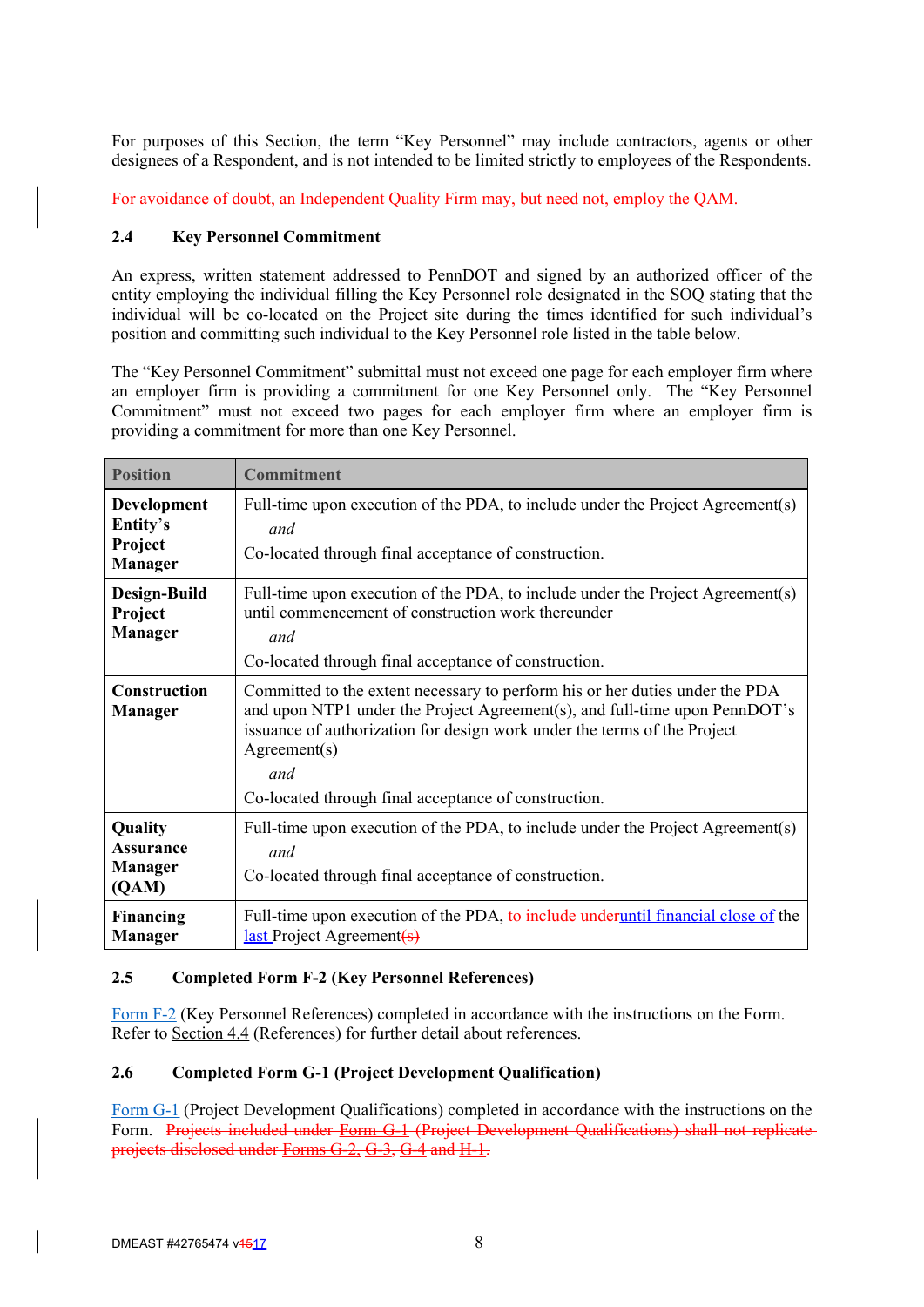For purposes of this Section, the term "Key Personnel" may include contractors, agents or other designees of a Respondent, and is not intended to be limited strictly to employees of the Respondents.

For avoidance of doubt, an Independent Quality Firm may, but need not, employ the QAM.

### **2.4 Key Personnel Commitment**

An express, written statement addressed to PennDOT and signed by an authorized officer of the entity employing the individual filling the Key Personnel role designated in the SOQ stating that the individual will be co-located on the Project site during the times identified for such individual's position and committing such individual to the Key Personnel role listed in the table below.

The "Key Personnel Commitment" submittal must not exceed one page for each employer firm where an employer firm is providing a commitment for one Key Personnel only. The "Key Personnel Commitment" must not exceed two pages for each employer firm where an employer firm is providing a commitment for more than one Key Personnel.

| <b>Position</b>                                        | <b>Commitment</b>                                                                                                                                                                                                                                                                                                     |
|--------------------------------------------------------|-----------------------------------------------------------------------------------------------------------------------------------------------------------------------------------------------------------------------------------------------------------------------------------------------------------------------|
| Development<br>Entity's<br>Project<br><b>Manager</b>   | Full-time upon execution of the PDA, to include under the Project Agreement(s)<br>and<br>Co-located through final acceptance of construction.                                                                                                                                                                         |
| Design-Build<br>Project<br><b>Manager</b>              | Full-time upon execution of the PDA, to include under the Project Agreement(s)<br>until commencement of construction work thereunder<br>and<br>Co-located through final acceptance of construction.                                                                                                                   |
| Construction<br><b>Manager</b>                         | Committed to the extent necessary to perform his or her duties under the PDA<br>and upon NTP1 under the Project Agreement(s), and full-time upon PennDOT's<br>issuance of authorization for design work under the terms of the Project<br>Agreement(s)<br>and<br>Co-located through final acceptance of construction. |
| Quality<br><b>Assurance</b><br><b>Manager</b><br>(QAM) | Full-time upon execution of the PDA, to include under the Project Agreement(s)<br>and<br>Co-located through final acceptance of construction.                                                                                                                                                                         |
| <b>Financing</b><br><b>Manager</b>                     | Full-time upon execution of the PDA, to include under until financial close of the<br>$\frac{last}{\text{Project Agreement}}$                                                                                                                                                                                         |

# **2.5 Completed Form F-2 (Key Personnel References)**

Form F-2 (Key Personnel References) completed in accordance with the instructions on the Form. Refer to Section 4.4 (References) for further detail about references.

### **2.6 Completed Form G-1 (Project Development Qualification)**

Form G-1 (Project Development Qualifications) completed in accordance with the instructions on the Form. Projects included under Form G-1 (Project Development Qualifications) shall not replicate projects disclosed under Forms G-2, G-3, G-4 and H-1.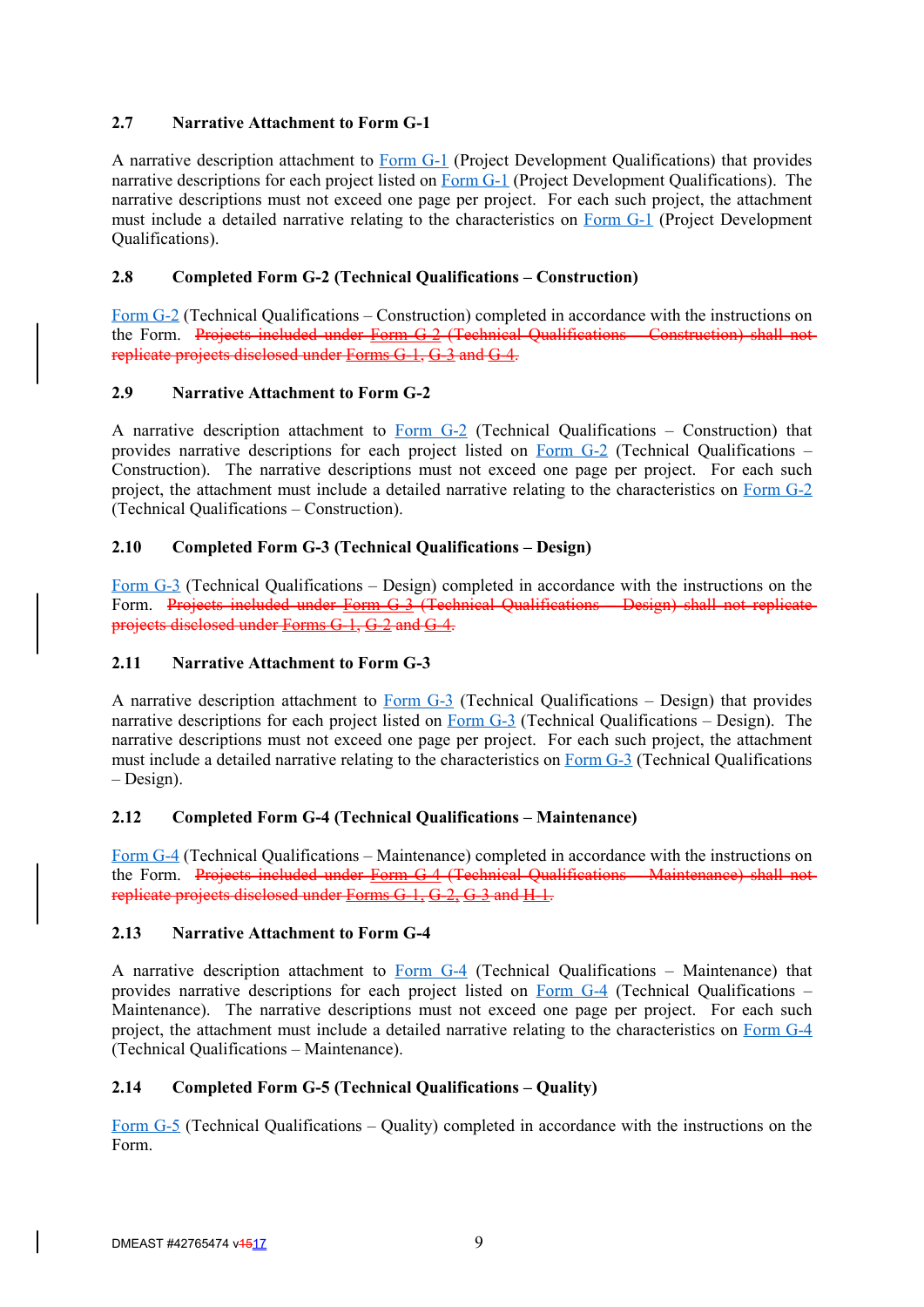# **2.7 Narrative Attachment to Form G-1**

A narrative description attachment to Form G-1 (Project Development Qualifications) that provides narrative descriptions for each project listed on Form G-1 (Project Development Qualifications). The narrative descriptions must not exceed one page per project. For each such project, the attachment must include a detailed narrative relating to the characteristics on Form G-1 (Project Development Qualifications).

# **2.8 Completed Form G-2 (Technical Qualifications – Construction)**

Form G-2 (Technical Qualifications – Construction) completed in accordance with the instructions on the Form. Projects included under Form G-2 (Technical Qualifications – Construction) shall not replicate projects disclosed under Forms G-1, G-3 and G-4.

# **2.9 Narrative Attachment to Form G-2**

A narrative description attachment to Form  $G-2$  (Technical Qualifications – Construction) that provides narrative descriptions for each project listed on Form G-2 (Technical Qualifications – Construction). The narrative descriptions must not exceed one page per project. For each such project, the attachment must include a detailed narrative relating to the characteristics on Form G-2 (Technical Qualifications – Construction).

# **2.10 Completed Form G-3 (Technical Qualifications – Design)**

Form G-3 (Technical Qualifications – Design) completed in accordance with the instructions on the Form. Projects included under Form G-3 (Technical Qualifications – Design) shall not replicate projects disclosed under Forms G-1, G-2 and G-4.

# **2.11 Narrative Attachment to Form G-3**

A narrative description attachment to Form  $G-3$  (Technical Qualifications – Design) that provides narrative descriptions for each project listed on  $\underline{Form G-3}$  (Technical Qualifications – Design). The narrative descriptions must not exceed one page per project. For each such project, the attachment must include a detailed narrative relating to the characteristics on Form G-3 (Technical Qualifications – Design).

### **2.12 Completed Form G-4 (Technical Qualifications – Maintenance)**

Form G-4 (Technical Qualifications – Maintenance) completed in accordance with the instructions on the Form. Projects included under Form G-4 (Technical Qualifications – Maintenance) shall not replicate projects disclosed under Forms G-1, G-2, G-3 and H-1.

### **2.13 Narrative Attachment to Form G-4**

A narrative description attachment to Form G-4 (Technical Qualifications – Maintenance) that provides narrative descriptions for each project listed on Form G-4 (Technical Qualifications – Maintenance). The narrative descriptions must not exceed one page per project. For each such project, the attachment must include a detailed narrative relating to the characteristics on Form G-4 (Technical Qualifications – Maintenance).

# **2.14 Completed Form G-5 (Technical Qualifications – Quality)**

Form G-5 (Technical Qualifications – Quality) completed in accordance with the instructions on the Form.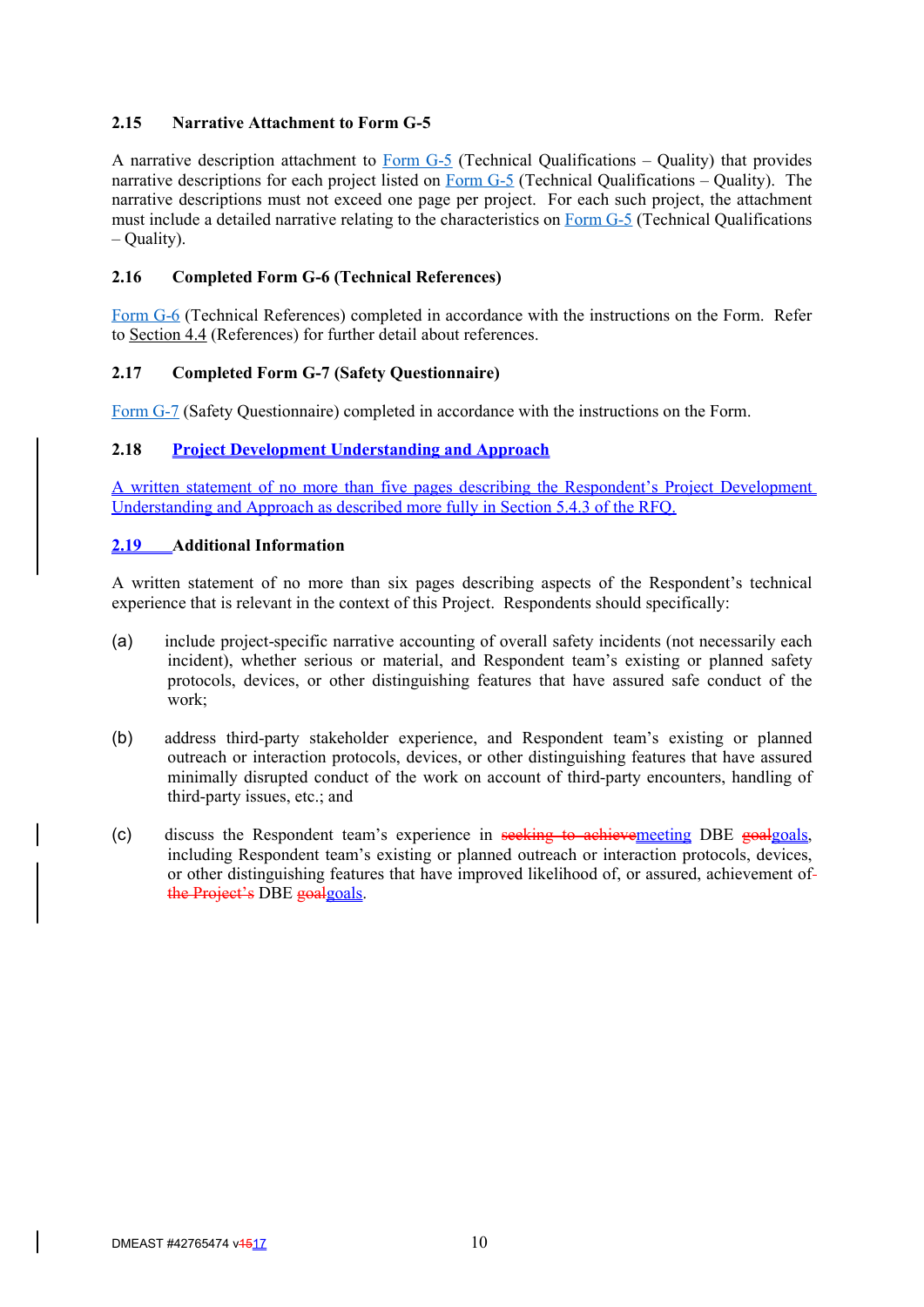# **2.15 Narrative Attachment to Form G-5**

A narrative description attachment to **Form G-5** (Technical Qualifications – Quality) that provides narrative descriptions for each project listed on Form G-5 (Technical Qualifications – Quality). The narrative descriptions must not exceed one page per project. For each such project, the attachment must include a detailed narrative relating to the characteristics on Form G-5 (Technical Qualifications – Quality).

### **2.16 Completed Form G-6 (Technical References)**

Form G-6 (Technical References) completed in accordance with the instructions on the Form. Refer to Section 4.4 (References) for further detail about references.

### **2.17 Completed Form G-7 (Safety Questionnaire)**

Form G-7 (Safety Questionnaire) completed in accordance with the instructions on the Form.

# **2.18 Project Development Understanding and Approach**

A written statement of no more than five pages describing the Respondent's Project Development Understanding and Approach as described more fully in Section 5.4.3 of the RFQ.

### **2.19 Additional Information**

A written statement of no more than six pages describing aspects of the Respondent's technical experience that is relevant in the context of this Project. Respondents should specifically:

- (a) include project-specific narrative accounting of overall safety incidents (not necessarily each incident), whether serious or material, and Respondent team's existing or planned safety protocols, devices, or other distinguishing features that have assured safe conduct of the work;
- (b) address third-party stakeholder experience, and Respondent team's existing or planned outreach or interaction protocols, devices, or other distinguishing features that have assured minimally disrupted conduct of the work on account of third-party encounters, handling of third-party issues, etc.; and
- (c) discuss the Respondent team's experience in seeking to achievemeeting DBE goalgoals, including Respondent team's existing or planned outreach or interaction protocols, devices, or other distinguishing features that have improved likelihood of, or assured, achievement of the Project's DBE goalgoals.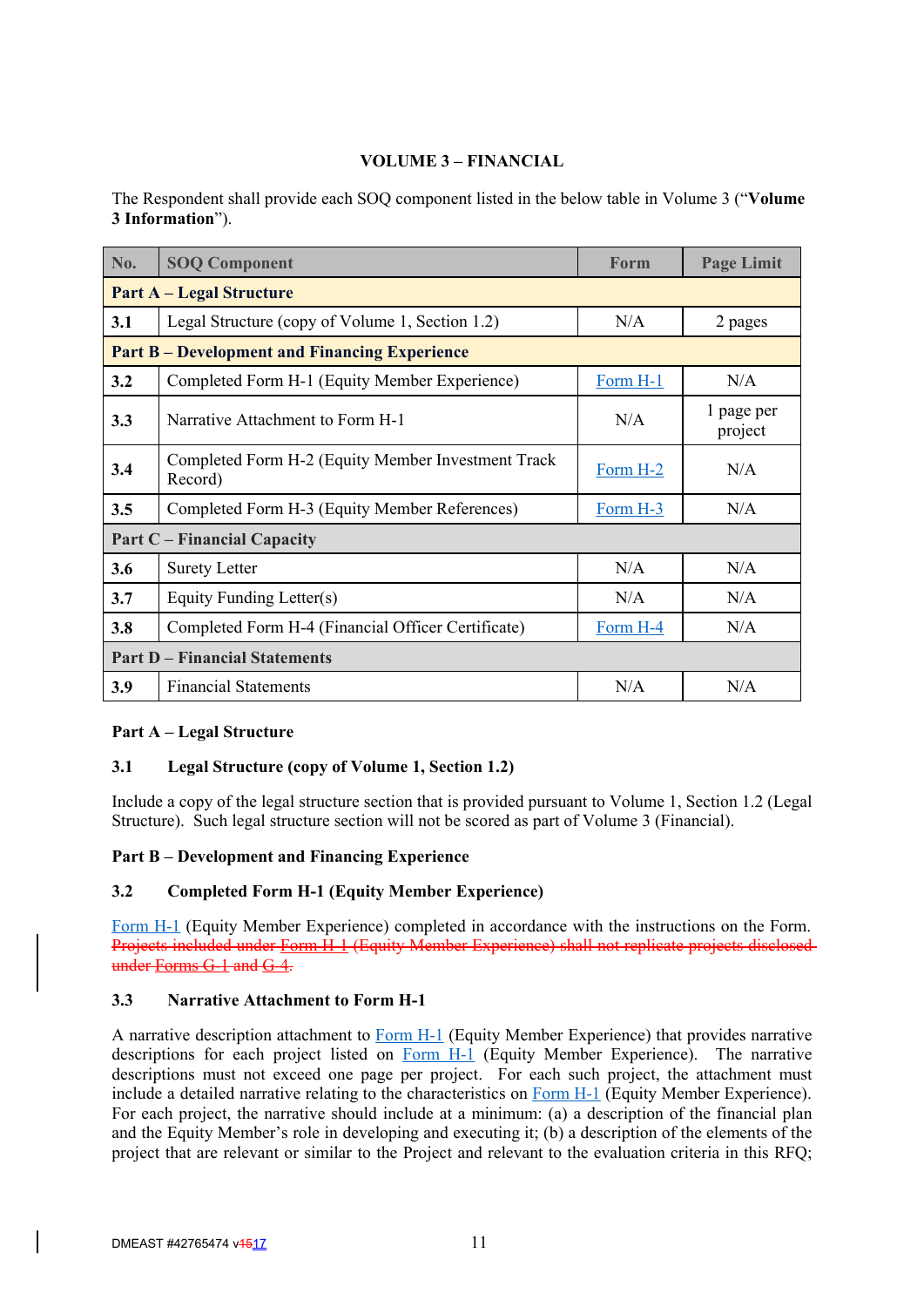# **VOLUME 3 – FINANCIAL**

The Respondent shall provide each SOQ component listed in the below table in Volume 3 ("**Volume 3 Information**").

| No.                                  | <b>SOQ Component</b>                                          | <b>Form</b>     | <b>Page Limit</b>     |  |
|--------------------------------------|---------------------------------------------------------------|-----------------|-----------------------|--|
|                                      | <b>Part A – Legal Structure</b>                               |                 |                       |  |
| 3.1                                  | Legal Structure (copy of Volume 1, Section 1.2)               | N/A             | 2 pages               |  |
|                                      | <b>Part B-Development and Financing Experience</b>            |                 |                       |  |
| 3.2                                  | Completed Form H-1 (Equity Member Experience)                 | Form H-1        | N/A                   |  |
| 3.3                                  | Narrative Attachment to Form H-1                              | N/A             | 1 page per<br>project |  |
| 3.4                                  | Completed Form H-2 (Equity Member Investment Track<br>Record) | N/A<br>Form H-2 |                       |  |
| 3.5                                  | Completed Form H-3 (Equity Member References)                 | Form H-3        | N/A                   |  |
|                                      | <b>Part C</b> – Financial Capacity                            |                 |                       |  |
| 3.6                                  | <b>Surety Letter</b>                                          | N/A             | N/A                   |  |
| 3.7                                  | Equity Funding Letter(s)                                      | N/A             | N/A                   |  |
| 3.8                                  | Completed Form H-4 (Financial Officer Certificate)            |                 | N/A                   |  |
| <b>Part D – Financial Statements</b> |                                                               |                 |                       |  |
| 3.9                                  | <b>Financial Statements</b>                                   | N/A             | N/A                   |  |

### **Part A – Legal Structure**

# **3.1 Legal Structure (copy of Volume 1, Section 1.2)**

Include a copy of the legal structure section that is provided pursuant to Volume 1, Section 1.2 (Legal Structure). Such legal structure section will not be scored as part of Volume 3 (Financial).

# **Part B – Development and Financing Experience**

# **3.2 Completed Form H-1 (Equity Member Experience)**

Form H-1 (Equity Member Experience) completed in accordance with the instructions on the Form. Projects included under Form H-1 (Equity Member Experience) shall not replicate projects disclosed under Forms G-1 and G-4.

# **3.3 Narrative Attachment to Form H-1**

A narrative description attachment to Form H-1 (Equity Member Experience) that provides narrative descriptions for each project listed on  $Form H-1$  (Equity Member Experience). The narrative descriptions must not exceed one page per project. For each such project, the attachment must include a detailed narrative relating to the characteristics on Form H-1 (Equity Member Experience). For each project, the narrative should include at a minimum: (a) a description of the financial plan and the Equity Member's role in developing and executing it; (b) a description of the elements of the project that are relevant or similar to the Project and relevant to the evaluation criteria in this RFQ;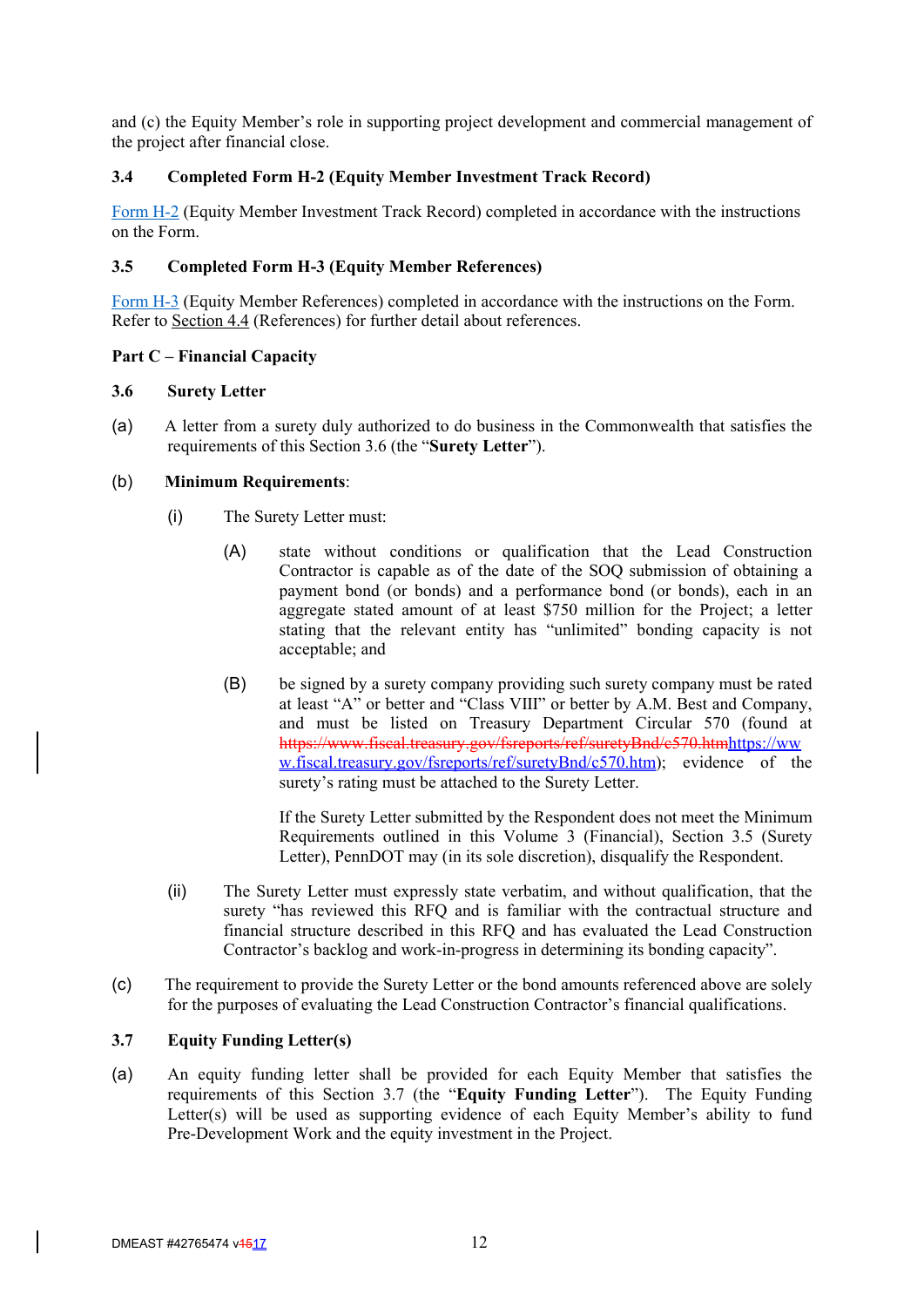and (c) the Equity Member's role in supporting project development and commercial management of the project after financial close.

# **3.4 Completed Form H-2 (Equity Member Investment Track Record)**

Form H-2 (Equity Member Investment Track Record) completed in accordance with the instructions on the Form.

# **3.5 Completed Form H-3 (Equity Member References)**

Form H-3 (Equity Member References) completed in accordance with the instructions on the Form. Refer to Section 4.4 (References) for further detail about references.

### **Part C – Financial Capacity**

### **3.6 Surety Letter**

(a) A letter from a surety duly authorized to do business in the Commonwealth that satisfies the requirements of this Section 3.6 (the "**Surety Letter**").

### (b) **Minimum Requirements**:

- (i) The Surety Letter must:
	- (A) state without conditions or qualification that the Lead Construction Contractor is capable as of the date of the SOQ submission of obtaining a payment bond (or bonds) and a performance bond (or bonds), each in an aggregate stated amount of at least \$750 million for the Project; a letter stating that the relevant entity has "unlimited" bonding capacity is not acceptable; and
	- (B) be signed by a surety company providing such surety company must be rated at least "A" or better and "Class VIII" or better by A.M. Best and Company, and must be listed on Treasury Department Circular 570 (found at https://www.fiscal.treasury.gov/fsreports/ref/suretyBnd/c570.htmhttps://ww w.fiscal.treasury.gov/fsreports/ref/suretyBnd/c570.htm); evidence of the surety's rating must be attached to the Surety Letter.

If the Surety Letter submitted by the Respondent does not meet the Minimum Requirements outlined in this Volume 3 (Financial), Section 3.5 (Surety Letter), PennDOT may (in its sole discretion), disqualify the Respondent.

- (ii) The Surety Letter must expressly state verbatim, and without qualification, that the surety "has reviewed this RFQ and is familiar with the contractual structure and financial structure described in this RFQ and has evaluated the Lead Construction Contractor's backlog and work-in-progress in determining its bonding capacity".
- (c) The requirement to provide the Surety Letter or the bond amounts referenced above are solely for the purposes of evaluating the Lead Construction Contractor's financial qualifications.

### **3.7 Equity Funding Letter(s)**

(a) An equity funding letter shall be provided for each Equity Member that satisfies the requirements of this Section 3.7 (the "**Equity Funding Letter**"). The Equity Funding Letter(s) will be used as supporting evidence of each Equity Member's ability to fund Pre-Development Work and the equity investment in the Project.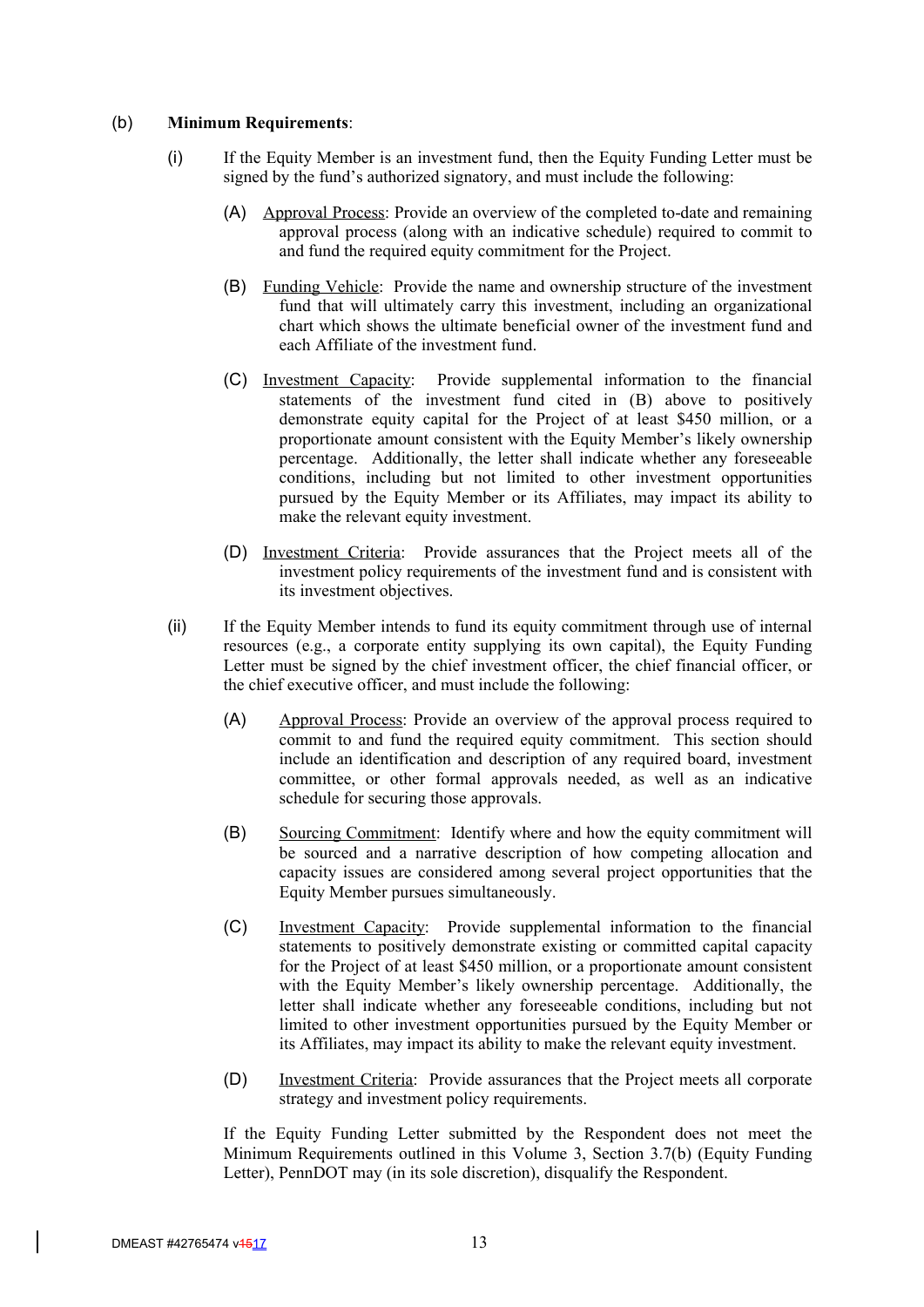#### (b) **Minimum Requirements**:

- (i) If the Equity Member is an investment fund, then the Equity Funding Letter must be signed by the fund's authorized signatory, and must include the following:
	- (A) Approval Process: Provide an overview of the completed to-date and remaining approval process (along with an indicative schedule) required to commit to and fund the required equity commitment for the Project.
	- (B) Funding Vehicle: Provide the name and ownership structure of the investment fund that will ultimately carry this investment, including an organizational chart which shows the ultimate beneficial owner of the investment fund and each Affiliate of the investment fund.
	- (C) Investment Capacity: Provide supplemental information to the financial statements of the investment fund cited in (B) above to positively demonstrate equity capital for the Project of at least \$450 million, or a proportionate amount consistent with the Equity Member's likely ownership percentage. Additionally, the letter shall indicate whether any foreseeable conditions, including but not limited to other investment opportunities pursued by the Equity Member or its Affiliates, may impact its ability to make the relevant equity investment.
	- (D) Investment Criteria: Provide assurances that the Project meets all of the investment policy requirements of the investment fund and is consistent with its investment objectives.
- (ii) If the Equity Member intends to fund its equity commitment through use of internal resources (e.g., a corporate entity supplying its own capital), the Equity Funding Letter must be signed by the chief investment officer, the chief financial officer, or the chief executive officer, and must include the following:
	- (A) Approval Process: Provide an overview of the approval process required to commit to and fund the required equity commitment. This section should include an identification and description of any required board, investment committee, or other formal approvals needed, as well as an indicative schedule for securing those approvals.
	- (B) Sourcing Commitment: Identify where and how the equity commitment will be sourced and a narrative description of how competing allocation and capacity issues are considered among several project opportunities that the Equity Member pursues simultaneously.
	- (C) Investment Capacity: Provide supplemental information to the financial statements to positively demonstrate existing or committed capital capacity for the Project of at least \$450 million, or a proportionate amount consistent with the Equity Member's likely ownership percentage. Additionally, the letter shall indicate whether any foreseeable conditions, including but not limited to other investment opportunities pursued by the Equity Member or its Affiliates, may impact its ability to make the relevant equity investment.
	- (D) Investment Criteria: Provide assurances that the Project meets all corporate strategy and investment policy requirements.

If the Equity Funding Letter submitted by the Respondent does not meet the Minimum Requirements outlined in this Volume 3, Section 3.7(b) (Equity Funding Letter), PennDOT may (in its sole discretion), disqualify the Respondent.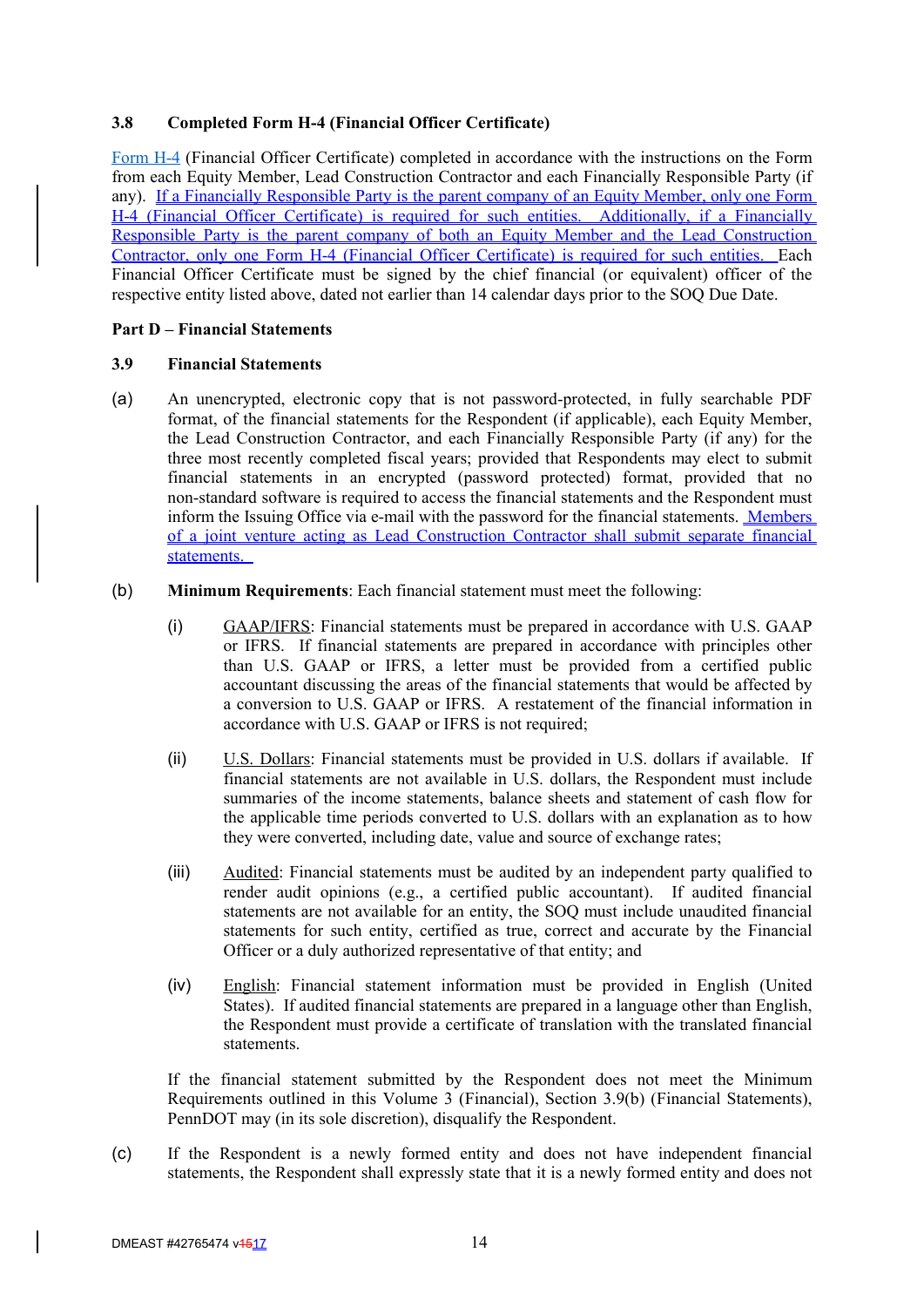# **3.8 Completed Form H-4 (Financial Officer Certificate)**

Form H-4 (Financial Officer Certificate) completed in accordance with the instructions on the Form from each Equity Member, Lead Construction Contractor and each Financially Responsible Party (if any). If a Financially Responsible Party is the parent company of an Equity Member, only one Form H-4 (Financial Officer Certificate) is required for such entities. Additionally, if a Financially Responsible Party is the parent company of both an Equity Member and the Lead Construction Contractor, only one Form H-4 (Financial Officer Certificate) is required for such entities. Each Financial Officer Certificate must be signed by the chief financial (or equivalent) officer of the respective entity listed above, dated not earlier than 14 calendar days prior to the SOQ Due Date.

# **Part D – Financial Statements**

# **3.9 Financial Statements**

- (a) An unencrypted, electronic copy that is not password-protected, in fully searchable PDF format, of the financial statements for the Respondent (if applicable), each Equity Member, the Lead Construction Contractor, and each Financially Responsible Party (if any) for the three most recently completed fiscal years; provided that Respondents may elect to submit financial statements in an encrypted (password protected) format, provided that no non-standard software is required to access the financial statements and the Respondent must inform the Issuing Office via e-mail with the password for the financial statements. Members of a joint venture acting as Lead Construction Contractor shall submit separate financial statements.
- (b) **Minimum Requirements**: Each financial statement must meet the following:
	- (i) GAAP/IFRS: Financial statements must be prepared in accordance with U.S. GAAP or IFRS. If financial statements are prepared in accordance with principles other than U.S. GAAP or IFRS, a letter must be provided from a certified public accountant discussing the areas of the financial statements that would be affected by a conversion to U.S. GAAP or IFRS. A restatement of the financial information in accordance with U.S. GAAP or IFRS is not required;
	- (ii) U.S. Dollars: Financial statements must be provided in U.S. dollars if available. If financial statements are not available in U.S. dollars, the Respondent must include summaries of the income statements, balance sheets and statement of cash flow for the applicable time periods converted to U.S. dollars with an explanation as to how they were converted, including date, value and source of exchange rates;
	- (iii) Audited: Financial statements must be audited by an independent party qualified to render audit opinions (e.g., a certified public accountant). If audited financial statements are not available for an entity, the SOQ must include unaudited financial statements for such entity, certified as true, correct and accurate by the Financial Officer or a duly authorized representative of that entity; and
	- (iv) English: Financial statement information must be provided in English (United States). If audited financial statements are prepared in a language other than English, the Respondent must provide a certificate of translation with the translated financial statements.

If the financial statement submitted by the Respondent does not meet the Minimum Requirements outlined in this Volume 3 (Financial), Section 3.9(b) (Financial Statements), PennDOT may (in its sole discretion), disqualify the Respondent.

(c) If the Respondent is a newly formed entity and does not have independent financial statements, the Respondent shall expressly state that it is a newly formed entity and does not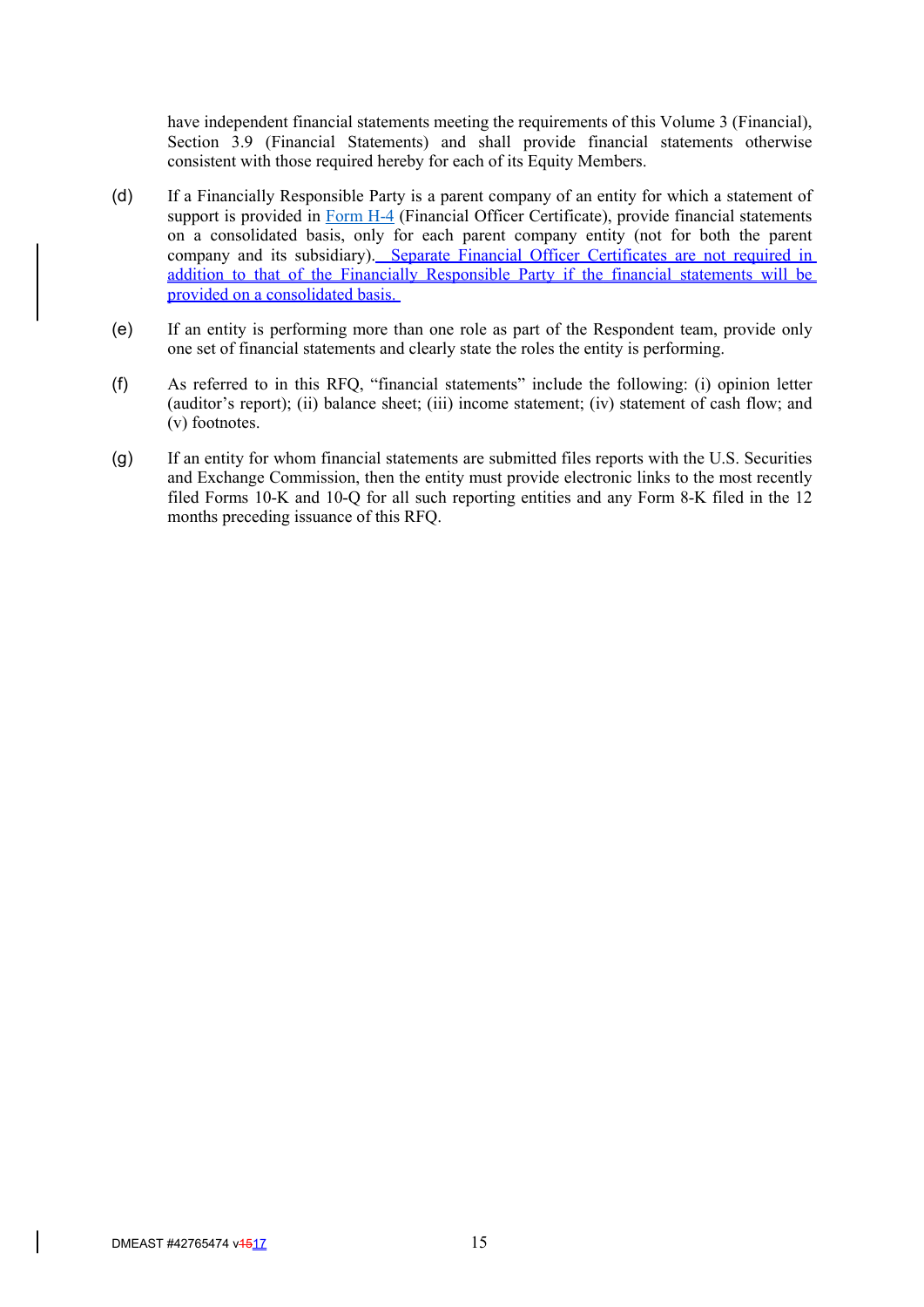have independent financial statements meeting the requirements of this Volume 3 (Financial), Section 3.9 (Financial Statements) and shall provide financial statements otherwise consistent with those required hereby for each of its Equity Members.

- (d) If a Financially Responsible Party is a parent company of an entity for which a statement of support is provided in Form H-4 (Financial Officer Certificate), provide financial statements on a consolidated basis, only for each parent company entity (not for both the parent company and its subsidiary). Separate Financial Officer Certificates are not required in addition to that of the Financially Responsible Party if the financial statements will be provided on a consolidated basis.
- (e) If an entity is performing more than one role as part of the Respondent team, provide only one set of financial statements and clearly state the roles the entity is performing.
- (f) As referred to in this RFQ, "financial statements" include the following: (i) opinion letter (auditor's report); (ii) balance sheet; (iii) income statement; (iv) statement of cash flow; and (v) footnotes.
- (g) If an entity for whom financial statements are submitted files reports with the U.S. Securities and Exchange Commission, then the entity must provide electronic links to the most recently filed Forms 10-K and 10-Q for all such reporting entities and any Form 8-K filed in the 12 months preceding issuance of this RFQ.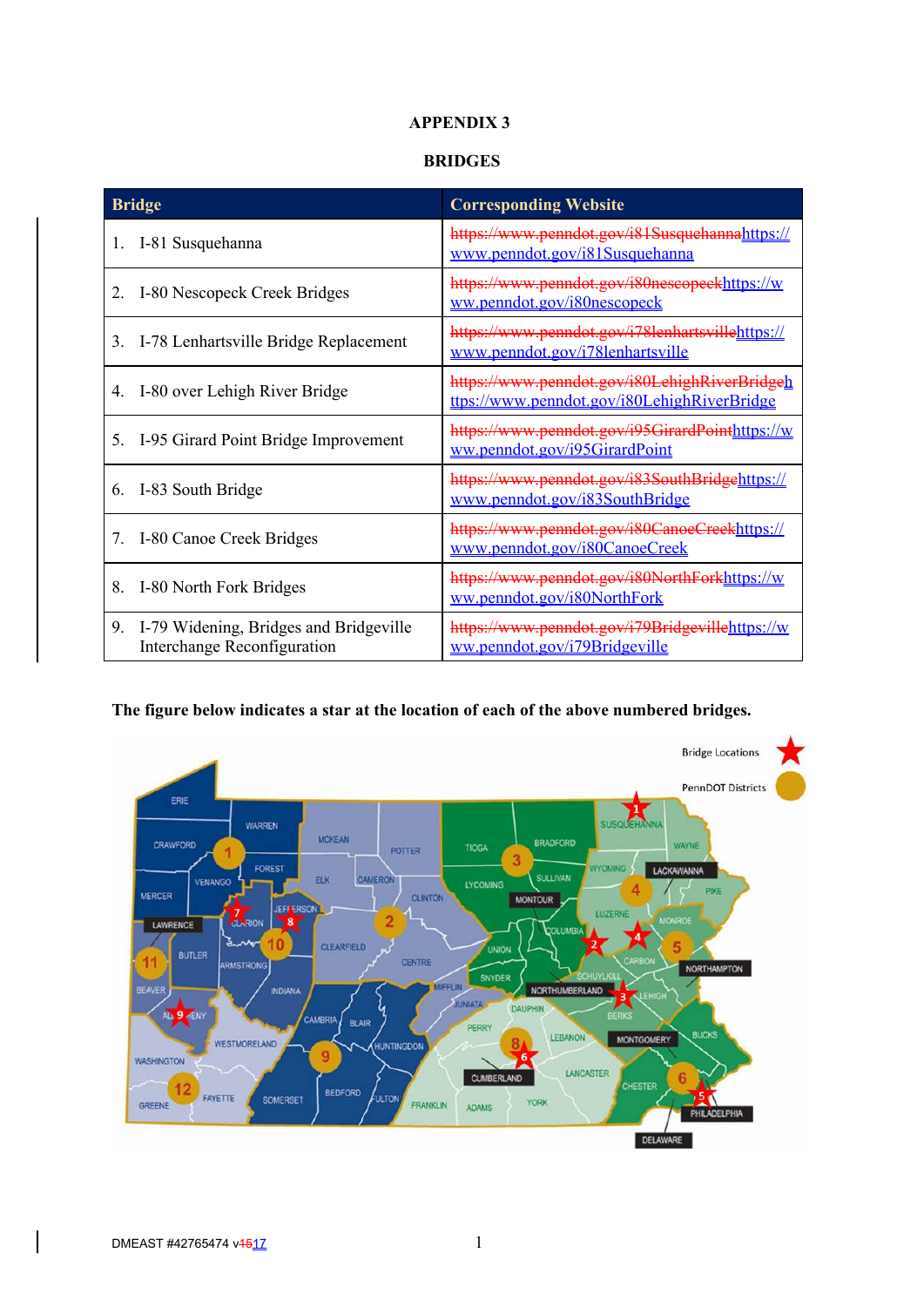# **APPENDIX 3**

### **BRIDGES**

| <b>Bridge</b>                                                            | <b>Corresponding Website</b>                                                                 |  |
|--------------------------------------------------------------------------|----------------------------------------------------------------------------------------------|--|
| 1. I-81 Susquehanna                                                      | https://www.penndot.gov/i81Susquehannahttps://<br>www.penndot.gov/i81Susquehanna             |  |
| I-80 Nescopeck Creek Bridges                                             | https://www.penndot.gov/i80nescopeckhttps://w<br>ww.penndot.gov/i80nescopeck                 |  |
| I-78 Lenhartsville Bridge Replacement<br>3.                              | https://www.penndot.gov/i78lenhartsvillehttps://<br>www.penndot.gov/i78lenhartsville         |  |
| I-80 over Lehigh River Bridge<br>4.                                      | https://www.penndot.gov/i80LehighRiverBridgeh<br>ttps://www.penndot.gov/i80LehighRiverBridge |  |
| 5. I-95 Girard Point Bridge Improvement                                  | https://www.penndot.gov/i95GirardPointhttps://w<br>ww.penndot.gov/i95GirardPoint             |  |
| 6. I-83 South Bridge                                                     | https://www.penndot.gov/i83SouthBridgehttps://<br>www.penndot.gov/i83SouthBridge             |  |
| 7. I-80 Canoe Creek Bridges                                              | https://www.penndot.gov/i80CanoeCreekhttps://<br>www.penndot.gov/i80CanoeCreek               |  |
| I-80 North Fork Bridges<br>8.                                            | https://www.penndot.gov/i80NorthForkhttps://w<br>ww.penndot.gov/i80NorthFork                 |  |
| 9. I-79 Widening, Bridges and Bridgeville<br>Interchange Reconfiguration | https://www.penndot.gov/i79Bridgevillehttps://w<br>ww.penndot.gov/i79Bridgeville             |  |

# **The figure below indicates a star at the location of each of the above numbered bridges.**

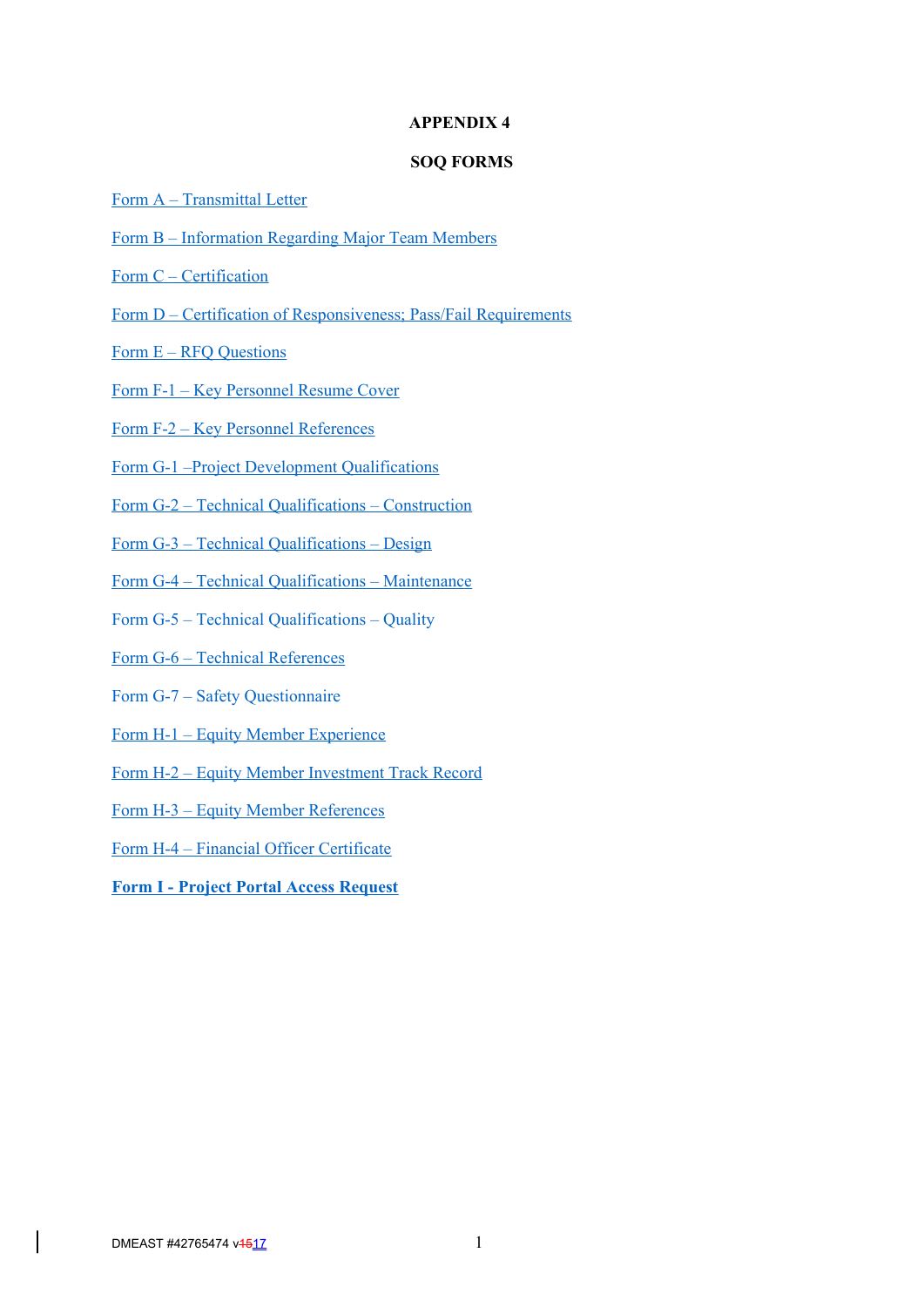#### **APPENDIX 4**

### **SOQ FORMS**

- Form A Transmittal Letter
- Form B Information Regarding Major Team Members
- Form C Certification
- Form D Certification of Responsiveness; Pass/Fail Requirements
- Form E RFQ Questions
- Form F-1 Key Personnel Resume Cover
- Form F-2 Key Personnel References
- Form G-1 –Project Development Qualifications
- Form G-2 Technical Qualifications Construction
- Form G-3 Technical Qualifications Design
- Form G-4 Technical Qualifications Maintenance
- Form G-5 Technical Qualifications Quality
- Form G-6 Technical References
- Form G-7 Safety Questionnaire
- Form H-1 Equity Member Experience
- Form H-2 Equity Member Investment Track Record
- Form H-3 Equity Member References
- Form H-4 Financial Officer Certificate
- **Form I Project Portal Access Request**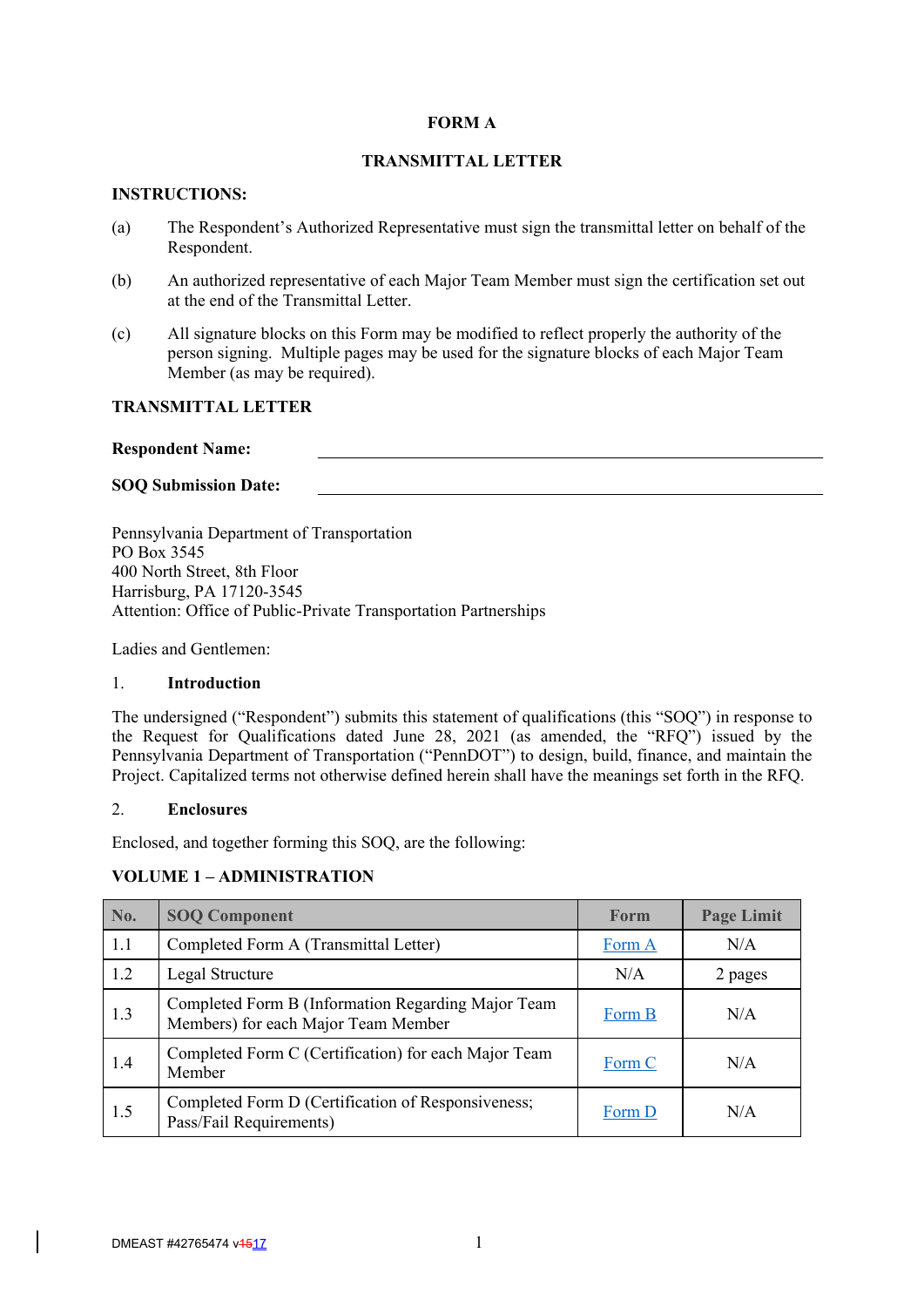### **FORM A**

# **TRANSMITTAL LETTER**

### **INSTRUCTIONS:**

- (a) The Respondent's Authorized Representative must sign the transmittal letter on behalf of the Respondent.
- (b) An authorized representative of each Major Team Member must sign the certification set out at the end of the Transmittal Letter.
- (c) All signature blocks on this Form may be modified to reflect properly the authority of the person signing. Multiple pages may be used for the signature blocks of each Major Team Member (as may be required).

# **TRANSMITTAL LETTER**

### **Respondent Name:**

### **SOQ Submission Date:**

Pennsylvania Department of Transportation PO Box 3545 400 North Street, 8th Floor Harrisburg, PA 17120-3545 Attention: Office of Public-Private Transportation Partnerships

Ladies and Gentlemen:

### 1. **Introduction**

The undersigned ("Respondent") submits this statement of qualifications (this "SOQ") in response to the Request for Qualifications dated June 28, 2021 (as amended, the "RFQ") issued by the Pennsylvania Department of Transportation ("PennDOT") to design, build, finance, and maintain the Project. Capitalized terms not otherwise defined herein shall have the meanings set forth in the RFQ.

### 2. **Enclosures**

Enclosed, and together forming this SOQ, are the following:

### **VOLUME 1 – ADMINISTRATION**

| No. | <b>SOQ Component</b>                                                                      | Form   | <b>Page Limit</b> |
|-----|-------------------------------------------------------------------------------------------|--------|-------------------|
| 1.1 | Completed Form A (Transmittal Letter)                                                     | Form A | N/A               |
| 1.2 | Legal Structure                                                                           | N/A    | 2 pages           |
| 1.3 | Completed Form B (Information Regarding Major Team<br>Members) for each Major Team Member | Form B | N/A               |
| 1.4 | Completed Form C (Certification) for each Major Team<br>Member                            | Form C | N/A               |
| 1.5 | Completed Form D (Certification of Responsiveness;<br>Pass/Fail Requirements)             | Form D | N/A               |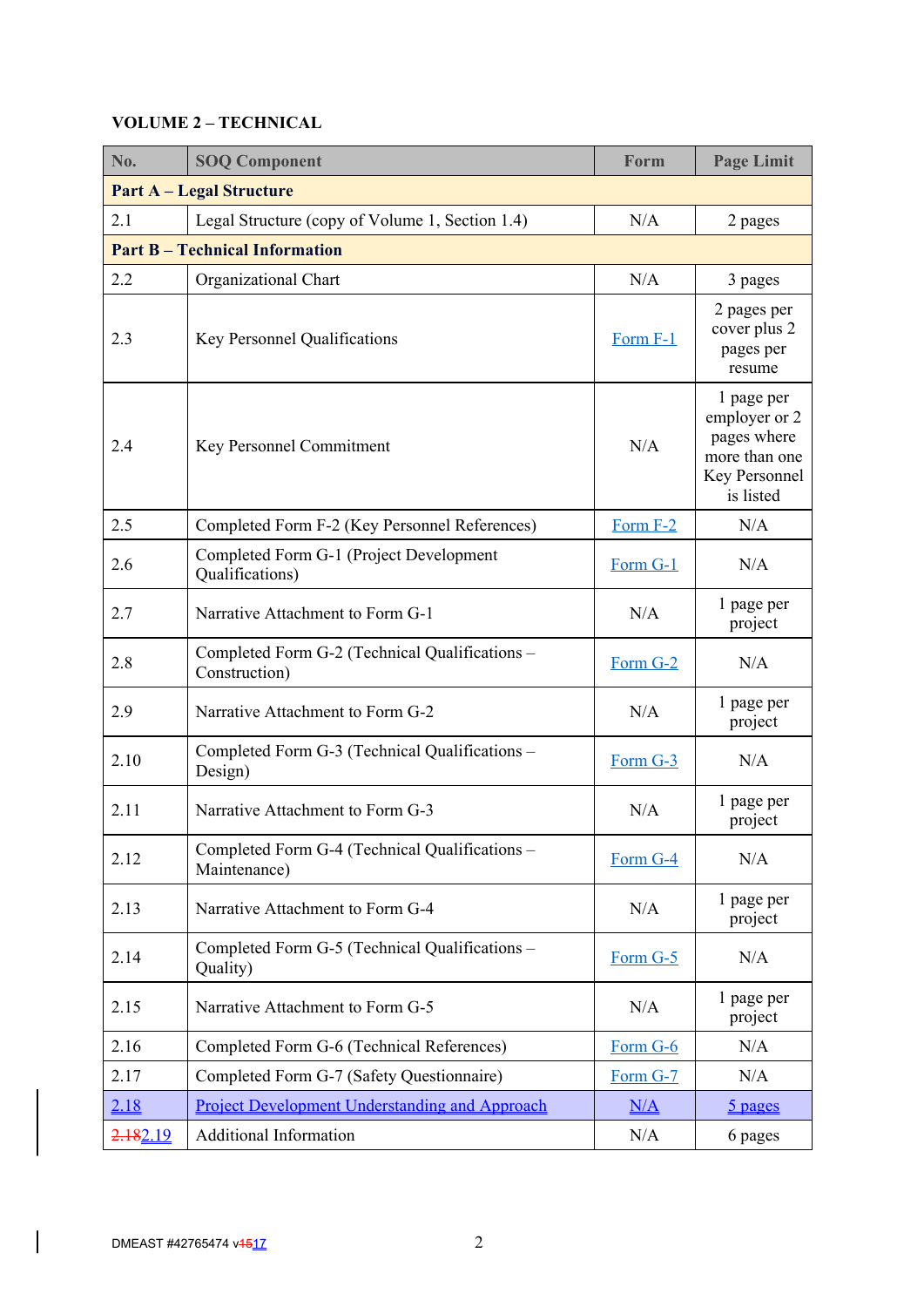# **VOLUME 2 – TECHNICAL**

| No.                                                                      | <b>SOQ Component</b>                                            | Form     | <b>Page Limit</b>                                                                         |  |  |  |  |
|--------------------------------------------------------------------------|-----------------------------------------------------------------|----------|-------------------------------------------------------------------------------------------|--|--|--|--|
|                                                                          | <b>Part A – Legal Structure</b>                                 |          |                                                                                           |  |  |  |  |
| Legal Structure (copy of Volume 1, Section 1.4)<br>N/A<br>2.1<br>2 pages |                                                                 |          |                                                                                           |  |  |  |  |
|                                                                          | <b>Part B - Technical Information</b>                           |          |                                                                                           |  |  |  |  |
| 2.2                                                                      | Organizational Chart                                            | N/A      | 3 pages                                                                                   |  |  |  |  |
| 2.3                                                                      | Key Personnel Qualifications                                    | Form F-1 | 2 pages per<br>cover plus 2<br>pages per<br>resume                                        |  |  |  |  |
| 2.4<br>Key Personnel Commitment                                          |                                                                 | N/A      | 1 page per<br>employer or 2<br>pages where<br>more than one<br>Key Personnel<br>is listed |  |  |  |  |
| 2.5                                                                      | Completed Form F-2 (Key Personnel References)                   | Form F-2 | N/A                                                                                       |  |  |  |  |
| 2.6                                                                      | Completed Form G-1 (Project Development<br>Qualifications)      | Form G-1 | N/A                                                                                       |  |  |  |  |
| 2.7                                                                      | Narrative Attachment to Form G-1<br>N/A                         |          | 1 page per<br>project                                                                     |  |  |  |  |
| 2.8                                                                      | Completed Form G-2 (Technical Qualifications –<br>Construction) | Form G-2 | N/A                                                                                       |  |  |  |  |
| 2.9                                                                      | Narrative Attachment to Form G-2                                | N/A      | 1 page per<br>project                                                                     |  |  |  |  |
| 2.10                                                                     | Completed Form G-3 (Technical Qualifications -<br>Design)       | Form G-3 | N/A                                                                                       |  |  |  |  |
| 2.11                                                                     | Narrative Attachment to Form G-3                                | N/A      | 1 page per<br>project                                                                     |  |  |  |  |
| 2.12                                                                     | Completed Form G-4 (Technical Qualifications -<br>Maintenance)  | Form G-4 | N/A                                                                                       |  |  |  |  |
| 2.13                                                                     | Narrative Attachment to Form G-4                                | N/A      | 1 page per<br>project                                                                     |  |  |  |  |
| 2.14                                                                     | Completed Form G-5 (Technical Qualifications -<br>Quality)      | Form G-5 | N/A                                                                                       |  |  |  |  |
| 2.15                                                                     | Narrative Attachment to Form G-5                                |          | 1 page per<br>project                                                                     |  |  |  |  |
| 2.16                                                                     | Completed Form G-6 (Technical References)                       | Form G-6 | N/A                                                                                       |  |  |  |  |
| 2.17                                                                     | Completed Form G-7 (Safety Questionnaire)                       | Form G-7 | N/A                                                                                       |  |  |  |  |
| 2.18                                                                     | <b>Project Development Understanding and Approach</b>           | N/A      | <u>5 pages</u>                                                                            |  |  |  |  |
| 2.182.19                                                                 | Additional Information                                          | N/A      | 6 pages                                                                                   |  |  |  |  |

 $\overline{\phantom{a}}$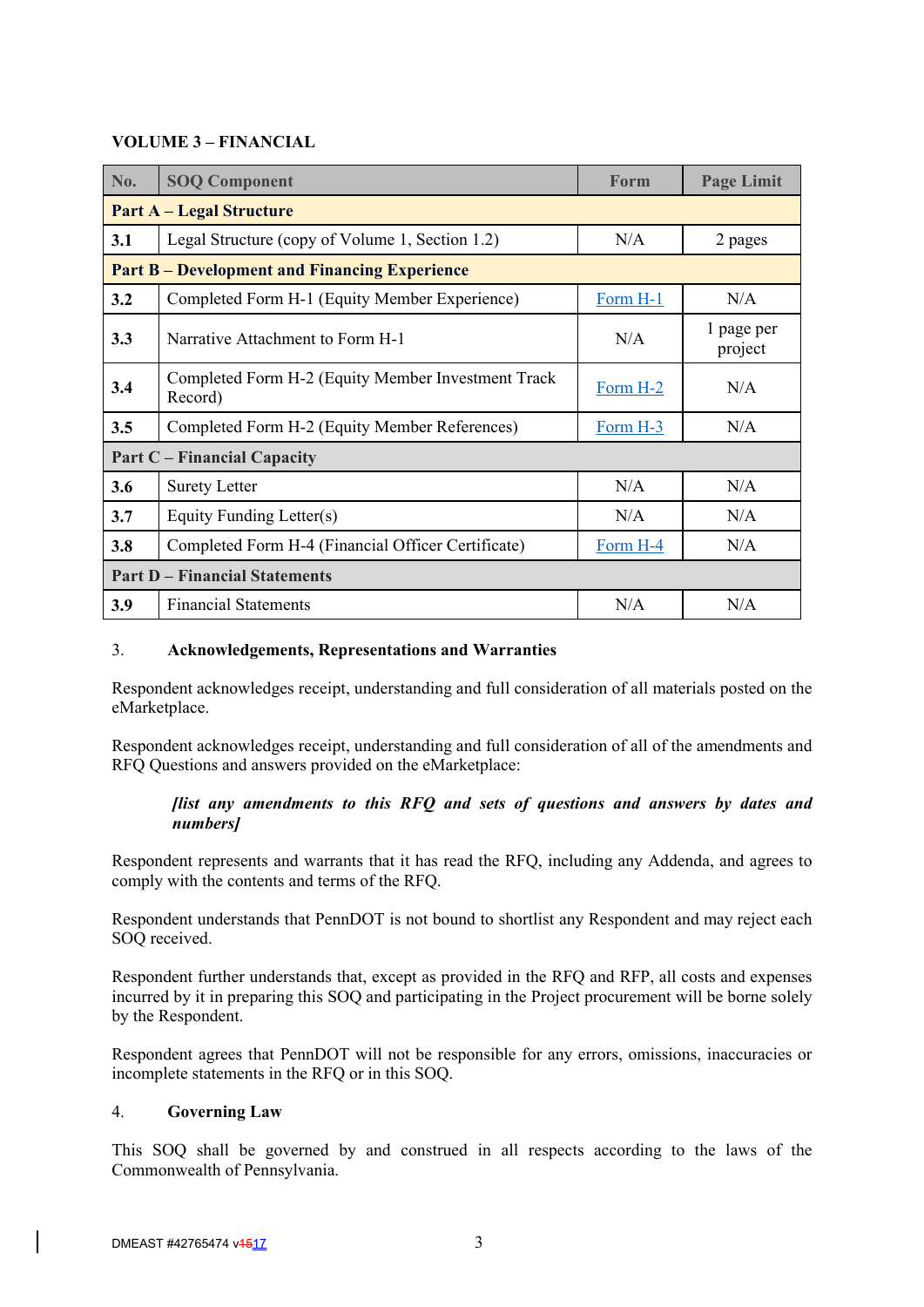# **VOLUME 3 – FINANCIAL**

| No.                                  | <b>SOQ Component</b>                                          | <b>Form</b>     | <b>Page Limit</b>     |  |
|--------------------------------------|---------------------------------------------------------------|-----------------|-----------------------|--|
|                                      | <b>Part A - Legal Structure</b>                               |                 |                       |  |
| 3.1                                  | Legal Structure (copy of Volume 1, Section 1.2)               | N/A             | 2 pages               |  |
|                                      | <b>Part B-Development and Financing Experience</b>            |                 |                       |  |
| 3.2                                  | Completed Form H-1 (Equity Member Experience)                 | Form H-1        | N/A                   |  |
| 3.3                                  | Narrative Attachment to Form H-1                              |                 | 1 page per<br>project |  |
| 3.4                                  | Completed Form H-2 (Equity Member Investment Track<br>Record) | N/A<br>Form H-2 |                       |  |
| 3.5                                  | Completed Form H-2 (Equity Member References)                 | $Form H-3$      | N/A                   |  |
|                                      | <b>Part C</b> – Financial Capacity                            |                 |                       |  |
| 3.6                                  | <b>Surety Letter</b>                                          | N/A             | N/A                   |  |
| 3.7                                  | N/A<br>Equity Funding Letter(s)                               |                 | N/A                   |  |
| 3.8                                  | Completed Form H-4 (Financial Officer Certificate)            | Form H-4        | N/A                   |  |
| <b>Part D – Financial Statements</b> |                                                               |                 |                       |  |
| 3.9                                  | <b>Financial Statements</b>                                   | N/A             | N/A                   |  |

### 3. **Acknowledgements, Representations and Warranties**

Respondent acknowledges receipt, understanding and full consideration of all materials posted on the eMarketplace.

Respondent acknowledges receipt, understanding and full consideration of all of the amendments and RFQ Questions and answers provided on the eMarketplace:

# *[list any amendments to this RFQ and sets of questions and answers by dates and numbers]*

Respondent represents and warrants that it has read the RFQ, including any Addenda, and agrees to comply with the contents and terms of the RFQ.

Respondent understands that PennDOT is not bound to shortlist any Respondent and may reject each SOQ received.

Respondent further understands that, except as provided in the RFQ and RFP, all costs and expenses incurred by it in preparing this SOQ and participating in the Project procurement will be borne solely by the Respondent.

Respondent agrees that PennDOT will not be responsible for any errors, omissions, inaccuracies or incomplete statements in the RFQ or in this SOQ.

### 4. **Governing Law**

This SOQ shall be governed by and construed in all respects according to the laws of the Commonwealth of Pennsylvania.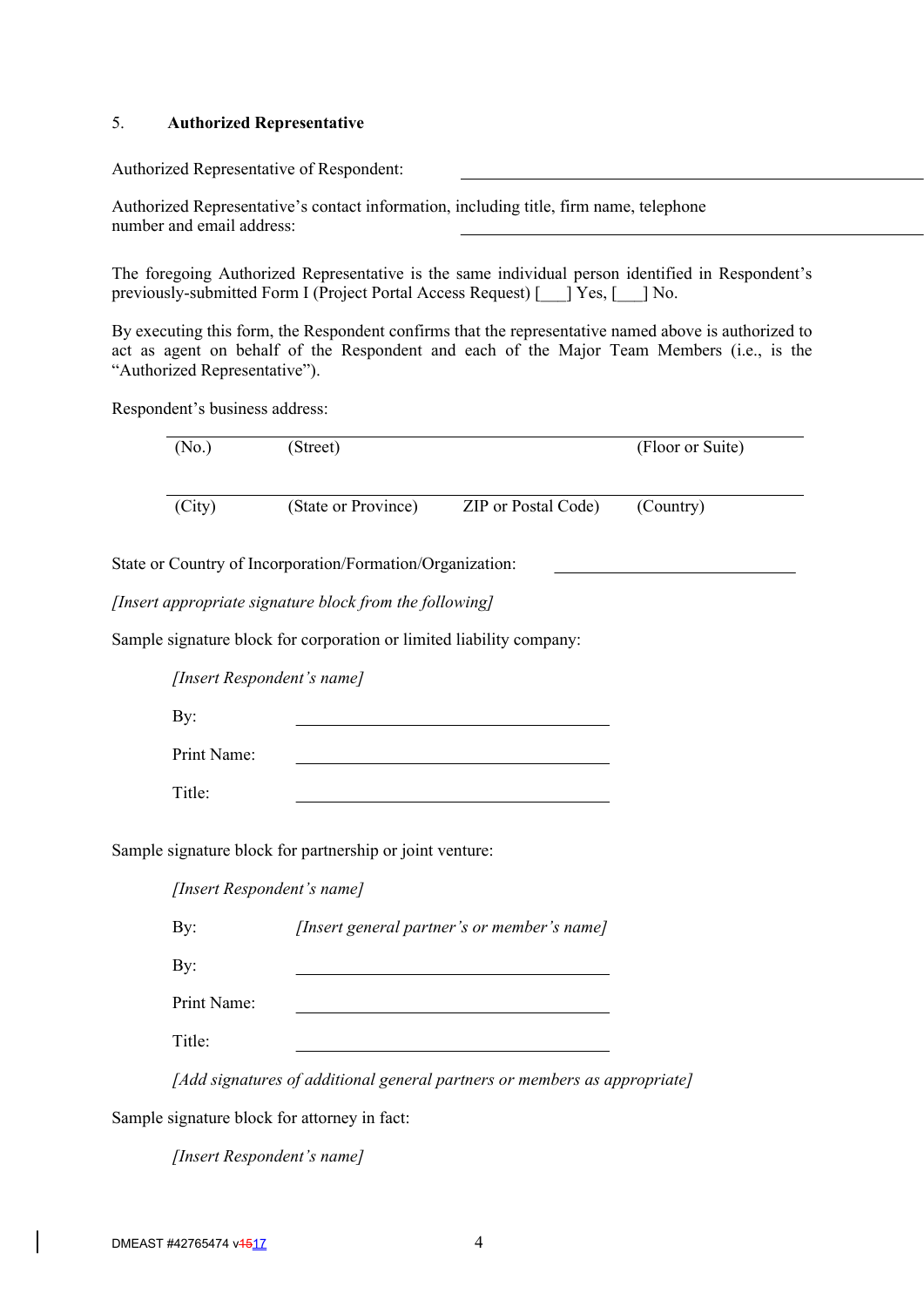#### 5. **Authorized Representative**

Authorized Representative of Respondent:

Authorized Representative's contact information, including title, firm name, telephone number and email address:

The foregoing Authorized Representative is the same individual person identified in Respondent's previously-submitted Form I (Project Portal Access Request) [\_\_\_] Yes, [\_\_\_] No.

By executing this form, the Respondent confirms that the representative named above is authorized to act as agent on behalf of the Respondent and each of the Major Team Members (i.e., is the "Authorized Representative").

Respondent's business address:

| (No.)       | (Street)                                                             |                                                                            | (Floor or Suite) |
|-------------|----------------------------------------------------------------------|----------------------------------------------------------------------------|------------------|
| (City)      | (State or Province)                                                  | ZIP or Postal Code)                                                        | (Country)        |
|             | State or Country of Incorporation/Formation/Organization:            |                                                                            |                  |
|             | [Insert appropriate signature block from the following]              |                                                                            |                  |
|             | Sample signature block for corporation or limited liability company: |                                                                            |                  |
|             | [Insert Respondent's name]                                           |                                                                            |                  |
| By:         |                                                                      |                                                                            |                  |
| Print Name: |                                                                      |                                                                            |                  |
| Title:      |                                                                      | the control of the control of the control of the control of the control of |                  |
|             | Sample signature block for partnership or joint venture:             |                                                                            |                  |
|             | [Insert Respondent's name]                                           |                                                                            |                  |
| By:         |                                                                      | [Insert general partner's or member's name]                                |                  |
| By:         |                                                                      |                                                                            |                  |
| Print Name: |                                                                      |                                                                            |                  |
| Title:      |                                                                      |                                                                            |                  |
|             |                                                                      | [Add signatures of additional general partners or members as appropriate]  |                  |
|             | Sample signature block for attorney in fact:                         |                                                                            |                  |

*[Insert Respondent's name]*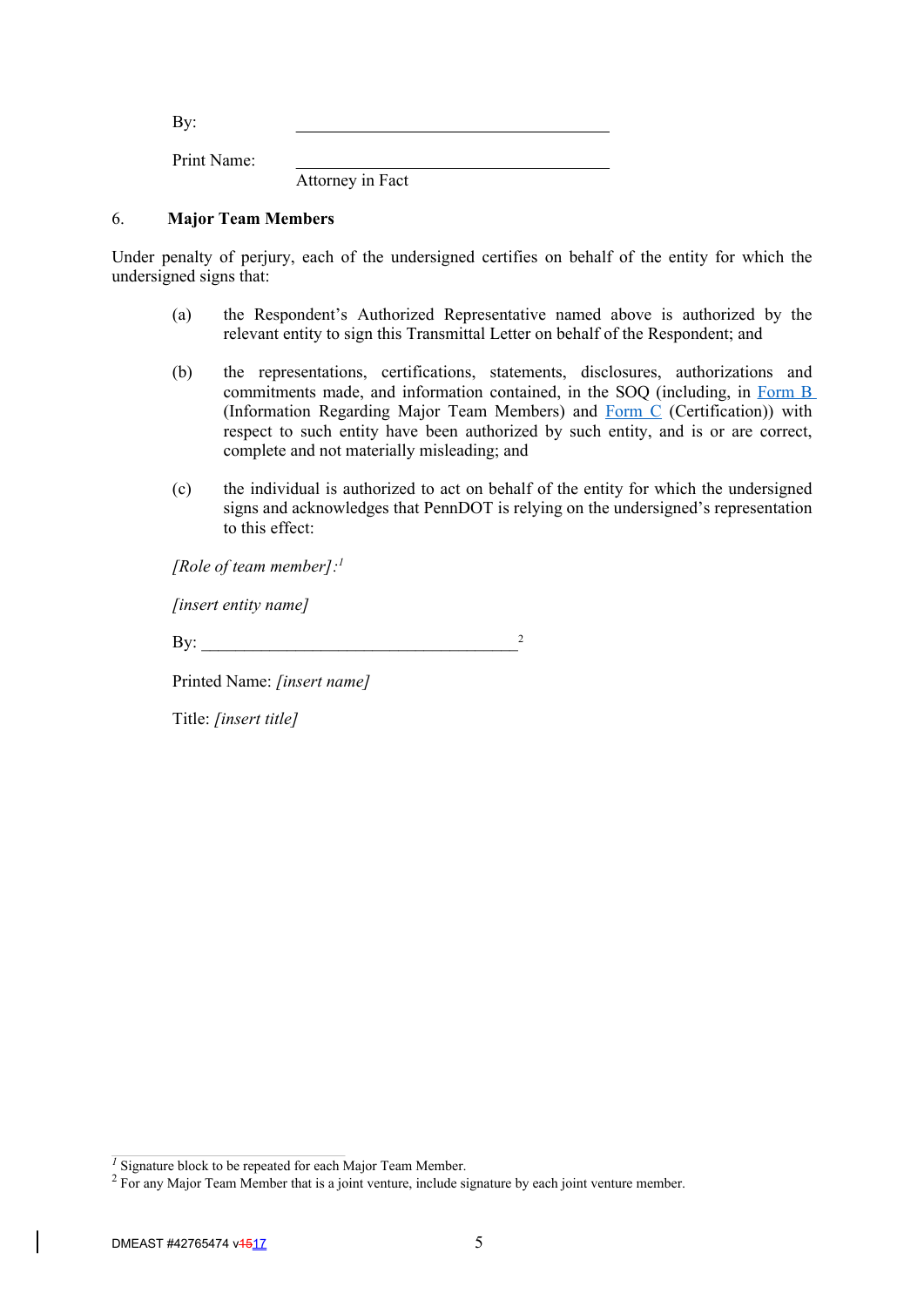By: Print Name:

Attorney in Fact

### 6. **Major Team Members**

Under penalty of perjury, each of the undersigned certifies on behalf of the entity for which the undersigned signs that:

- (a) the Respondent's Authorized Representative named above is authorized by the relevant entity to sign this Transmittal Letter on behalf of the Respondent; and
- (b) the representations, certifications, statements, disclosures, authorizations and commitments made, and information contained, in the SOQ (including, in Form B (Information Regarding Major Team Members) and Form C (Certification)) with respect to such entity have been authorized by such entity, and is or are correct, complete and not materially misleading; and
- (c) the individual is authorized to act on behalf of the entity for which the undersigned signs and acknowledges that PennDOT is relying on the undersigned's representation to this effect:

*[Role of team member]: 1*

*[insert entity name]*

By:  $\frac{2}{2}$ 

Printed Name: *[insert name]*

Title: *[insert title]*

<sup>&</sup>lt;sup>1</sup> Signature block to be repeated for each Major Team Member.

<sup>&</sup>lt;sup>2</sup> For any Major Team Member that is a joint venture, include signature by each joint venture member.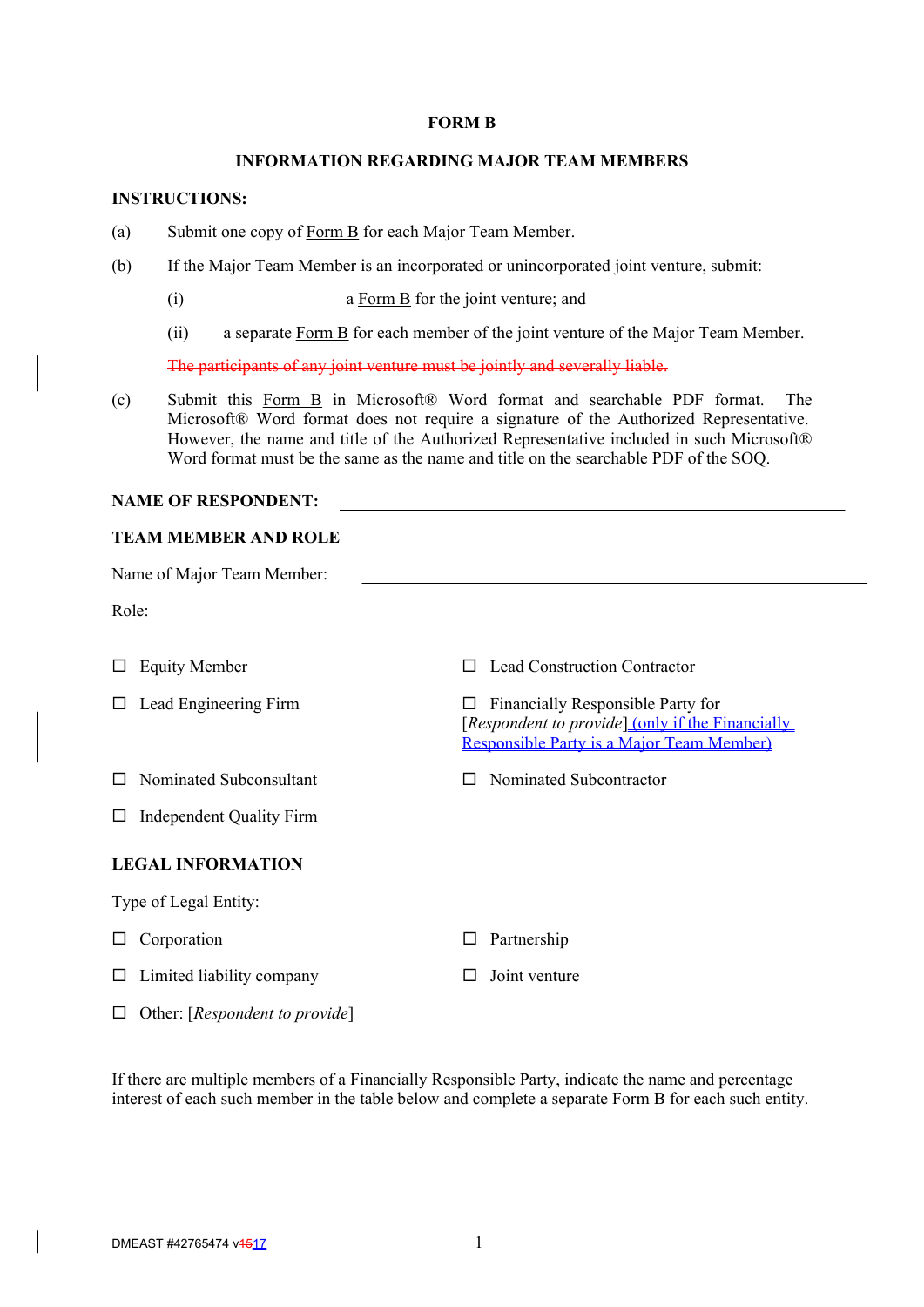#### **FORM B**

#### **INFORMATION REGARDING MAJOR TEAM MEMBERS**

# **INSTRUCTIONS:**

- (a) Submit one copy of Form B for each Major Team Member.
- (b) If the Major Team Member is an incorporated or unincorporated joint venture, submit:
	- (i) a Form B for the joint venture; and
	- (ii) a separate Form B for each member of the joint venture of the Major Team Member.

The participants of any joint venture must be jointly and severally liable.

(c) Submit this Form B in Microsoft® Word format and searchable PDF format. The Microsoft® Word format does not require a signature of the Authorized Representative. However, the name and title of the Authorized Representative included in such Microsoft® Word format must be the same as the name and title on the searchable PDF of the SOQ.

#### **NAME OF RESPONDENT:**

# **TEAM MEMBER AND ROLE**

| Name of Major Team Member:           |                                                                                                                                         |  |  |  |
|--------------------------------------|-----------------------------------------------------------------------------------------------------------------------------------------|--|--|--|
| Role:                                |                                                                                                                                         |  |  |  |
| <b>Equity Member</b>                 | <b>Lead Construction Contractor</b><br>$\Box$                                                                                           |  |  |  |
| Lead Engineering Firm                | Financially Responsible Party for<br>ப<br>[Respondent to provide] (only if the Financially<br>Responsible Party is a Major Team Member) |  |  |  |
| Nominated Subconsultant              | Nominated Subcontractor                                                                                                                 |  |  |  |
| <b>Independent Quality Firm</b><br>ப |                                                                                                                                         |  |  |  |
| <b>LEGAL INFORMATION</b>             |                                                                                                                                         |  |  |  |
| Type of Legal Entity:                |                                                                                                                                         |  |  |  |
| Corporation                          | Partnership<br>⊔                                                                                                                        |  |  |  |
| Limited liability company            | Joint venture<br>H                                                                                                                      |  |  |  |
|                                      |                                                                                                                                         |  |  |  |

If there are multiple members of a Financially Responsible Party, indicate the name and percentage interest of each such member in the table below and complete a separate Form B for each such entity.

Other: [*Respondent to provide*]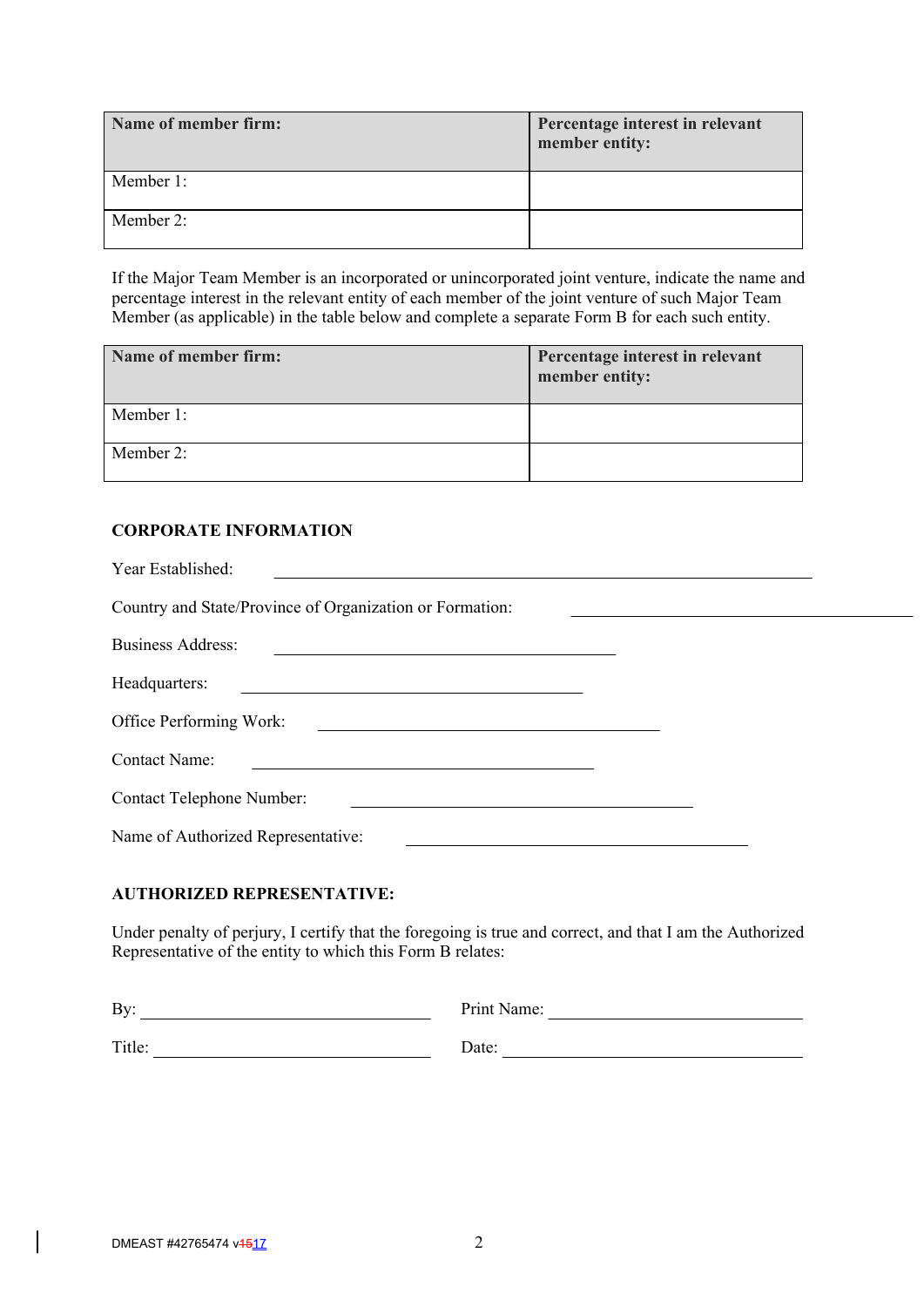| Name of member firm: | Percentage interest in relevant<br>member entity: |
|----------------------|---------------------------------------------------|
| Member 1:            |                                                   |
| Member 2:            |                                                   |

If the Major Team Member is an incorporated or unincorporated joint venture, indicate the name and percentage interest in the relevant entity of each member of the joint venture of such Major Team Member (as applicable) in the table below and complete a separate Form B for each such entity.

| Name of member firm: | Percentage interest in relevant<br>member entity: |
|----------------------|---------------------------------------------------|
| Member 1:            |                                                   |
| Member 2:            |                                                   |

# **CORPORATE INFORMATION**

| Year Established:                                                                                      |  |
|--------------------------------------------------------------------------------------------------------|--|
| Country and State/Province of Organization or Formation:                                               |  |
| <b>Business Address:</b>                                                                               |  |
| Headquarters:<br>and the state of the state of the state of the state of the state of the state of the |  |
| Office Performing Work:                                                                                |  |
| <b>Contact Name:</b>                                                                                   |  |
| <b>Contact Telephone Number:</b>                                                                       |  |
| Name of Authorized Representative:                                                                     |  |

# **AUTHORIZED REPRESENTATIVE:**

Under penalty of perjury, I certify that the foregoing is true and correct, and that I am the Authorized Representative of the entity to which this Form B relates:

| By:    | Print Name: |
|--------|-------------|
|        |             |
| Title: | Date:       |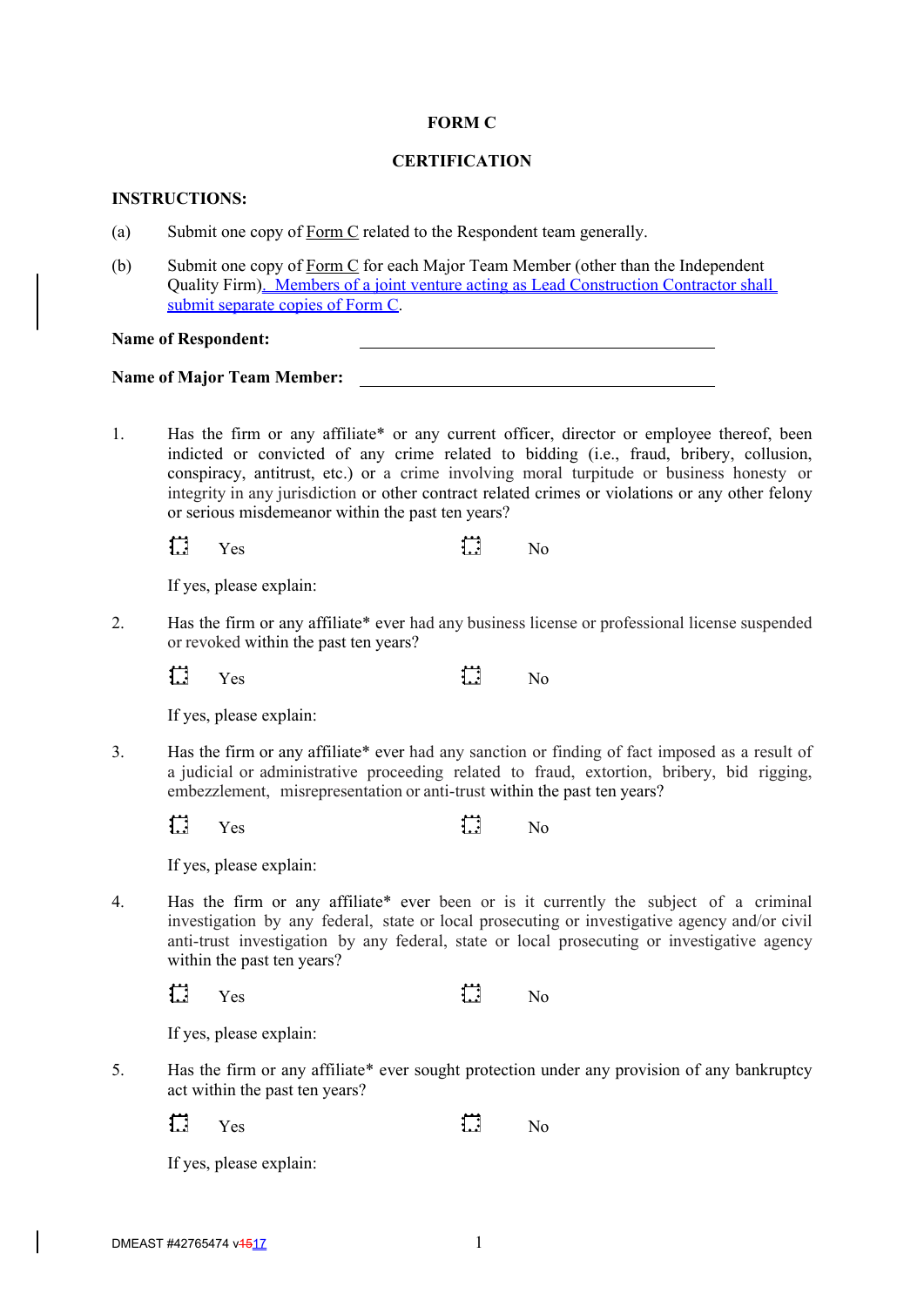#### **FORM C**

### **CERTIFICATION**

### **INSTRUCTIONS:**

- (a) Submit one copy of Form C related to the Respondent team generally.
- (b) Submit one copy of Form C for each Major Team Member (other than the Independent Quality Firm). Members of a joint venture acting as Lead Construction Contractor shall submit separate copies of Form C.

**Name of Respondent:**

#### **Name of Major Team Member:**

1. Has the firm or any affiliate\* or any current officer, director or employee thereof, been indicted or convicted of any crime related to bidding (i.e., fraud, bribery, collusion, conspiracy, antitrust, etc.) or a crime involving moral turpitude or business honesty or integrity in any jurisdiction or other contract related crimes or violations or any other felony or serious misdemeanor within the past ten years?

 $\Box$ Yes **lead** No

If yes, please explain:

- 2. Has the firm or any affiliate\* ever had any business license or professional license suspended or revoked within the past ten years?
	- $\Box$ Yes **l**. No

If yes, please explain:

3. Has the firm or any affiliate\* ever had any sanction or finding of fact imposed as a result of a judicial or administrative proceeding related to fraud, extortion, bribery, bid rigging, embezzlement, misrepresentation or anti-trust within the past ten years?

 $\Box$ Yes **lead** No

If yes, please explain:

4. Has the firm or any affiliate\* ever been or is it currently the subject of a criminal investigation by any federal, state or local prosecuting or investigative agency and/or civil anti-trust investigation by any federal, state or local prosecuting or investigative agency within the past ten years?

 $\Box$ Yes  $\mathbf{L}$  No

If yes, please explain:

5. Has the firm or any affiliate\* ever sought protection under any provision of any bankruptcy act within the past ten years?

 $\Box$ Yes  $\mathbf{1}$  No

If yes, please explain: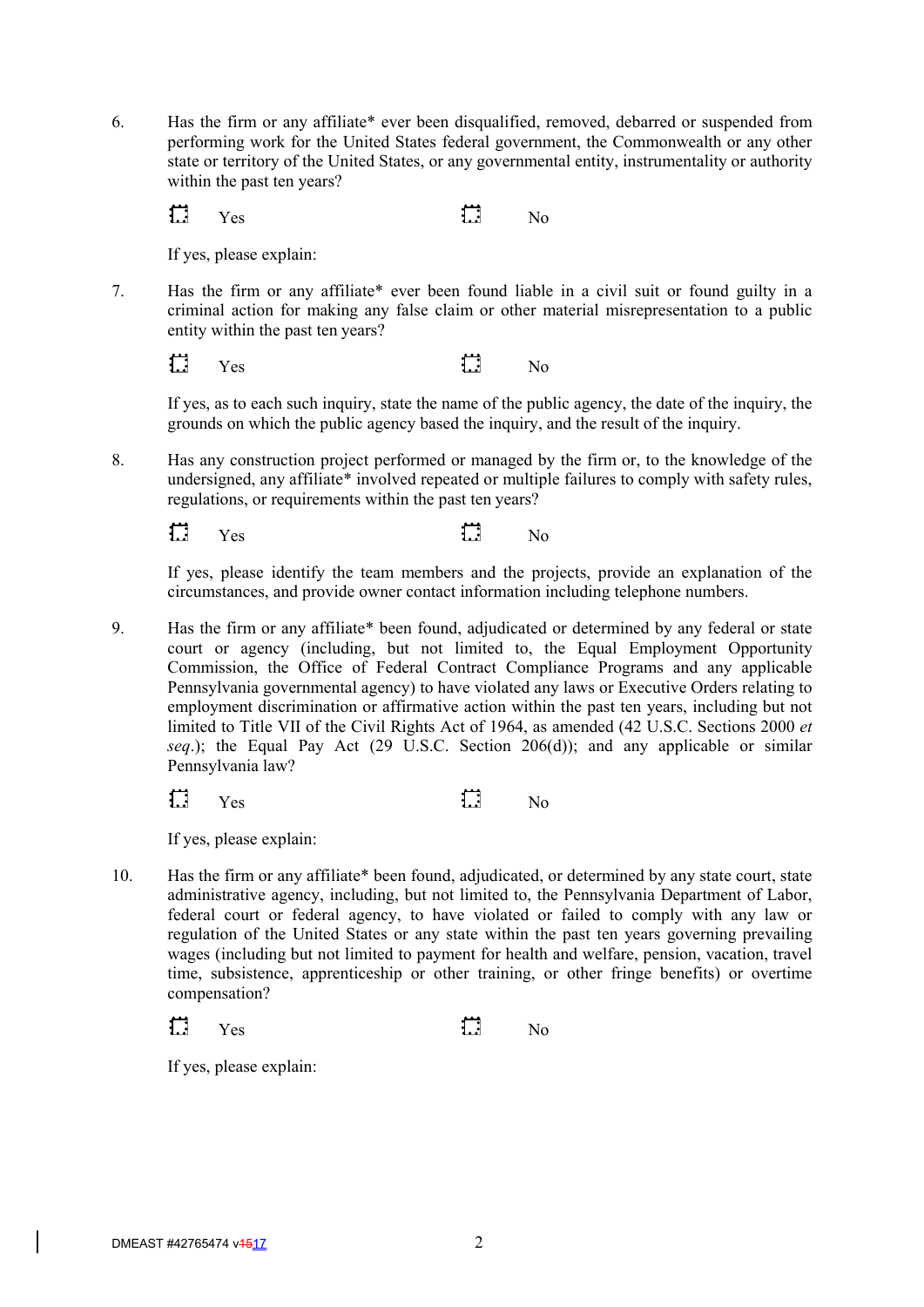6. Has the firm or any affiliate\* ever been disqualified, removed, debarred or suspended from performing work for the United States federal government, the Commonwealth or any other state or territory of the United States, or any governmental entity, instrumentality or authority within the past ten years?

 $\Box$ Yes  $\mathbf{1}$  No

If yes, please explain:

7. Has the firm or any affiliate\* ever been found liable in a civil suit or found guilty in a criminal action for making any false claim or other material misrepresentation to a public entity within the past ten years?

 $\Box$ Yes **lead** No

If yes, as to each such inquiry, state the name of the public agency, the date of the inquiry, the grounds on which the public agency based the inquiry, and the result of the inquiry.

8. Has any construction project performed or managed by the firm or, to the knowledge of the undersigned, any affiliate\* involved repeated or multiple failures to comply with safety rules, regulations, or requirements within the past ten years?

 $\Box$ Yes **lead** No

If yes, please identify the team members and the projects, provide an explanation of the circumstances, and provide owner contact information including telephone numbers.

9. Has the firm or any affiliate\* been found, adjudicated or determined by any federal or state court or agency (including, but not limited to, the Equal Employment Opportunity Commission, the Office of Federal Contract Compliance Programs and any applicable Pennsylvania governmental agency) to have violated any laws or Executive Orders relating to employment discrimination or affirmative action within the past ten years, including but not limited to Title VII of the Civil Rights Act of 1964, as amended (42 U.S.C. Sections 2000 *et seq*.); the Equal Pay Act (29 U.S.C. Section 206(d)); and any applicable or similar Pennsylvania law?

| $\Box$ | Yes | <br>$\mathbf{L}$ | N <sub>o</sub> |
|--------|-----|------------------|----------------|
|        |     |                  |                |

If yes, please explain:

10. Has the firm or any affiliate\* been found, adjudicated, or determined by any state court, state administrative agency, including, but not limited to, the Pennsylvania Department of Labor, federal court or federal agency, to have violated or failed to comply with any law or regulation of the United States or any state within the past ten years governing prevailing wages (including but not limited to payment for health and welfare, pension, vacation, travel time, subsistence, apprenticeship or other training, or other fringe benefits) or overtime compensation?

 $\Box$ Yes **lead** No

If yes, please explain: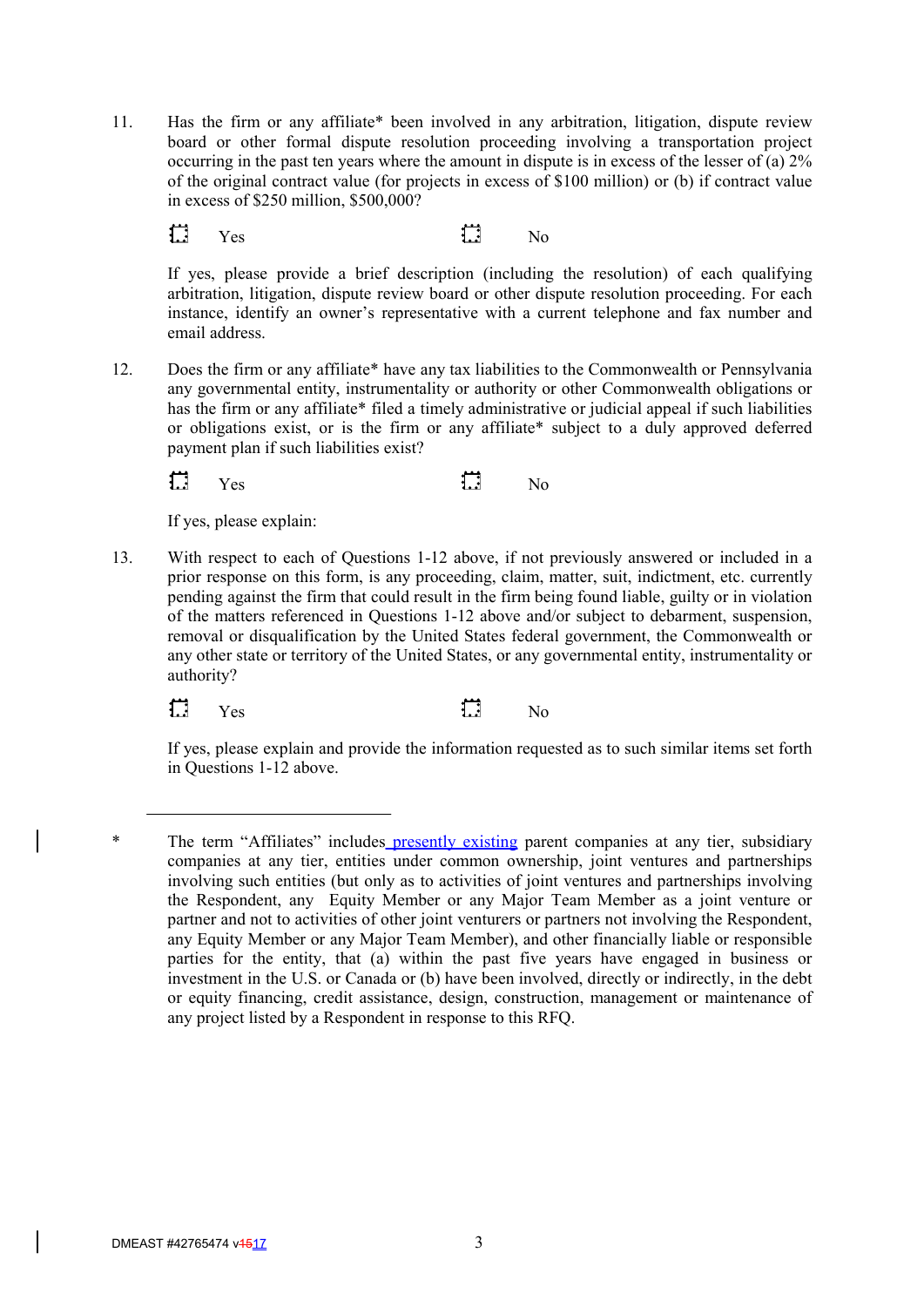11. Has the firm or any affiliate\* been involved in any arbitration, litigation, dispute review board or other formal dispute resolution proceeding involving a transportation project occurring in the past ten years where the amount in dispute is in excess of the lesser of (a) 2% of the original contract value (for projects in excess of \$100 million) or (b) if contract value in excess of \$250 million, \$500,000?

 $\Box$ Yes **l**ed No

If yes, please provide a brief description (including the resolution) of each qualifying arbitration, litigation, dispute review board or other dispute resolution proceeding. For each instance, identify an owner's representative with a current telephone and fax number and email address.

12. Does the firm or any affiliate\* have any tax liabilities to the Commonwealth or Pennsylvania any governmental entity, instrumentality or authority or other Commonwealth obligations or has the firm or any affiliate\* filed a timely administrative or judicial appeal if such liabilities or obligations exist, or is the firm or any affiliate\* subject to a duly approved deferred payment plan if such liabilities exist?

 $\Box$ Yes  $\mathbf{L}$  No

If yes, please explain:

13. With respect to each of Questions 1-12 above, if not previously answered or included in a prior response on this form, is any proceeding, claim, matter, suit, indictment, etc. currently pending against the firm that could result in the firm being found liable, guilty or in violation of the matters referenced in Questions 1-12 above and/or subject to debarment, suspension, removal or disqualification by the United States federal government, the Commonwealth or any other state or territory of the United States, or any governmental entity, instrumentality or authority?

 $\Box$ Yes  $\mathbf{1}$  No

If yes, please explain and provide the information requested as to such similar items set forth in Questions 1-12 above.

<sup>\*</sup> The term "Affiliates" includes presently existing parent companies at any tier, subsidiary companies at any tier, entities under common ownership, joint ventures and partnerships involving such entities (but only as to activities of joint ventures and partnerships involving the Respondent, any Equity Member or any Major Team Member as a joint venture or partner and not to activities of other joint venturers or partners not involving the Respondent, any Equity Member or any Major Team Member), and other financially liable or responsible parties for the entity, that (a) within the past five years have engaged in business or investment in the U.S. or Canada or (b) have been involved, directly or indirectly, in the debt or equity financing, credit assistance, design, construction, management or maintenance of any project listed by a Respondent in response to this RFQ.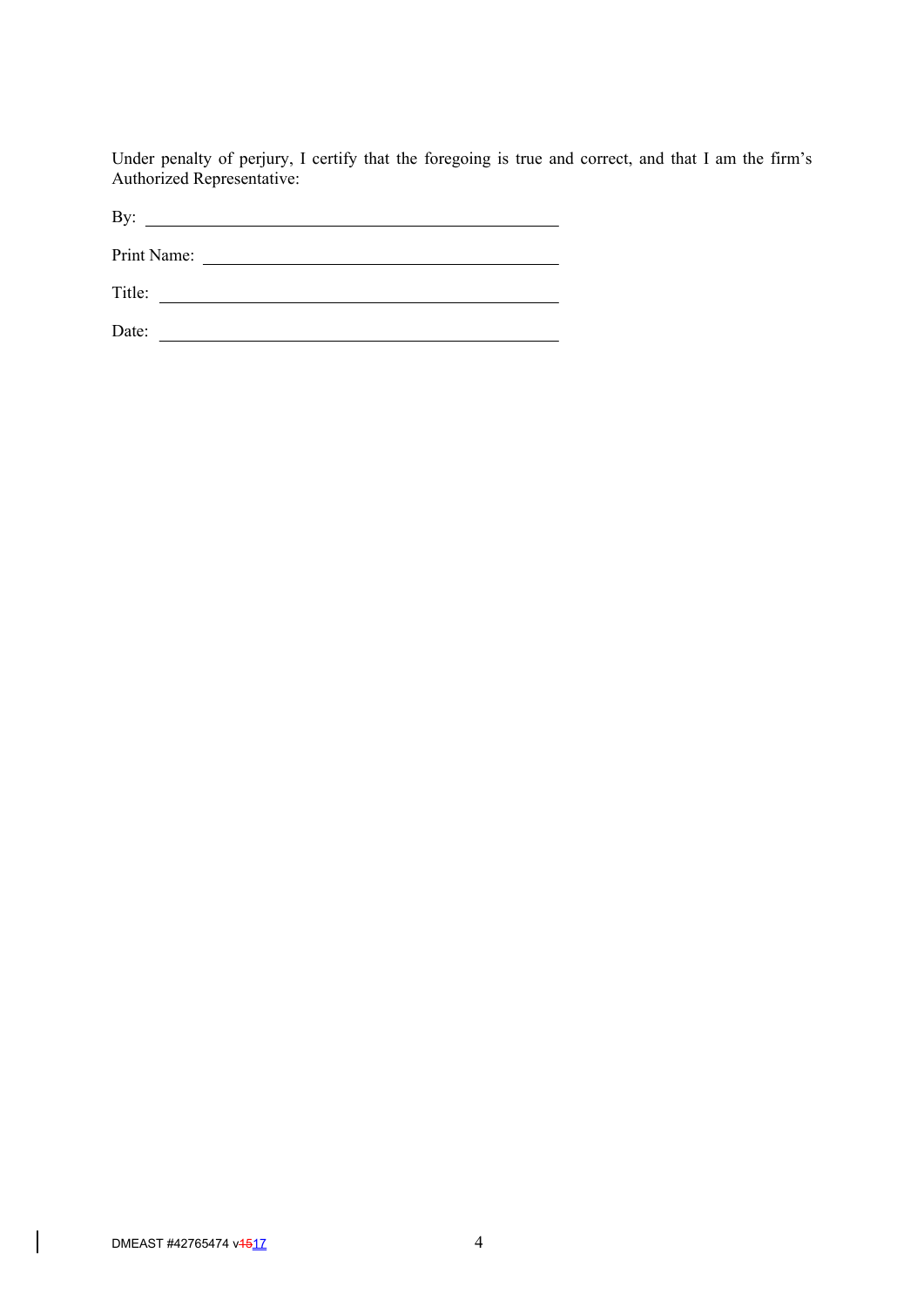Under penalty of perjury, I certify that the foregoing is true and correct, and that I am the firm's Authorized Representative:

By: Print Name: Title:

Date:

 $\overline{\phantom{a}}$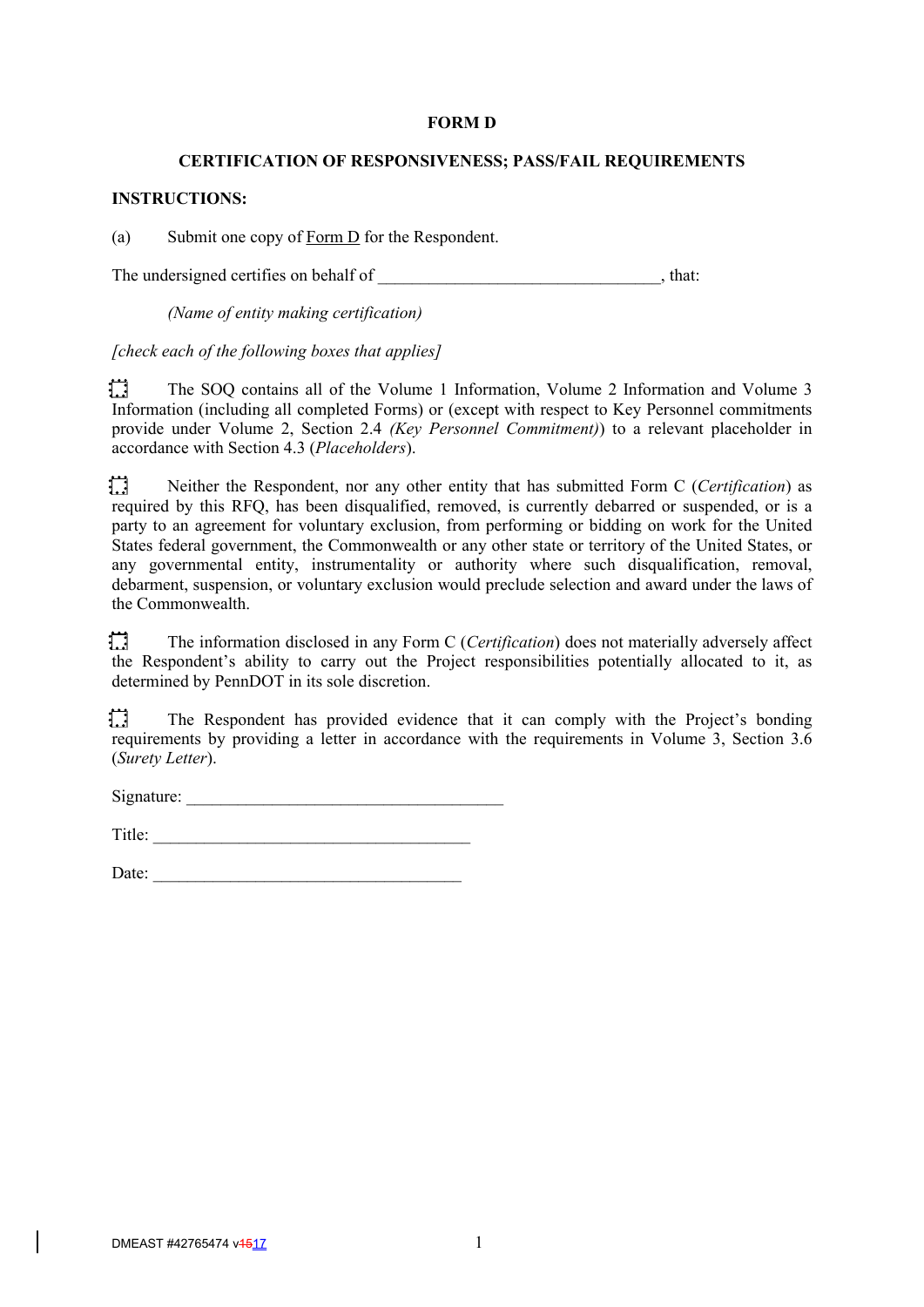#### **FORM D**

#### **CERTIFICATION OF RESPONSIVENESS; PASS/FAIL REQUIREMENTS**

### **INSTRUCTIONS:**

(a) Submit one copy of Form D for the Respondent.

The undersigned certifies on behalf of \_\_\_\_\_\_\_\_\_\_\_\_\_\_\_\_\_\_\_\_\_\_\_\_\_\_\_\_\_\_, that:

*(Name of entity making certification)*

*[check each of the following boxes that applies]*

扫 The SOQ contains all of the Volume 1 Information, Volume 2 Information and Volume 3 Information (including all completed Forms) or (except with respect to Key Personnel commitments provide under Volume 2, Section 2.4 *(Key Personnel Commitment)*) to a relevant placeholder in accordance with Section 4.3 (*Placeholders*).

 $\Box$ Neither the Respondent, nor any other entity that has submitted Form C (*Certification*) as required by this RFQ, has been disqualified, removed, is currently debarred or suspended, or is a party to an agreement for voluntary exclusion, from performing or bidding on work for the United States federal government, the Commonwealth or any other state or territory of the United States, or any governmental entity, instrumentality or authority where such disqualification, removal, debarment, suspension, or voluntary exclusion would preclude selection and award under the laws of the Commonwealth.

扫 The information disclosed in any Form C (*Certification*) does not materially adversely affect the Respondent's ability to carry out the Project responsibilities potentially allocated to it, as determined by PennDOT in its sole discretion.

1.1 The Respondent has provided evidence that it can comply with the Project's bonding requirements by providing a letter in accordance with the requirements in Volume 3, Section 3.6 (*Surety Letter*).

 $Signature:$ 

Title: \_\_\_\_\_\_\_\_\_\_\_\_\_\_\_\_\_\_\_\_\_\_\_\_\_\_\_\_\_\_\_\_\_\_\_\_\_

Date: \_\_\_\_\_\_\_\_\_\_\_\_\_\_\_\_\_\_\_\_\_\_\_\_\_\_\_\_\_\_\_\_\_\_\_\_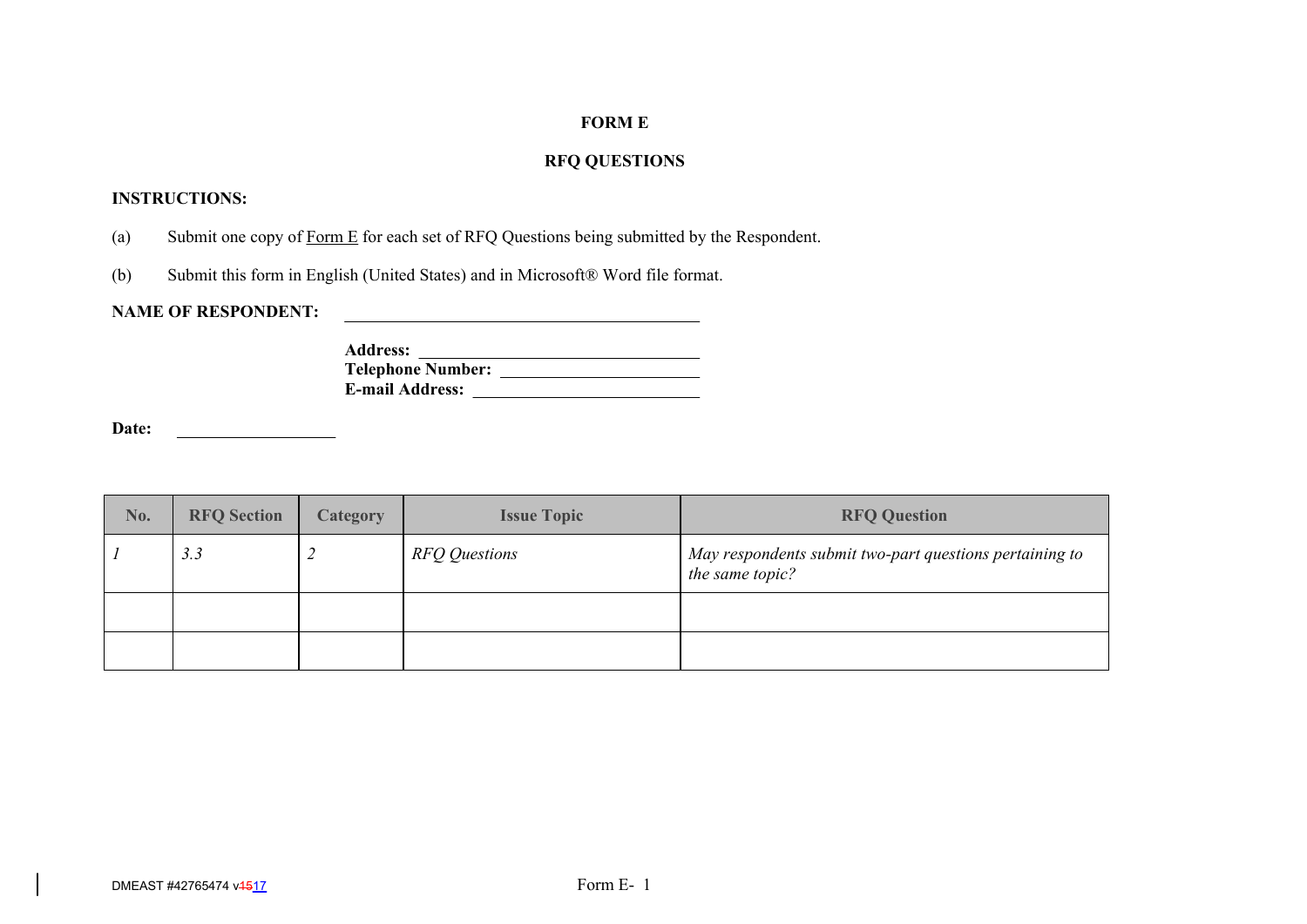# **FORM E**

# **RFQ QUESTIONS**

# **INSTRUCTIONS:**

- (a) Submit one copy of Form  $E$  for each set of RFQ Questions being submitted by the Respondent.
- (b) Submit this form in English (United States) and in Microsoft® Word file format.

**NAME OF RESPONDENT:**

<u> 1990 - Jan Alexandria (h. 1980).</u>

| <b>Address:</b>          |  |
|--------------------------|--|
| <b>Telephone Number:</b> |  |
| <b>E-mail Address:</b>   |  |

**Date:**

| No. | <b>RFQ Section</b> | Category | <b>Issue Topic</b> | <b>RFQ Question</b>                                                        |
|-----|--------------------|----------|--------------------|----------------------------------------------------------------------------|
|     | 3.3                |          | RFQ Questions      | May respondents submit two-part questions pertaining to<br>the same topic? |
|     |                    |          |                    |                                                                            |
|     |                    |          |                    |                                                                            |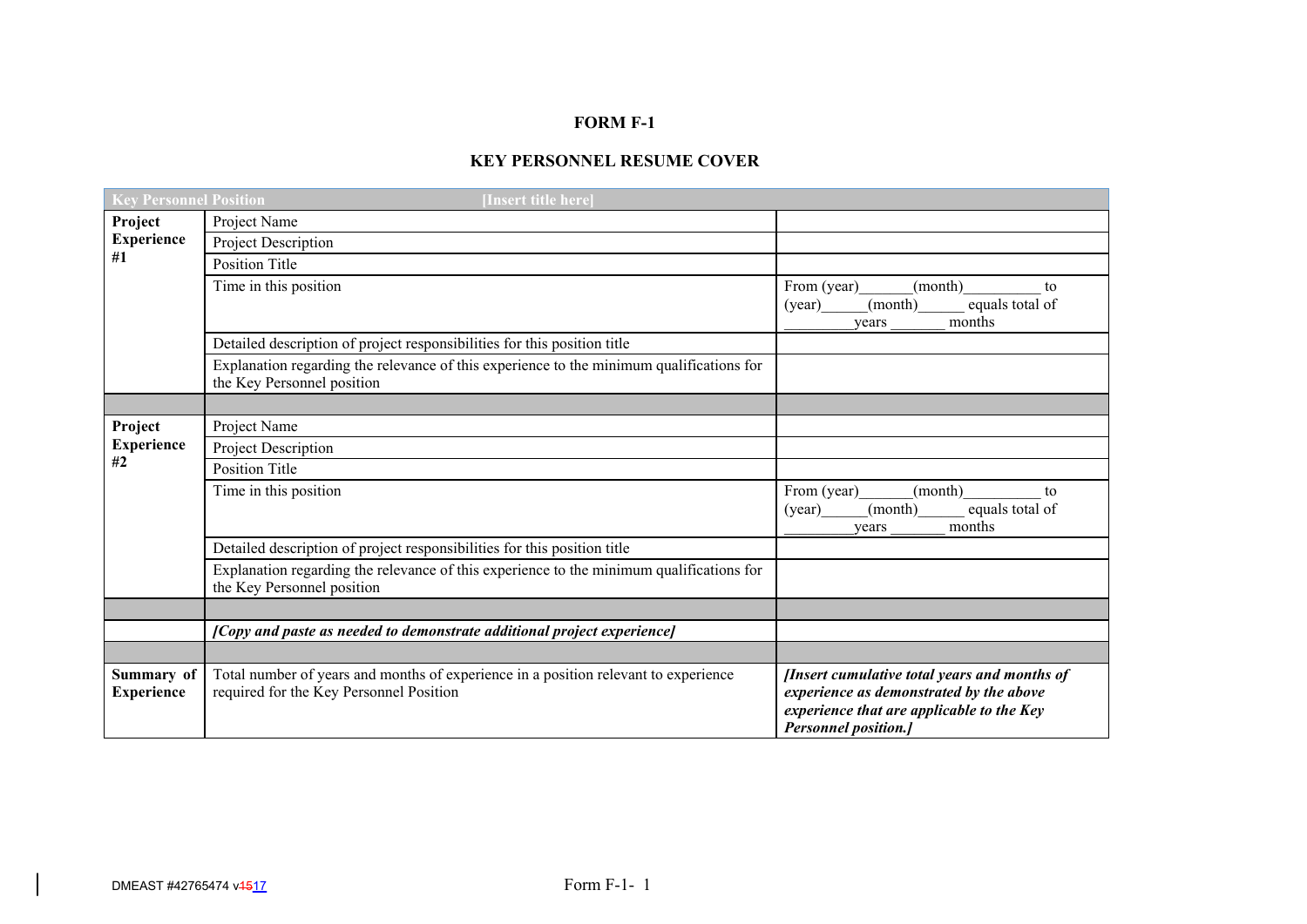# **FORM F-1**

# **KEY PERSONNEL RESUME COVER**

| <b>Key Personnel Position</b>   | [Insert title here]                                                                                                            |                                                                                                                                                                      |
|---------------------------------|--------------------------------------------------------------------------------------------------------------------------------|----------------------------------------------------------------------------------------------------------------------------------------------------------------------|
| Project                         | Project Name                                                                                                                   |                                                                                                                                                                      |
| <b>Experience</b><br>#1         | Project Description                                                                                                            |                                                                                                                                                                      |
|                                 | <b>Position Title</b>                                                                                                          |                                                                                                                                                                      |
|                                 | Time in this position                                                                                                          | From (year)<br>(month)<br>to<br>(month)<br>equals total of<br>(year)<br>months<br>years                                                                              |
|                                 | Detailed description of project responsibilities for this position title                                                       |                                                                                                                                                                      |
|                                 | Explanation regarding the relevance of this experience to the minimum qualifications for<br>the Key Personnel position         |                                                                                                                                                                      |
|                                 |                                                                                                                                |                                                                                                                                                                      |
| Project                         | Project Name                                                                                                                   |                                                                                                                                                                      |
| <b>Experience</b>               | Project Description                                                                                                            |                                                                                                                                                                      |
| #2                              | <b>Position Title</b>                                                                                                          |                                                                                                                                                                      |
|                                 | Time in this position                                                                                                          | From (year)<br>(month)<br>to<br>(month)<br>equals total of<br>(year)<br>months<br>years                                                                              |
|                                 | Detailed description of project responsibilities for this position title                                                       |                                                                                                                                                                      |
|                                 | Explanation regarding the relevance of this experience to the minimum qualifications for<br>the Key Personnel position         |                                                                                                                                                                      |
|                                 |                                                                                                                                |                                                                                                                                                                      |
|                                 | [Copy and paste as needed to demonstrate additional project experience]                                                        |                                                                                                                                                                      |
|                                 |                                                                                                                                |                                                                                                                                                                      |
| Summary of<br><b>Experience</b> | Total number of years and months of experience in a position relevant to experience<br>required for the Key Personnel Position | [Insert cumulative total years and months of<br>experience as demonstrated by the above<br>experience that are applicable to the Key<br><b>Personnel position.</b> ] |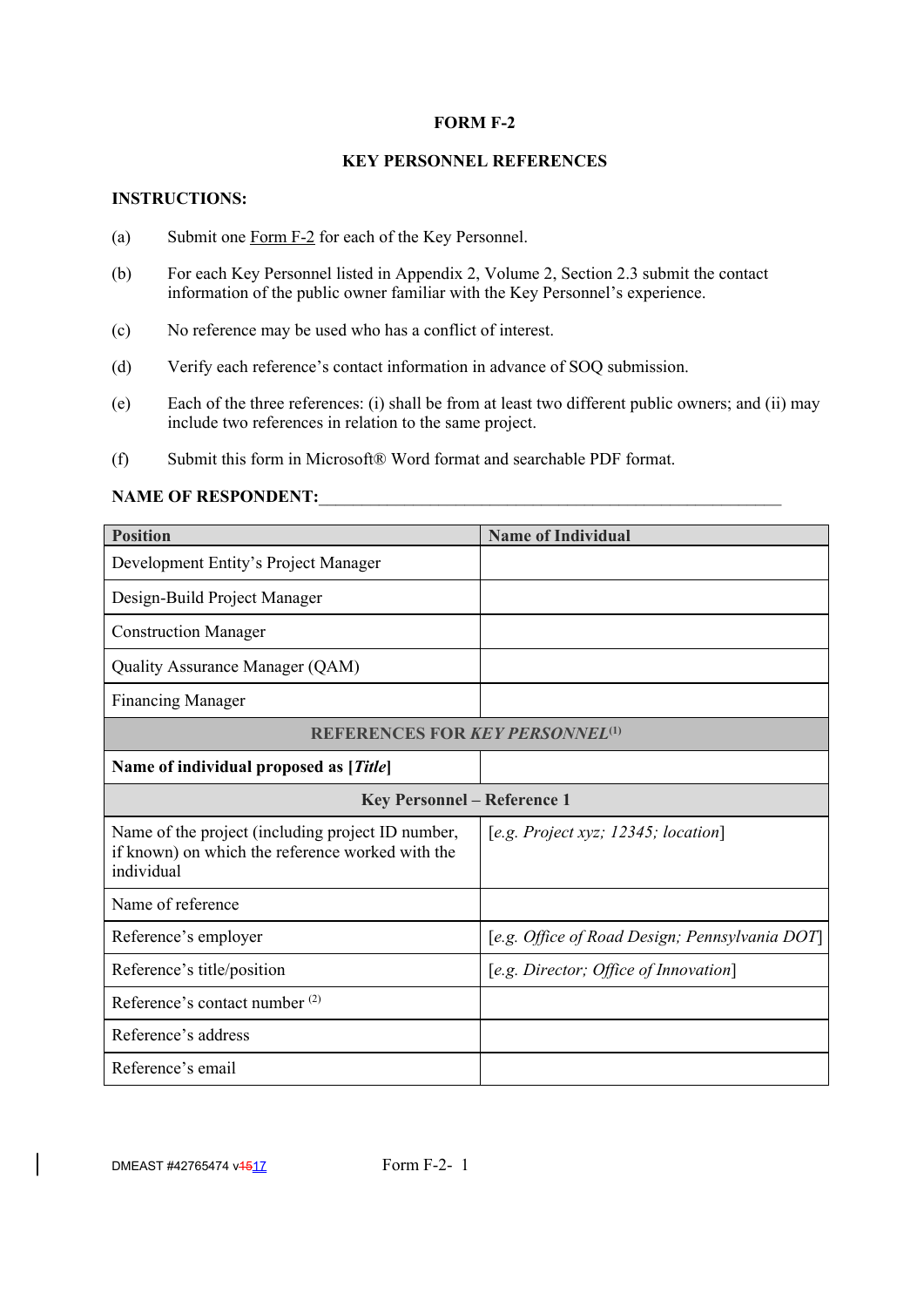### **FORM F-2**

# **KEY PERSONNEL REFERENCES**

# **INSTRUCTIONS:**

- (a) Submit one Form F-2 for each of the Key Personnel.
- (b) For each Key Personnel listed in Appendix 2, Volume 2, Section 2.3 submit the contact information of the public owner familiar with the Key Personnel's experience.
- (c) No reference may be used who has a conflict of interest.
- (d) Verify each reference's contact information in advance of SOQ submission.
- (e) Each of the three references: (i) shall be from at least two different public owners; and (ii) may include two references in relation to the same project.
- (f) Submit this form in Microsoft® Word format and searchable PDF format.

# **NAME OF RESPONDENT:**

| <b>Position</b>                                                                                                     | <b>Name of Individual</b>                      |
|---------------------------------------------------------------------------------------------------------------------|------------------------------------------------|
| Development Entity's Project Manager                                                                                |                                                |
| Design-Build Project Manager                                                                                        |                                                |
| <b>Construction Manager</b>                                                                                         |                                                |
| Quality Assurance Manager (QAM)                                                                                     |                                                |
| <b>Financing Manager</b>                                                                                            |                                                |
| <b>REFERENCES FOR KEY PERSONNEL(1)</b>                                                                              |                                                |
| Name of individual proposed as [Title]                                                                              |                                                |
| <b>Key Personnel - Reference 1</b>                                                                                  |                                                |
| Name of the project (including project ID number,<br>if known) on which the reference worked with the<br>individual | [e.g. Project xyz; 12345; location]            |
| Name of reference                                                                                                   |                                                |
| Reference's employer                                                                                                | [e.g. Office of Road Design; Pennsylvania DOT] |
| Reference's title/position                                                                                          | [e.g. Director; Office of Innovation]          |
| Reference's contact number (2)                                                                                      |                                                |
| Reference's address                                                                                                 |                                                |
| Reference's email                                                                                                   |                                                |

 $\overline{\phantom{a}}$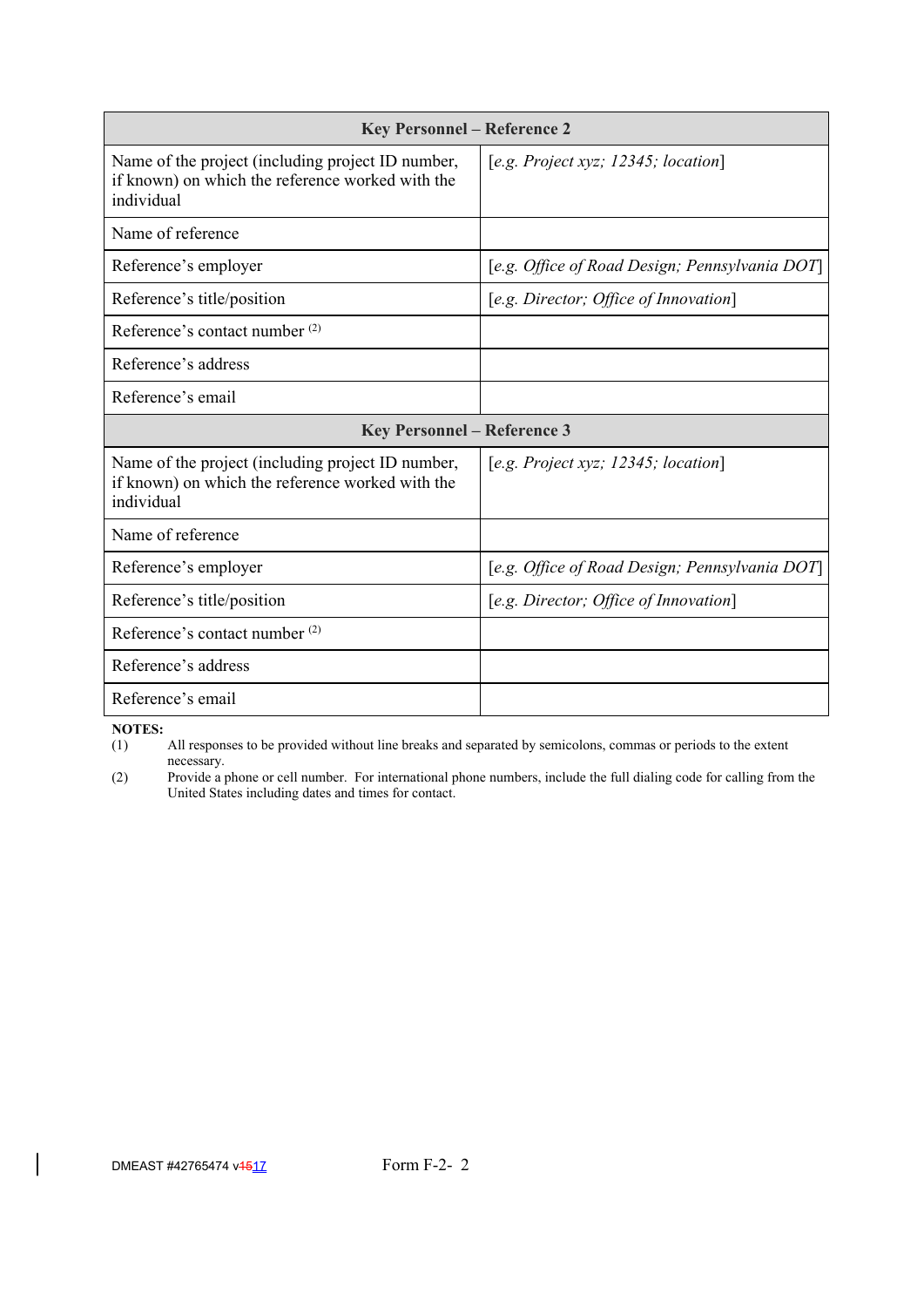| <b>Key Personnel - Reference 2</b>                                                                                  |                                                |  |  |  |
|---------------------------------------------------------------------------------------------------------------------|------------------------------------------------|--|--|--|
| Name of the project (including project ID number,<br>if known) on which the reference worked with the<br>individual | [e.g. Project xyz; 12345; location]            |  |  |  |
| Name of reference                                                                                                   |                                                |  |  |  |
| Reference's employer                                                                                                | [e.g. Office of Road Design; Pennsylvania DOT] |  |  |  |
| Reference's title/position                                                                                          | [e.g. Director; Office of Innovation]          |  |  |  |
| Reference's contact number (2)                                                                                      |                                                |  |  |  |
| Reference's address                                                                                                 |                                                |  |  |  |
| Reference's email                                                                                                   |                                                |  |  |  |
| <b>Key Personnel - Reference 3</b>                                                                                  |                                                |  |  |  |
| Name of the project (including project ID number,<br>if known) on which the reference worked with the<br>individual | [e.g. Project xyz; 12345; location]            |  |  |  |
| Name of reference                                                                                                   |                                                |  |  |  |
| Reference's employer                                                                                                | [e.g. Office of Road Design; Pennsylvania DOT] |  |  |  |
| Reference's title/position                                                                                          | [e.g. Director; Office of Innovation]          |  |  |  |
| Reference's contact number <sup>(2)</sup>                                                                           |                                                |  |  |  |
| Reference's address                                                                                                 |                                                |  |  |  |
| Reference's email                                                                                                   |                                                |  |  |  |

**NOTES:**<br>(1) All responses to be provided without line breaks and separated by semicolons, commas or periods to the extent necessary.

(2) Provide a phone or cell number. For international phone numbers, include the full dialing code for calling from the United States including dates and times for contact.

 $\overline{\phantom{a}}$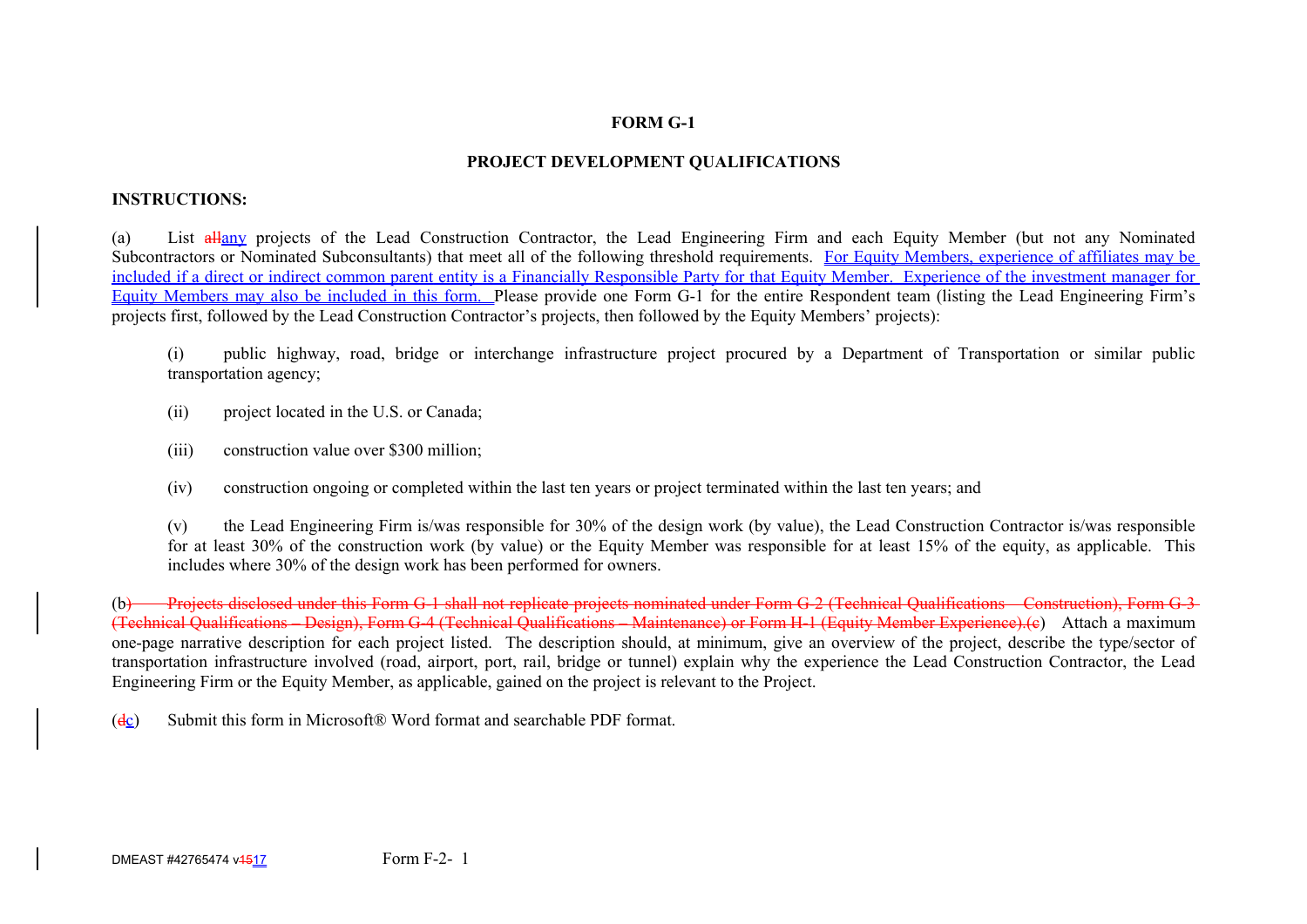# **FORM G-1**

# **PROJECT DEVELOPMENT QUALIFICATIONS**

# **INSTRUCTIONS:**

(a) List allany projects of the Lead Construction Contractor, the Lead Engineering Firm and each Equity Member (but not any Nominated Subcontractors or Nominated Subconsultants) that meet all of the following threshold requirements. For Equity Members, experience of affiliates may be included if a direct or indirect common parent entity is a Financially Responsible Party for that Equity Member. Experience of the investment manager for Equity Members may also be included in this form. Please provide one Form G-1 for the entire Respondent team (listing the Lead Engineering Firm's projects first, followed by the Lead Construction Contractor's projects, then followed by the Equity Members' projects):

(i) public highway, road, bridge or interchange infrastructure project procured by a Department of Transportation or similar public transportation agency;

- (ii) project located in the U.S. or Canada;
- (iii) construction value over \$300 million;
- (iv) construction ongoing or completed within the last ten years or project terminated within the last ten years; and

(v) the Lead Engineering Firm is/was responsible for 30% of the design work (by value), the Lead Construction Contractor is/was responsible for at least 30% of the construction work (by value) or the Equity Member was responsible for at least 15% of the equity, as applicable. This includes where 30% of the design work has been performed for owners.

(b) Projects disclosed under this Form G-1 shall not replicate projects nominated under Form G-2 (Technical Qualifications – Construction). Form G-3-(Technical Qualifications – Design), Form G-4 (Technical Qualifications – Maintenance) or Form H-1 (Equity Member Experience).(c) Attach a maximum one-page narrative description for each project listed. The description should, at minimum, give an overview of the project, describe the type/sector of transportation infrastructure involved (road, airport, port, rail, bridge or tunnel) explain why the experience the Lead Construction Contractor, the Lead Engineering Firm or the Equity Member, as applicable, gained on the project is relevant to the Project.

( $d_{\mathcal{L}}$ ) Submit this form in Microsoft® Word format and searchable PDF format.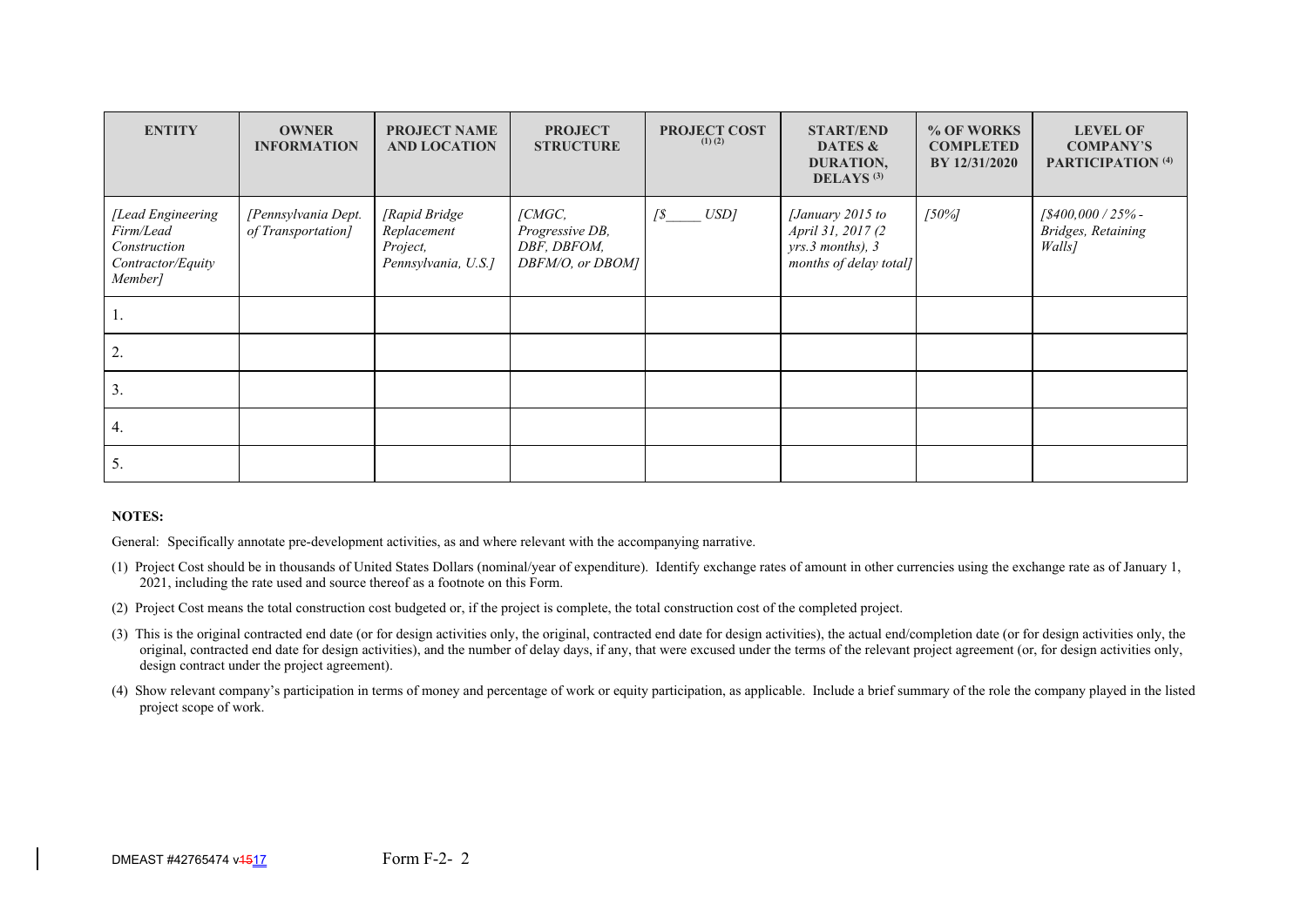| <b>ENTITY</b>                                                                  | <b>OWNER</b><br><b>INFORMATION</b>        | <b>PROJECT NAME</b><br><b>AND LOCATION</b>                      | <b>PROJECT</b><br><b>STRUCTURE</b>                           | <b>PROJECT COST</b><br>$(1)$ $(2)$ | <b>START/END</b><br>DATES &<br>DURATION,<br>DELAYS <sup>(3)</sup>                   | % OF WORKS<br><b>COMPLETED</b><br>BY 12/31/2020 | <b>LEVEL OF</b><br><b>COMPANY'S</b><br>PARTICIPATION <sup>(4)</sup> |
|--------------------------------------------------------------------------------|-------------------------------------------|-----------------------------------------------------------------|--------------------------------------------------------------|------------------------------------|-------------------------------------------------------------------------------------|-------------------------------------------------|---------------------------------------------------------------------|
| [Lead Engineering<br>Firm/Lead<br>Construction<br>Contractor/Equity<br>Member] | [Pennsylvania Dept.<br>of Transportation] | [Rapid Bridge<br>Replacement<br>Project,<br>Pennsylvania, U.S.] | [CMGC,<br>Progressive DB,<br>DBF, DBFOM,<br>DBFM/O, or DBOM] | USD]<br>$\sqrt{s}$                 | [January 2015 to<br>April 31, 2017 (2<br>yrs.3 months), 3<br>months of delay total] | $[50\%]$                                        | $1\frac{$400,000}{25\%}$ -<br>Bridges, Retaining<br>Walls]          |
| ı.                                                                             |                                           |                                                                 |                                                              |                                    |                                                                                     |                                                 |                                                                     |
| 2.                                                                             |                                           |                                                                 |                                                              |                                    |                                                                                     |                                                 |                                                                     |
| 3.                                                                             |                                           |                                                                 |                                                              |                                    |                                                                                     |                                                 |                                                                     |
| 4.                                                                             |                                           |                                                                 |                                                              |                                    |                                                                                     |                                                 |                                                                     |
| 5.                                                                             |                                           |                                                                 |                                                              |                                    |                                                                                     |                                                 |                                                                     |

#### **NOTES:**

General: Specifically annotate pre-development activities, as and where relevant with the accompanying narrative.

- (1) Project Cost should be in thousands of United States Dollars (nominal/year of expenditure). Identify exchange rates of amount in other currencies using the exchange rate as of January 1, 2021, including the rate used and source thereof as a footnote on this Form.
- (2) Project Cost means the total construction cost budgeted or, if the project is complete, the total construction cost of the completed project.
- (3) This is the original contracted end date (or for design activities only, the original, contracted end date for design activities), the actual end/completion date (or for design activities only, the original, contracted end date for design activities), and the number of delay days, if any, that were excused under the terms of the relevant project agreement (or, for design activities only, design contract under the project agreement).
- (4) Show relevant company's participation in terms of money and percentage of work or equity participation, as applicable. Include a brief summary of the role the company played in the listed project scope of work.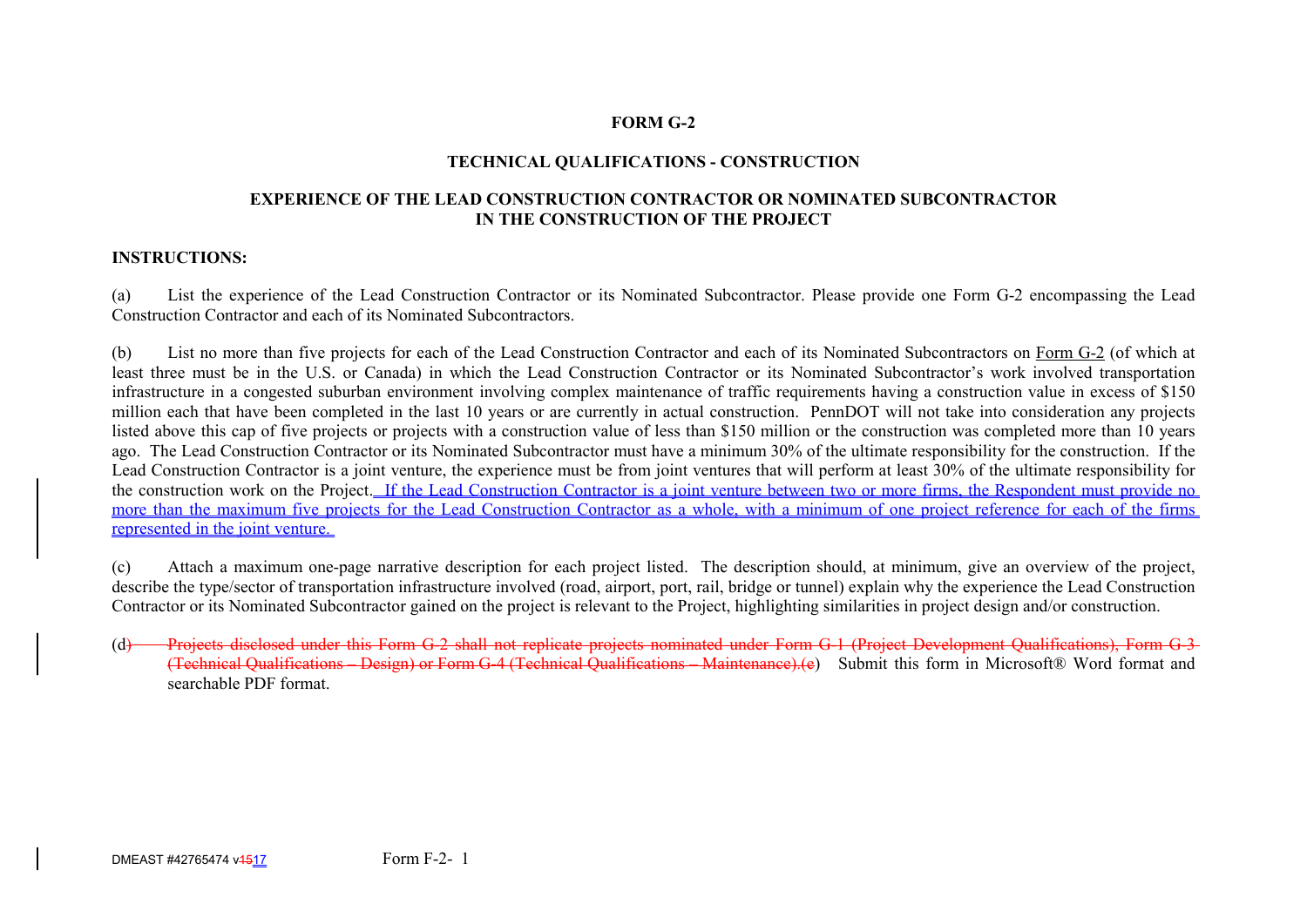# **FORM G-2**

# **TECHNICAL QUALIFICATIONS - CONSTRUCTION**

#### **EXPERIENCE OF THE LEAD CONSTRUCTION CONTRACTOR OR NOMINATED SUBCONTRACTOR IN THE CONSTRUCTION OF THE PROJECT**

#### **INSTRUCTIONS:**

(a) List the experience of the Lead Construction Contractor or its Nominated Subcontractor. Please provide one Form G-2 encompassing the Lead Construction Contractor and each of its Nominated Subcontractors.

(b) List no more than five projects for each of the Lead Construction Contractor and each of its Nominated Subcontractors on Form G-2 (of which at least three must be in the U.S. or Canada) in which the Lead Construction Contractor or its Nominated Subcontractor's work involved transportation infrastructure in a congested suburban environment involving complex maintenance of traffic requirements having a construction value in excess of \$150 million each that have been completed in the last 10 years or are currently in actual construction. PennDOT will not take into consideration any projects listed above this cap of five projects or projects with a construction value of less than \$150 million or the construction was completed more than 10 years ago. The Lead Construction Contractor or its Nominated Subcontractor must have a minimum 30% of the ultimate responsibility for the construction. If the Lead Construction Contractor is a joint venture, the experience must be from joint ventures that will perform at least 30% of the ultimate responsibility for the construction work on the Project. If the Lead Construction Contractor is a joint venture between two or more firms, the Respondent must provide no more than the maximum five projects for the Lead Construction Contractor as a whole, with a minimum of one project reference for each of the firms represented in the joint venture.

(c) Attach a maximum one-page narrative description for each project listed. The description should, at minimum, give an overview of the project, describe the type/sector of transportation infrastructure involved (road, airport, port, rail, bridge or tunnel) explain why the experience the Lead Construction Contractor or its Nominated Subcontractor gained on the project is relevant to the Project, highlighting similarities in project design and/or construction.

(d) Projects disclosed under this Form G-2 shall not replicate projects nominated under Form G-1 (Project Development Qualifications), Form G-3 (Technical Qualifications – Design) or Form G-4 (Technical Qualifications – Maintenance).(e) Submit this form in Microsoft® Word format and searchable PDF format.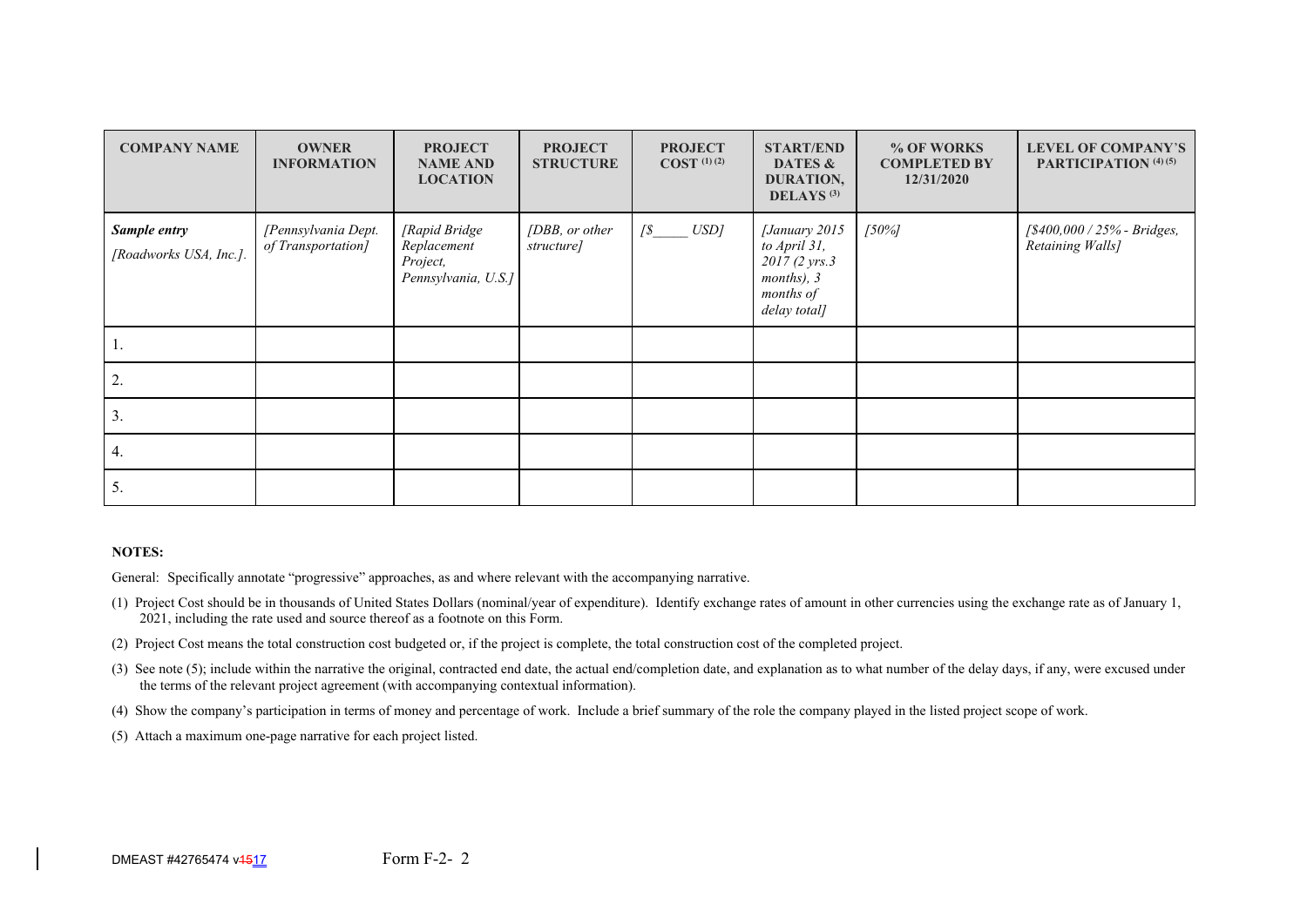| <b>COMPANY NAME</b>                    | <b>OWNER</b><br><b>INFORMATION</b>        | <b>PROJECT</b><br><b>NAME AND</b><br><b>LOCATION</b>            | <b>PROJECT</b><br><b>STRUCTURE</b> | <b>PROJECT</b><br>$COST$ <sup>(1)(2)</sup> | <b>START/END</b><br>DATES &<br>DURATION,<br>DELAYS <sup>(3)</sup>                          | % OF WORKS<br><b>COMPLETED BY</b><br>12/31/2020 | <b>LEVEL OF COMPANY'S</b><br>PARTICIPATION (4) (5) |
|----------------------------------------|-------------------------------------------|-----------------------------------------------------------------|------------------------------------|--------------------------------------------|--------------------------------------------------------------------------------------------|-------------------------------------------------|----------------------------------------------------|
| Sample entry<br>[Roadworks USA, Inc.]. | [Pennsylvania Dept.<br>of Transportation] | [Rapid Bridge<br>Replacement<br>Project,<br>Pennsylvania, U.S.] | [DBB, or other<br>structure]       | $\sqrt{\$}$ $USD$                          | [January 2015<br>to April 31,<br>2017 (2 yrs.3)<br>months), 3<br>months of<br>delay total] | $[50\%]$                                        | [\$400,000 / 25% - Bridges,<br>Retaining Walls]    |
| Ι.                                     |                                           |                                                                 |                                    |                                            |                                                                                            |                                                 |                                                    |
| 2.                                     |                                           |                                                                 |                                    |                                            |                                                                                            |                                                 |                                                    |
| 3.                                     |                                           |                                                                 |                                    |                                            |                                                                                            |                                                 |                                                    |
| 4.                                     |                                           |                                                                 |                                    |                                            |                                                                                            |                                                 |                                                    |
| 5.                                     |                                           |                                                                 |                                    |                                            |                                                                                            |                                                 |                                                    |

#### **NOTES:**

General: Specifically annotate "progressive" approaches, as and where relevant with the accompanying narrative.

- (1) Project Cost should be in thousands of United States Dollars (nominal/year of expenditure). Identify exchange rates of amount in other currencies using the exchange rate as of January 1, 2021, including the rate used and source thereof as a footnote on this Form.
- (2) Project Cost means the total construction cost budgeted or, if the project is complete, the total construction cost of the completed project.
- (3) See note (5); include within the narrative the original, contracted end date, the actual end/completion date, and explanation as to what number of the delay days, if any, were excused under the terms of the relevant project agreement (with accompanying contextual information).
- (4) Show the company's participation in terms of money and percentage of work. Include a brief summary of the role the company played in the listed project scope of work.
- (5) Attach a maximum one-page narrative for each project listed.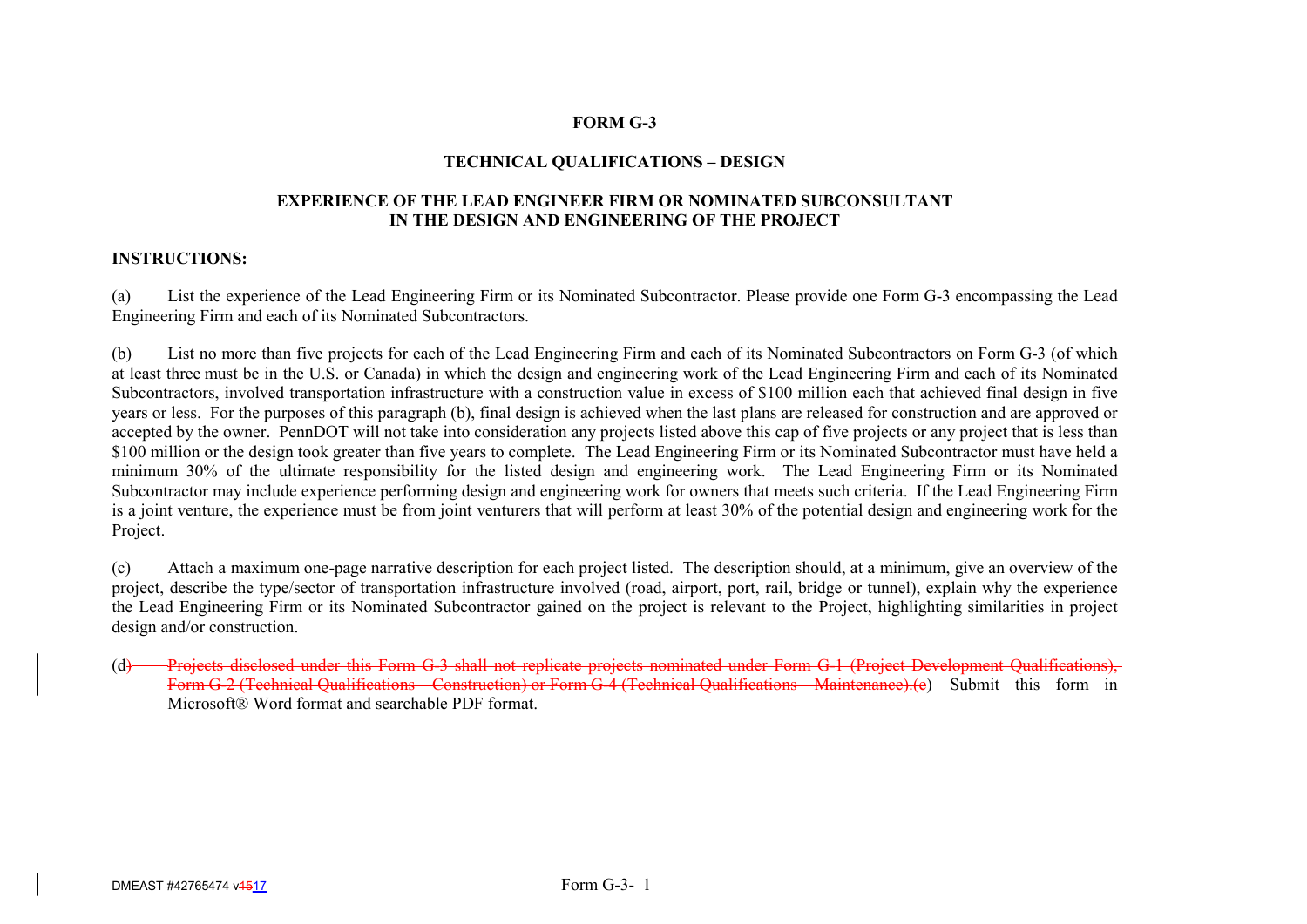#### **FORM G-3**

#### **TECHNICAL QUALIFICATIONS – DESIGN**

#### **EXPERIENCE OF THE LEAD ENGINEER FIRM OR NOMINATED SUBCONSULTANT IN THE DESIGN AND ENGINEERING OF THE PROJECT**

#### **INSTRUCTIONS:**

(a) List the experience of the Lead Engineering Firm or its Nominated Subcontractor. Please provide one Form G-3 encompassing the Lead Engineering Firm and each of its Nominated Subcontractors.

(b) List no more than five projects for each of the Lead Engineering Firm and each of its Nominated Subcontractors on Form G-3 (of which at least three must be in the U.S. or Canada) in which the design and engineering work of the Lead Engineering Firm and each of its Nominated Subcontractors, involved transportation infrastructure with a construction value in excess of \$100 million each that achieved final design in five years or less. For the purposes of this paragraph (b), final design is achieved when the last plans are released for construction and are approved or accepted by the owner. PennDOT will not take into consideration any projects listed above this cap of five projects or any project that is less than \$100 million or the design took greater than five years to complete. The Lead Engineering Firm or its Nominated Subcontractor must have held a minimum 30% of the ultimate responsibility for the listed design and engineering work. The Lead Engineering Firm or its Nominated Subcontractor may include experience performing design and engineering work for owners that meets such criteria. If the Lead Engineering Firm is a joint venture, the experience must be from joint venturers that will perform at least 30% of the potential design and engineering work for the Project.

(c) Attach a maximum one-page narrative description for each project listed. The description should, at a minimum, give an overview of the project, describe the type/sector of transportation infrastructure involved (road, airport, port, rail, bridge or tunnel), explain why the experience the Lead Engineering Firm or its Nominated Subcontractor gained on the project is relevant to the Project, highlighting similarities in project design and/or construction.

(d) Projects disclosed under this Form G-3 shall not replicate projects nominated under Form G-1 (Project Development Qualifications) Form G-2 (Technical Qualifications – Construction) or Form G-4 (Technical Qualifications – Maintenance).(e) Submit this form in Microsoft® Word format and searchable PDF format.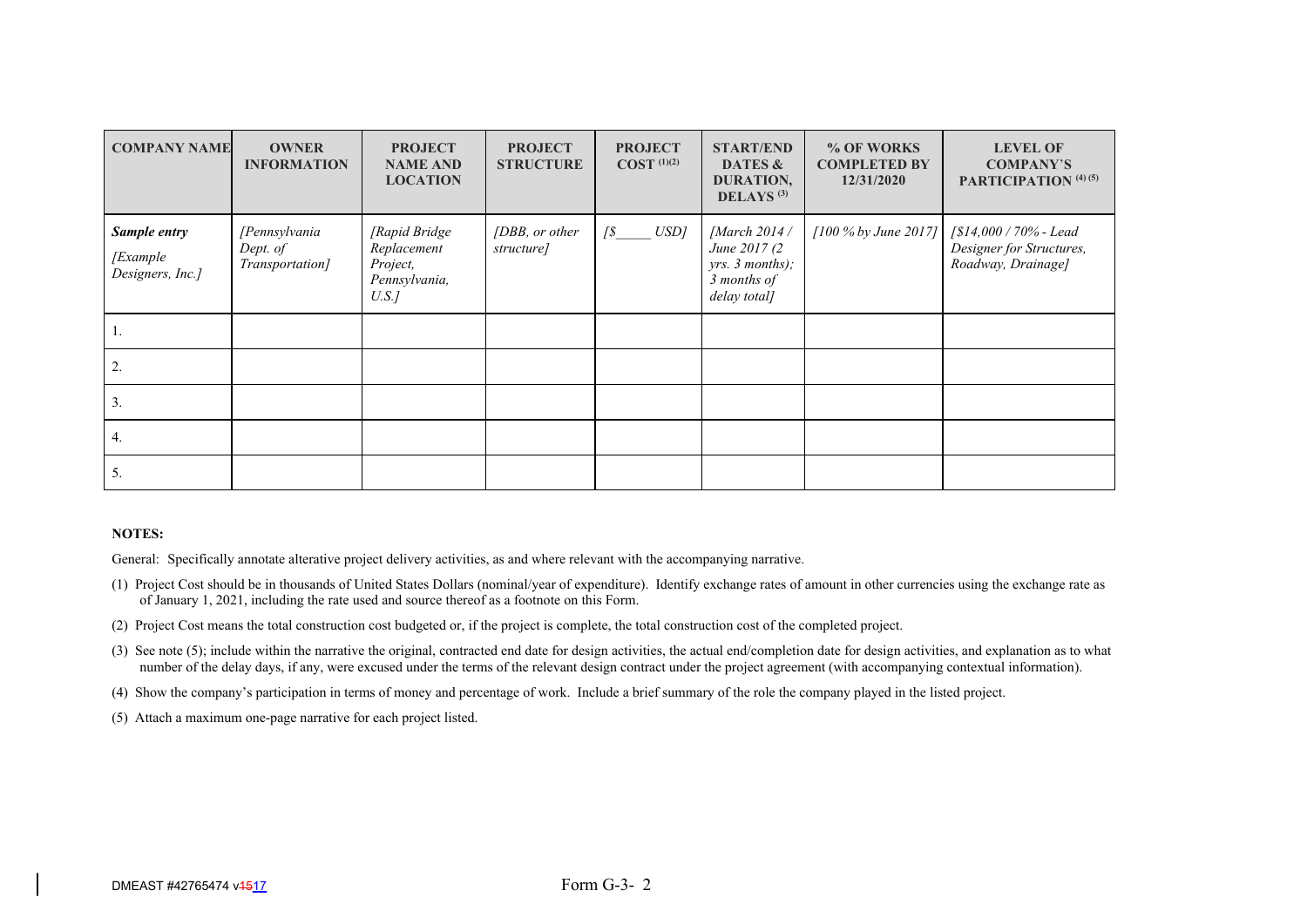| <b>COMPANY NAME</b>                           | <b>OWNER</b><br><b>INFORMATION</b>           | <b>PROJECT</b><br><b>NAME AND</b><br><b>LOCATION</b>              | <b>PROJECT</b><br><b>STRUCTURE</b> | <b>PROJECT</b><br>$COST$ <sup>(1)(2)</sup> | <b>START/END</b><br>DATES &<br>DURATION,<br>DELAYS $(3)$                         | % OF WORKS<br><b>COMPLETED BY</b><br>12/31/2020 | <b>LEVEL OF</b><br><b>COMPANY'S</b><br>PARTICIPATION <sup>(4)(5)</sup>           |
|-----------------------------------------------|----------------------------------------------|-------------------------------------------------------------------|------------------------------------|--------------------------------------------|----------------------------------------------------------------------------------|-------------------------------------------------|----------------------------------------------------------------------------------|
| Sample entry<br>[Example]<br>Designers, Inc.] | [Pennsylvania<br>Dept. of<br>Transportation] | [Rapid Bridge<br>Replacement<br>Project,<br>Pennsylvania,<br>U.S. | [DBB, or other<br>structure]       | USD]<br>$\sqrt{s}$                         | [March 2014 /<br>June 2017 (2)<br>yrs. 3 months);<br>3 months of<br>delay total] | [100 % by June 2017]                            | $\sqrt{$14,000 / 70\%}$ - Lead<br>Designer for Structures,<br>Roadway, Drainage] |
| 1.                                            |                                              |                                                                   |                                    |                                            |                                                                                  |                                                 |                                                                                  |
| 2.                                            |                                              |                                                                   |                                    |                                            |                                                                                  |                                                 |                                                                                  |
| 3.                                            |                                              |                                                                   |                                    |                                            |                                                                                  |                                                 |                                                                                  |
| 4.                                            |                                              |                                                                   |                                    |                                            |                                                                                  |                                                 |                                                                                  |
| 5.                                            |                                              |                                                                   |                                    |                                            |                                                                                  |                                                 |                                                                                  |

General: Specifically annotate alterative project delivery activities, as and where relevant with the accompanying narrative.

- (1) Project Cost should be in thousands of United States Dollars (nominal/year of expenditure). Identify exchange rates of amount in other currencies using the exchange rate as of January 1, 2021, including the rate used and source thereof as a footnote on this Form.
- (2) Project Cost means the total construction cost budgeted or, if the project is complete, the total construction cost of the completed project.
- (3) See note (5); include within the narrative the original, contracted end date for design activities, the actual end/completion date for design activities, and explanation as to what number of the delay days, if any, were excused under the terms of the relevant design contract under the project agreement (with accompanying contextual information).
- (4) Show the company's participation in terms of money and percentage of work. Include a brief summary of the role the company played in the listed project.
- (5) Attach a maximum one-page narrative for each project listed.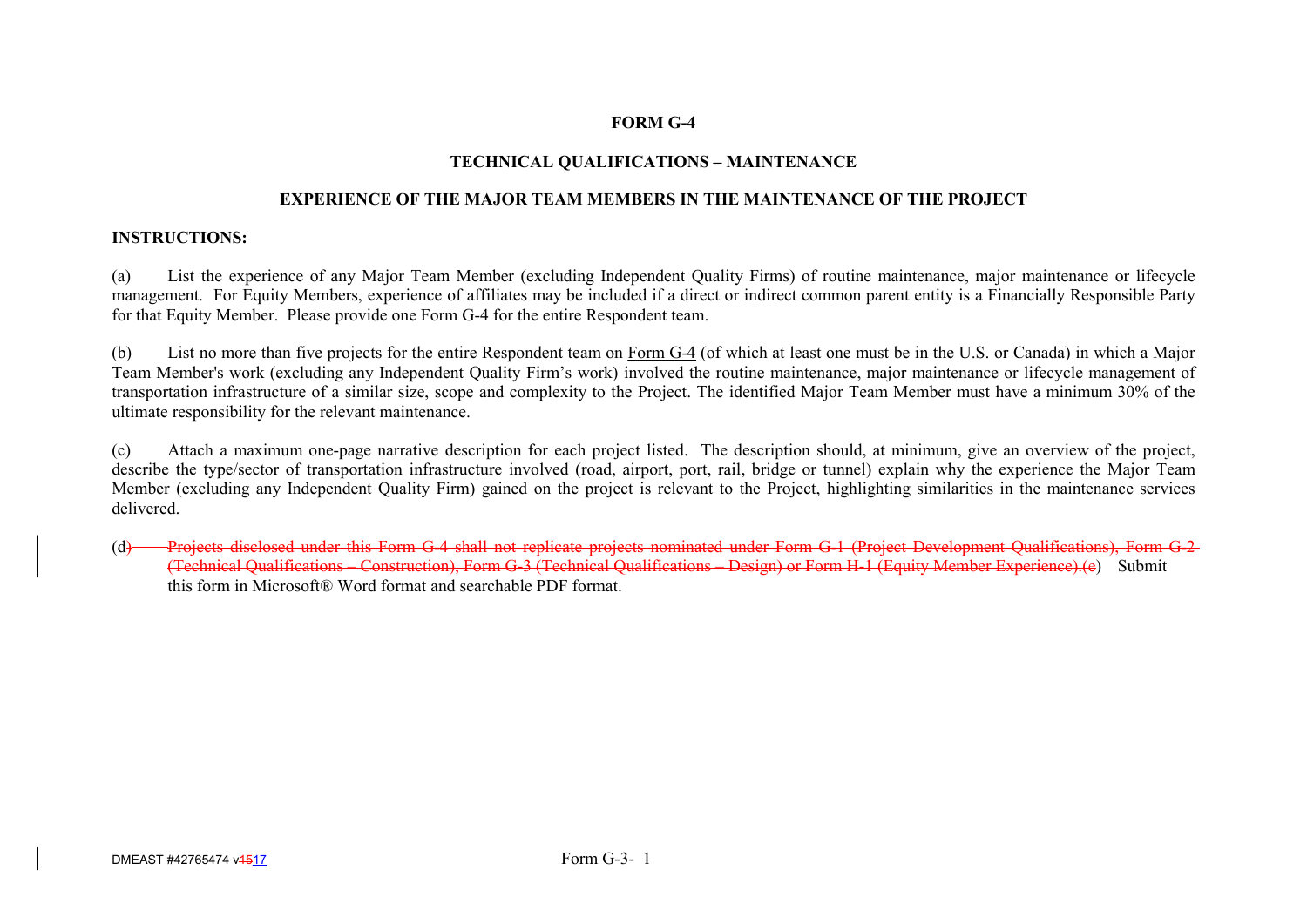# **FORM G-4**

# **TECHNICAL QUALIFICATIONS – MAINTENANCE**

# **EXPERIENCE OF THE MAJOR TEAM MEMBERS IN THE MAINTENANCE OF THE PROJECT**

### **INSTRUCTIONS:**

(a) List the experience of any Major Team Member (excluding Independent Quality Firms) of routine maintenance, major maintenance or lifecycle management. For Equity Members, experience of affiliates may be included if a direct or indirect common parent entity is a Financially Responsible Party for that Equity Member. Please provide one Form G-4 for the entire Respondent team.

(b) List no more than five projects for the entire Respondent team on Form G-4 (of which at least one must be in the U.S. or Canada) in which a Major Team Member's work (excluding any Independent Quality Firm's work) involved the routine maintenance, major maintenance or lifecycle management of transportation infrastructure of a similar size, scope and complexity to the Project. The identified Major Team Member must have a minimum 30% of the ultimate responsibility for the relevant maintenance.

(c) Attach a maximum one-page narrative description for each project listed. The description should, at minimum, give an overview of the project, describe the type/sector of transportation infrastructure involved (road, airport, port, rail, bridge or tunnel) explain why the experience the Major Team Member (excluding any Independent Quality Firm) gained on the project is relevant to the Project, highlighting similarities in the maintenance services delivered.

(d) Projects disclosed under this Form G-4 shall not replicate projects nominated under Form G-1 (Project Development Qualifications). Form G-2-(Technical Qualifications – Construction), Form G-3 (Technical Qualifications – Design) or Form H-1 (Equity Member Experience).(e) Submit this form in Microsoft® Word format and searchable PDF format.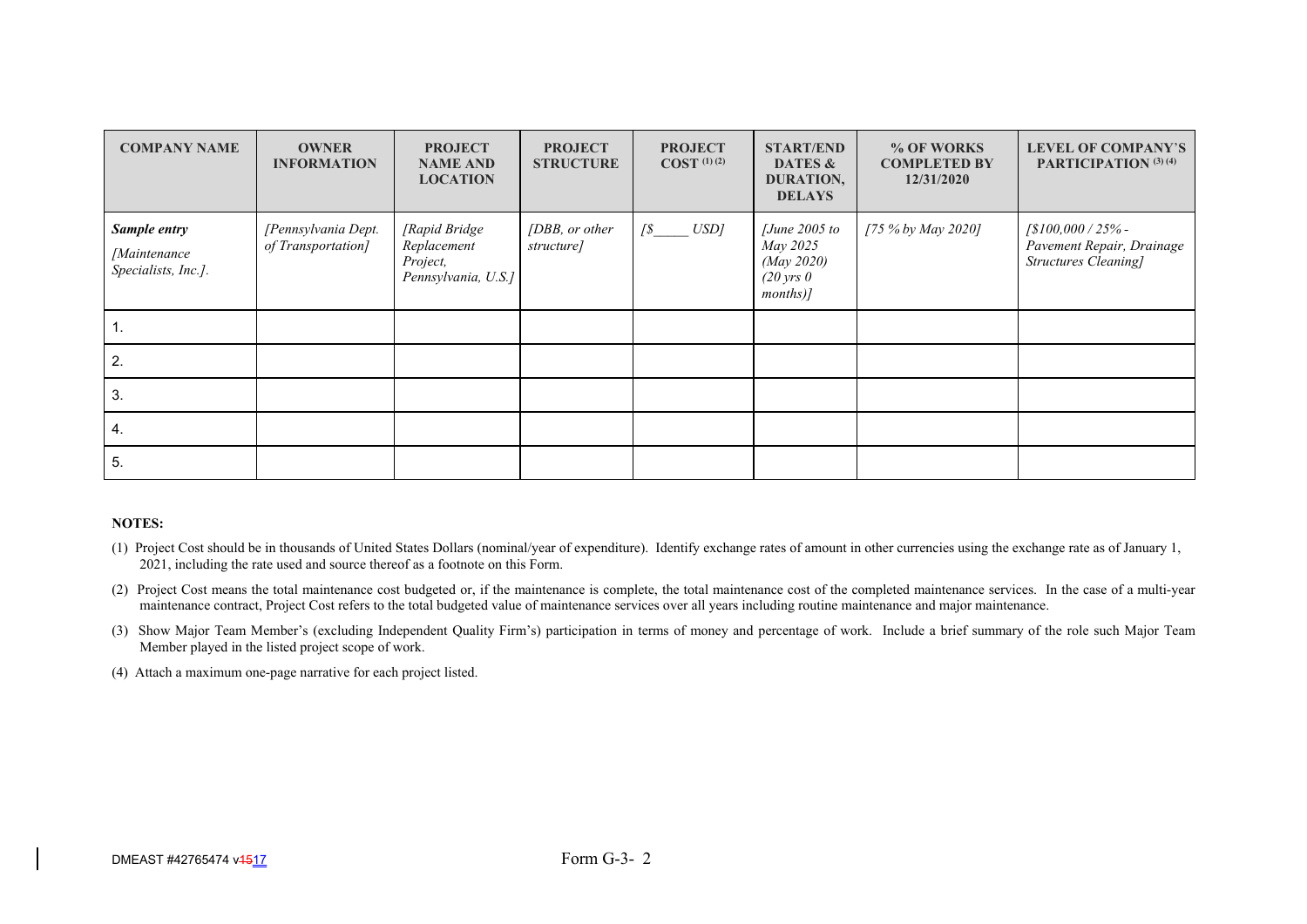| <b>COMPANY NAME</b>                                        | <b>OWNER</b><br><b>INFORMATION</b>        | <b>PROJECT</b><br><b>NAME AND</b><br><b>LOCATION</b>             | <b>PROJECT</b><br><b>STRUCTURE</b> | <b>PROJECT</b><br>$COST$ <sup>(1)(2)</sup> | <b>START/END</b><br>DATES &<br>DURATION,<br><b>DELAYS</b>                        | % OF WORKS<br><b>COMPLETED BY</b><br>12/31/2020 | <b>LEVEL OF COMPANY'S</b><br>PARTICIPATION (3) (4)                                       |
|------------------------------------------------------------|-------------------------------------------|------------------------------------------------------------------|------------------------------------|--------------------------------------------|----------------------------------------------------------------------------------|-------------------------------------------------|------------------------------------------------------------------------------------------|
| Sample entry<br><i>[Maintenance</i><br>Specialists, Inc.]. | [Pennsylvania Dept.<br>of Transportation] | [Rapid Bridge]<br>Replacement<br>Project,<br>Pennsylvania, U.S.] | [DBB, or other<br>structure]       | USD]<br>$\sqrt{s}$                         | $June$ 2005 to<br>May 2025<br>(May 2020)<br>$(20 \text{ yrs } 0)$<br>$months$ )] | [75 % by May 2020]                              | $\frac{1}{8100,000}$ / 25% -<br>Pavement Repair, Drainage<br><b>Structures Cleaning]</b> |
| н.                                                         |                                           |                                                                  |                                    |                                            |                                                                                  |                                                 |                                                                                          |
| 2.                                                         |                                           |                                                                  |                                    |                                            |                                                                                  |                                                 |                                                                                          |
| 3.                                                         |                                           |                                                                  |                                    |                                            |                                                                                  |                                                 |                                                                                          |
| 4.                                                         |                                           |                                                                  |                                    |                                            |                                                                                  |                                                 |                                                                                          |
| 5.                                                         |                                           |                                                                  |                                    |                                            |                                                                                  |                                                 |                                                                                          |

- (1) Project Cost should be in thousands of United States Dollars (nominal/year of expenditure). Identify exchange rates of amount in other currencies using the exchange rate as of January 1, 2021, including the rate used and source thereof as a footnote on this Form.
- (2) Project Cost means the total maintenance cost budgeted or, if the maintenance is complete, the total maintenance cost of the completed maintenance services. In the case of a multi-year maintenance contract, Project Cost refers to the total budgeted value of maintenance services over all years including routine maintenance and major maintenance.
- (3) Show Major Team Member's (excluding Independent Quality Firm's) participation in terms of money and percentage of work. Include a brief summary of the role such Major Team Member played in the listed project scope of work.

(4) Attach a maximum one-page narrative for each project listed.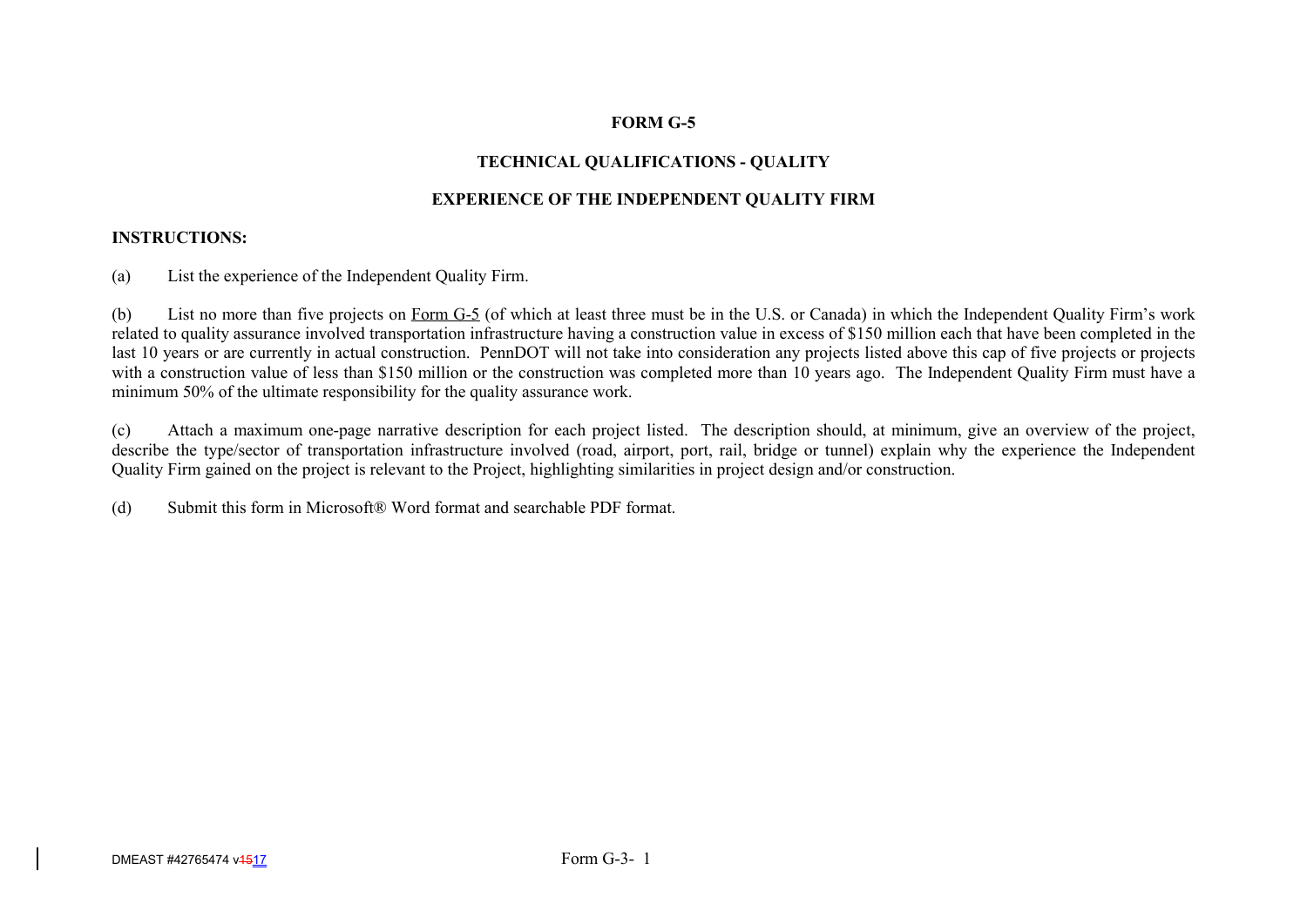# **FORM G-5**

# **TECHNICAL QUALIFICATIONS - QUALITY**

# **EXPERIENCE OF THE INDEPENDENT QUALITY FIRM**

# **INSTRUCTIONS:**

(a) List the experience of the Independent Quality Firm.

(b) List no more than five projects on Form G-5 (of which at least three must be in the U.S. or Canada) in which the Independent Quality Firm's work related to quality assurance involved transportation infrastructure having a construction value in excess of \$150 million each that have been completed in the last 10 years or are currently in actual construction. PennDOT will not take into consideration any projects listed above this cap of five projects or projects with a construction value of less than \$150 million or the construction was completed more than 10 years ago. The Independent Quality Firm must have a minimum 50% of the ultimate responsibility for the quality assurance work.

(c) Attach a maximum one-page narrative description for each project listed. The description should, at minimum, give an overview of the project, describe the type/sector of transportation infrastructure involved (road, airport, port, rail, bridge or tunnel) explain why the experience the Independent Quality Firm gained on the project is relevant to the Project, highlighting similarities in project design and/or construction.

(d) Submit this form in Microsoft® Word format and searchable PDF format.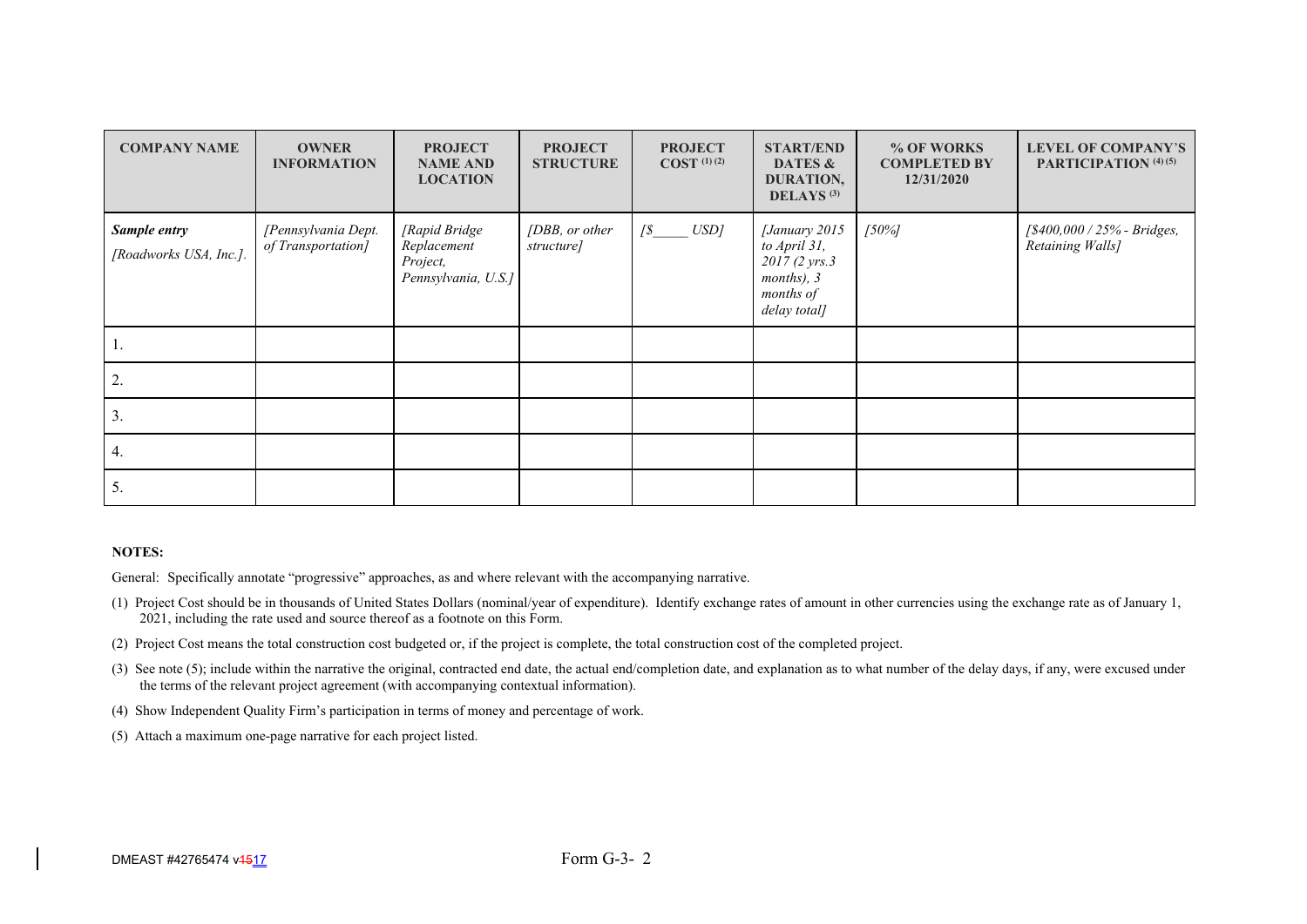| <b>COMPANY NAME</b>                    | <b>OWNER</b><br><b>INFORMATION</b>        | <b>PROJECT</b><br><b>NAME AND</b><br><b>LOCATION</b>            | <b>PROJECT</b><br><b>STRUCTURE</b> | <b>PROJECT</b><br>$COST$ <sup>(1)(2)</sup> | <b>START/END</b><br>DATES &<br>DURATION,<br><b>DELAYS</b> <sup>(3)</sup>                   | % OF WORKS<br><b>COMPLETED BY</b><br>12/31/2020 | <b>LEVEL OF COMPANY'S</b><br>PARTICIPATION (4) (5) |
|----------------------------------------|-------------------------------------------|-----------------------------------------------------------------|------------------------------------|--------------------------------------------|--------------------------------------------------------------------------------------------|-------------------------------------------------|----------------------------------------------------|
| Sample entry<br>[Roadworks USA, Inc.]. | [Pennsylvania Dept.<br>of Transportation] | [Rapid Bridge<br>Replacement<br>Project,<br>Pennsylvania, U.S.] | [DBB, or other<br>structure]       | $\sqrt{s}$ $USD$                           | [January 2015<br>to April 31,<br>2017 (2 yrs.3)<br>months), 3<br>months of<br>delay total] | 150%                                            | [\$400,000 / 25% - Bridges,<br>Retaining Walls]    |
| ı.                                     |                                           |                                                                 |                                    |                                            |                                                                                            |                                                 |                                                    |
| 2.                                     |                                           |                                                                 |                                    |                                            |                                                                                            |                                                 |                                                    |
| 3.                                     |                                           |                                                                 |                                    |                                            |                                                                                            |                                                 |                                                    |
| 4.                                     |                                           |                                                                 |                                    |                                            |                                                                                            |                                                 |                                                    |
| 5.                                     |                                           |                                                                 |                                    |                                            |                                                                                            |                                                 |                                                    |

General: Specifically annotate "progressive" approaches, as and where relevant with the accompanying narrative.

- (1) Project Cost should be in thousands of United States Dollars (nominal/year of expenditure). Identify exchange rates of amount in other currencies using the exchange rate as of January 1, 2021, including the rate used and source thereof as a footnote on this Form.
- (2) Project Cost means the total construction cost budgeted or, if the project is complete, the total construction cost of the completed project.
- (3) See note (5); include within the narrative the original, contracted end date, the actual end/completion date, and explanation as to what number of the delay days, if any, were excused under the terms of the relevant project agreement (with accompanying contextual information).
- (4) Show Independent Quality Firm's participation in terms of money and percentage of work.
- (5) Attach a maximum one-page narrative for each project listed.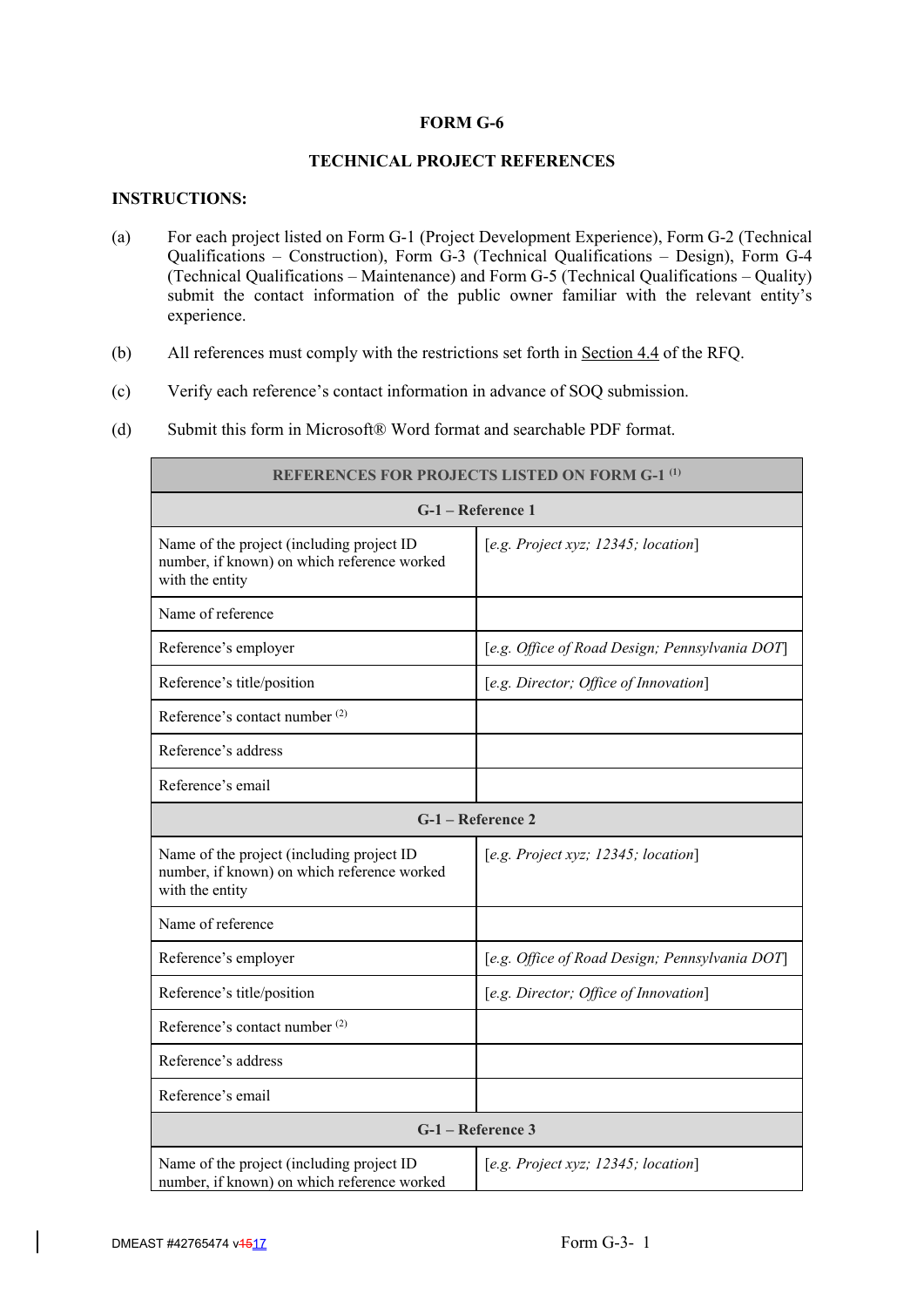# **FORM G-6**

# **TECHNICAL PROJECT REFERENCES**

# **INSTRUCTIONS:**

- (a) For each project listed on Form G-1 (Project Development Experience), Form G-2 (Technical Qualifications – Construction), Form G-3 (Technical Qualifications – Design), Form G-4 (Technical Qualifications – Maintenance) and Form G-5 (Technical Qualifications – Quality) submit the contact information of the public owner familiar with the relevant entity's experience.
- (b) All references must comply with the restrictions set forth in Section 4.4 of the RFQ.
- (c) Verify each reference's contact information in advance of SOQ submission.
- (d) Submit this form in Microsoft® Word format and searchable PDF format.

| <b>REFERENCES FOR PROJECTS LISTED ON FORM G-1 (1)</b>                                                       |                                                |  |  |  |
|-------------------------------------------------------------------------------------------------------------|------------------------------------------------|--|--|--|
| G-1 – Reference 1                                                                                           |                                                |  |  |  |
| Name of the project (including project ID<br>number, if known) on which reference worked<br>with the entity | [e.g. Project xyz; $12345$ ; location]         |  |  |  |
| Name of reference                                                                                           |                                                |  |  |  |
| Reference's employer                                                                                        | [e.g. Office of Road Design; Pennsylvania DOT] |  |  |  |
| Reference's title/position                                                                                  | [e.g. Director; Office of Innovation]          |  |  |  |
| Reference's contact number <sup>(2)</sup>                                                                   |                                                |  |  |  |
| Reference's address                                                                                         |                                                |  |  |  |
| Reference's email                                                                                           |                                                |  |  |  |
| G-1 - Reference 2                                                                                           |                                                |  |  |  |
| Name of the project (including project ID<br>number, if known) on which reference worked<br>with the entity | [e.g. Project xyz; 12345; location]            |  |  |  |
| Name of reference                                                                                           |                                                |  |  |  |
| Reference's employer                                                                                        | [e.g. Office of Road Design; Pennsylvania DOT] |  |  |  |
| Reference's title/position                                                                                  | [e.g. Director; Office of Innovation]          |  |  |  |
| Reference's contact number <sup>(2)</sup>                                                                   |                                                |  |  |  |
| Reference's address                                                                                         |                                                |  |  |  |
| Reference's email                                                                                           |                                                |  |  |  |
| G-1 - Reference 3                                                                                           |                                                |  |  |  |
| Name of the project (including project ID<br>number, if known) on which reference worked                    | [e.g. Project xyz; 12345; location]            |  |  |  |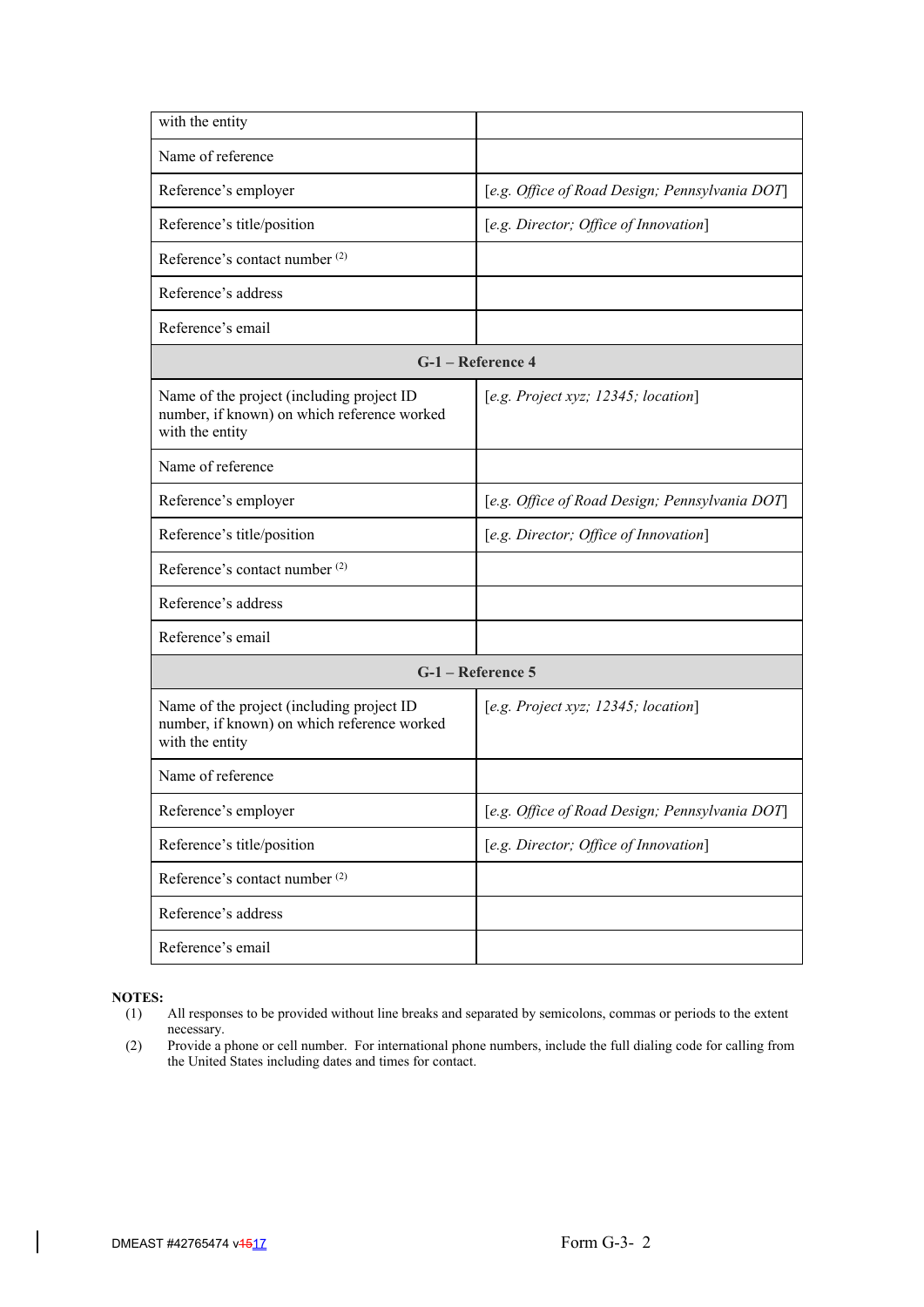| with the entity                                                                                             |                                                |
|-------------------------------------------------------------------------------------------------------------|------------------------------------------------|
| Name of reference                                                                                           |                                                |
| Reference's employer                                                                                        | [e.g. Office of Road Design; Pennsylvania DOT] |
| Reference's title/position                                                                                  | [e.g. Director; Office of Innovation]          |
| Reference's contact number <sup>(2)</sup>                                                                   |                                                |
| Reference's address                                                                                         |                                                |
| Reference's email                                                                                           |                                                |
|                                                                                                             | G-1 - Reference 4                              |
| Name of the project (including project ID<br>number, if known) on which reference worked<br>with the entity | [e.g. Project xyz; 12345; location]            |
| Name of reference                                                                                           |                                                |
| Reference's employer                                                                                        | [e.g. Office of Road Design; Pennsylvania DOT] |
| Reference's title/position                                                                                  | [e.g. Director; Office of Innovation]          |
| Reference's contact number <sup>(2)</sup>                                                                   |                                                |
| Reference's address                                                                                         |                                                |
| Reference's email                                                                                           |                                                |
|                                                                                                             | G-1 - Reference 5                              |
| Name of the project (including project ID<br>number, if known) on which reference worked<br>with the entity | [e.g. Project xyz; $12345$ ; location]         |
| Name of reference                                                                                           |                                                |
| Reference's employer                                                                                        | [e.g. Office of Road Design; Pennsylvania DOT] |
| Reference's title/position                                                                                  | [e.g. Director; Office of Innovation]          |
| Reference's contact number <sup>(2)</sup>                                                                   |                                                |
| Reference's address                                                                                         |                                                |
| Reference's email                                                                                           |                                                |

- (1) All responses to be provided without line breaks and separated by semicolons, commas or periods to the extent necessary.
- (2) Provide a phone or cell number. For international phone numbers, include the full dialing code for calling from the United States including dates and times for contact.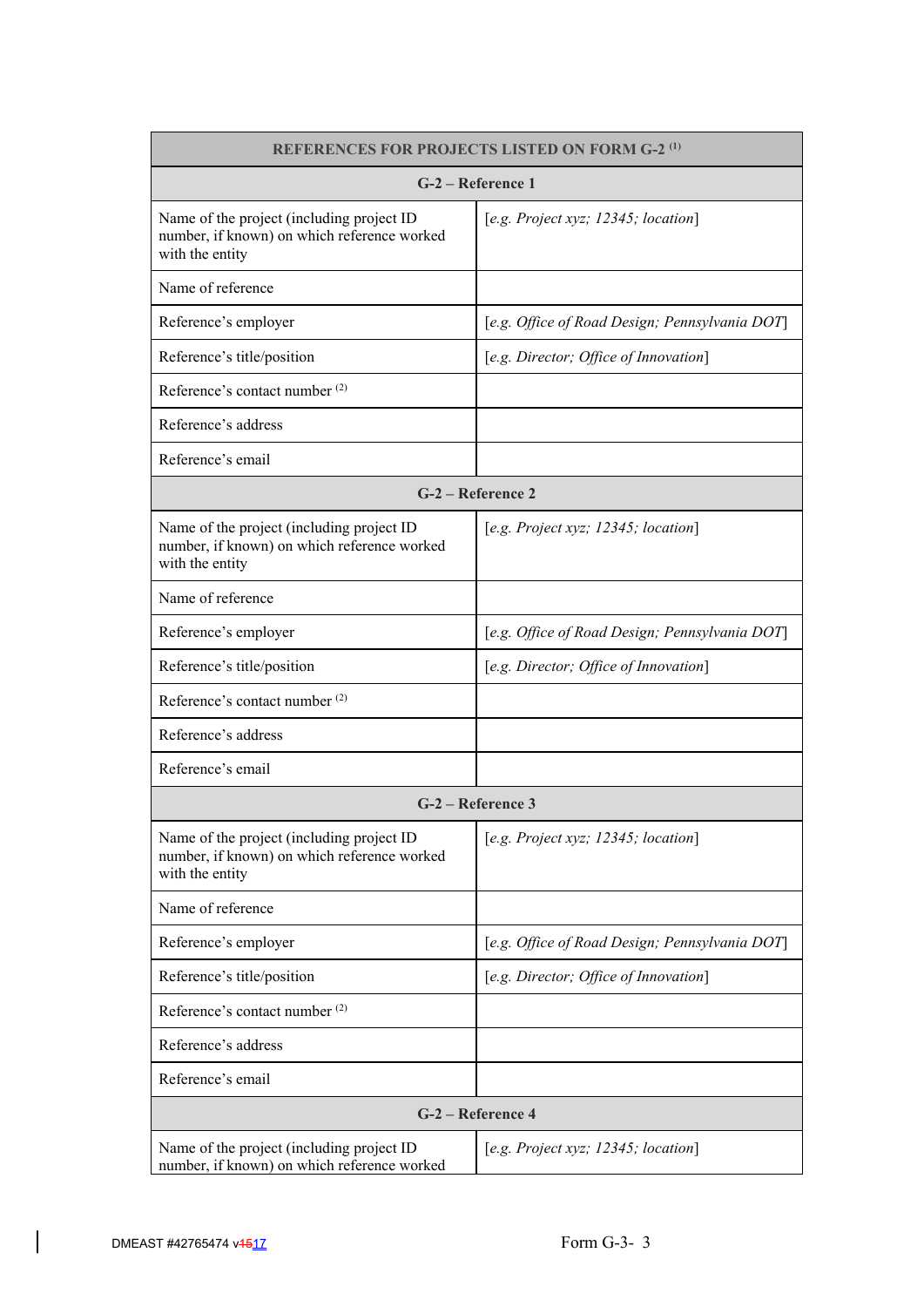| <b>REFERENCES FOR PROJECTS LISTED ON FORM G-2<sup>(1)</sup></b>                                             |                                                |  |  |  |
|-------------------------------------------------------------------------------------------------------------|------------------------------------------------|--|--|--|
| G-2 – Reference 1                                                                                           |                                                |  |  |  |
| Name of the project (including project ID<br>number, if known) on which reference worked<br>with the entity | [e.g. Project xyz; 12345; location]            |  |  |  |
| Name of reference                                                                                           |                                                |  |  |  |
| Reference's employer                                                                                        | [e.g. Office of Road Design; Pennsylvania DOT] |  |  |  |
| Reference's title/position                                                                                  | [e.g. Director; Office of Innovation]          |  |  |  |
| Reference's contact number <sup>(2)</sup>                                                                   |                                                |  |  |  |
| Reference's address                                                                                         |                                                |  |  |  |
| Reference's email                                                                                           |                                                |  |  |  |
|                                                                                                             | G-2 – Reference 2                              |  |  |  |
| Name of the project (including project ID<br>number, if known) on which reference worked<br>with the entity | [e.g. Project xyz; $12345$ ; location]         |  |  |  |
| Name of reference                                                                                           |                                                |  |  |  |
| Reference's employer                                                                                        | [e.g. Office of Road Design; Pennsylvania DOT] |  |  |  |
| Reference's title/position                                                                                  | [e.g. Director; Office of Innovation]          |  |  |  |
| Reference's contact number <sup>(2)</sup>                                                                   |                                                |  |  |  |
| Reference's address                                                                                         |                                                |  |  |  |
| Reference's email                                                                                           |                                                |  |  |  |
|                                                                                                             | G-2 – Reference 3                              |  |  |  |
| Name of the project (including project ID<br>number, if known) on which reference worked<br>with the entity | [e.g. Project xyz; 12345; location]            |  |  |  |
| Name of reference                                                                                           |                                                |  |  |  |
| Reference's employer                                                                                        | [e.g. Office of Road Design; Pennsylvania DOT] |  |  |  |
| Reference's title/position                                                                                  | [e.g. Director; Office of Innovation]          |  |  |  |
| Reference's contact number <sup>(2)</sup>                                                                   |                                                |  |  |  |
| Reference's address                                                                                         |                                                |  |  |  |
| Reference's email                                                                                           |                                                |  |  |  |
|                                                                                                             | G-2 – Reference 4                              |  |  |  |
| Name of the project (including project ID<br>number, if known) on which reference worked                    | [e.g. Project xyz; 12345; location]            |  |  |  |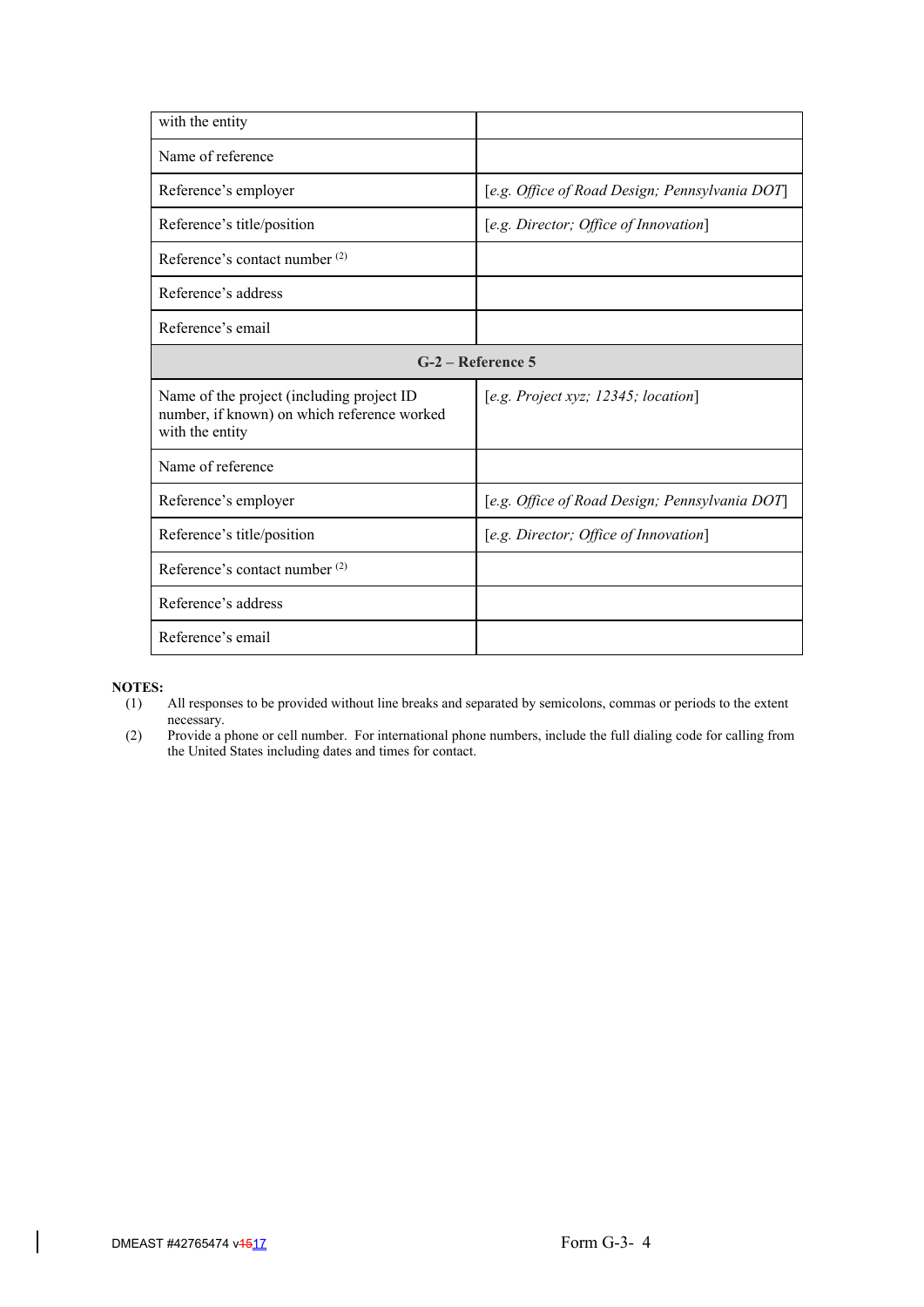| with the entity                                                                                             |                                                |  |  |  |
|-------------------------------------------------------------------------------------------------------------|------------------------------------------------|--|--|--|
| Name of reference                                                                                           |                                                |  |  |  |
| Reference's employer                                                                                        | [e.g. Office of Road Design; Pennsylvania DOT] |  |  |  |
| Reference's title/position                                                                                  | [e.g. Director; Office of Innovation]          |  |  |  |
| Reference's contact number (2)                                                                              |                                                |  |  |  |
| Reference's address                                                                                         |                                                |  |  |  |
| Reference's email                                                                                           |                                                |  |  |  |
| $G-2$ – Reference 5                                                                                         |                                                |  |  |  |
| Name of the project (including project ID<br>number, if known) on which reference worked<br>with the entity | [e.g. Project xyz; 12345; location]            |  |  |  |
| Name of reference                                                                                           |                                                |  |  |  |
| Reference's employer                                                                                        | [e.g. Office of Road Design; Pennsylvania DOT] |  |  |  |
| Reference's title/position                                                                                  | [e.g. Director; Office of Innovation]          |  |  |  |
| Reference's contact number <sup>(2)</sup>                                                                   |                                                |  |  |  |
| Reference's address                                                                                         |                                                |  |  |  |
| Reference's email                                                                                           |                                                |  |  |  |

# **NOTES:**<br>(1)

- All responses to be provided without line breaks and separated by semicolons, commas or periods to the extent necessary.
- (2) Provide a phone or cell number. For international phone numbers, include the full dialing code for calling from the United States including dates and times for contact.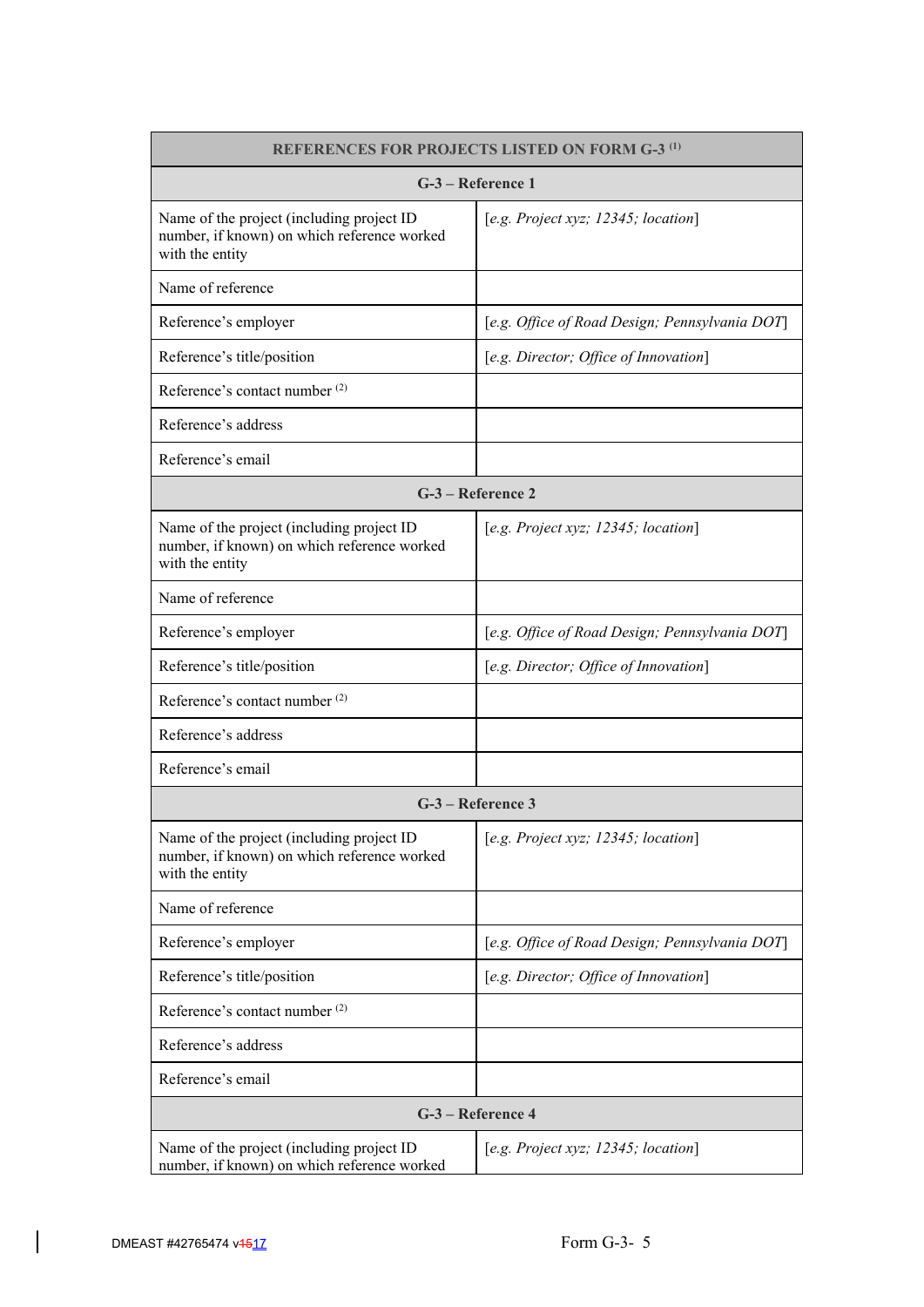| <b>REFERENCES FOR PROJECTS LISTED ON FORM G-3<sup>(1)</sup></b>                                             |                                                |  |  |  |
|-------------------------------------------------------------------------------------------------------------|------------------------------------------------|--|--|--|
| G-3 – Reference 1                                                                                           |                                                |  |  |  |
| Name of the project (including project ID<br>number, if known) on which reference worked<br>with the entity | [e.g. Project xyz; 12345; location]            |  |  |  |
| Name of reference                                                                                           |                                                |  |  |  |
| Reference's employer                                                                                        | [e.g. Office of Road Design; Pennsylvania DOT] |  |  |  |
| Reference's title/position                                                                                  | [e.g. Director; Office of Innovation]          |  |  |  |
| Reference's contact number <sup>(2)</sup>                                                                   |                                                |  |  |  |
| Reference's address                                                                                         |                                                |  |  |  |
| Reference's email                                                                                           |                                                |  |  |  |
|                                                                                                             | G-3 – Reference 2                              |  |  |  |
| Name of the project (including project ID<br>number, if known) on which reference worked<br>with the entity | [e.g. Project xyz; $12345$ ; location]         |  |  |  |
| Name of reference                                                                                           |                                                |  |  |  |
| Reference's employer                                                                                        | [e.g. Office of Road Design; Pennsylvania DOT] |  |  |  |
| Reference's title/position                                                                                  | [e.g. Director; Office of Innovation]          |  |  |  |
| Reference's contact number <sup>(2)</sup>                                                                   |                                                |  |  |  |
| Reference's address                                                                                         |                                                |  |  |  |
| Reference's email                                                                                           |                                                |  |  |  |
|                                                                                                             | G-3 – Reference 3                              |  |  |  |
| Name of the project (including project ID<br>number, if known) on which reference worked<br>with the entity | [e.g. Project xyz; 12345; location]            |  |  |  |
| Name of reference                                                                                           |                                                |  |  |  |
| Reference's employer                                                                                        | [e.g. Office of Road Design; Pennsylvania DOT] |  |  |  |
| Reference's title/position                                                                                  | [e.g. Director; Office of Innovation]          |  |  |  |
| Reference's contact number <sup>(2)</sup>                                                                   |                                                |  |  |  |
| Reference's address                                                                                         |                                                |  |  |  |
| Reference's email                                                                                           |                                                |  |  |  |
|                                                                                                             | G-3 - Reference 4                              |  |  |  |
| Name of the project (including project ID<br>number, if known) on which reference worked                    | [e.g. Project xyz; 12345; location]            |  |  |  |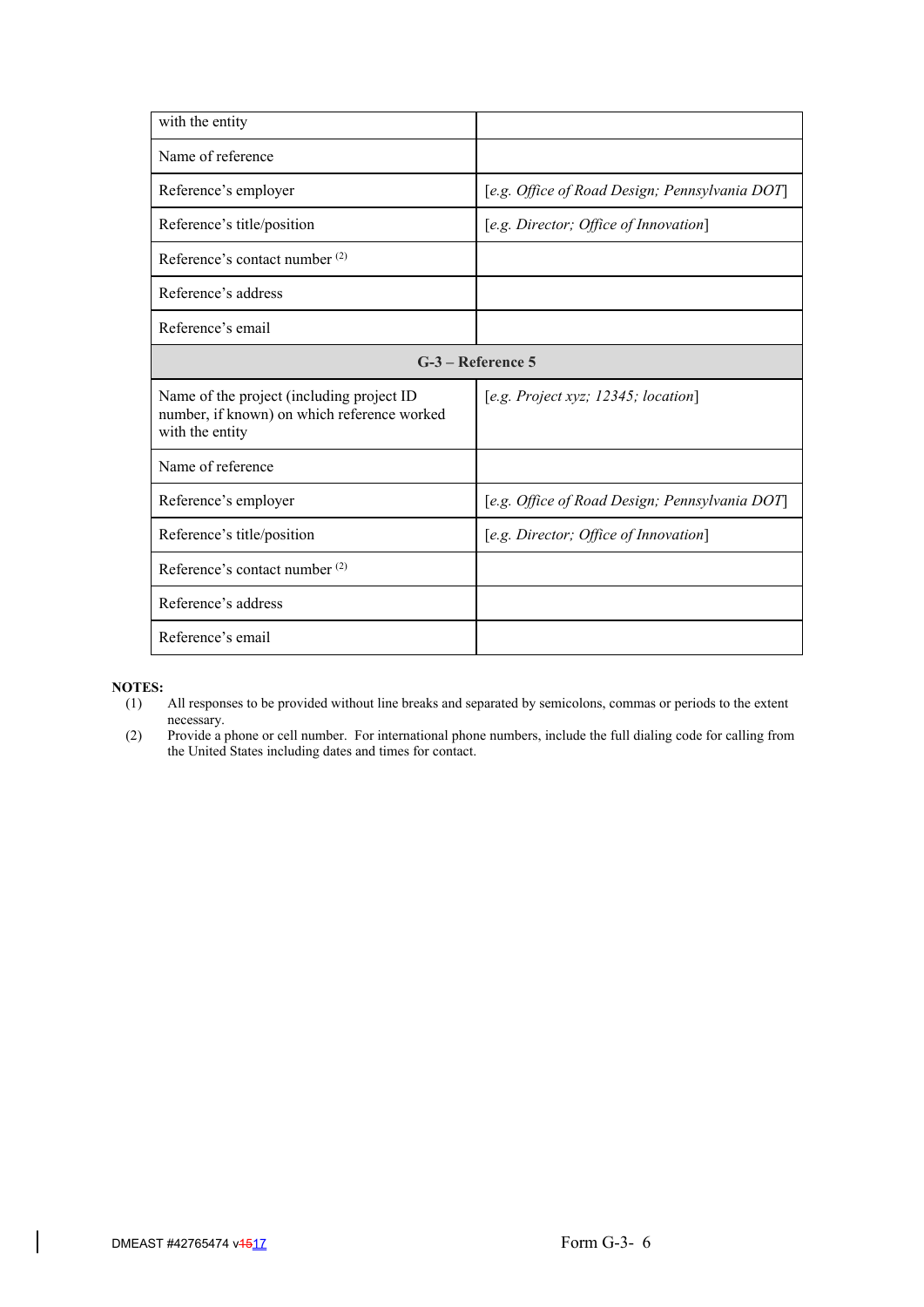| with the entity                                                                                             |                                                |  |  |  |
|-------------------------------------------------------------------------------------------------------------|------------------------------------------------|--|--|--|
| Name of reference                                                                                           |                                                |  |  |  |
| Reference's employer                                                                                        | [e.g. Office of Road Design; Pennsylvania DOT] |  |  |  |
| Reference's title/position                                                                                  | [e.g. Director; Office of Innovation]          |  |  |  |
| Reference's contact number (2)                                                                              |                                                |  |  |  |
| Reference's address                                                                                         |                                                |  |  |  |
| Reference's email                                                                                           |                                                |  |  |  |
| $G-3$ – Reference 5                                                                                         |                                                |  |  |  |
| Name of the project (including project ID<br>number, if known) on which reference worked<br>with the entity | [e.g. Project xyz; 12345; location]            |  |  |  |
| Name of reference                                                                                           |                                                |  |  |  |
| Reference's employer                                                                                        | [e.g. Office of Road Design; Pennsylvania DOT] |  |  |  |
| Reference's title/position                                                                                  | [e.g. Director; Office of Innovation]          |  |  |  |
| Reference's contact number <sup>(2)</sup>                                                                   |                                                |  |  |  |
| Reference's address                                                                                         |                                                |  |  |  |
| Reference's email                                                                                           |                                                |  |  |  |

# **NOTES:**<br>(1)

- All responses to be provided without line breaks and separated by semicolons, commas or periods to the extent necessary.
- (2) Provide a phone or cell number. For international phone numbers, include the full dialing code for calling from the United States including dates and times for contact.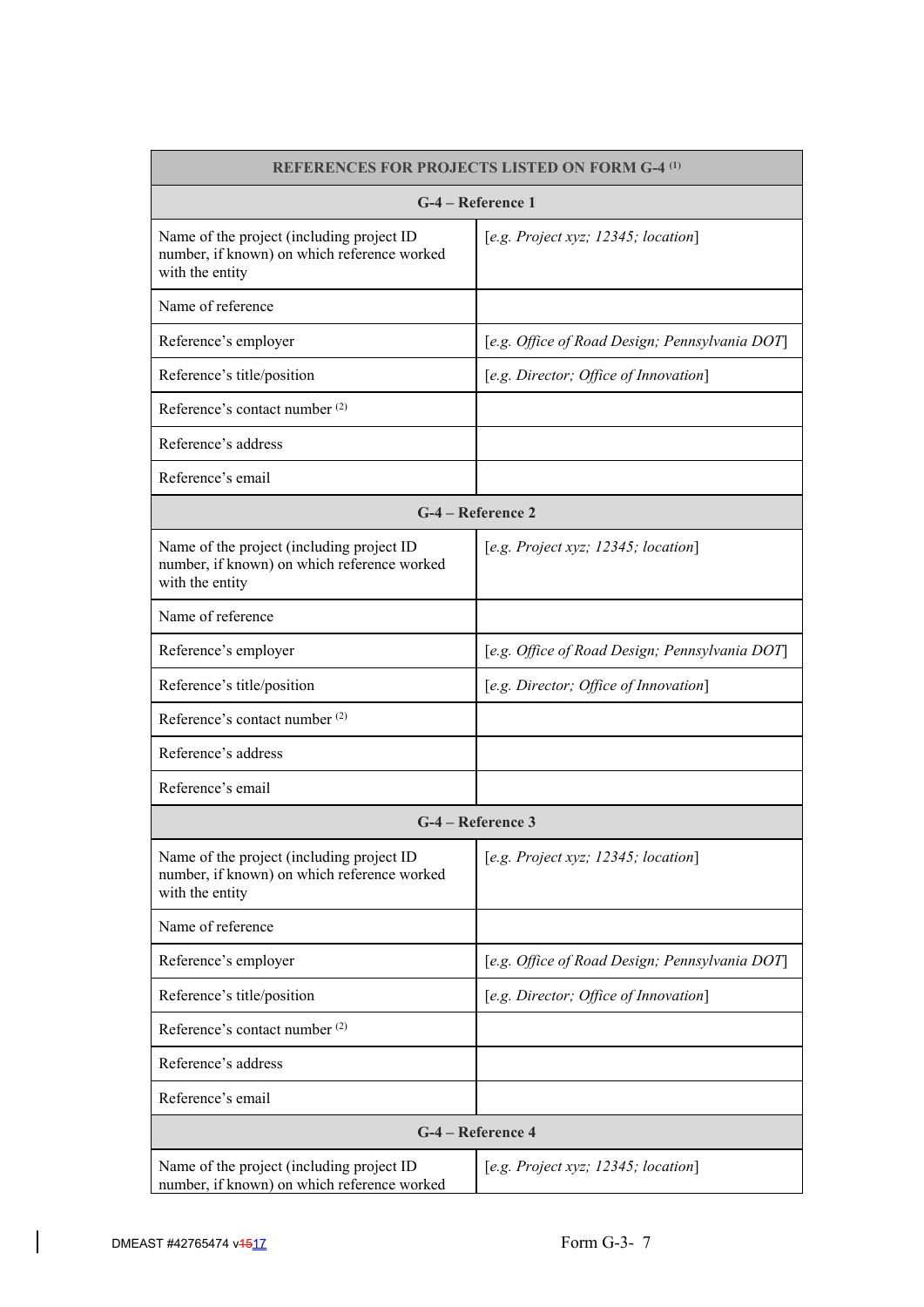| <b>REFERENCES FOR PROJECTS LISTED ON FORM G-4<sup>(1)</sup></b>                                             |                                                |  |  |  |  |
|-------------------------------------------------------------------------------------------------------------|------------------------------------------------|--|--|--|--|
| G-4 – Reference 1                                                                                           |                                                |  |  |  |  |
| Name of the project (including project ID<br>number, if known) on which reference worked<br>with the entity | [e.g. Project xyz; $12345$ ; location]         |  |  |  |  |
| Name of reference                                                                                           |                                                |  |  |  |  |
| Reference's employer                                                                                        | [e.g. Office of Road Design; Pennsylvania DOT] |  |  |  |  |
| Reference's title/position                                                                                  | [e.g. Director; Office of Innovation]          |  |  |  |  |
| Reference's contact number <sup>(2)</sup>                                                                   |                                                |  |  |  |  |
| Reference's address                                                                                         |                                                |  |  |  |  |
| Reference's email                                                                                           |                                                |  |  |  |  |
|                                                                                                             | G-4 – Reference 2                              |  |  |  |  |
| Name of the project (including project ID<br>number, if known) on which reference worked<br>with the entity | [e.g. Project xyz; 12345; location]            |  |  |  |  |
| Name of reference                                                                                           |                                                |  |  |  |  |
| Reference's employer                                                                                        | [e.g. Office of Road Design; Pennsylvania DOT] |  |  |  |  |
| Reference's title/position                                                                                  | [e.g. Director; Office of Innovation]          |  |  |  |  |
| Reference's contact number <sup>(2)</sup>                                                                   |                                                |  |  |  |  |
| Reference's address                                                                                         |                                                |  |  |  |  |
| Reference's email                                                                                           |                                                |  |  |  |  |
|                                                                                                             | G-4 – Reference 3                              |  |  |  |  |
| Name of the project (including project ID<br>number, if known) on which reference worked<br>with the entity | [e.g. Project xyz; $12345$ ; location]         |  |  |  |  |
| Name of reference                                                                                           |                                                |  |  |  |  |
| Reference's employer                                                                                        | [e.g. Office of Road Design; Pennsylvania DOT] |  |  |  |  |
| Reference's title/position                                                                                  | [e.g. Director; Office of Innovation]          |  |  |  |  |
| Reference's contact number <sup>(2)</sup>                                                                   |                                                |  |  |  |  |
| Reference's address                                                                                         |                                                |  |  |  |  |
| Reference's email                                                                                           |                                                |  |  |  |  |
|                                                                                                             | G-4 – Reference 4                              |  |  |  |  |
| Name of the project (including project ID<br>number, if known) on which reference worked                    | [e.g. Project xyz; 12345; location]            |  |  |  |  |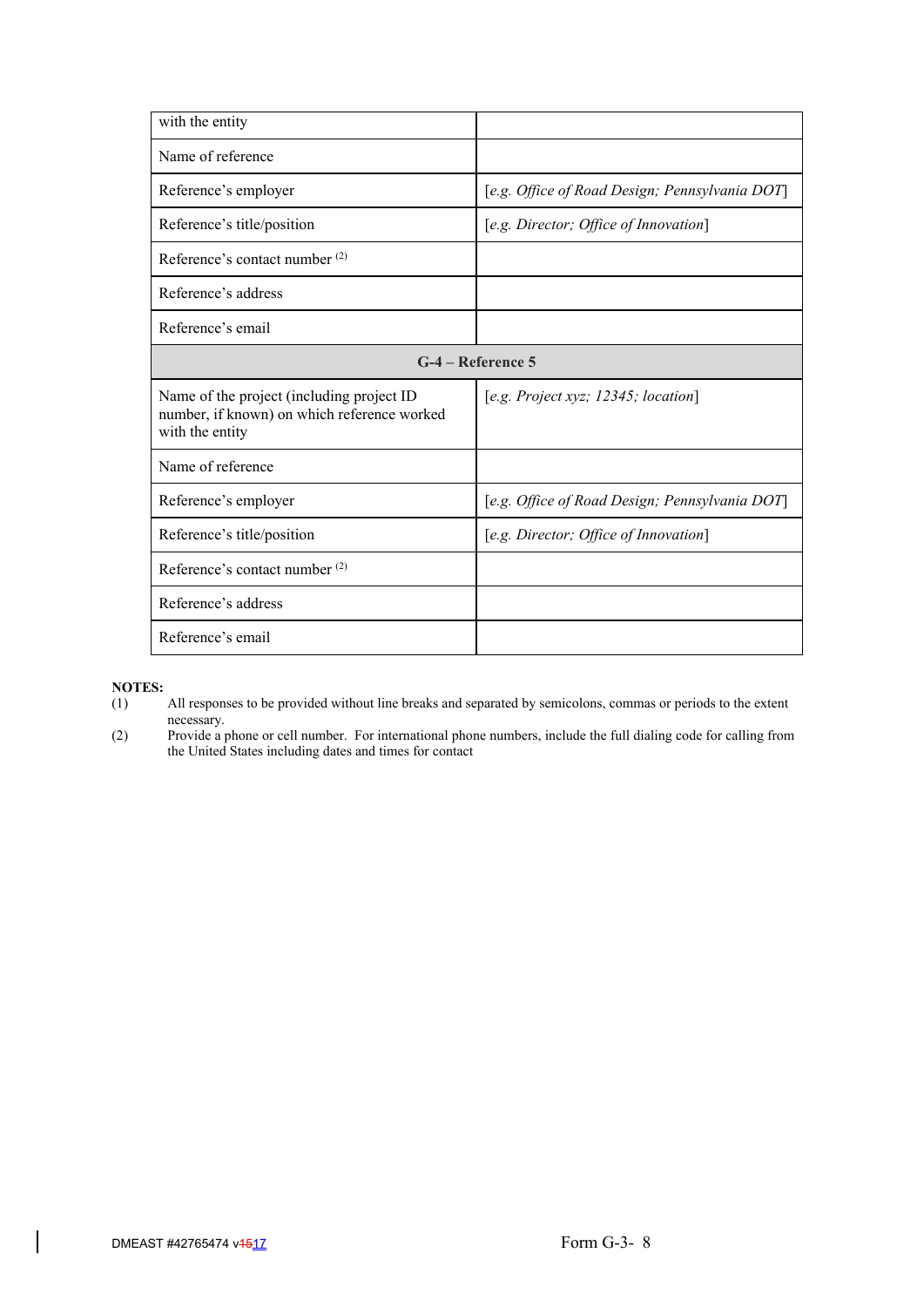| with the entity                                                                                             |                                                |  |  |  |
|-------------------------------------------------------------------------------------------------------------|------------------------------------------------|--|--|--|
| Name of reference                                                                                           |                                                |  |  |  |
| Reference's employer                                                                                        | [e.g. Office of Road Design; Pennsylvania DOT] |  |  |  |
| Reference's title/position                                                                                  | [e.g. Director; Office of Innovation]          |  |  |  |
| Reference's contact number (2)                                                                              |                                                |  |  |  |
| Reference's address                                                                                         |                                                |  |  |  |
| Reference's email                                                                                           |                                                |  |  |  |
| $G-4$ – Reference 5                                                                                         |                                                |  |  |  |
| Name of the project (including project ID<br>number, if known) on which reference worked<br>with the entity | [e.g. Project xyz; $12345$ ; location]         |  |  |  |
| Name of reference                                                                                           |                                                |  |  |  |
| Reference's employer                                                                                        | [e.g. Office of Road Design; Pennsylvania DOT] |  |  |  |
| Reference's title/position                                                                                  | [e.g. Director; Office of Innovation]          |  |  |  |
| Reference's contact number <sup>(2)</sup>                                                                   |                                                |  |  |  |
| Reference's address                                                                                         |                                                |  |  |  |
| Reference's email                                                                                           |                                                |  |  |  |

- **NOTES:**<br>(1) All responses to be provided without line breaks and separated by semicolons, commas or periods to the extent necessary.
- (2) Provide a phone or cell number. For international phone numbers, include the full dialing code for calling from the United States including dates and times for contact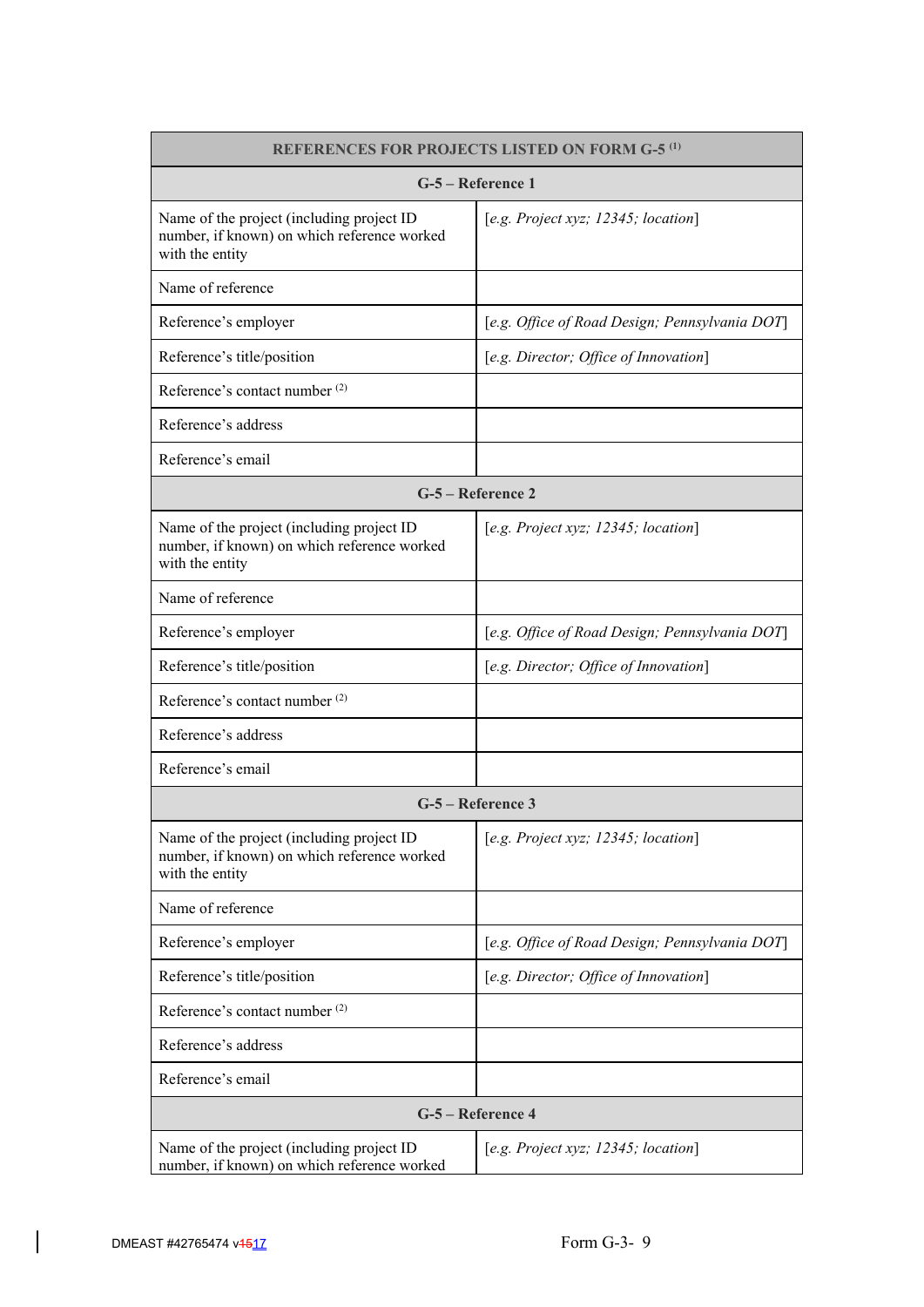| <b>REFERENCES FOR PROJECTS LISTED ON FORM G-5<sup>(1)</sup></b>                                             |                                                |  |  |  |
|-------------------------------------------------------------------------------------------------------------|------------------------------------------------|--|--|--|
| G-5 – Reference 1                                                                                           |                                                |  |  |  |
| Name of the project (including project ID<br>number, if known) on which reference worked<br>with the entity | [e.g. Project xyz; 12345; location]            |  |  |  |
| Name of reference                                                                                           |                                                |  |  |  |
| Reference's employer                                                                                        | [e.g. Office of Road Design; Pennsylvania DOT] |  |  |  |
| Reference's title/position                                                                                  | [e.g. Director; Office of Innovation]          |  |  |  |
| Reference's contact number <sup>(2)</sup>                                                                   |                                                |  |  |  |
| Reference's address                                                                                         |                                                |  |  |  |
| Reference's email                                                                                           |                                                |  |  |  |
|                                                                                                             | G-5 – Reference 2                              |  |  |  |
| Name of the project (including project ID<br>number, if known) on which reference worked<br>with the entity | [e.g. Project xyz; $12345$ ; location]         |  |  |  |
| Name of reference                                                                                           |                                                |  |  |  |
| Reference's employer                                                                                        | [e.g. Office of Road Design; Pennsylvania DOT] |  |  |  |
| Reference's title/position                                                                                  | [e.g. Director; Office of Innovation]          |  |  |  |
| Reference's contact number <sup>(2)</sup>                                                                   |                                                |  |  |  |
| Reference's address                                                                                         |                                                |  |  |  |
| Reference's email                                                                                           |                                                |  |  |  |
|                                                                                                             | G-5 – Reference 3                              |  |  |  |
| Name of the project (including project ID<br>number, if known) on which reference worked<br>with the entity | [e.g. Project xyz; 12345; location]            |  |  |  |
| Name of reference                                                                                           |                                                |  |  |  |
| Reference's employer                                                                                        | [e.g. Office of Road Design; Pennsylvania DOT] |  |  |  |
| Reference's title/position                                                                                  | [e.g. Director; Office of Innovation]          |  |  |  |
| Reference's contact number <sup>(2)</sup>                                                                   |                                                |  |  |  |
| Reference's address                                                                                         |                                                |  |  |  |
| Reference's email                                                                                           |                                                |  |  |  |
|                                                                                                             | G-5 - Reference 4                              |  |  |  |
| Name of the project (including project ID<br>number, if known) on which reference worked                    | [e.g. Project xyz; 12345; location]            |  |  |  |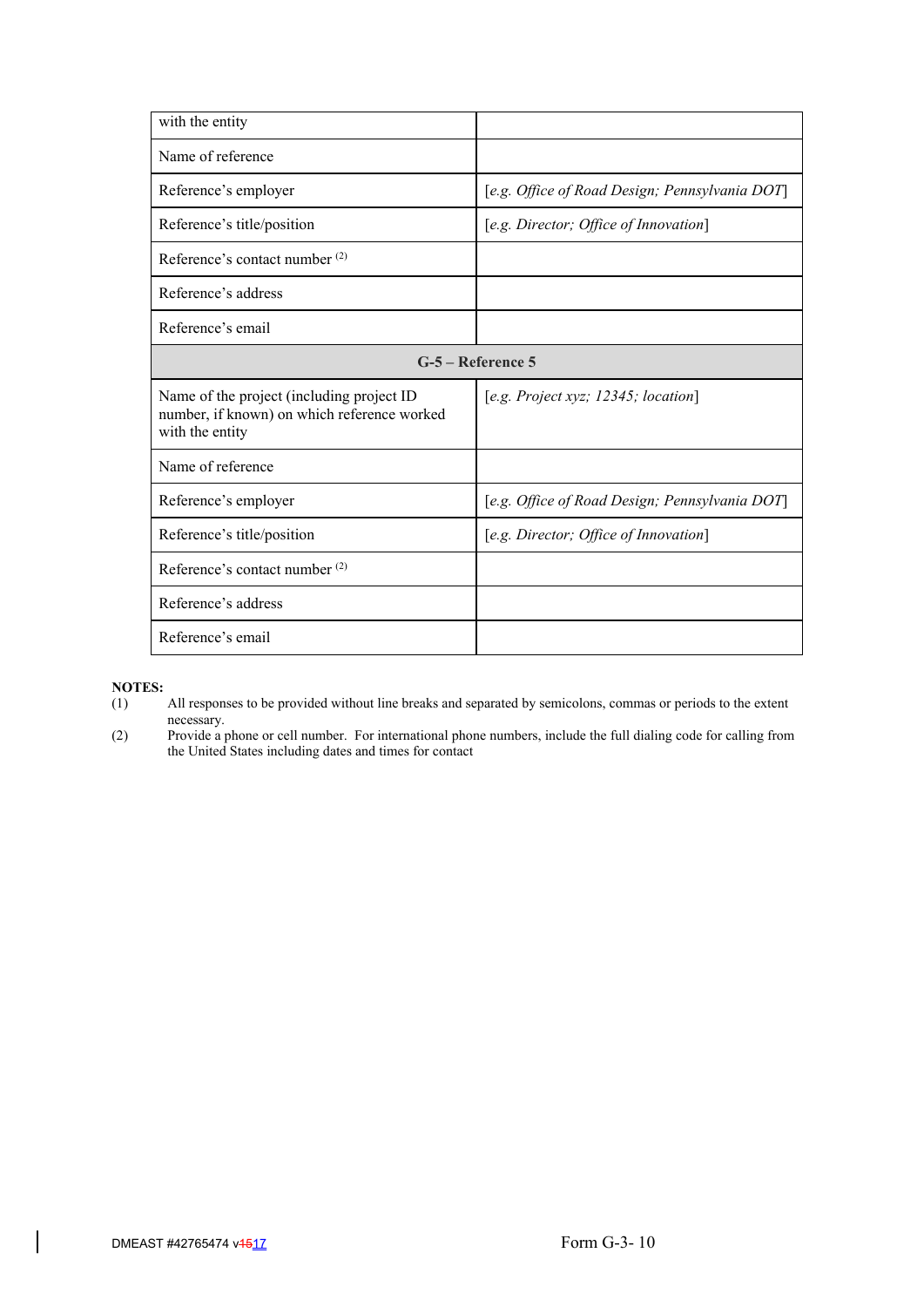| with the entity                                                                                             |                                                |  |  |  |
|-------------------------------------------------------------------------------------------------------------|------------------------------------------------|--|--|--|
| Name of reference                                                                                           |                                                |  |  |  |
| Reference's employer                                                                                        | [e.g. Office of Road Design; Pennsylvania DOT] |  |  |  |
| Reference's title/position                                                                                  | [e.g. Director; Office of Innovation]          |  |  |  |
| Reference's contact number (2)                                                                              |                                                |  |  |  |
| Reference's address                                                                                         |                                                |  |  |  |
| Reference's email                                                                                           |                                                |  |  |  |
| G-5 – Reference 5                                                                                           |                                                |  |  |  |
| Name of the project (including project ID<br>number, if known) on which reference worked<br>with the entity | [e.g. Project xyz; $12345$ ; location]         |  |  |  |
| Name of reference                                                                                           |                                                |  |  |  |
| Reference's employer                                                                                        | [e.g. Office of Road Design; Pennsylvania DOT] |  |  |  |
| Reference's title/position                                                                                  | [e.g. Director; Office of Innovation]          |  |  |  |
| Reference's contact number <sup>(2)</sup>                                                                   |                                                |  |  |  |
| Reference's address                                                                                         |                                                |  |  |  |
| Reference's email                                                                                           |                                                |  |  |  |

- **NOTES:**<br>(1) All responses to be provided without line breaks and separated by semicolons, commas or periods to the extent necessary.
- (2) Provide a phone or cell number. For international phone numbers, include the full dialing code for calling from the United States including dates and times for contact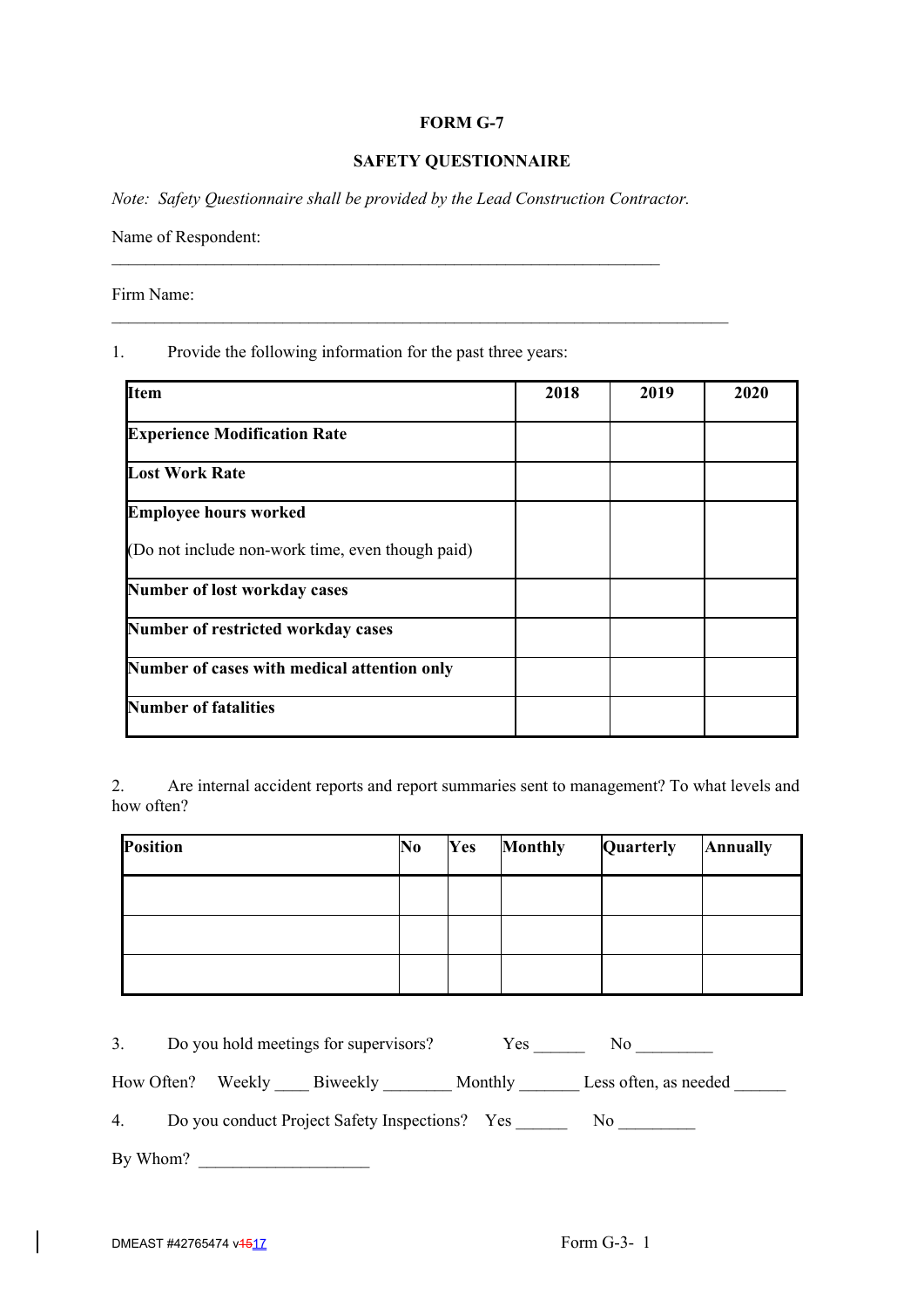# **FORM G-7**

# **SAFETY QUESTIONNAIRE**

*Note: Safety Questionnaire shall be provided by the Lead Construction Contractor.*

 $\mathcal{L}_\text{max} = \frac{1}{2} \sum_{i=1}^n \mathcal{L}_\text{max}(\mathbf{x}_i - \mathbf{y}_i)$ 

 $\_$  , and the set of the set of the set of the set of the set of the set of the set of the set of the set of the set of the set of the set of the set of the set of the set of the set of the set of the set of the set of th

Name of Respondent:

Firm Name:

1. Provide the following information for the past three years:

| <b>Item</b>                                      | 2018 | 2019 | 2020 |
|--------------------------------------------------|------|------|------|
| <b>Experience Modification Rate</b>              |      |      |      |
| <b>Lost Work Rate</b>                            |      |      |      |
| <b>Employee hours worked</b>                     |      |      |      |
| (Do not include non-work time, even though paid) |      |      |      |
| Number of lost workday cases                     |      |      |      |
| Number of restricted workday cases               |      |      |      |
| Number of cases with medical attention only      |      |      |      |
| <b>Number of fatalities</b>                      |      |      |      |

2. Are internal accident reports and report summaries sent to management? To what levels and how often?

| <b>Position</b> | No | Yes | <b>Monthly</b> | Quarterly | <b>Annually</b> |
|-----------------|----|-----|----------------|-----------|-----------------|
|                 |    |     |                |           |                 |
|                 |    |     |                |           |                 |
|                 |    |     |                |           |                 |

|    |                   | Do you hold meetings for supervisors?          | <b>Yes</b> | No                    |  |
|----|-------------------|------------------------------------------------|------------|-----------------------|--|
|    | How Often? Weekly | Biweekly                                       | Monthly    | Less often, as needed |  |
| 4. |                   | Do you conduct Project Safety Inspections? Yes |            | No                    |  |

By Whom? \_\_\_\_\_\_\_\_\_\_\_\_\_\_\_\_\_\_\_\_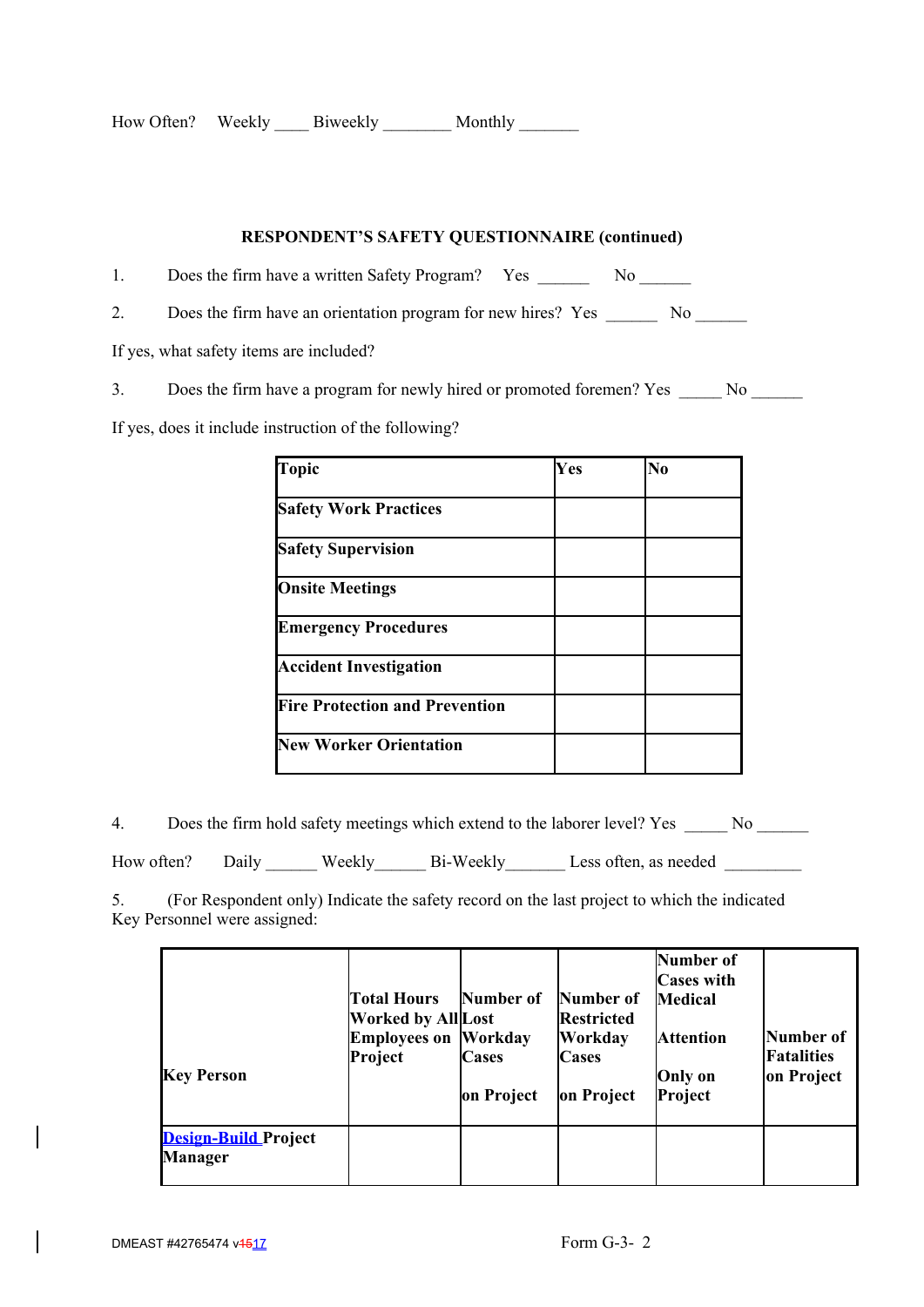| How Often? | Weekly | Biweekly | Monthly |  |
|------------|--------|----------|---------|--|
|------------|--------|----------|---------|--|

# **RESPONDENT'S SAFETY QUESTIONNAIRE (continued)**

1. Does the firm have a written Safety Program? Yes \_\_\_\_\_\_\_\_ No \_\_\_\_\_\_\_

2. Does the firm have an orientation program for new hires? Yes \_\_\_\_\_\_\_\_ No \_\_\_\_\_\_

If yes, what safety items are included?

3. Does the firm have a program for newly hired or promoted foremen? Yes \_\_\_\_\_ No \_\_\_\_\_\_

If yes, does it include instruction of the following?

| Topic                                 | Yes | N <sub>0</sub> |
|---------------------------------------|-----|----------------|
| <b>Safety Work Practices</b>          |     |                |
| <b>Safety Supervision</b>             |     |                |
| <b>Onsite Meetings</b>                |     |                |
| <b>Emergency Procedures</b>           |     |                |
| <b>Accident Investigation</b>         |     |                |
| <b>Fire Protection and Prevention</b> |     |                |
| <b>New Worker Orientation</b>         |     |                |

4. Does the firm hold safety meetings which extend to the laborer level? Yes \_\_\_\_\_ No \_\_\_\_\_\_

How often? Daily Weekly Bi-Weekly Less often, as needed \_\_\_\_\_\_\_\_\_\_\_\_\_\_\_\_\_\_\_\_\_\_\_\_

5. (For Respondent only) Indicate the safety record on the last project to which the indicated Key Personnel were assigned:

| <b>Key Person</b>                             | <b>Total Hours</b><br><b>Worked by All Lost</b><br><b>Employees on Workday</b><br>Project | Number of<br>Cases<br>on Project | Number of<br><b>Restricted</b><br>Workday<br><b>Cases</b><br>on Project | <b>Number of</b><br><b>Cases with</b><br><b>Medical</b><br><b>Attention</b><br><b>Only on</b><br>Project | Number of<br>Fatalities<br>on Project |
|-----------------------------------------------|-------------------------------------------------------------------------------------------|----------------------------------|-------------------------------------------------------------------------|----------------------------------------------------------------------------------------------------------|---------------------------------------|
| <b>Design-Build Project</b><br><b>Manager</b> |                                                                                           |                                  |                                                                         |                                                                                                          |                                       |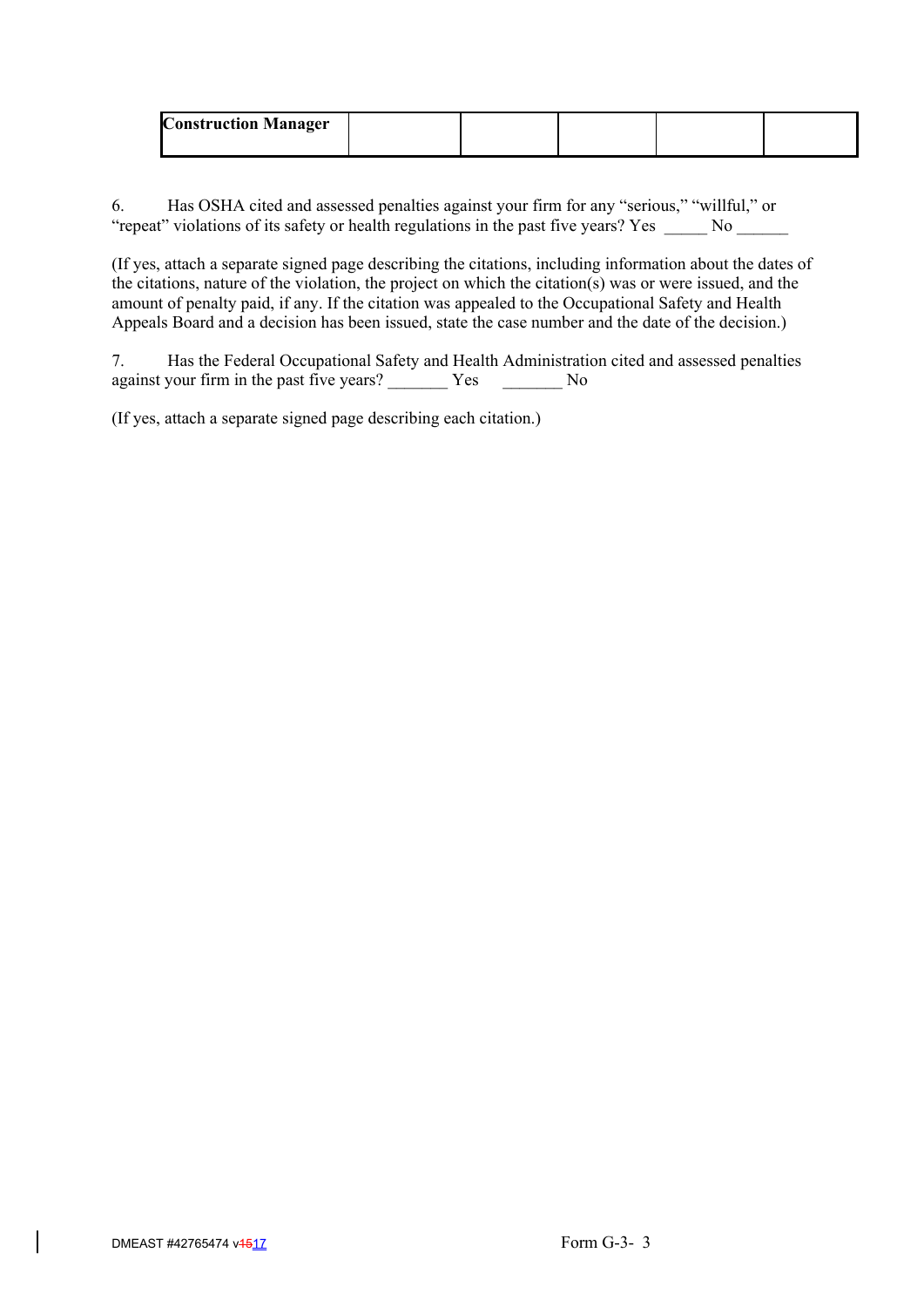| <b>Construction Manager</b> |  |  |  |
|-----------------------------|--|--|--|
|                             |  |  |  |

6. Has OSHA cited and assessed penalties against your firm for any "serious," "willful," or "repeat" violations of its safety or health regulations in the past five years? Yes \_\_\_\_\_\_ No \_\_\_\_\_\_

(If yes, attach a separate signed page describing the citations, including information about the dates of the citations, nature of the violation, the project on which the citation(s) was or were issued, and the amount of penalty paid, if any. If the citation was appealed to the Occupational Safety and Health Appeals Board and a decision has been issued, state the case number and the date of the decision.)

7. Has the Federal Occupational Safety and Health Administration cited and assessed penalties against your firm in the past five years? \_\_\_\_\_\_\_\_\_ Yes \_\_\_\_\_\_\_\_\_ No

(If yes, attach a separate signed page describing each citation.)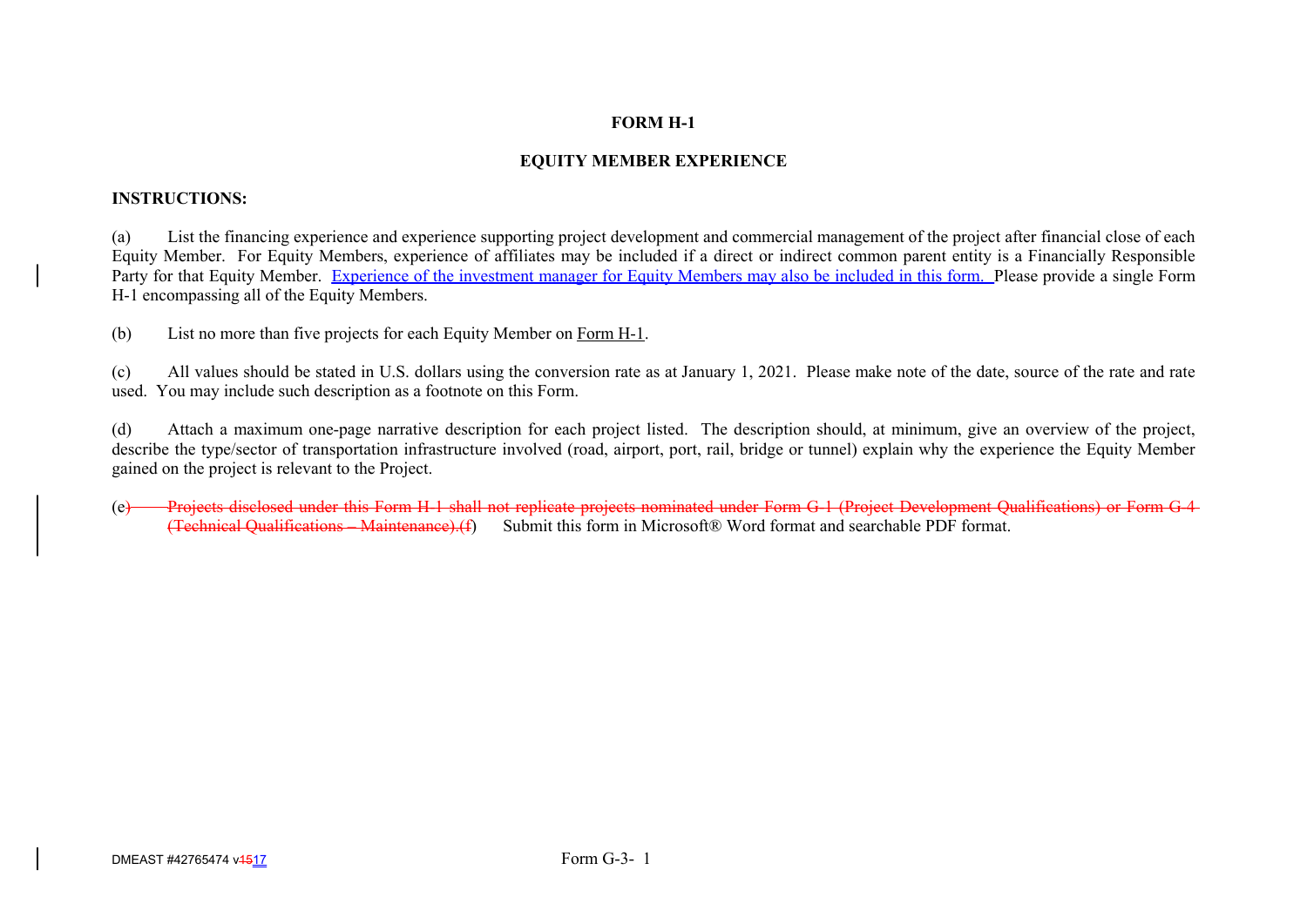# **FORM H-1**

# **EQUITY MEMBER EXPERIENCE**

## **INSTRUCTIONS:**

(a) List the financing experience and experience supporting project development and commercial management of the project after financial close of each Equity Member. For Equity Members, experience of affiliates may be included if a direct or indirect common parent entity is a Financially Responsible Party for that Equity Member. Experience of the investment manager for Equity Members may also be included in this form. Please provide a single Form H-1 encompassing all of the Equity Members.

(b) List no more than five projects for each Equity Member on Form H-1.

(c) All values should be stated in U.S. dollars using the conversion rate as at January 1, 2021. Please make note of the date, source of the rate and rate used. You may include such description as a footnote on this Form.

(d) Attach a maximum one-page narrative description for each project listed. The description should, at minimum, give an overview of the project, describe the type/sector of transportation infrastructure involved (road, airport, port, rail, bridge or tunnel) explain why the experience the Equity Member gained on the project is relevant to the Project.

(e) Projects disclosed under this Form H-1 shall not replicate projects nominated under Form G-1 (Project Development Qualifications) or Form G-4-<br>(Technical Qualifications – Maintenance).(f) Submit this form in Microsoft® Submit this form in Microsoft® Word format and searchable PDF format.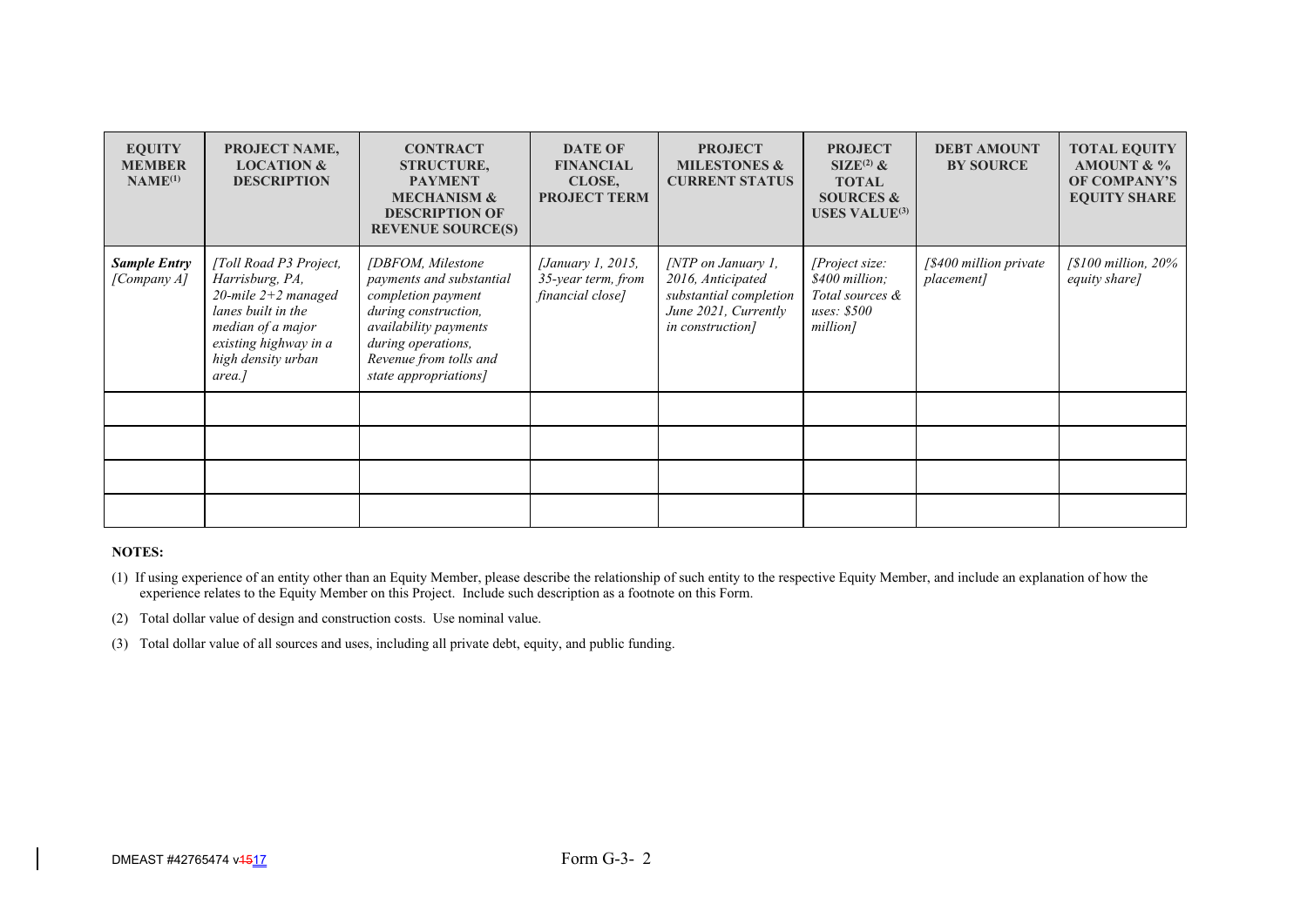| <b>EQUITY</b><br><b>MEMBER</b><br>NAME <sup>(1)</sup> | PROJECT NAME,<br><b>LOCATION &amp;</b><br><b>DESCRIPTION</b>                                                                                                           | <b>CONTRACT</b><br><b>STRUCTURE,</b><br><b>PAYMENT</b><br><b>MECHANISM &amp;</b><br><b>DESCRIPTION OF</b><br><b>REVENUE SOURCE(S)</b>                                                          | <b>DATE OF</b><br><b>FINANCIAL</b><br>CLOSE,<br><b>PROJECT TERM</b> | <b>PROJECT</b><br><b>MILESTONES &amp;</b><br><b>CURRENT STATUS</b>                                                  | <b>PROJECT</b><br>$SLZE^{(2)}$ &<br><b>TOTAL</b><br><b>SOURCES &amp;</b><br><b>USES VALUE</b> <sup>(3)</sup> | <b>DEBT AMOUNT</b><br><b>BY SOURCE</b>     | <b>TOTAL EQUITY</b><br>AMOUNT & %<br>OF COMPANY'S<br><b>EQUITY SHARE</b> |
|-------------------------------------------------------|------------------------------------------------------------------------------------------------------------------------------------------------------------------------|------------------------------------------------------------------------------------------------------------------------------------------------------------------------------------------------|---------------------------------------------------------------------|---------------------------------------------------------------------------------------------------------------------|--------------------------------------------------------------------------------------------------------------|--------------------------------------------|--------------------------------------------------------------------------|
| <b>Sample Entry</b><br>[Company A]                    | [Toll Road P3 Project,<br>Harrisburg, PA,<br>20-mile $2+2$ managed<br>lanes built in the<br>median of a major<br>existing highway in a<br>high density urban<br>area.] | [DBFOM, Milestone]<br>payments and substantial<br>completion payment<br>during construction,<br>availability payments<br>during operations,<br>Revenue from tolls and<br>state appropriations] | <i>[January 1, 2015,</i><br>35-year term, from<br>financial close]  | $\int NTP$ on January 1,<br>2016, Anticipated<br>substantial completion<br>June 2021, Currently<br>in construction] | [Project size:<br>\$400 million;<br>Total sources &<br><i>uses: \$500</i><br>million]                        | $\int$ \$400 million private<br>placement] | $\sqrt{\$100}$ million, 20%<br>equity share]                             |
|                                                       |                                                                                                                                                                        |                                                                                                                                                                                                |                                                                     |                                                                                                                     |                                                                                                              |                                            |                                                                          |
|                                                       |                                                                                                                                                                        |                                                                                                                                                                                                |                                                                     |                                                                                                                     |                                                                                                              |                                            |                                                                          |
|                                                       |                                                                                                                                                                        |                                                                                                                                                                                                |                                                                     |                                                                                                                     |                                                                                                              |                                            |                                                                          |
|                                                       |                                                                                                                                                                        |                                                                                                                                                                                                |                                                                     |                                                                                                                     |                                                                                                              |                                            |                                                                          |

(1) If using experience of an entity other than an Equity Member, please describe the relationship of such entity to the respective Equity Member, and include an explanation of how the experience relates to the Equity Member on this Project. Include such description as a footnote on this Form.

(2) Total dollar value of design and construction costs. Use nominal value.

(3) Total dollar value of all sources and uses, including all private debt, equity, and public funding.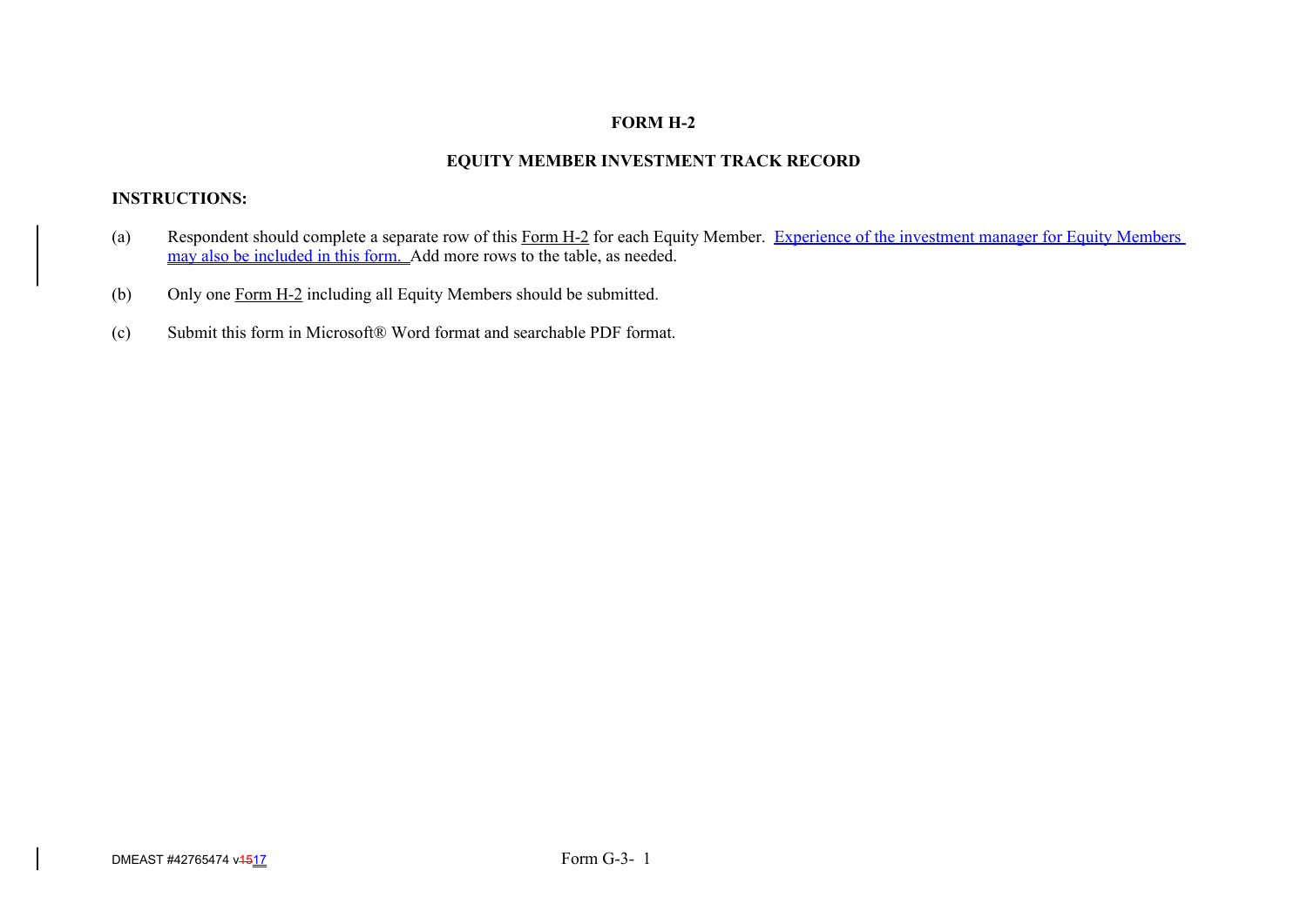# **FORM H-2**

# **EQUITY MEMBER INVESTMENT TRACK RECORD**

# **INSTRUCTIONS:**

- (a) Respondent should complete a separate row of this Form H-2 for each Equity Member. Experience of the investment manager for Equity Members may also be included in this form. Add more rows to the table, as needed.
- (b) Only one Form H-2 including all Equity Members should be submitted.
- (c) Submit this form in Microsoft® Word format and searchable PDF format.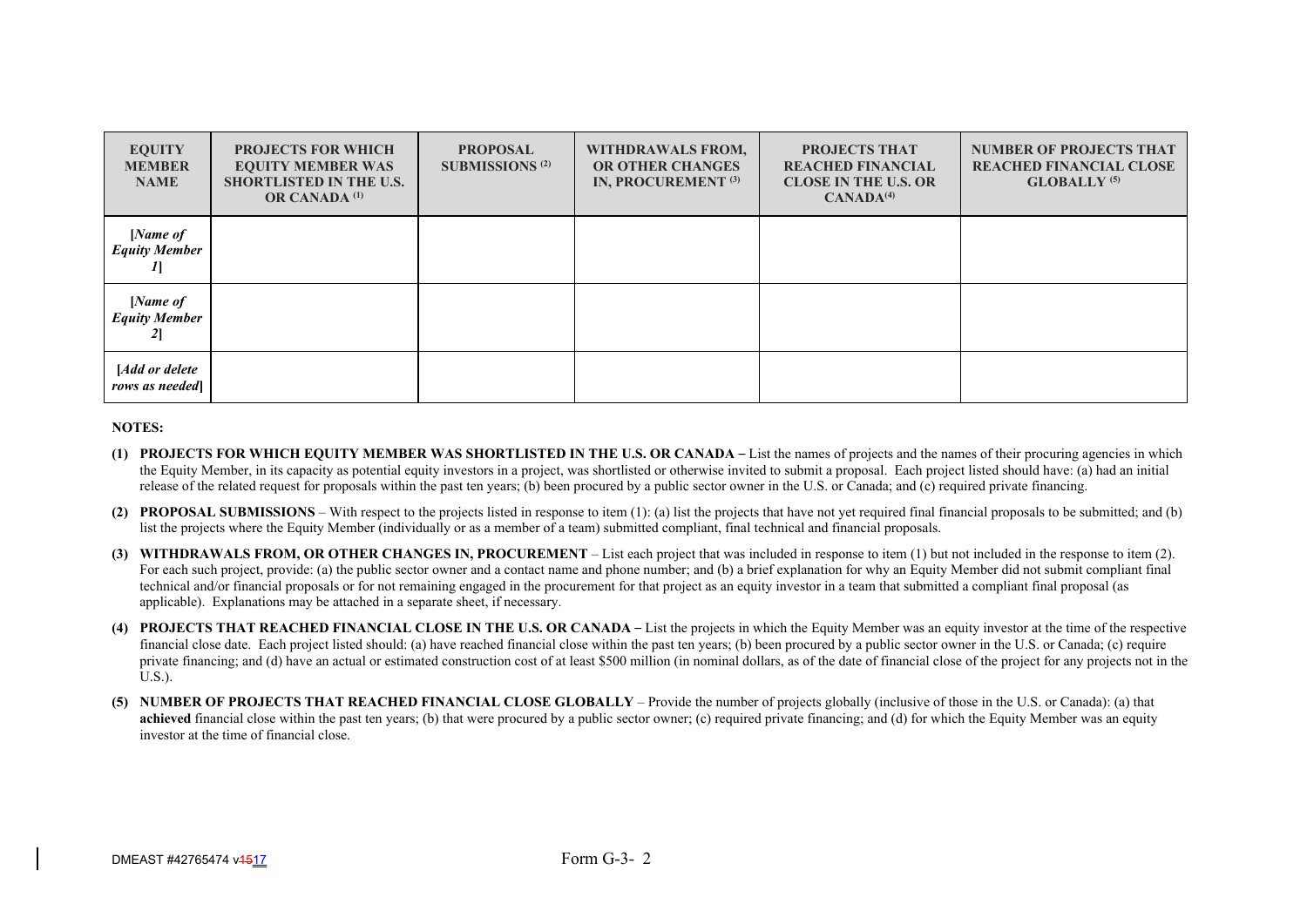| <b>EQUITY</b><br><b>MEMBER</b><br><b>NAME</b> | <b>PROJECTS FOR WHICH</b><br><b>EQUITY MEMBER WAS</b><br><b>SHORTLISTED IN THE U.S.</b><br><b>OR CANADA</b> <sup>(1)</sup> | <b>PROPOSAL</b><br><b>SUBMISSIONS</b> <sup>(2)</sup> | WITHDRAWALS FROM,<br><b>OR OTHER CHANGES</b><br>IN, PROCUREMENT <sup>(3)</sup> | PROJECTS THAT<br><b>REACHED FINANCIAL</b><br><b>CLOSE IN THE U.S. OR</b><br>CANADA <sup>(4)</sup> | <b>NUMBER OF PROJECTS THAT</b><br><b>REACHED FINANCIAL CLOSE</b><br><b>GLOBALLY</b> <sup>(5)</sup> |
|-----------------------------------------------|----------------------------------------------------------------------------------------------------------------------------|------------------------------------------------------|--------------------------------------------------------------------------------|---------------------------------------------------------------------------------------------------|----------------------------------------------------------------------------------------------------|
| [Name of<br><b>Equity Member</b>              |                                                                                                                            |                                                      |                                                                                |                                                                                                   |                                                                                                    |
| [Name of<br><b>Equity Member</b>              |                                                                                                                            |                                                      |                                                                                |                                                                                                   |                                                                                                    |
| [Add or delete<br>rows as needed              |                                                                                                                            |                                                      |                                                                                |                                                                                                   |                                                                                                    |

- **(1) PROJECTS FOR WHICH EQUITY MEMBER WAS SHORTLISTED IN THE U.S. OR CANADA**  List the names of projects and the names of their procuring agencies in which the Equity Member, in its capacity as potential equity investors in a project, was shortlisted or otherwise invited to submit a proposal. Each project listed should have: (a) had an initial release of the related request for proposals within the past ten years; (b) been procured by a public sector owner in the U.S. or Canada; and (c) required private financing.
- **(2) PROPOSAL SUBMISSIONS** With respect to the projects listed in response to item (1): (a) list the projects that have not yet required final financial proposals to be submitted; and (b) list the projects where the Equity Member (individually or as a member of a team) submitted compliant, final technical and financial proposals.
- **(3) WITHDRAWALS FROM, OR OTHER CHANGES IN, PROCUREMENT** List each project that was included in response to item (1) but not included in the response to item (2). For each such project, provide: (a) the public sector owner and a contact name and phone number; and (b) a brief explanation for why an Equity Member did not submit compliant final technical and/or financial proposals or for not remaining engaged in the procurement for that project as an equity investor in a team that submitted a compliant final proposal (as applicable). Explanations may be attached in a separate sheet, if necessary.
- **(4) PROJECTS THAT REACHED FINANCIAL CLOSE IN THE U.S. OR CANADA**  List the projects in which the Equity Member was an equity investor at the time of the respective financial close date. Each project listed should: (a) have reached financial close within the past ten years; (b) been procured by a public sector owner in the U.S. or Canada; (c) require private financing; and (d) have an actual or estimated construction cost of at least \$500 million (in nominal dollars, as of the date of financial close of the project for any projects not in the U.S.).
- **(5) NUMBER OF PROJECTS THAT REACHED FINANCIAL CLOSE GLOBALLY** Provide the number of projects globally (inclusive of those in the U.S. or Canada): (a) that **achieved** financial close within the past ten years; (b) that were procured by a public sector owner; (c) required private financing; and (d) for which the Equity Member was an equity investor at the time of financial close.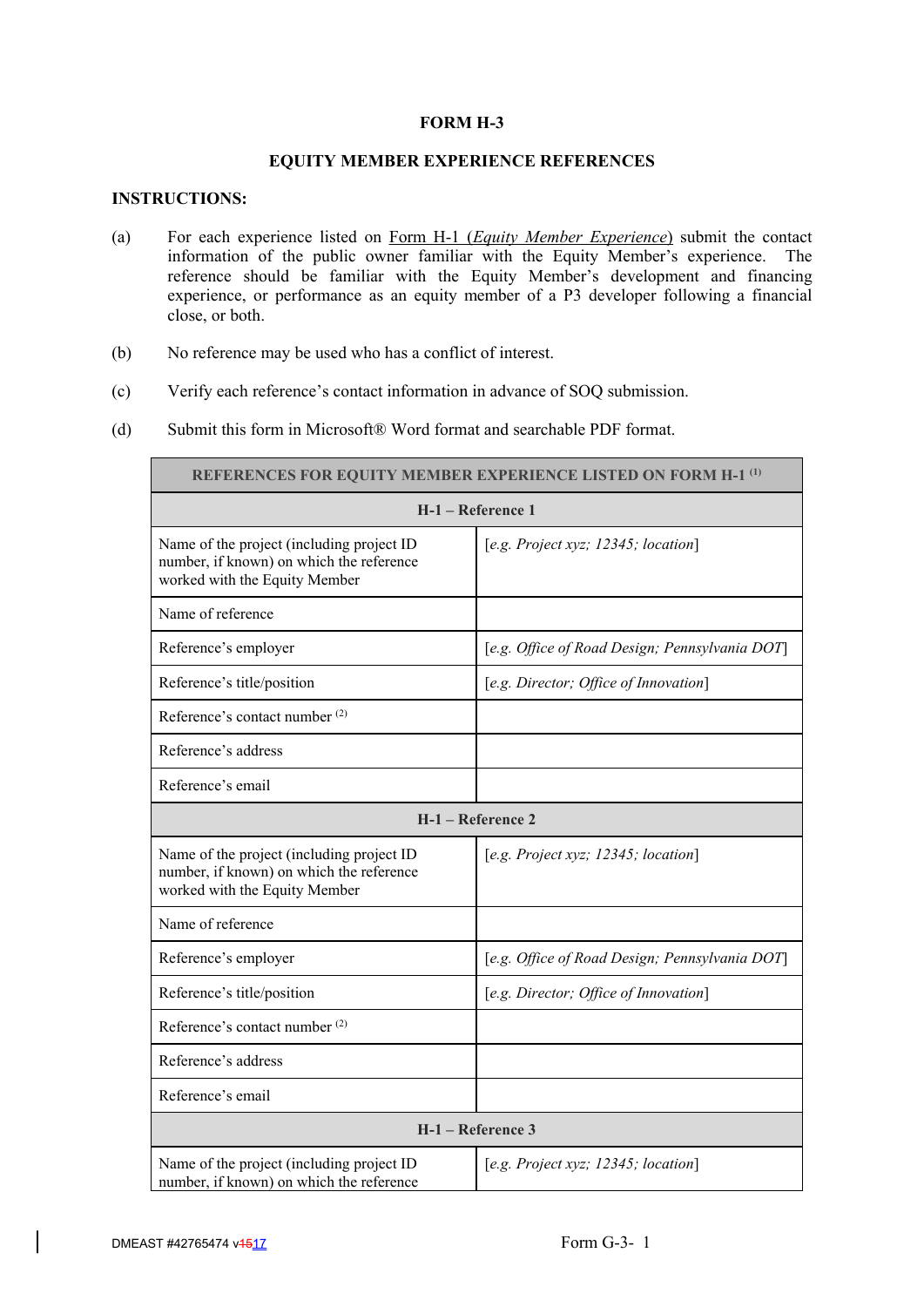# **FORM H-3**

# **EQUITY MEMBER EXPERIENCE REFERENCES**

# **INSTRUCTIONS:**

- (a) For each experience listed on Form H-1 (*Equity Member Experience*) submit the contact information of the public owner familiar with the Equity Member's experience. The reference should be familiar with the Equity Member's development and financing experience, or performance as an equity member of a P3 developer following a financial close, or both.
- (b) No reference may be used who has a conflict of interest.
- (c) Verify each reference's contact information in advance of SOQ submission.
- (d) Submit this form in Microsoft® Word format and searchable PDF format.

| <b>REFERENCES FOR EQUITY MEMBER EXPERIENCE LISTED ON FORM H-1 (1)</b>                                                  |                                                |  |  |
|------------------------------------------------------------------------------------------------------------------------|------------------------------------------------|--|--|
|                                                                                                                        | H-1 - Reference 1                              |  |  |
| Name of the project (including project ID<br>number, if known) on which the reference<br>worked with the Equity Member | [e.g. Project xyz; $12345$ ; location]         |  |  |
| Name of reference                                                                                                      |                                                |  |  |
| Reference's employer                                                                                                   | [e.g. Office of Road Design; Pennsylvania DOT] |  |  |
| Reference's title/position                                                                                             | [e.g. Director; Office of Innovation]          |  |  |
| Reference's contact number <sup>(2)</sup>                                                                              |                                                |  |  |
| Reference's address                                                                                                    |                                                |  |  |
| Reference's email                                                                                                      |                                                |  |  |
|                                                                                                                        | H-1 - Reference 2                              |  |  |
| Name of the project (including project ID<br>number, if known) on which the reference<br>worked with the Equity Member | [e.g. Project xyz; 12345; location]            |  |  |
| Name of reference                                                                                                      |                                                |  |  |
| Reference's employer                                                                                                   | [e.g. Office of Road Design; Pennsylvania DOT] |  |  |
| Reference's title/position                                                                                             | [e.g. Director; Office of Innovation]          |  |  |
| Reference's contact number <sup>(2)</sup>                                                                              |                                                |  |  |
| Reference's address                                                                                                    |                                                |  |  |
| Reference's email                                                                                                      |                                                |  |  |
|                                                                                                                        | $H-1$ – Reference 3                            |  |  |
| Name of the project (including project ID<br>number, if known) on which the reference                                  | [e.g. Project xyz; 12345; location]            |  |  |

٦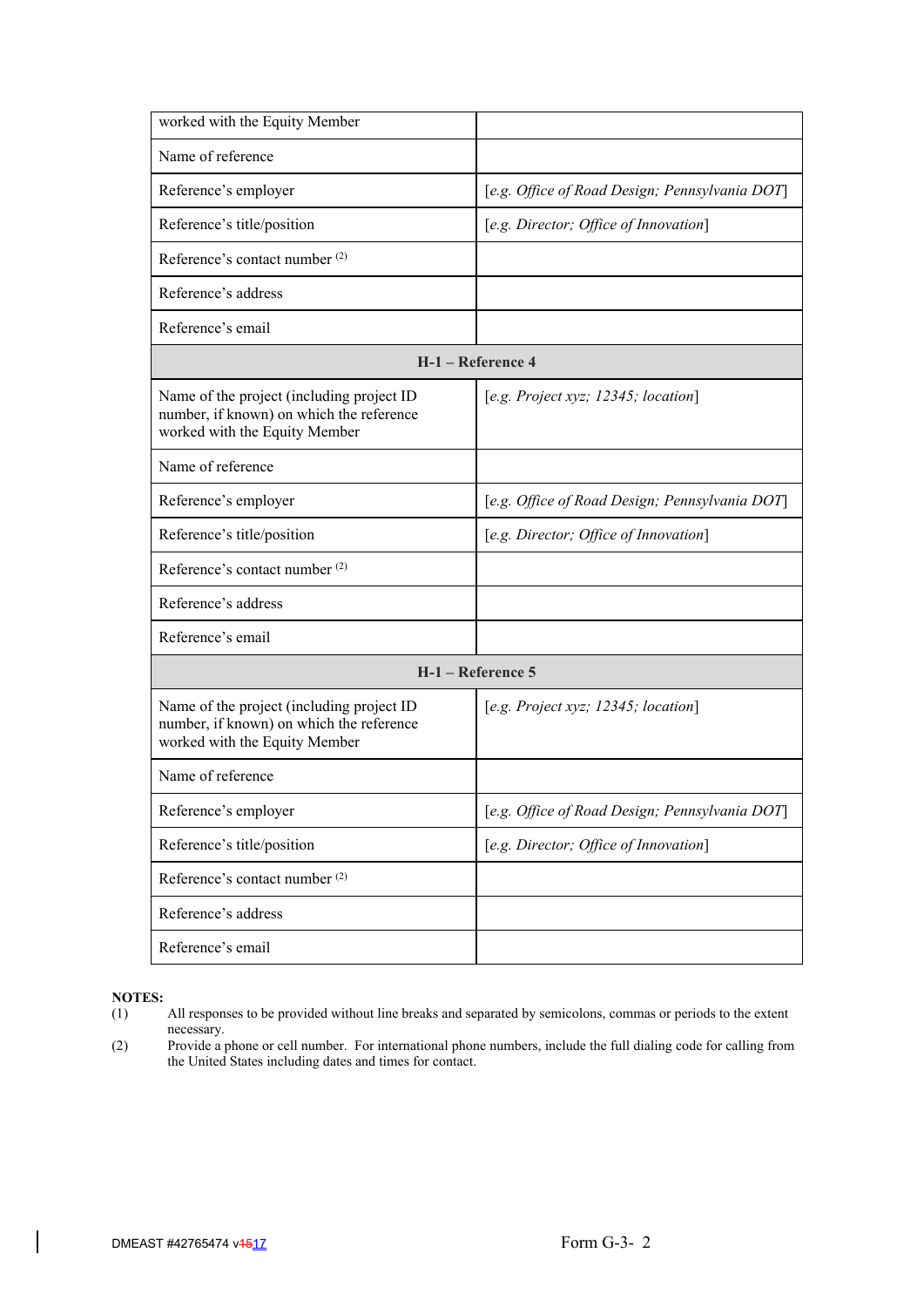| worked with the Equity Member                                                                                          |                                                |
|------------------------------------------------------------------------------------------------------------------------|------------------------------------------------|
| Name of reference                                                                                                      |                                                |
| Reference's employer                                                                                                   | [e.g. Office of Road Design; Pennsylvania DOT] |
| Reference's title/position                                                                                             | [e.g. Director; Office of Innovation]          |
| Reference's contact number <sup>(2)</sup>                                                                              |                                                |
| Reference's address                                                                                                    |                                                |
| Reference's email                                                                                                      |                                                |
|                                                                                                                        | H-1 - Reference 4                              |
| Name of the project (including project ID<br>number, if known) on which the reference<br>worked with the Equity Member | [e.g. Project xyz; $12345$ ; location]         |
| Name of reference                                                                                                      |                                                |
| Reference's employer                                                                                                   | [e.g. Office of Road Design; Pennsylvania DOT] |
| Reference's title/position                                                                                             | [e.g. Director; Office of Innovation]          |
| Reference's contact number <sup>(2)</sup>                                                                              |                                                |
| Reference's address                                                                                                    |                                                |
| Reference's email                                                                                                      |                                                |
|                                                                                                                        | H-1 – Reference 5                              |
| Name of the project (including project ID<br>number, if known) on which the reference<br>worked with the Equity Member | [e.g. Project xyz; 12345; location]            |
| Name of reference                                                                                                      |                                                |
| Reference's employer                                                                                                   | [e.g. Office of Road Design; Pennsylvania DOT] |
| Reference's title/position                                                                                             | [e.g. Director; Office of Innovation]          |
| Reference's contact number <sup>(2)</sup>                                                                              |                                                |
| Reference's address                                                                                                    |                                                |
| Reference's email                                                                                                      |                                                |

- (1) All responses to be provided without line breaks and separated by semicolons, commas or periods to the extent necessary.
- (2) Provide a phone or cell number. For international phone numbers, include the full dialing code for calling from the United States including dates and times for contact.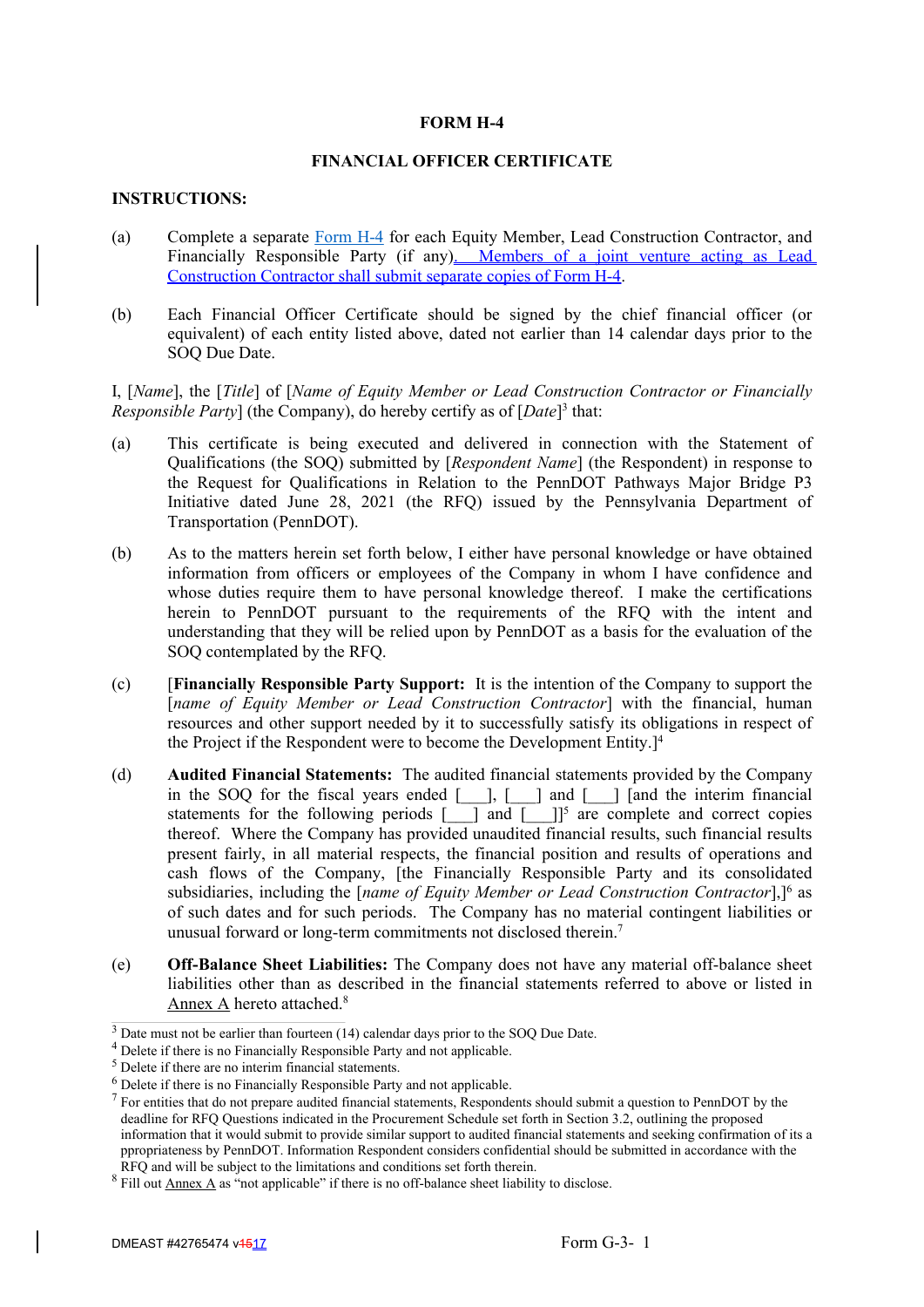# **FORM H-4**

# **FINANCIAL OFFICER CERTIFICATE**

# **INSTRUCTIONS:**

- (a) Complete a separate Form H-4 for each Equity Member, Lead Construction Contractor, and Financially Responsible Party (if any). Members of a joint venture acting as Lead Construction Contractor shall submit separate copies of Form H-4.
- (b) Each Financial Officer Certificate should be signed by the chief financial officer (or equivalent) of each entity listed above, dated not earlier than 14 calendar days prior to the SOQ Due Date.

I, [*Name*], the [*Title*] of [*Name of Equity Member or Lead Construction Contractor or Financially* Responsible Party] (the Company), do hereby certify as of [*Date*]<sup>3</sup> that:

- (a) This certificate is being executed and delivered in connection with the Statement of Qualifications (the SOQ) submitted by [*Respondent Name*] (the Respondent) in response to the Request for Qualifications in Relation to the PennDOT Pathways Major Bridge P3 Initiative dated June 28, 2021 (the RFQ) issued by the Pennsylvania Department of Transportation (PennDOT).
- (b) As to the matters herein set forth below, I either have personal knowledge or have obtained information from officers or employees of the Company in whom I have confidence and whose duties require them to have personal knowledge thereof. I make the certifications herein to PennDOT pursuant to the requirements of the RFQ with the intent and understanding that they will be relied upon by PennDOT as a basis for the evaluation of the SOQ contemplated by the RFQ.
- (c) [**Financially Responsible Party Support:** It is the intention of the Company to support the [*name of Equity Member or Lead Construction Contractor*] with the financial, human resources and other support needed by it to successfully satisfy its obligations in respect of the Project if the Respondent were to become the Development Entity.<sup>14</sup>
- (d) **Audited Financial Statements:** The audited financial statements provided by the Company in the SOQ for the fiscal years ended [\_\_\_], [\_\_\_] and [\_\_\_] [and the interim financial statements for the following periods  $[-]$  and  $[-]$ <sup>5</sup> are complete and correct copies thereof. Where the Company has provided unaudited financial results, such financial results present fairly, in all material respects, the financial position and results of operations and cash flows of the Company, [the Financially Responsible Party and its consolidated subsidiaries, including the [*name of Equity Member or Lead Construction Contractor*],]<sup>6</sup> as of such dates and for such periods. The Company has no material contingent liabilities or unusual forward or long-term commitments not disclosed therein.<sup>7</sup>
- (e) **Off-Balance Sheet Liabilities:** The Company does not have any material off-balance sheet liabilities other than as described in the financial statements referred to above or listed in Annex A hereto attached.<sup>8</sup>

 $3$  Date must not be earlier than fourteen (14) calendar days prior to the SOQ Due Date.

<sup>&</sup>lt;sup>4</sup> Delete if there is no Financially Responsible Party and not applicable.

 $<sup>5</sup>$  Delete if there are no interim financial statements.</sup>

 $<sup>6</sup>$  Delete if there is no Financially Responsible Party and not applicable.</sup>

 $<sup>7</sup>$  For entities that do not prepare audited financial statements, Respondents should submit a question to PennDOT by the</sup> deadline for RFQ Questions indicated in the Procurement Schedule set forth in Section 3.2, outlining the proposed information that it would submit to provide similar support to audited financial statements and seeking confirmation of its a ppropriateness by PennDOT. Information Respondent considers confidential should be submitted in accordance with the RFQ and will be subject to the limitations and conditions set forth therein.

 $8$  Fill out  $\underline{\text{Annex}\ A}$  as "not applicable" if there is no off-balance sheet liability to disclose.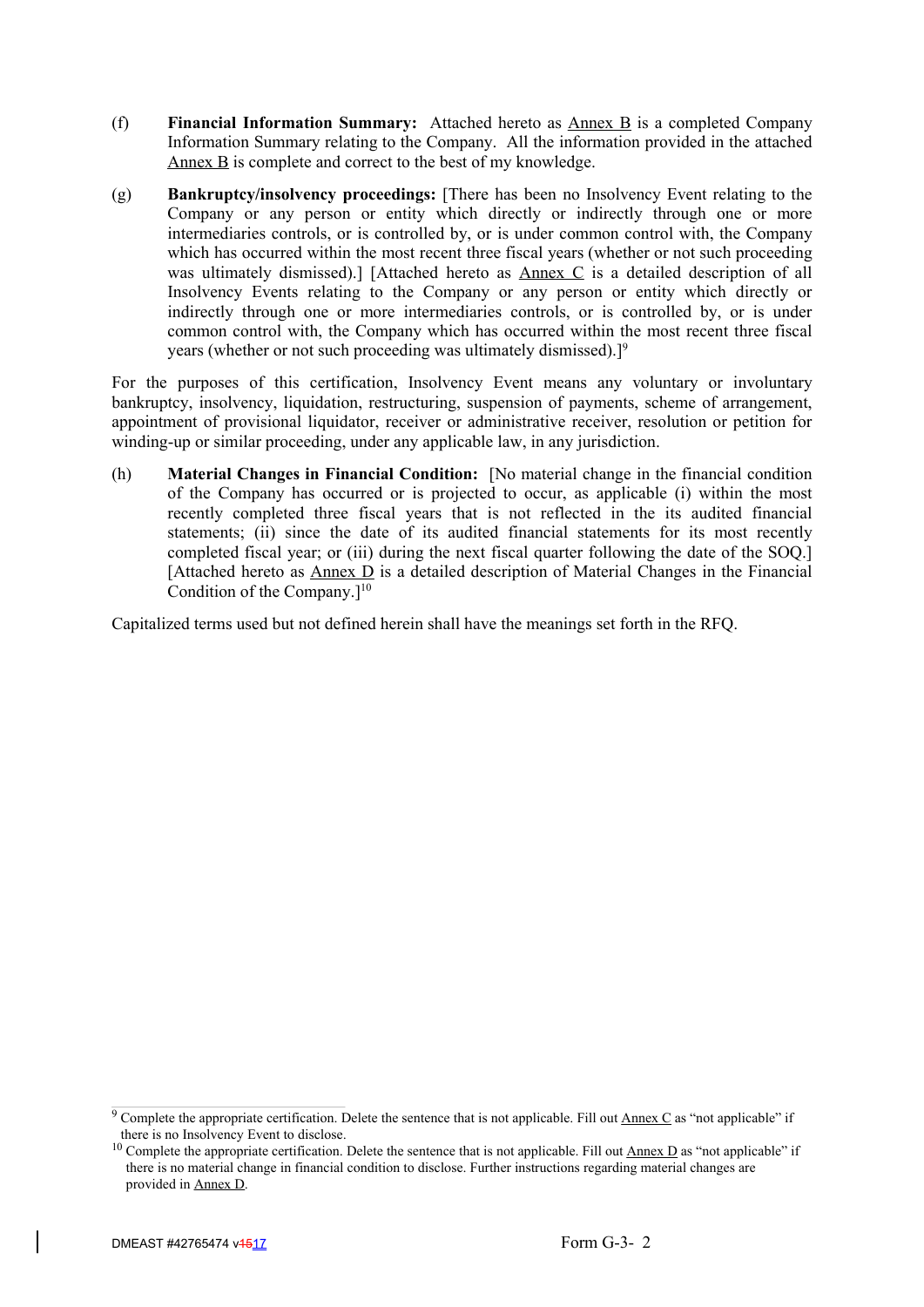- (f) **Financial Information Summary:** Attached hereto as Annex B is a completed Company Information Summary relating to the Company. All the information provided in the attached Annex B is complete and correct to the best of my knowledge.
- (g) **Bankruptcy/insolvency proceedings:** [There has been no Insolvency Event relating to the Company or any person or entity which directly or indirectly through one or more intermediaries controls, or is controlled by, or is under common control with, the Company which has occurred within the most recent three fiscal years (whether or not such proceeding was ultimately dismissed).] [Attached hereto as Annex C is a detailed description of all Insolvency Events relating to the Company or any person or entity which directly or indirectly through one or more intermediaries controls, or is controlled by, or is under common control with, the Company which has occurred within the most recent three fiscal years (whether or not such proceeding was ultimately dismissed).<sup>[9]</sup>

For the purposes of this certification, Insolvency Event means any voluntary or involuntary bankruptcy, insolvency, liquidation, restructuring, suspension of payments, scheme of arrangement, appointment of provisional liquidator, receiver or administrative receiver, resolution or petition for winding-up or similar proceeding, under any applicable law, in any jurisdiction.

(h) **Material Changes in Financial Condition:** [No material change in the financial condition of the Company has occurred or is projected to occur, as applicable (i) within the most recently completed three fiscal years that is not reflected in the its audited financial statements; (ii) since the date of its audited financial statements for its most recently completed fiscal year; or (iii) during the next fiscal quarter following the date of the SOQ.] [Attached hereto as  $\triangle$  Annex  $\triangle$  is a detailed description of Material Changes in the Financial Condition of the Company. $]^{10}$ 

Capitalized terms used but not defined herein shall have the meanings set forth in the RFQ.

<sup>&</sup>lt;sup>9</sup> Complete the appropriate certification. Delete the sentence that is not applicable. Fill out  $\Delta$ nnex C as "not applicable" if there is no Insolvency Event to disclose.

<sup>&</sup>lt;sup>10</sup> Complete the appropriate certification. Delete the sentence that is not applicable. Fill out  $\underline{\text{Annex D}}$  as "not applicable" if there is no material change in financial condition to disclose. Further instructions regarding material changes are provided in Annex D.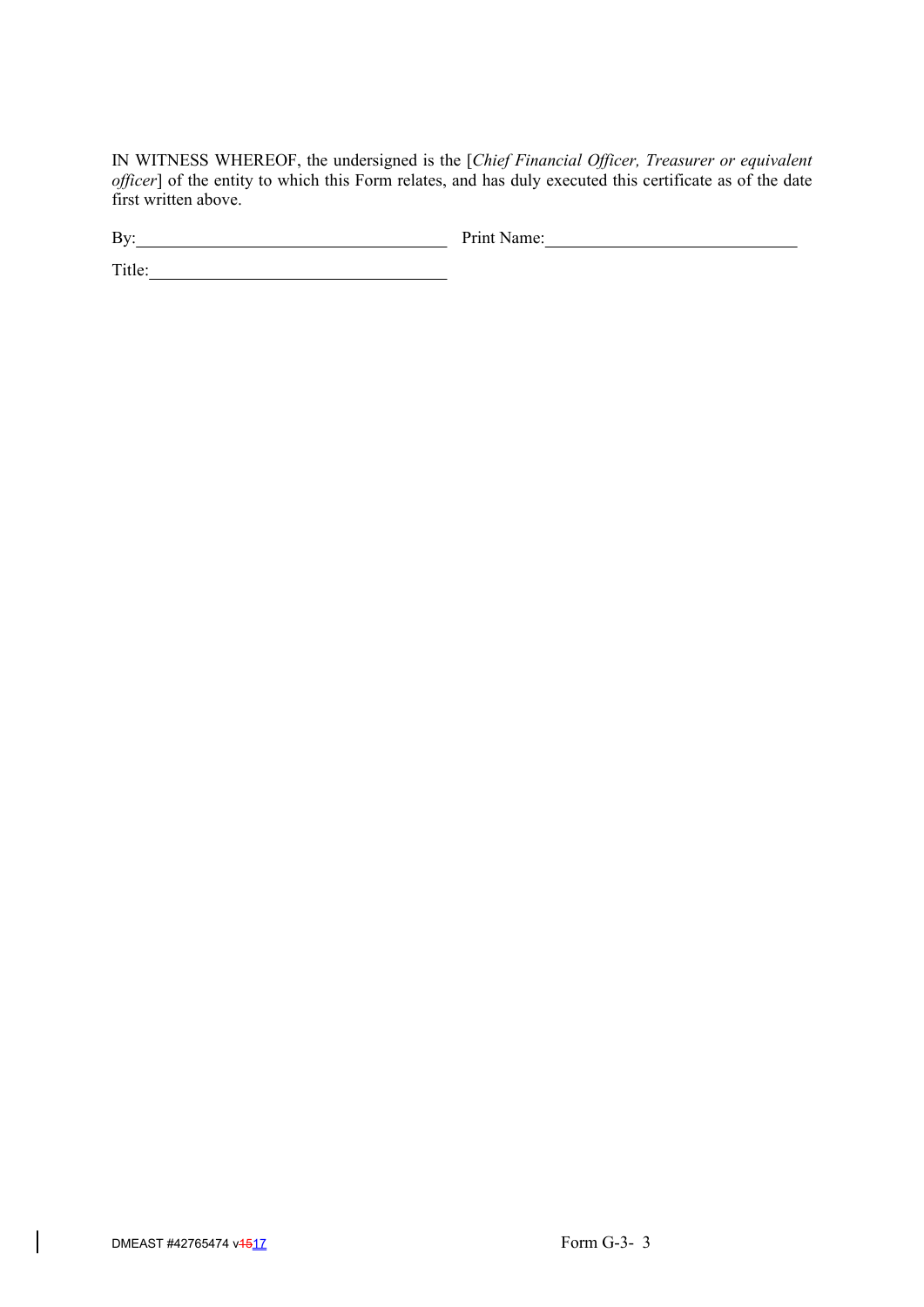IN WITNESS WHEREOF, the undersigned is the [*Chief Financial Officer, Treasurer or equivalent officer*] of the entity to which this Form relates, and has duly executed this certificate as of the date first written above.

By: Print Name: Print Name:

Title: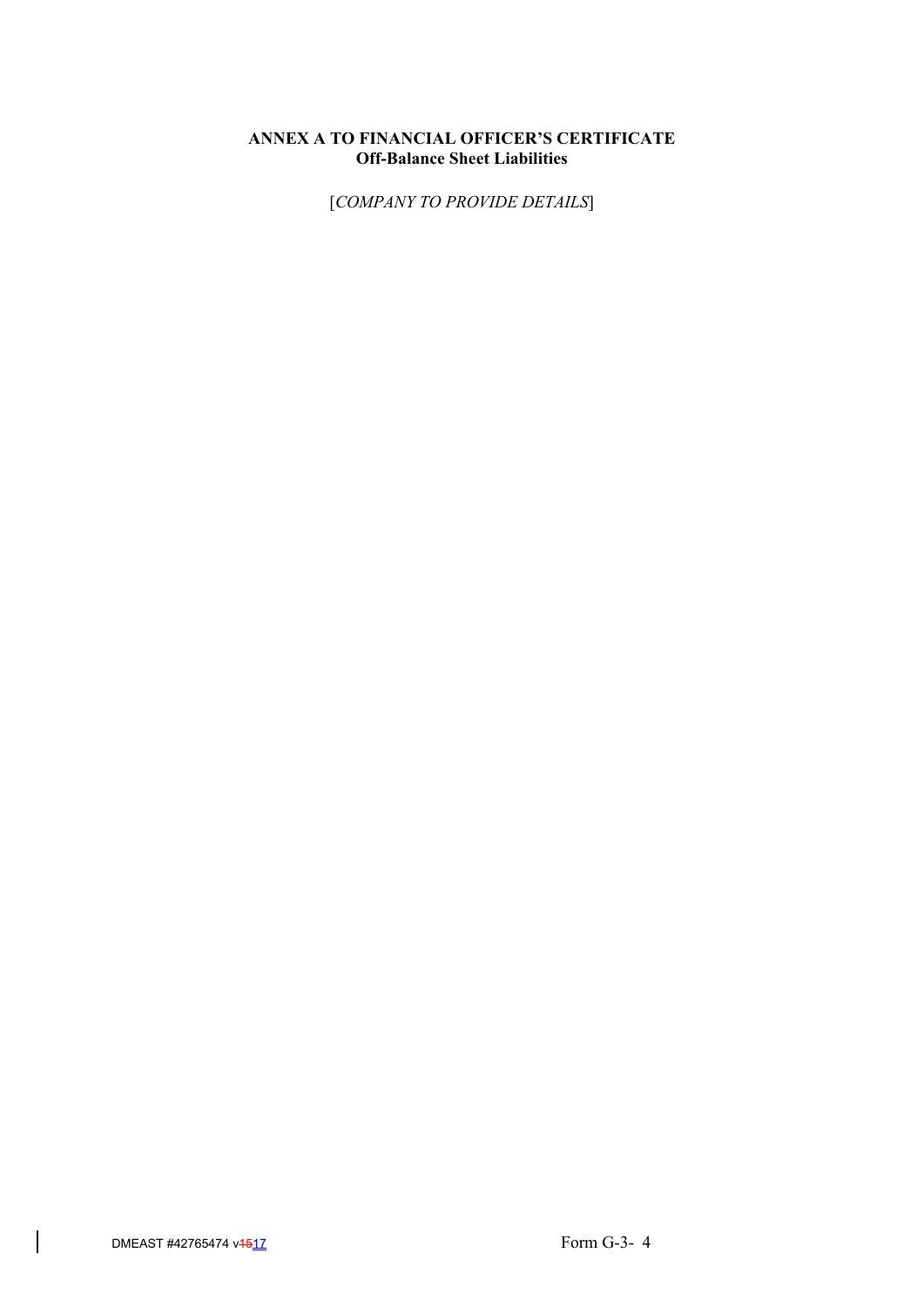# **ANNEX A TO FINANCIAL OFFICER'S CERTIFICATE Off-Balance Sheet Liabilities**

[*COMPANY TO PROVIDE DETAILS*]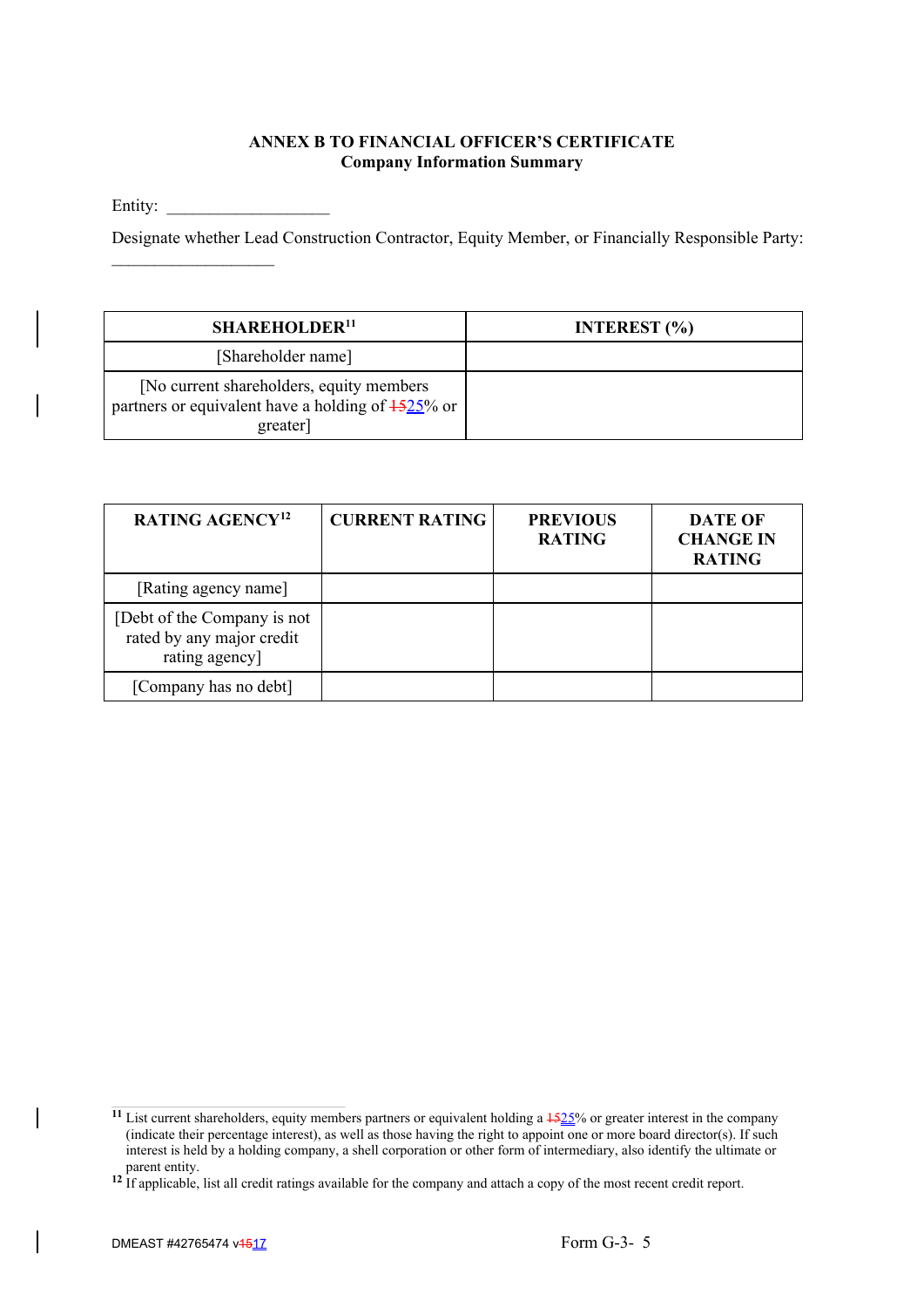# **ANNEX B TO FINANCIAL OFFICER'S CERTIFICATE Company Information Summary**

Entity:

 $\mathcal{L}_\text{max}$ 

Designate whether Lead Construction Contractor, Equity Member, or Financially Responsible Party:

| <b>SHAREHOLDER<sup>11</sup></b>                                                                                      | INTEREST $(\% )$ |
|----------------------------------------------------------------------------------------------------------------------|------------------|
| [Shareholder name]                                                                                                   |                  |
| [No current shareholders, equity members]<br>partners or equivalent have a holding of $\frac{1525}{6}$ or<br>greater |                  |

| RATING AGENCY <sup>12</sup>                                                | <b>CURRENT RATING</b> | <b>PREVIOUS</b><br><b>RATING</b> | DATE OF<br><b>CHANGE IN</b><br><b>RATING</b> |
|----------------------------------------------------------------------------|-----------------------|----------------------------------|----------------------------------------------|
| [Rating agency name]                                                       |                       |                                  |                                              |
| [Debt of the Company is not<br>rated by any major credit<br>rating agency] |                       |                                  |                                              |
| [Company has no debt]                                                      |                       |                                  |                                              |

<sup>&</sup>lt;sup>11</sup> List current shareholders, equity members partners or equivalent holding a  $\frac{1525}{6}$  or greater interest in the company (indicate their percentage interest), as well as those having the right to appoint one or more board director(s). If such interest is held by a holding company, a shell corporation or other form of intermediary, also identify the ultimate or parent entity.

<sup>&</sup>lt;sup>12</sup> If applicable, list all credit ratings available for the company and attach a copy of the most recent credit report.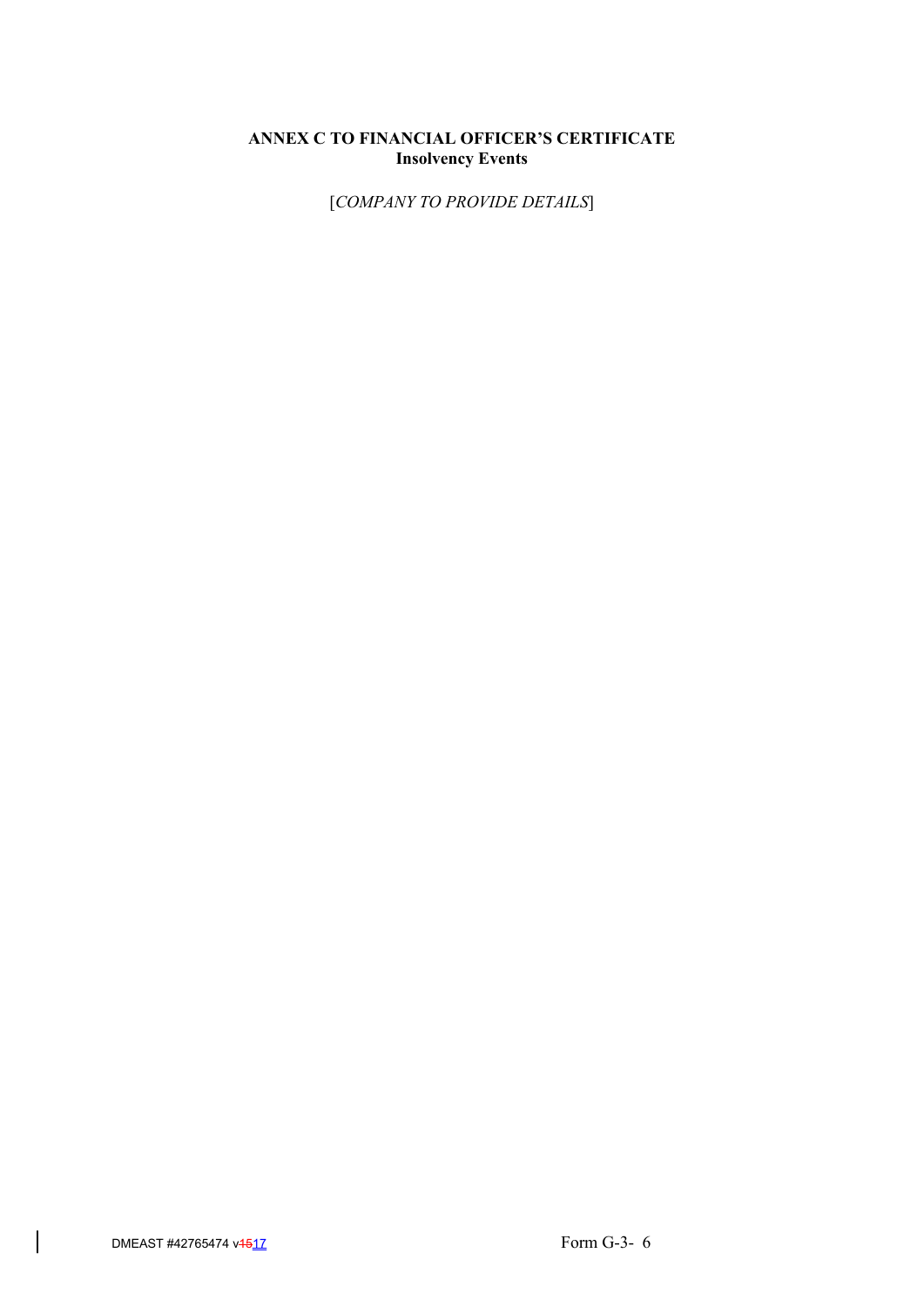# **ANNEX C TO FINANCIAL OFFICER'S CERTIFICATE Insolvency Events**

[*COMPANY TO PROVIDE DETAILS*]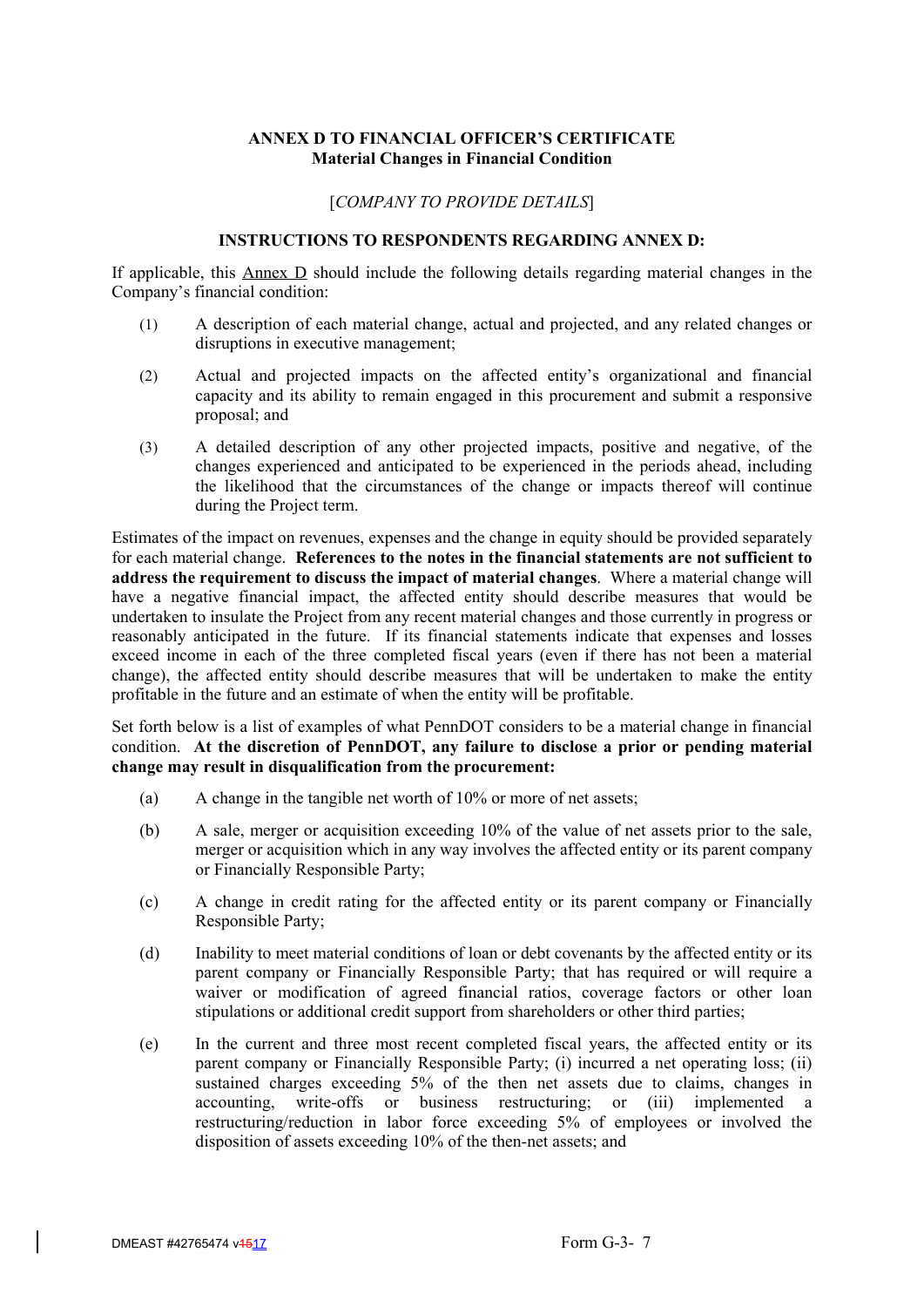# **ANNEX D TO FINANCIAL OFFICER'S CERTIFICATE Material Changes in Financial Condition**

# [*COMPANY TO PROVIDE DETAILS*]

# **INSTRUCTIONS TO RESPONDENTS REGARDING ANNEX D:**

If applicable, this  $\Delta$ nnex  $\Delta$  should include the following details regarding material changes in the Company's financial condition:

- (1) A description of each material change, actual and projected, and any related changes or disruptions in executive management;
- (2) Actual and projected impacts on the affected entity's organizational and financial capacity and its ability to remain engaged in this procurement and submit a responsive proposal; and
- (3) A detailed description of any other projected impacts, positive and negative, of the changes experienced and anticipated to be experienced in the periods ahead, including the likelihood that the circumstances of the change or impacts thereof will continue during the Project term.

Estimates of the impact on revenues, expenses and the change in equity should be provided separately for each material change. **References to the notes in the financial statements are not sufficient to address the requirement to discuss the impact of material changes**. Where a material change will have a negative financial impact, the affected entity should describe measures that would be undertaken to insulate the Project from any recent material changes and those currently in progress or reasonably anticipated in the future. If its financial statements indicate that expenses and losses exceed income in each of the three completed fiscal years (even if there has not been a material change), the affected entity should describe measures that will be undertaken to make the entity profitable in the future and an estimate of when the entity will be profitable.

Set forth below is a list of examples of what PennDOT considers to be a material change in financial condition. **At the discretion of PennDOT, any failure to disclose a prior or pending material change may result in disqualification from the procurement:**

- (a) A change in the tangible net worth of 10% or more of net assets;
- (b) A sale, merger or acquisition exceeding 10% of the value of net assets prior to the sale, merger or acquisition which in any way involves the affected entity or its parent company or Financially Responsible Party;
- (c) A change in credit rating for the affected entity or its parent company or Financially Responsible Party;
- (d) Inability to meet material conditions of loan or debt covenants by the affected entity or its parent company or Financially Responsible Party; that has required or will require a waiver or modification of agreed financial ratios, coverage factors or other loan stipulations or additional credit support from shareholders or other third parties;
- (e) In the current and three most recent completed fiscal years, the affected entity or its parent company or Financially Responsible Party; (i) incurred a net operating loss; (ii) sustained charges exceeding 5% of the then net assets due to claims, changes in accounting, write-offs or business restructuring; or (iii) implemented a restructuring/reduction in labor force exceeding 5% of employees or involved the disposition of assets exceeding 10% of the then-net assets; and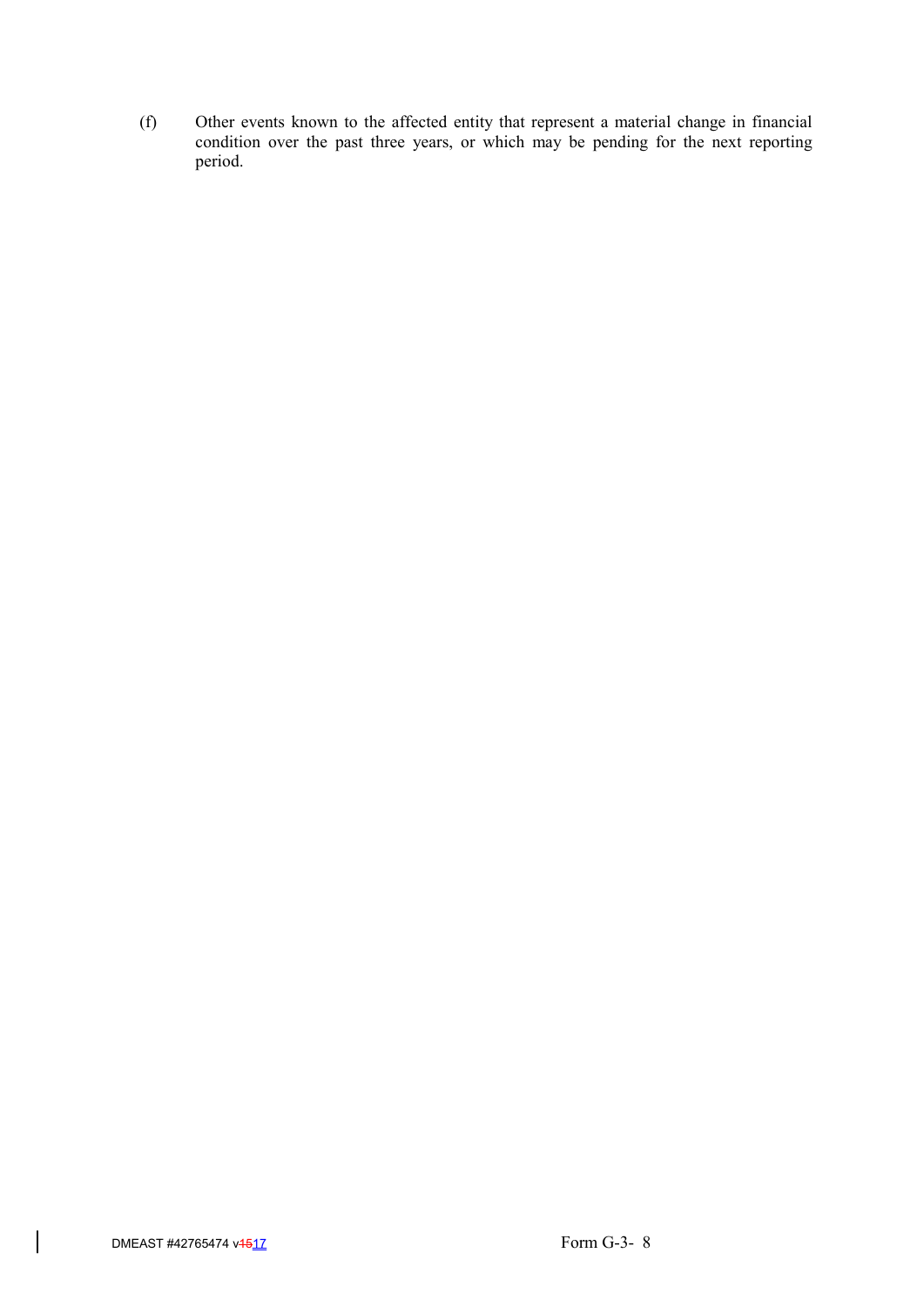(f) Other events known to the affected entity that represent a material change in financial condition over the past three years, or which may be pending for the next reporting period.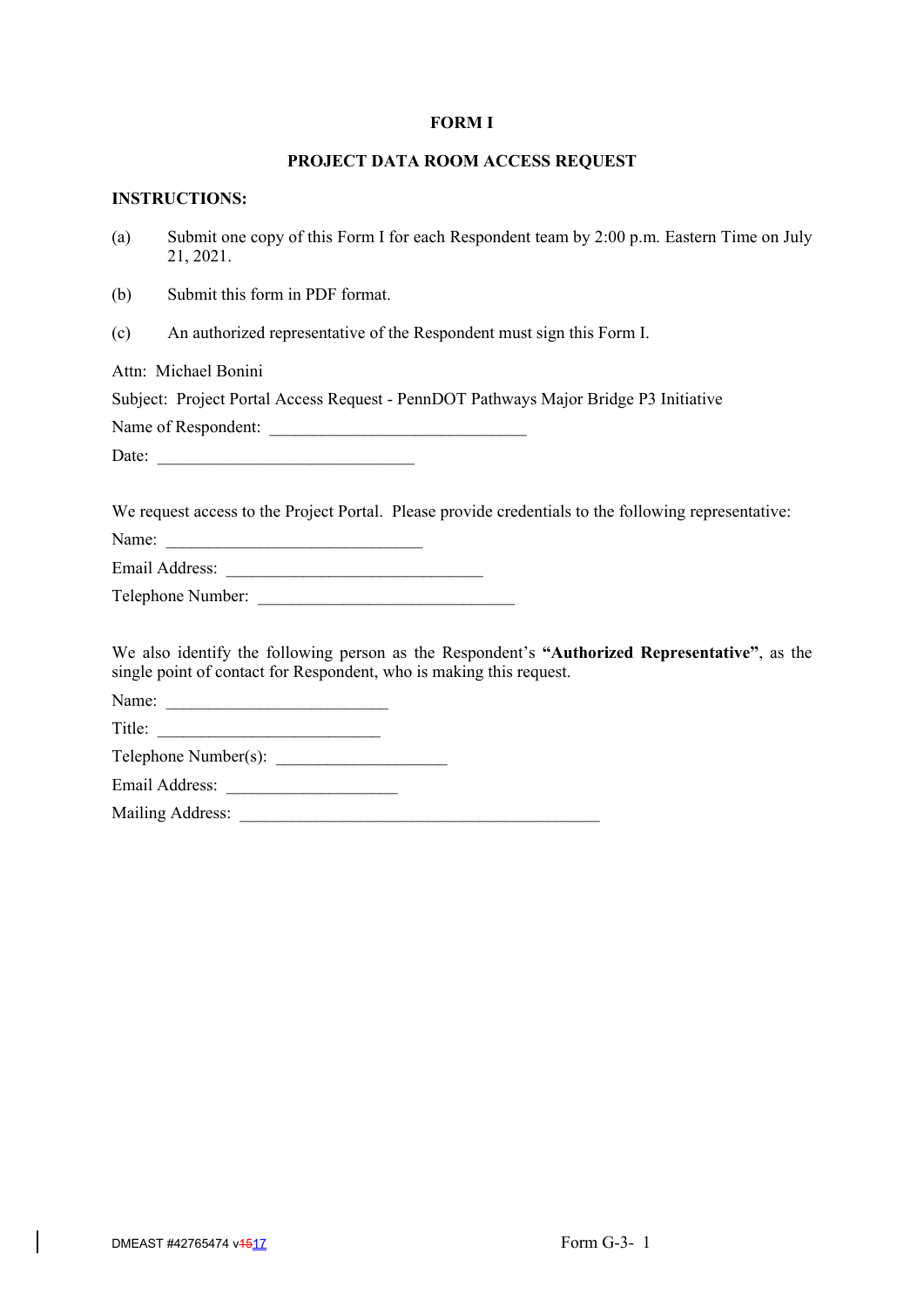### **FORM I**

# **PROJECT DATA ROOM ACCESS REQUEST**

# **INSTRUCTIONS:**

(a) Submit one copy of this Form I for each Respondent team by 2:00 p.m. Eastern Time on July 21, 2021.

(b) Submit this form in PDF format.

(c) An authorized representative of the Respondent must sign this Form I.

Attn: Michael Bonini

Subject: Project Portal Access Request - PennDOT Pathways Major Bridge P3 Initiative

Name of Respondent:

Date: \_\_\_\_\_\_\_\_\_\_\_\_\_\_\_\_\_\_\_\_\_\_\_\_\_\_\_\_\_\_

We request access to the Project Portal. Please provide credentials to the following representative:

Name:

Email Address:

| Telephone Number: |  |
|-------------------|--|
|                   |  |

We also identify the following person as the Respondent's **"Authorized Representative"**, as the single point of contact for Respondent, who is making this request.

Name: \_\_\_\_\_\_\_\_\_\_\_\_\_\_\_\_\_\_\_\_\_\_\_\_\_\_

Title:

 $Telephone$   $Number(s)$ :

Email Address: \_\_\_\_\_\_\_\_\_\_\_\_\_\_\_\_\_\_\_\_

Mailing Address: